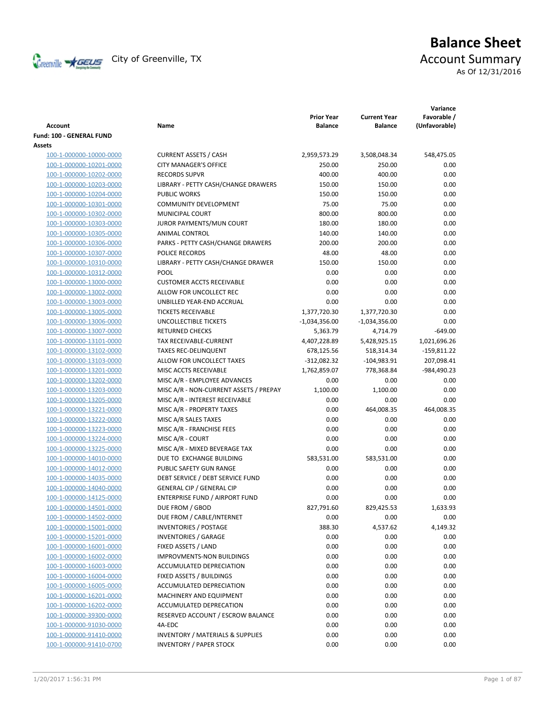

# **Balance Sheet** Creenville  $\star$  GEUS</del> City of Greenville, TX **ACCOUNT** Summary As Of 12/31/2016

**Variance**

| <b>Account</b>                                     | Name                                             | <b>Prior Year</b><br><b>Balance</b> | <b>Current Year</b><br><b>Balance</b> | Favorable /<br>(Unfavorable) |
|----------------------------------------------------|--------------------------------------------------|-------------------------------------|---------------------------------------|------------------------------|
| <b>Fund: 100 - GENERAL FUND</b>                    |                                                  |                                     |                                       |                              |
| Assets                                             |                                                  |                                     |                                       |                              |
| 100-1-000000-10000-0000                            | <b>CURRENT ASSETS / CASH</b>                     | 2,959,573.29                        | 3,508,048.34                          | 548,475.05                   |
| 100-1-000000-10201-0000                            | <b>CITY MANAGER'S OFFICE</b>                     | 250.00                              | 250.00                                | 0.00                         |
| 100-1-000000-10202-0000                            | <b>RECORDS SUPVR</b>                             | 400.00                              | 400.00                                | 0.00                         |
| 100-1-000000-10203-0000                            | LIBRARY - PETTY CASH/CHANGE DRAWERS              | 150.00                              | 150.00                                | 0.00                         |
| 100-1-000000-10204-0000                            | <b>PUBLIC WORKS</b>                              | 150.00                              | 150.00                                | 0.00                         |
| 100-1-000000-10301-0000                            | COMMUNITY DEVELOPMENT                            | 75.00                               | 75.00                                 | 0.00                         |
| 100-1-000000-10302-0000                            | MUNICIPAL COURT                                  | 800.00                              | 800.00                                | 0.00                         |
| 100-1-000000-10303-0000                            | JUROR PAYMENTS/MUN COURT                         | 180.00                              | 180.00                                | 0.00                         |
| 100-1-000000-10305-0000                            | ANIMAL CONTROL                                   | 140.00                              | 140.00                                | 0.00                         |
| 100-1-000000-10306-0000                            | PARKS - PETTY CASH/CHANGE DRAWERS                | 200.00                              | 200.00                                | 0.00                         |
| 100-1-000000-10307-0000                            | POLICE RECORDS                                   | 48.00                               | 48.00                                 | 0.00                         |
| 100-1-000000-10310-0000                            | LIBRARY - PETTY CASH/CHANGE DRAWER               | 150.00                              | 150.00                                | 0.00                         |
| 100-1-000000-10312-0000                            | <b>POOL</b>                                      | 0.00                                | 0.00                                  | 0.00                         |
| 100-1-000000-13000-0000                            | <b>CUSTOMER ACCTS RECEIVABLE</b>                 | 0.00                                | 0.00                                  | 0.00                         |
| 100-1-000000-13002-0000                            | ALLOW FOR UNCOLLECT REC                          | 0.00                                | 0.00                                  | 0.00                         |
| 100-1-000000-13003-0000                            | UNBILLED YEAR-END ACCRUAL                        | 0.00                                | 0.00                                  | 0.00                         |
| 100-1-000000-13005-0000                            | <b>TICKETS RECEIVABLE</b>                        |                                     |                                       | 0.00                         |
|                                                    |                                                  | 1,377,720.30                        | 1,377,720.30                          |                              |
| 100-1-000000-13006-0000                            | UNCOLLECTIBLE TICKETS                            | $-1,034,356.00$                     | $-1,034,356.00$                       | 0.00                         |
| 100-1-000000-13007-0000                            | <b>RETURNED CHECKS</b><br>TAX RECEIVABLE-CURRENT | 5,363.79                            | 4,714.79                              | $-649.00$                    |
| 100-1-000000-13101-0000<br>100-1-000000-13102-0000 | <b>TAXES REC-DELINQUENT</b>                      | 4,407,228.89                        | 5,428,925.15                          | 1,021,696.26                 |
| 100-1-000000-13103-0000                            |                                                  | 678,125.56<br>$-312,082.32$         | 518,314.34<br>$-104,983.91$           | -159,811.22                  |
|                                                    | ALLOW FOR UNCOLLECT TAXES                        |                                     |                                       | 207,098.41                   |
| 100-1-000000-13201-0000                            | MISC ACCTS RECEIVABLE                            | 1,762,859.07                        | 778,368.84                            | -984,490.23<br>0.00          |
| 100-1-000000-13202-0000                            | MISC A/R - EMPLOYEE ADVANCES                     | 0.00<br>1,100.00                    | 0.00<br>1,100.00                      |                              |
| 100-1-000000-13203-0000                            | MISC A/R - NON-CURRENT ASSETS / PREPAY           |                                     |                                       | 0.00                         |
| 100-1-000000-13205-0000                            | MISC A/R - INTEREST RECEIVABLE                   | 0.00                                | 0.00                                  | 0.00                         |
| 100-1-000000-13221-0000                            | MISC A/R - PROPERTY TAXES                        | 0.00                                | 464,008.35                            | 464,008.35                   |
| 100-1-000000-13222-0000                            | MISC A/R SALES TAXES                             | 0.00                                | 0.00                                  | 0.00                         |
| 100-1-000000-13223-0000                            | MISC A/R - FRANCHISE FEES                        | 0.00                                | 0.00                                  | 0.00                         |
| 100-1-000000-13224-0000                            | MISC A/R - COURT                                 | 0.00                                | 0.00                                  | 0.00                         |
| 100-1-000000-13225-0000                            | MISC A/R - MIXED BEVERAGE TAX                    | 0.00                                | 0.00                                  | 0.00                         |
| 100-1-000000-14010-0000                            | DUE TO EXCHANGE BUILDING                         | 583,531.00                          | 583,531.00                            | 0.00                         |
| 100-1-000000-14012-0000                            | PUBLIC SAFETY GUN RANGE                          | 0.00                                | 0.00                                  | 0.00                         |
| 100-1-000000-14035-0000                            | DEBT SERVICE / DEBT SERVICE FUND                 | 0.00                                | 0.00                                  | 0.00                         |
| 100-1-000000-14040-0000                            | <b>GENERAL CIP / GENERAL CIP</b>                 | 0.00                                | 0.00                                  | 0.00                         |
| 100-1-000000-14125-0000                            | <b>ENTERPRISE FUND / AIRPORT FUND</b>            | 0.00                                | 0.00                                  | 0.00                         |
| 100-1-000000-14501-0000                            | DUE FROM / GBOD                                  | 827,791.60                          | 829,425.53                            | 1,633.93                     |
| 100-1-000000-14502-0000                            | DUE FROM / CABLE/INTERNET                        | 0.00                                | 0.00                                  | 0.00                         |
| 100-1-000000-15001-0000                            | <b>INVENTORIES / POSTAGE</b>                     | 388.30                              | 4,537.62                              | 4,149.32                     |
| 100-1-000000-15201-0000                            | <b>INVENTORIES / GARAGE</b>                      | 0.00                                | 0.00                                  | 0.00                         |
| 100-1-000000-16001-0000                            | FIXED ASSETS / LAND                              | 0.00                                | 0.00                                  | 0.00                         |
| 100-1-000000-16002-0000                            | <b>IMPROVMENTS-NON BUILDINGS</b>                 | 0.00                                | 0.00                                  | 0.00                         |
| 100-1-000000-16003-0000                            | ACCUMULATED DEPRECIATION                         | 0.00                                | 0.00                                  | 0.00                         |
| 100-1-000000-16004-0000                            | FIXED ASSETS / BUILDINGS                         | 0.00                                | 0.00                                  | 0.00                         |
| 100-1-000000-16005-0000                            | ACCUMULATED DEPRECIATION                         | 0.00                                | 0.00                                  | 0.00                         |
| 100-1-000000-16201-0000                            | MACHINERY AND EQUIPMENT                          | 0.00                                | 0.00                                  | 0.00                         |
| 100-1-000000-16202-0000                            | ACCUMULATED DEPRECATION                          | 0.00                                | 0.00                                  | 0.00                         |
| 100-1-000000-39300-0000                            | RESERVED ACCOUNT / ESCROW BALANCE                | 0.00                                | 0.00                                  | 0.00                         |
| 100-1-000000-91030-0000                            | 4A-EDC                                           | 0.00                                | 0.00                                  | 0.00                         |
| 100-1-000000-91410-0000                            | <b>INVENTORY / MATERIALS &amp; SUPPLIES</b>      | 0.00                                | 0.00                                  | 0.00                         |
| 100-1-000000-91410-0700                            | <b>INVENTORY / PAPER STOCK</b>                   | 0.00                                | 0.00                                  | 0.00                         |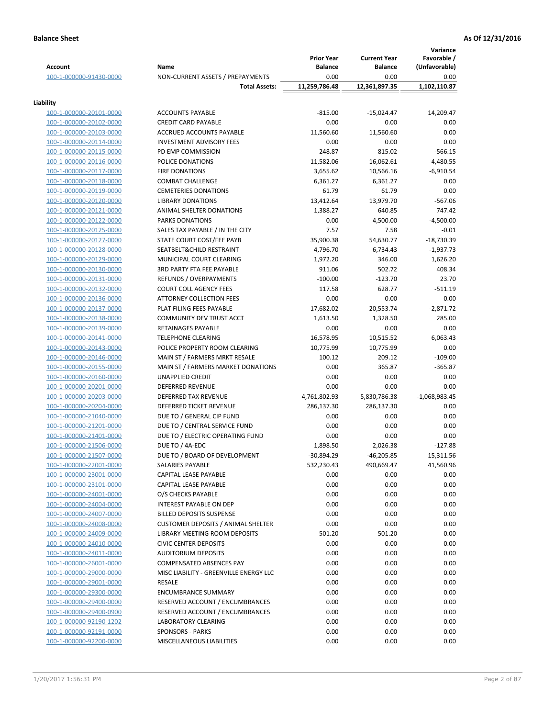|                                                    |                                                 | <b>Prior Year</b>    | <b>Current Year</b>  | Variance<br>Favorable / |
|----------------------------------------------------|-------------------------------------------------|----------------------|----------------------|-------------------------|
| <b>Account</b>                                     | Name                                            | <b>Balance</b>       | <b>Balance</b>       | (Unfavorable)           |
| 100-1-000000-91430-0000                            | NON-CURRENT ASSETS / PREPAYMENTS                | 0.00                 | 0.00                 | 0.00                    |
|                                                    | <b>Total Assets:</b>                            | 11,259,786.48        | 12,361,897.35        | 1,102,110.87            |
| Liability                                          |                                                 |                      |                      |                         |
| 100-1-000000-20101-0000                            | <b>ACCOUNTS PAYABLE</b>                         | $-815.00$            | $-15,024.47$         | 14,209.47               |
| 100-1-000000-20102-0000                            | <b>CREDIT CARD PAYABLE</b>                      | 0.00                 | 0.00                 | 0.00                    |
| 100-1-000000-20103-0000                            | ACCRUED ACCOUNTS PAYABLE                        | 11,560.60            | 11,560.60            | 0.00                    |
| 100-1-000000-20114-0000                            | <b>INVESTMENT ADVISORY FEES</b>                 | 0.00                 | 0.00                 | 0.00                    |
| 100-1-000000-20115-0000                            | PD EMP COMMISSION                               | 248.87               | 815.02               | $-566.15$               |
| 100-1-000000-20116-0000                            | POLICE DONATIONS                                | 11,582.06            | 16,062.61            | $-4,480.55$             |
| 100-1-000000-20117-0000                            | <b>FIRE DONATIONS</b>                           | 3,655.62             | 10,566.16            | $-6,910.54$             |
| 100-1-000000-20118-0000                            | <b>COMBAT CHALLENGE</b>                         | 6,361.27             | 6,361.27             | 0.00                    |
| 100-1-000000-20119-0000                            | <b>CEMETERIES DONATIONS</b>                     | 61.79                | 61.79                | 0.00                    |
| 100-1-000000-20120-0000                            | <b>LIBRARY DONATIONS</b>                        | 13,412.64            | 13,979.70            | $-567.06$               |
| 100-1-000000-20121-0000                            | ANIMAL SHELTER DONATIONS                        | 1,388.27             | 640.85               | 747.42                  |
| 100-1-000000-20122-0000                            | <b>PARKS DONATIONS</b>                          | 0.00                 | 4,500.00             | $-4,500.00$             |
| 100-1-000000-20125-0000                            | SALES TAX PAYABLE / IN THE CITY                 | 7.57                 | 7.58                 | $-0.01$                 |
| 100-1-000000-20127-0000                            | STATE COURT COST/FEE PAYB                       | 35,900.38            | 54,630.77            | $-18,730.39$            |
| 100-1-000000-20128-0000                            | SEATBELT&CHILD RESTRAINT                        | 4,796.70             | 6,734.43             | $-1,937.73$             |
| 100-1-000000-20129-0000                            | MUNICIPAL COURT CLEARING                        | 1,972.20             | 346.00               | 1,626.20                |
| 100-1-000000-20130-0000                            | <b>3RD PARTY FTA FEE PAYABLE</b>                | 911.06               | 502.72               | 408.34                  |
| 100-1-000000-20131-0000                            | REFUNDS / OVERPAYMENTS                          | $-100.00$            | $-123.70$            | 23.70                   |
| 100-1-000000-20132-0000                            | <b>COURT COLL AGENCY FEES</b>                   | 117.58               | 628.77               | $-511.19$               |
| 100-1-000000-20136-0000                            | <b>ATTORNEY COLLECTION FEES</b>                 | 0.00                 | 0.00                 | 0.00                    |
| 100-1-000000-20137-0000                            | PLAT FILING FEES PAYABLE                        | 17,682.02            | 20,553.74            | $-2,871.72$             |
| 100-1-000000-20138-0000                            | COMMUNITY DEV TRUST ACCT                        | 1,613.50             | 1,328.50             | 285.00                  |
| 100-1-000000-20139-0000                            | RETAINAGES PAYABLE                              | 0.00                 | 0.00                 | 0.00                    |
| 100-1-000000-20141-0000                            | <b>TELEPHONE CLEARING</b>                       | 16,578.95            | 10,515.52            | 6,063.43                |
| 100-1-000000-20143-0000                            | POLICE PROPERTY ROOM CLEARING                   | 10,775.99            | 10,775.99            | 0.00                    |
| 100-1-000000-20146-0000                            | MAIN ST / FARMERS MRKT RESALE                   | 100.12               | 209.12               | $-109.00$               |
| 100-1-000000-20155-0000                            | MAIN ST / FARMERS MARKET DONATIONS              | 0.00                 | 365.87               | $-365.87$               |
| 100-1-000000-20160-0000                            | UNAPPLIED CREDIT                                | 0.00                 | 0.00                 | 0.00                    |
| 100-1-000000-20201-0000<br>100-1-000000-20203-0000 | <b>DEFERRED REVENUE</b><br>DEFERRED TAX REVENUE | 0.00<br>4,761,802.93 | 0.00<br>5,830,786.38 | 0.00<br>$-1,068,983.45$ |
| 100-1-000000-20204-0000                            | DEFERRED TICKET REVENUE                         | 286,137.30           | 286,137.30           | 0.00                    |
| 100-1-000000-21040-0000                            | DUE TO / GENERAL CIP FUND                       | 0.00                 | 0.00                 | 0.00                    |
| 100-1-000000-21201-0000                            | DUE TO / CENTRAL SERVICE FUND                   | 0.00                 | 0.00                 | 0.00                    |
| 100-1-000000-21401-0000                            | DUE TO / ELECTRIC OPERATING FUND                | 0.00                 | 0.00                 | 0.00                    |
| 100-1-000000-21506-0000                            | DUE TO / 4A-EDC                                 | 1,898.50             | 2,026.38             | $-127.88$               |
| 100-1-000000-21507-0000                            | DUE TO / BOARD OF DEVELOPMENT                   | $-30,894.29$         | $-46,205.85$         | 15,311.56               |
| 100-1-000000-22001-0000                            | SALARIES PAYABLE                                | 532,230.43           | 490,669.47           | 41,560.96               |
| 100-1-000000-23001-0000                            | CAPITAL LEASE PAYABLE                           | 0.00                 | 0.00                 | 0.00                    |
| 100-1-000000-23101-0000                            | CAPITAL LEASE PAYABLE                           | 0.00                 | 0.00                 | 0.00                    |
| 100-1-000000-24001-0000                            | O/S CHECKS PAYABLE                              | 0.00                 | 0.00                 | 0.00                    |
| 100-1-000000-24004-0000                            | <b>INTEREST PAYABLE ON DEP</b>                  | 0.00                 | 0.00                 | 0.00                    |
| 100-1-000000-24007-0000                            | <b>BILLED DEPOSITS SUSPENSE</b>                 | 0.00                 | 0.00                 | 0.00                    |
| 100-1-000000-24008-0000                            | <b>CUSTOMER DEPOSITS / ANIMAL SHELTER</b>       | 0.00                 | 0.00                 | 0.00                    |
| 100-1-000000-24009-0000                            | LIBRARY MEETING ROOM DEPOSITS                   | 501.20               | 501.20               | 0.00                    |
| 100-1-000000-24010-0000                            | <b>CIVIC CENTER DEPOSITS</b>                    | 0.00                 | 0.00                 | 0.00                    |
| 100-1-000000-24011-0000                            | <b>AUDITORIUM DEPOSITS</b>                      | 0.00                 | 0.00                 | 0.00                    |
| 100-1-000000-26001-0000                            | <b>COMPENSATED ABSENCES PAY</b>                 | 0.00                 | 0.00                 | 0.00                    |
| 100-1-000000-29000-0000                            | MISC LIABILITY - GREENVILLE ENERGY LLC          | 0.00                 | 0.00                 | 0.00                    |
| 100-1-000000-29001-0000                            | RESALE                                          | 0.00                 | 0.00                 | 0.00                    |
| 100-1-000000-29300-0000                            | <b>ENCUMBRANCE SUMMARY</b>                      | 0.00                 | 0.00                 | 0.00                    |
| 100-1-000000-29400-0000                            | RESERVED ACCOUNT / ENCUMBRANCES                 | 0.00                 | 0.00                 | 0.00                    |
| 100-1-000000-29400-0900                            | RESERVED ACCOUNT / ENCUMBRANCES                 | 0.00                 | 0.00                 | 0.00                    |
| 100-1-000000-92190-1202                            | <b>LABORATORY CLEARING</b>                      | 0.00                 | 0.00                 | 0.00                    |
| 100-1-000000-92191-0000                            | <b>SPONSORS - PARKS</b>                         | 0.00                 | 0.00                 | 0.00                    |
| 100-1-000000-92200-0000                            | MISCELLANEOUS LIABILITIES                       | 0.00                 | 0.00                 | 0.00                    |
|                                                    |                                                 |                      |                      |                         |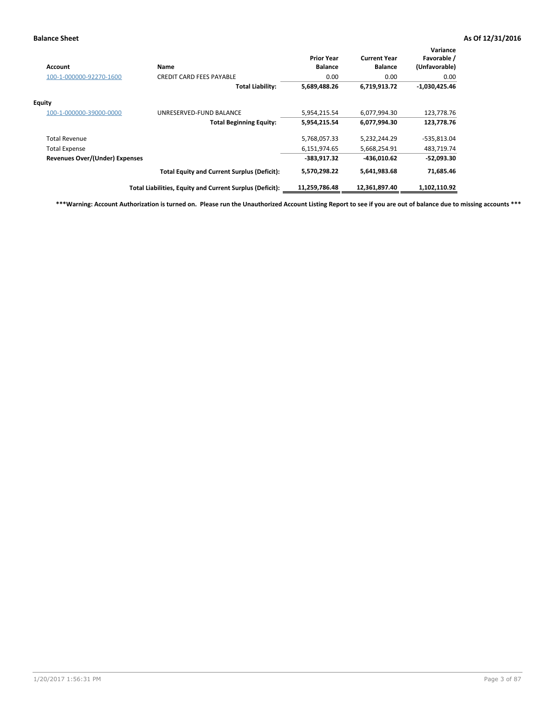| Account                               | Name                                                     | <b>Prior Year</b><br><b>Balance</b> | <b>Current Year</b><br><b>Balance</b> | Variance<br>Favorable /<br>(Unfavorable) |
|---------------------------------------|----------------------------------------------------------|-------------------------------------|---------------------------------------|------------------------------------------|
| 100-1-000000-92270-1600               | <b>CREDIT CARD FEES PAYABLE</b>                          | 0.00                                | 0.00                                  | 0.00                                     |
|                                       | <b>Total Liability:</b>                                  | 5,689,488.26                        | 6,719,913.72                          | $-1,030,425.46$                          |
| Equity                                |                                                          |                                     |                                       |                                          |
| 100-1-000000-39000-0000               | UNRESERVED-FUND BALANCE                                  | 5,954,215.54                        | 6,077,994.30                          | 123,778.76                               |
|                                       | <b>Total Beginning Equity:</b>                           | 5,954,215.54                        | 6,077,994.30                          | 123,778.76                               |
| <b>Total Revenue</b>                  |                                                          | 5,768,057.33                        | 5,232,244.29                          | -535,813.04                              |
| <b>Total Expense</b>                  |                                                          | 6,151,974.65                        | 5,668,254.91                          | 483,719.74                               |
| <b>Revenues Over/(Under) Expenses</b> |                                                          | $-383,917.32$                       | -436,010.62                           | $-52,093.30$                             |
|                                       | <b>Total Equity and Current Surplus (Deficit):</b>       | 5,570,298.22                        | 5,641,983.68                          | 71,685.46                                |
|                                       | Total Liabilities, Equity and Current Surplus (Deficit): | 11,259,786.48                       | 12,361,897.40                         | 1,102,110.92                             |

**\*\*\*Warning: Account Authorization is turned on. Please run the Unauthorized Account Listing Report to see if you are out of balance due to missing accounts \*\*\***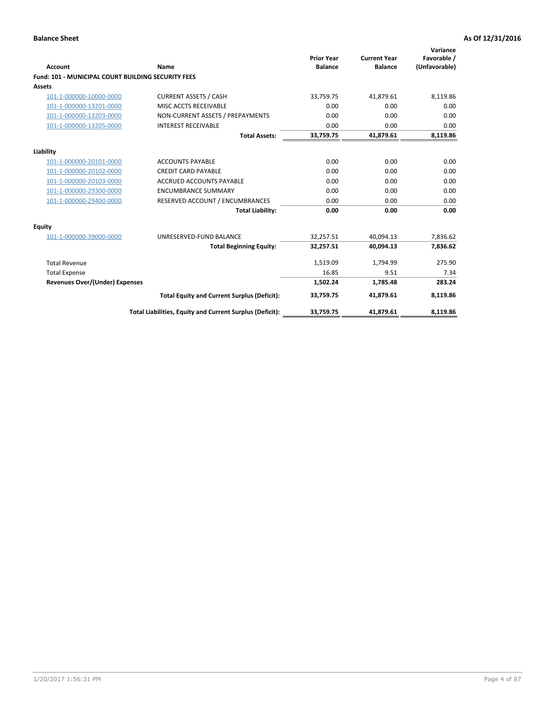| Account                                                   | Name                                                     | <b>Prior Year</b><br><b>Balance</b> | <b>Current Year</b><br><b>Balance</b> | Variance<br>Favorable /<br>(Unfavorable) |
|-----------------------------------------------------------|----------------------------------------------------------|-------------------------------------|---------------------------------------|------------------------------------------|
| <b>Fund: 101 - MUNICIPAL COURT BUILDING SECURITY FEES</b> |                                                          |                                     |                                       |                                          |
| Assets                                                    |                                                          |                                     |                                       |                                          |
| 101-1-000000-10000-0000                                   | <b>CURRENT ASSETS / CASH</b>                             | 33,759.75                           | 41,879.61                             | 8,119.86                                 |
| 101-1-000000-13201-0000                                   | MISC ACCTS RECEIVABLE                                    | 0.00                                | 0.00                                  | 0.00                                     |
| 101-1-000000-13203-0000                                   | NON-CURRENT ASSETS / PREPAYMENTS                         | 0.00                                | 0.00                                  | 0.00                                     |
| 101-1-000000-13205-0000                                   | <b>INTEREST RECEIVABLE</b>                               | 0.00                                | 0.00                                  | 0.00                                     |
|                                                           | <b>Total Assets:</b>                                     | 33,759.75                           | 41,879.61                             | 8,119.86                                 |
| Liability                                                 |                                                          |                                     |                                       |                                          |
| 101-1-000000-20101-0000                                   | <b>ACCOUNTS PAYABLE</b>                                  | 0.00                                | 0.00                                  | 0.00                                     |
| 101-1-000000-20102-0000                                   | <b>CREDIT CARD PAYABLE</b>                               | 0.00                                | 0.00                                  | 0.00                                     |
| 101-1-000000-20103-0000                                   | <b>ACCRUED ACCOUNTS PAYABLE</b>                          | 0.00                                | 0.00                                  | 0.00                                     |
| 101-1-000000-29300-0000                                   | <b>ENCUMBRANCE SUMMARY</b>                               | 0.00                                | 0.00                                  | 0.00                                     |
| 101-1-000000-29400-0000                                   | RESERVED ACCOUNT / ENCUMBRANCES                          | 0.00                                | 0.00                                  | 0.00                                     |
|                                                           | <b>Total Liability:</b>                                  | 0.00                                | 0.00                                  | 0.00                                     |
| Equity                                                    |                                                          |                                     |                                       |                                          |
| 101-1-000000-39000-0000                                   | UNRESERVED-FUND BALANCE                                  | 32,257.51                           | 40,094.13                             | 7,836.62                                 |
|                                                           | <b>Total Beginning Equity:</b>                           | 32,257.51                           | 40.094.13                             | 7,836.62                                 |
| <b>Total Revenue</b>                                      |                                                          | 1,519.09                            | 1,794.99                              | 275.90                                   |
| <b>Total Expense</b>                                      |                                                          | 16.85                               | 9.51                                  | 7.34                                     |
| <b>Revenues Over/(Under) Expenses</b>                     |                                                          | 1,502.24                            | 1,785.48                              | 283.24                                   |
|                                                           | <b>Total Equity and Current Surplus (Deficit):</b>       | 33,759.75                           | 41.879.61                             | 8,119.86                                 |
|                                                           | Total Liabilities, Equity and Current Surplus (Deficit): | 33,759.75                           | 41,879.61                             | 8,119.86                                 |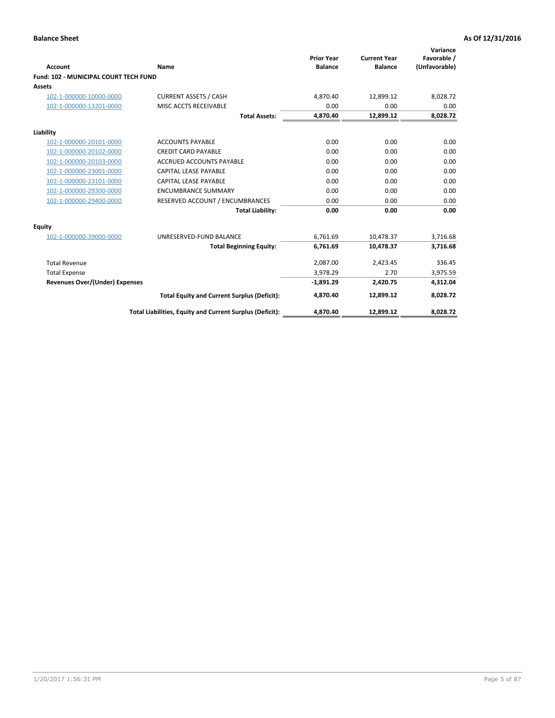| <b>Account</b>                               | Name                                                     | <b>Prior Year</b><br><b>Balance</b> | <b>Current Year</b><br><b>Balance</b> | Variance<br>Favorable /<br>(Unfavorable) |
|----------------------------------------------|----------------------------------------------------------|-------------------------------------|---------------------------------------|------------------------------------------|
| <b>Fund: 102 - MUNICIPAL COURT TECH FUND</b> |                                                          |                                     |                                       |                                          |
| <b>Assets</b>                                |                                                          |                                     |                                       |                                          |
| 102-1-000000-10000-0000                      | <b>CURRENT ASSETS / CASH</b>                             | 4,870.40                            | 12.899.12                             | 8,028.72                                 |
| 102-1-000000-13201-0000                      | MISC ACCTS RECEIVABLE                                    | 0.00                                | 0.00                                  | 0.00                                     |
|                                              | <b>Total Assets:</b>                                     | 4,870.40                            | 12,899.12                             | 8,028.72                                 |
| Liability                                    |                                                          |                                     |                                       |                                          |
| 102-1-000000-20101-0000                      | <b>ACCOUNTS PAYABLE</b>                                  | 0.00                                | 0.00                                  | 0.00                                     |
| 102-1-000000-20102-0000                      | <b>CREDIT CARD PAYABLE</b>                               | 0.00                                | 0.00                                  | 0.00                                     |
| 102-1-000000-20103-0000                      | <b>ACCRUED ACCOUNTS PAYABLE</b>                          | 0.00                                | 0.00                                  | 0.00                                     |
| 102-1-000000-23001-0000                      | CAPITAL LEASE PAYABLE                                    | 0.00                                | 0.00                                  | 0.00                                     |
| 102-1-000000-23101-0000                      | <b>CAPITAL LEASE PAYABLE</b>                             | 0.00                                | 0.00                                  | 0.00                                     |
| 102-1-000000-29300-0000                      | <b>ENCUMBRANCE SUMMARY</b>                               | 0.00                                | 0.00                                  | 0.00                                     |
| 102-1-000000-29400-0000                      | RESERVED ACCOUNT / ENCUMBRANCES                          | 0.00                                | 0.00                                  | 0.00                                     |
|                                              | <b>Total Liability:</b>                                  | 0.00                                | 0.00                                  | 0.00                                     |
| Equity                                       |                                                          |                                     |                                       |                                          |
| 102-1-000000-39000-0000                      | UNRESERVED-FUND BALANCE                                  | 6,761.69                            | 10,478.37                             | 3,716.68                                 |
|                                              | <b>Total Beginning Equity:</b>                           | 6,761.69                            | 10,478.37                             | 3,716.68                                 |
| <b>Total Revenue</b>                         |                                                          | 2,087.00                            | 2,423.45                              | 336.45                                   |
| <b>Total Expense</b>                         |                                                          | 3,978.29                            | 2.70                                  | 3,975.59                                 |
| <b>Revenues Over/(Under) Expenses</b>        |                                                          | $-1,891.29$                         | 2,420.75                              | 4,312.04                                 |
|                                              | <b>Total Equity and Current Surplus (Deficit):</b>       | 4,870.40                            | 12,899.12                             | 8,028.72                                 |
|                                              | Total Liabilities, Equity and Current Surplus (Deficit): | 4,870.40                            | 12,899.12                             | 8,028.72                                 |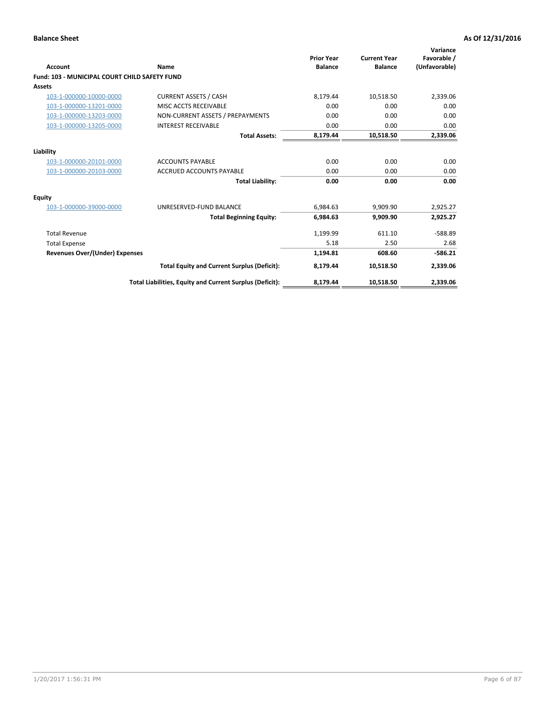| Account                                              | Name                                                     | <b>Prior Year</b><br><b>Balance</b> | <b>Current Year</b><br><b>Balance</b> | Variance<br>Favorable /<br>(Unfavorable) |
|------------------------------------------------------|----------------------------------------------------------|-------------------------------------|---------------------------------------|------------------------------------------|
| <b>Fund: 103 - MUNICIPAL COURT CHILD SAFETY FUND</b> |                                                          |                                     |                                       |                                          |
| <b>Assets</b>                                        |                                                          |                                     |                                       |                                          |
| 103-1-000000-10000-0000                              | <b>CURRENT ASSETS / CASH</b>                             | 8,179.44                            | 10,518.50                             | 2,339.06                                 |
| 103-1-000000-13201-0000                              | MISC ACCTS RECEIVABLE                                    | 0.00                                | 0.00                                  | 0.00                                     |
| 103-1-000000-13203-0000                              | NON-CURRENT ASSETS / PREPAYMENTS                         | 0.00                                | 0.00                                  | 0.00                                     |
| 103-1-000000-13205-0000                              | <b>INTEREST RECEIVABLE</b>                               | 0.00                                | 0.00                                  | 0.00                                     |
|                                                      | <b>Total Assets:</b>                                     | 8,179.44                            | 10,518.50                             | 2,339.06                                 |
| Liability                                            |                                                          |                                     |                                       |                                          |
| 103-1-000000-20101-0000                              | <b>ACCOUNTS PAYABLE</b>                                  | 0.00                                | 0.00                                  | 0.00                                     |
| 103-1-000000-20103-0000                              | <b>ACCRUED ACCOUNTS PAYABLE</b>                          | 0.00                                | 0.00                                  | 0.00                                     |
|                                                      | <b>Total Liability:</b>                                  | 0.00                                | 0.00                                  | 0.00                                     |
| Equity                                               |                                                          |                                     |                                       |                                          |
| 103-1-000000-39000-0000                              | UNRESERVED-FUND BALANCE                                  | 6,984.63                            | 9,909.90                              | 2,925.27                                 |
|                                                      | <b>Total Beginning Equity:</b>                           | 6,984.63                            | 9,909.90                              | 2,925.27                                 |
| <b>Total Revenue</b>                                 |                                                          | 1,199.99                            | 611.10                                | $-588.89$                                |
| <b>Total Expense</b>                                 |                                                          | 5.18                                | 2.50                                  | 2.68                                     |
| Revenues Over/(Under) Expenses                       |                                                          | 1,194.81                            | 608.60                                | $-586.21$                                |
|                                                      | <b>Total Equity and Current Surplus (Deficit):</b>       | 8,179.44                            | 10,518.50                             | 2,339.06                                 |
|                                                      | Total Liabilities, Equity and Current Surplus (Deficit): | 8,179.44                            | 10,518.50                             | 2,339.06                                 |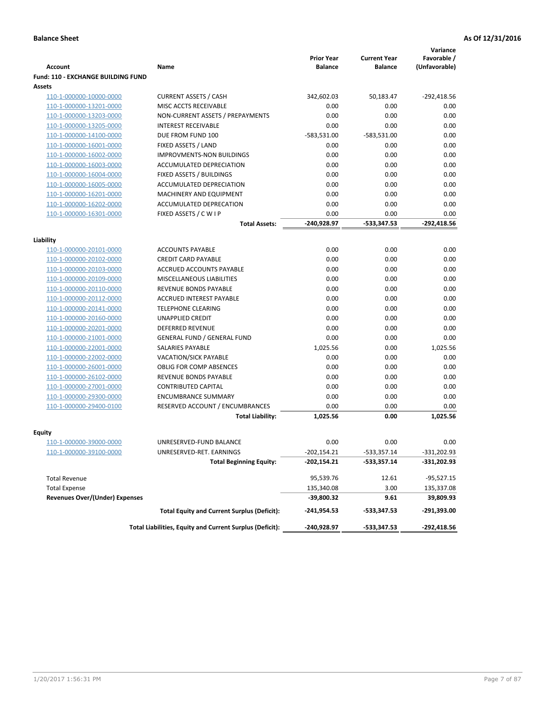| <b>Account</b>                            | Name                                                     | <b>Prior Year</b><br><b>Balance</b> | <b>Current Year</b><br><b>Balance</b> | Variance<br>Favorable /<br>(Unfavorable) |
|-------------------------------------------|----------------------------------------------------------|-------------------------------------|---------------------------------------|------------------------------------------|
| <b>Fund: 110 - EXCHANGE BUILDING FUND</b> |                                                          |                                     |                                       |                                          |
| Assets                                    |                                                          |                                     |                                       |                                          |
| 110-1-000000-10000-0000                   | <b>CURRENT ASSETS / CASH</b>                             | 342,602.03                          | 50,183.47                             | $-292,418.56$                            |
| 110-1-000000-13201-0000                   | MISC ACCTS RECEIVABLE                                    | 0.00                                | 0.00                                  | 0.00                                     |
| 110-1-000000-13203-0000                   | NON-CURRENT ASSETS / PREPAYMENTS                         | 0.00                                | 0.00                                  | 0.00                                     |
| 110-1-000000-13205-0000                   | <b>INTEREST RECEIVABLE</b>                               | 0.00                                | 0.00                                  | 0.00                                     |
| 110-1-000000-14100-0000                   | DUE FROM FUND 100                                        | -583,531.00                         | -583,531.00                           | 0.00                                     |
| 110-1-000000-16001-0000                   | FIXED ASSETS / LAND                                      | 0.00                                | 0.00                                  | 0.00                                     |
| 110-1-000000-16002-0000                   | <b>IMPROVMENTS-NON BUILDINGS</b>                         | 0.00                                | 0.00                                  | 0.00                                     |
| 110-1-000000-16003-0000                   | ACCUMULATED DEPRECIATION                                 | 0.00                                | 0.00                                  | 0.00                                     |
| 110-1-000000-16004-0000                   | FIXED ASSETS / BUILDINGS                                 | 0.00                                | 0.00                                  | 0.00                                     |
| 110-1-000000-16005-0000                   | ACCUMULATED DEPRECIATION                                 | 0.00                                | 0.00                                  | 0.00                                     |
| 110-1-000000-16201-0000                   | MACHINERY AND EQUIPMENT                                  | 0.00                                | 0.00                                  | 0.00                                     |
| 110-1-000000-16202-0000                   | ACCUMULATED DEPRECATION                                  | 0.00                                | 0.00                                  | 0.00                                     |
| 110-1-000000-16301-0000                   | FIXED ASSETS / C W I P                                   | 0.00                                | 0.00                                  | 0.00                                     |
|                                           | <b>Total Assets:</b>                                     | -240,928.97                         | -533,347.53                           | $-292,418.56$                            |
|                                           |                                                          |                                     |                                       |                                          |
| Liability                                 |                                                          |                                     |                                       |                                          |
| 110-1-000000-20101-0000                   | <b>ACCOUNTS PAYABLE</b>                                  | 0.00                                | 0.00                                  | 0.00                                     |
| 110-1-000000-20102-0000                   | <b>CREDIT CARD PAYABLE</b>                               | 0.00                                | 0.00                                  | 0.00                                     |
| 110-1-000000-20103-0000                   | ACCRUED ACCOUNTS PAYABLE                                 | 0.00                                | 0.00                                  | 0.00                                     |
| 110-1-000000-20109-0000                   | <b>MISCELLANEOUS LIABILITIES</b>                         | 0.00                                | 0.00                                  | 0.00                                     |
| 110-1-000000-20110-0000                   | REVENUE BONDS PAYABLE                                    | 0.00                                | 0.00                                  | 0.00                                     |
| 110-1-000000-20112-0000                   | <b>ACCRUED INTEREST PAYABLE</b>                          | 0.00                                | 0.00                                  | 0.00                                     |
| 110-1-000000-20141-0000                   | <b>TELEPHONE CLEARING</b>                                | 0.00                                | 0.00                                  | 0.00                                     |
| 110-1-000000-20160-0000                   | <b>UNAPPLIED CREDIT</b>                                  | 0.00                                | 0.00                                  | 0.00                                     |
| 110-1-000000-20201-0000                   | <b>DEFERRED REVENUE</b>                                  | 0.00                                | 0.00                                  | 0.00                                     |
| 110-1-000000-21001-0000                   | <b>GENERAL FUND / GENERAL FUND</b>                       | 0.00                                | 0.00                                  | 0.00                                     |
| 110-1-000000-22001-0000                   | SALARIES PAYABLE                                         | 1,025.56                            | 0.00                                  | 1,025.56                                 |
| 110-1-000000-22002-0000                   | VACATION/SICK PAYABLE                                    | 0.00                                | 0.00                                  | 0.00                                     |
| 110-1-000000-26001-0000                   | <b>OBLIG FOR COMP ABSENCES</b>                           | 0.00                                | 0.00                                  | 0.00                                     |
| 110-1-000000-26102-0000                   | <b>REVENUE BONDS PAYABLE</b>                             | 0.00                                | 0.00                                  | 0.00                                     |
| 110-1-000000-27001-0000                   | <b>CONTRIBUTED CAPITAL</b>                               | 0.00                                | 0.00                                  | 0.00                                     |
| 110-1-000000-29300-0000                   | <b>ENCUMBRANCE SUMMARY</b>                               | 0.00                                | 0.00                                  | 0.00                                     |
| 110-1-000000-29400-0100                   | RESERVED ACCOUNT / ENCUMBRANCES                          | 0.00                                | 0.00                                  | 0.00                                     |
|                                           | <b>Total Liability:</b>                                  | 1,025.56                            | 0.00                                  | 1,025.56                                 |
|                                           |                                                          |                                     |                                       |                                          |
| <b>Equity</b>                             |                                                          |                                     |                                       |                                          |
| 110-1-000000-39000-0000                   | UNRESERVED-FUND BALANCE                                  | 0.00                                | 0.00                                  | 0.00                                     |
| <u>110-1-000000-39100-0000</u>            | UNRESERVED-RET. EARNINGS                                 | -202,154.21                         | -533,357.14                           | -331,202.93                              |
|                                           | <b>Total Beginning Equity:</b>                           | $-202,154.21$                       | $-533,357.14$                         | $-331,202.93$                            |
| <b>Total Revenue</b>                      |                                                          | 95,539.76                           | 12.61                                 | $-95,527.15$                             |
| <b>Total Expense</b>                      |                                                          | 135,340.08                          | 3.00                                  | 135,337.08                               |
| <b>Revenues Over/(Under) Expenses</b>     |                                                          | -39,800.32                          | 9.61                                  | 39,809.93                                |
|                                           | <b>Total Equity and Current Surplus (Deficit):</b>       | -241,954.53                         | -533,347.53                           | -291,393.00                              |
|                                           | Total Liabilities, Equity and Current Surplus (Deficit): | -240,928.97                         | -533,347.53                           | -292,418.56                              |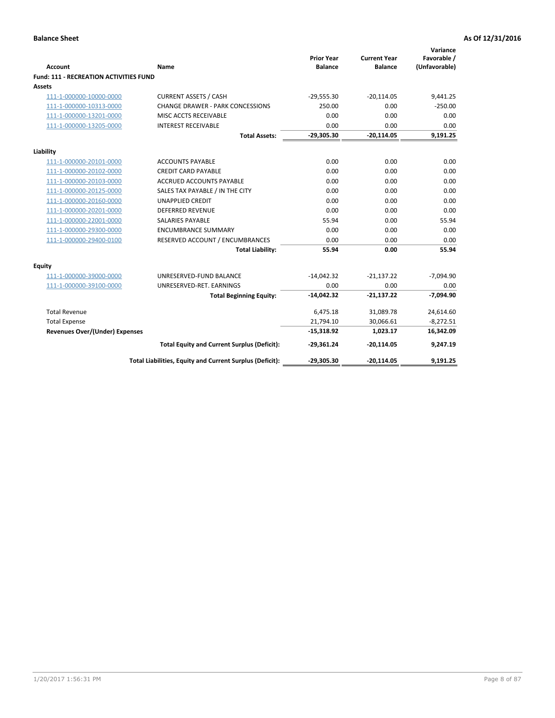|                                        |                                                          | <b>Prior Year</b> | <b>Current Year</b> | Variance<br>Favorable / |
|----------------------------------------|----------------------------------------------------------|-------------------|---------------------|-------------------------|
| <b>Account</b>                         | Name                                                     | <b>Balance</b>    | <b>Balance</b>      | (Unfavorable)           |
| Fund: 111 - RECREATION ACTIVITIES FUND |                                                          |                   |                     |                         |
| Assets                                 |                                                          |                   |                     |                         |
| 111-1-000000-10000-0000                | <b>CURRENT ASSETS / CASH</b>                             | $-29,555.30$      | $-20,114.05$        | 9,441.25                |
| 111-1-000000-10313-0000                | <b>CHANGE DRAWER - PARK CONCESSIONS</b>                  | 250.00            | 0.00                | $-250.00$               |
| 111-1-000000-13201-0000                | MISC ACCTS RECEIVABLE                                    | 0.00              | 0.00                | 0.00                    |
| 111-1-000000-13205-0000                | <b>INTEREST RECEIVABLE</b>                               | 0.00              | 0.00                | 0.00                    |
|                                        | <b>Total Assets:</b>                                     | $-29,305.30$      | $-20,114.05$        | 9,191.25                |
| Liability                              |                                                          |                   |                     |                         |
| 111-1-000000-20101-0000                | <b>ACCOUNTS PAYABLE</b>                                  | 0.00              | 0.00                | 0.00                    |
| 111-1-000000-20102-0000                | <b>CREDIT CARD PAYABLE</b>                               | 0.00              | 0.00                | 0.00                    |
| 111-1-000000-20103-0000                | <b>ACCRUED ACCOUNTS PAYABLE</b>                          | 0.00              | 0.00                | 0.00                    |
| 111-1-000000-20125-0000                | SALES TAX PAYABLE / IN THE CITY                          | 0.00              | 0.00                | 0.00                    |
| 111-1-000000-20160-0000                | <b>UNAPPLIED CREDIT</b>                                  | 0.00              | 0.00                | 0.00                    |
| 111-1-000000-20201-0000                | <b>DEFERRED REVENUE</b>                                  | 0.00              | 0.00                | 0.00                    |
| 111-1-000000-22001-0000                | <b>SALARIES PAYABLE</b>                                  | 55.94             | 0.00                | 55.94                   |
| 111-1-000000-29300-0000                | <b>ENCUMBRANCE SUMMARY</b>                               | 0.00              | 0.00                | 0.00                    |
| 111-1-000000-29400-0100                | RESERVED ACCOUNT / ENCUMBRANCES                          | 0.00              | 0.00                | 0.00                    |
|                                        | <b>Total Liability:</b>                                  | 55.94             | 0.00                | 55.94                   |
| Equity                                 |                                                          |                   |                     |                         |
| 111-1-000000-39000-0000                | UNRESERVED-FUND BALANCE                                  | $-14,042.32$      | $-21,137.22$        | $-7,094.90$             |
| 111-1-000000-39100-0000                | UNRESERVED-RET. EARNINGS                                 | 0.00              | 0.00                | 0.00                    |
|                                        | <b>Total Beginning Equity:</b>                           | $-14,042.32$      | $-21,137.22$        | $-7.094.90$             |
| <b>Total Revenue</b>                   |                                                          | 6,475.18          | 31,089.78           | 24,614.60               |
| <b>Total Expense</b>                   |                                                          | 21,794.10         | 30,066.61           | $-8,272.51$             |
| <b>Revenues Over/(Under) Expenses</b>  |                                                          | $-15,318.92$      | 1,023.17            | 16,342.09               |
|                                        | <b>Total Equity and Current Surplus (Deficit):</b>       | $-29,361.24$      | $-20,114.05$        | 9,247.19                |
|                                        | Total Liabilities, Equity and Current Surplus (Deficit): | $-29,305.30$      | $-20,114.05$        | 9,191.25                |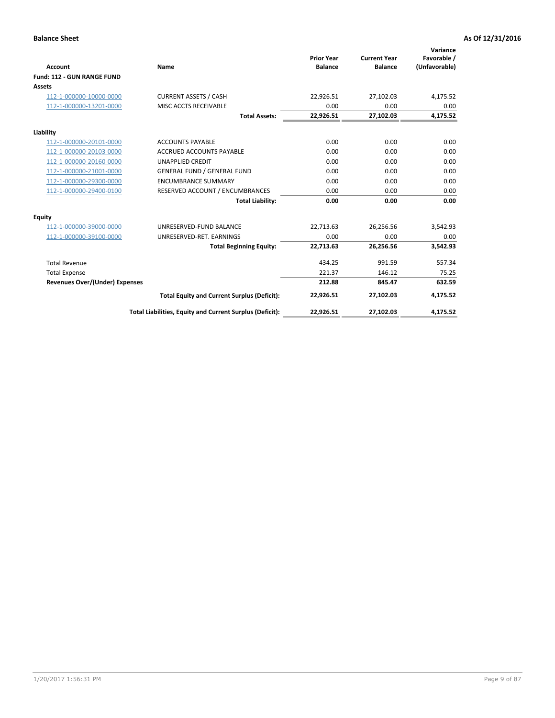|                                       |                                                          |                                     |                                       | Variance                     |
|---------------------------------------|----------------------------------------------------------|-------------------------------------|---------------------------------------|------------------------------|
| <b>Account</b>                        | Name                                                     | <b>Prior Year</b><br><b>Balance</b> | <b>Current Year</b><br><b>Balance</b> | Favorable /<br>(Unfavorable) |
| Fund: 112 - GUN RANGE FUND            |                                                          |                                     |                                       |                              |
| <b>Assets</b>                         |                                                          |                                     |                                       |                              |
| 112-1-000000-10000-0000               | <b>CURRENT ASSETS / CASH</b>                             | 22,926.51                           | 27,102.03                             | 4,175.52                     |
| 112-1-000000-13201-0000               | MISC ACCTS RECEIVABLE                                    | 0.00                                | 0.00                                  | 0.00                         |
|                                       | <b>Total Assets:</b>                                     | 22,926.51                           | 27,102.03                             | 4,175.52                     |
| Liability                             |                                                          |                                     |                                       |                              |
| 112-1-000000-20101-0000               | <b>ACCOUNTS PAYABLE</b>                                  | 0.00                                | 0.00                                  | 0.00                         |
| 112-1-000000-20103-0000               | <b>ACCRUED ACCOUNTS PAYABLE</b>                          | 0.00                                | 0.00                                  | 0.00                         |
| 112-1-000000-20160-0000               | <b>UNAPPLIED CREDIT</b>                                  | 0.00                                | 0.00                                  | 0.00                         |
| 112-1-000000-21001-0000               | <b>GENERAL FUND / GENERAL FUND</b>                       | 0.00                                | 0.00                                  | 0.00                         |
| 112-1-000000-29300-0000               | <b>ENCUMBRANCE SUMMARY</b>                               | 0.00                                | 0.00                                  | 0.00                         |
| 112-1-000000-29400-0100               | RESERVED ACCOUNT / ENCUMBRANCES                          | 0.00                                | 0.00                                  | 0.00                         |
|                                       | <b>Total Liability:</b>                                  | 0.00                                | 0.00                                  | 0.00                         |
| Equity                                |                                                          |                                     |                                       |                              |
| 112-1-000000-39000-0000               | UNRESERVED-FUND BALANCE                                  | 22,713.63                           | 26,256.56                             | 3,542.93                     |
| 112-1-000000-39100-0000               | UNRESERVED-RET. EARNINGS                                 | 0.00                                | 0.00                                  | 0.00                         |
|                                       | <b>Total Beginning Equity:</b>                           | 22,713.63                           | 26,256.56                             | 3,542.93                     |
| <b>Total Revenue</b>                  |                                                          | 434.25                              | 991.59                                | 557.34                       |
| <b>Total Expense</b>                  |                                                          | 221.37                              | 146.12                                | 75.25                        |
| <b>Revenues Over/(Under) Expenses</b> |                                                          | 212.88                              | 845.47                                | 632.59                       |
|                                       | <b>Total Equity and Current Surplus (Deficit):</b>       | 22,926.51                           | 27,102.03                             | 4,175.52                     |
|                                       | Total Liabilities, Equity and Current Surplus (Deficit): | 22,926.51                           | 27,102.03                             | 4,175.52                     |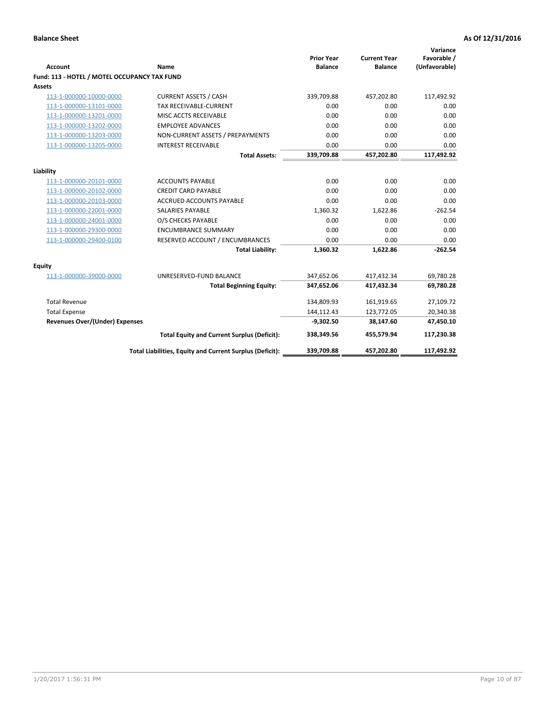| <b>Account</b>                               | <b>Name</b>                                              | <b>Prior Year</b><br><b>Balance</b> | <b>Current Year</b><br><b>Balance</b> | Variance<br>Favorable /<br>(Unfavorable) |
|----------------------------------------------|----------------------------------------------------------|-------------------------------------|---------------------------------------|------------------------------------------|
| Fund: 113 - HOTEL / MOTEL OCCUPANCY TAX FUND |                                                          |                                     |                                       |                                          |
| Assets                                       |                                                          |                                     |                                       |                                          |
| 113-1-000000-10000-0000                      | <b>CURRENT ASSETS / CASH</b>                             | 339,709.88                          | 457,202.80                            | 117,492.92                               |
| 113-1-000000-13101-0000                      | TAX RECEIVABLE-CURRENT                                   | 0.00                                | 0.00                                  | 0.00                                     |
| 113-1-000000-13201-0000                      | MISC ACCTS RECEIVABLE                                    | 0.00                                | 0.00                                  | 0.00                                     |
| 113-1-000000-13202-0000                      | <b>EMPLOYEE ADVANCES</b>                                 | 0.00                                | 0.00                                  | 0.00                                     |
| 113-1-000000-13203-0000                      | NON-CURRENT ASSETS / PREPAYMENTS                         | 0.00                                | 0.00                                  | 0.00                                     |
| 113-1-000000-13205-0000                      | <b>INTEREST RECEIVABLE</b>                               | 0.00                                | 0.00                                  | 0.00                                     |
|                                              | <b>Total Assets:</b>                                     | 339,709.88                          | 457,202.80                            | 117,492.92                               |
|                                              |                                                          |                                     |                                       |                                          |
| Liability                                    |                                                          |                                     |                                       |                                          |
| 113-1-000000-20101-0000                      | <b>ACCOUNTS PAYABLE</b>                                  | 0.00                                | 0.00                                  | 0.00                                     |
| 113-1-000000-20102-0000                      | <b>CREDIT CARD PAYABLE</b>                               | 0.00                                | 0.00                                  | 0.00                                     |
| 113-1-000000-20103-0000                      | <b>ACCRUED ACCOUNTS PAYABLE</b>                          | 0.00                                | 0.00                                  | 0.00                                     |
| 113-1-000000-22001-0000                      | <b>SALARIES PAYABLE</b>                                  | 1,360.32                            | 1,622.86                              | $-262.54$                                |
| 113-1-000000-24001-0000                      | O/S CHECKS PAYABLE                                       | 0.00                                | 0.00                                  | 0.00                                     |
| 113-1-000000-29300-0000                      | <b>ENCUMBRANCE SUMMARY</b>                               | 0.00                                | 0.00                                  | 0.00                                     |
| 113-1-000000-29400-0100                      | RESERVED ACCOUNT / ENCUMBRANCES                          | 0.00                                | 0.00                                  | 0.00                                     |
|                                              | <b>Total Liability:</b>                                  | 1,360.32                            | 1,622.86                              | $-262.54$                                |
| Equity                                       |                                                          |                                     |                                       |                                          |
| 113-1-000000-39000-0000                      | UNRESERVED-FUND BALANCE                                  | 347,652.06                          | 417,432.34                            | 69,780.28                                |
|                                              | <b>Total Beginning Equity:</b>                           | 347,652.06                          | 417,432.34                            | 69,780.28                                |
| <b>Total Revenue</b>                         |                                                          | 134,809.93                          | 161,919.65                            | 27,109.72                                |
| <b>Total Expense</b>                         |                                                          | 144,112.43                          | 123,772.05                            | 20,340.38                                |
| <b>Revenues Over/(Under) Expenses</b>        |                                                          | $-9,302.50$                         | 38,147.60                             | 47,450.10                                |
|                                              | <b>Total Equity and Current Surplus (Deficit):</b>       | 338,349.56                          | 455,579.94                            | 117,230.38                               |
|                                              | Total Liabilities, Equity and Current Surplus (Deficit): | 339,709.88                          | 457,202.80                            | 117,492.92                               |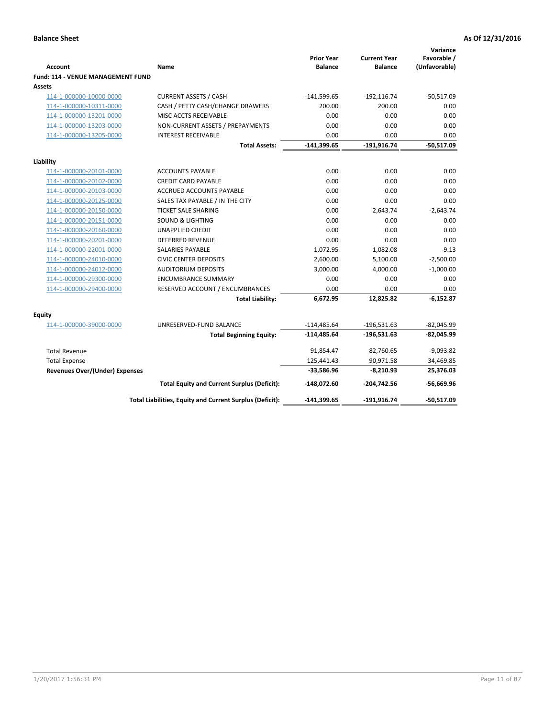| <b>Account</b>                                     | Name                                                     | <b>Prior Year</b><br><b>Balance</b> | <b>Current Year</b><br><b>Balance</b> | Variance<br>Favorable /<br>(Unfavorable) |
|----------------------------------------------------|----------------------------------------------------------|-------------------------------------|---------------------------------------|------------------------------------------|
| <b>Fund: 114 - VENUE MANAGEMENT FUND</b><br>Assets |                                                          |                                     |                                       |                                          |
| 114-1-000000-10000-0000                            | <b>CURRENT ASSETS / CASH</b>                             | $-141,599.65$                       | $-192, 116.74$                        | $-50,517.09$                             |
| 114-1-000000-10311-0000                            | CASH / PETTY CASH/CHANGE DRAWERS                         | 200.00                              | 200.00                                | 0.00                                     |
| 114-1-000000-13201-0000                            | MISC ACCTS RECEIVABLE                                    | 0.00                                | 0.00                                  | 0.00                                     |
| 114-1-000000-13203-0000                            | NON-CURRENT ASSETS / PREPAYMENTS                         | 0.00                                | 0.00                                  | 0.00                                     |
| 114-1-000000-13205-0000                            | <b>INTEREST RECEIVABLE</b>                               | 0.00                                | 0.00                                  | 0.00                                     |
|                                                    | <b>Total Assets:</b>                                     | $-141,399.65$                       | $-191,916.74$                         | $-50,517.09$                             |
|                                                    |                                                          |                                     |                                       |                                          |
| Liability                                          |                                                          |                                     |                                       |                                          |
| 114-1-000000-20101-0000                            | <b>ACCOUNTS PAYABLE</b>                                  | 0.00                                | 0.00                                  | 0.00                                     |
| 114-1-000000-20102-0000                            | <b>CREDIT CARD PAYABLE</b>                               | 0.00                                | 0.00                                  | 0.00                                     |
| 114-1-000000-20103-0000                            | ACCRUED ACCOUNTS PAYABLE                                 | 0.00                                | 0.00                                  | 0.00                                     |
| 114-1-000000-20125-0000                            | SALES TAX PAYABLE / IN THE CITY                          | 0.00                                | 0.00                                  | 0.00                                     |
| 114-1-000000-20150-0000                            | <b>TICKET SALE SHARING</b>                               | 0.00                                | 2,643.74                              | $-2,643.74$                              |
| 114-1-000000-20151-0000                            | <b>SOUND &amp; LIGHTING</b>                              | 0.00                                | 0.00                                  | 0.00                                     |
| 114-1-000000-20160-0000                            | <b>UNAPPLIED CREDIT</b>                                  | 0.00                                | 0.00                                  | 0.00                                     |
| 114-1-000000-20201-0000                            | <b>DEFERRED REVENUE</b>                                  | 0.00                                | 0.00                                  | 0.00                                     |
| 114-1-000000-22001-0000                            | <b>SALARIES PAYABLE</b>                                  | 1,072.95                            | 1,082.08                              | $-9.13$                                  |
| 114-1-000000-24010-0000                            | <b>CIVIC CENTER DEPOSITS</b>                             | 2,600.00                            | 5,100.00                              | $-2,500.00$                              |
| 114-1-000000-24012-0000                            | <b>AUDITORIUM DEPOSITS</b>                               | 3,000.00                            | 4,000.00                              | $-1,000.00$                              |
| 114-1-000000-29300-0000                            | <b>ENCUMBRANCE SUMMARY</b>                               | 0.00                                | 0.00                                  | 0.00                                     |
| 114-1-000000-29400-0000                            | RESERVED ACCOUNT / ENCUMBRANCES                          | 0.00                                | 0.00                                  | 0.00                                     |
|                                                    | <b>Total Liability:</b>                                  | 6,672.95                            | 12,825.82                             | $-6,152.87$                              |
| Equity                                             |                                                          |                                     |                                       |                                          |
| 114-1-000000-39000-0000                            | UNRESERVED-FUND BALANCE                                  | $-114,485.64$                       | $-196,531.63$                         | $-82,045.99$                             |
|                                                    | <b>Total Beginning Equity:</b>                           | $-114,485.64$                       | $-196,531.63$                         | $-82,045.99$                             |
| <b>Total Revenue</b>                               |                                                          | 91,854.47                           | 82,760.65                             | $-9,093.82$                              |
| <b>Total Expense</b>                               |                                                          | 125,441.43                          | 90,971.58                             | 34,469.85                                |
| <b>Revenues Over/(Under) Expenses</b>              |                                                          | $-33,586.96$                        | $-8,210.93$                           | 25,376.03                                |
|                                                    | <b>Total Equity and Current Surplus (Deficit):</b>       | $-148,072.60$                       | $-204,742.56$                         | $-56,669.96$                             |
|                                                    | Total Liabilities, Equity and Current Surplus (Deficit): | $-141,399.65$                       | $-191,916.74$                         | -50.517.09                               |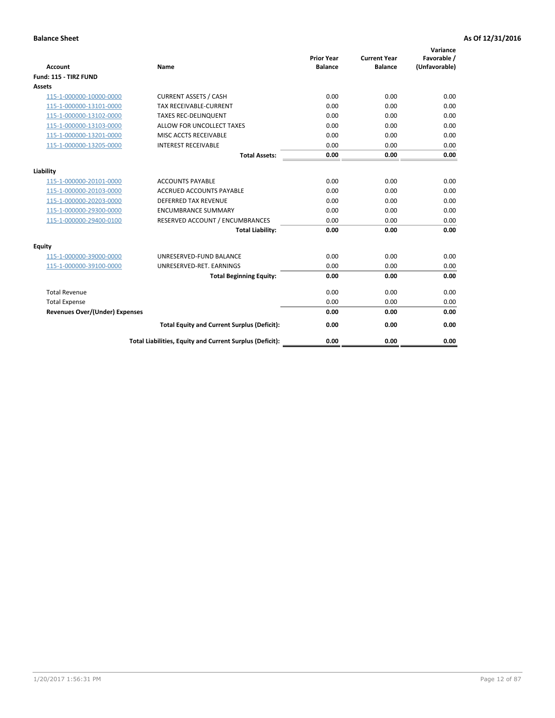| <b>Account</b>                        | <b>Name</b>                                              | <b>Prior Year</b><br><b>Balance</b> | <b>Current Year</b><br><b>Balance</b> | Variance<br>Favorable /<br>(Unfavorable) |
|---------------------------------------|----------------------------------------------------------|-------------------------------------|---------------------------------------|------------------------------------------|
| Fund: 115 - TIRZ FUND                 |                                                          |                                     |                                       |                                          |
| <b>Assets</b>                         |                                                          |                                     |                                       |                                          |
| 115-1-000000-10000-0000               | <b>CURRENT ASSETS / CASH</b>                             | 0.00                                | 0.00                                  | 0.00                                     |
| 115-1-000000-13101-0000               | <b>TAX RECEIVABLE-CURRENT</b>                            | 0.00                                | 0.00                                  | 0.00                                     |
| 115-1-000000-13102-0000               | <b>TAXES REC-DELINQUENT</b>                              | 0.00                                | 0.00                                  | 0.00                                     |
| 115-1-000000-13103-0000               | ALLOW FOR UNCOLLECT TAXES                                | 0.00                                | 0.00                                  | 0.00                                     |
| 115-1-000000-13201-0000               | MISC ACCTS RECEIVABLE                                    | 0.00                                | 0.00                                  | 0.00                                     |
| 115-1-000000-13205-0000               | <b>INTEREST RECEIVABLE</b>                               | 0.00                                | 0.00                                  | 0.00                                     |
|                                       | <b>Total Assets:</b>                                     | 0.00                                | 0.00                                  | 0.00                                     |
| Liability                             |                                                          |                                     |                                       |                                          |
| 115-1-000000-20101-0000               | <b>ACCOUNTS PAYABLE</b>                                  | 0.00                                | 0.00                                  | 0.00                                     |
| 115-1-000000-20103-0000               | <b>ACCRUED ACCOUNTS PAYABLE</b>                          | 0.00                                | 0.00                                  | 0.00                                     |
| 115-1-000000-20203-0000               | <b>DEFERRED TAX REVENUE</b>                              | 0.00                                | 0.00                                  | 0.00                                     |
| 115-1-000000-29300-0000               | <b>ENCUMBRANCE SUMMARY</b>                               | 0.00                                | 0.00                                  | 0.00                                     |
| 115-1-000000-29400-0100               | RESERVED ACCOUNT / ENCUMBRANCES                          | 0.00                                | 0.00                                  | 0.00                                     |
|                                       | <b>Total Liability:</b>                                  | 0.00                                | 0.00                                  | 0.00                                     |
| Equity                                |                                                          |                                     |                                       |                                          |
| 115-1-000000-39000-0000               | UNRESERVED-FUND BALANCE                                  | 0.00                                | 0.00                                  | 0.00                                     |
| 115-1-000000-39100-0000               | UNRESERVED-RET. EARNINGS                                 | 0.00                                | 0.00                                  | 0.00                                     |
|                                       | <b>Total Beginning Equity:</b>                           | 0.00                                | 0.00                                  | 0.00                                     |
| <b>Total Revenue</b>                  |                                                          | 0.00                                | 0.00                                  | 0.00                                     |
| <b>Total Expense</b>                  |                                                          | 0.00                                | 0.00                                  | 0.00                                     |
| <b>Revenues Over/(Under) Expenses</b> |                                                          | 0.00                                | 0.00                                  | 0.00                                     |
|                                       | <b>Total Equity and Current Surplus (Deficit):</b>       | 0.00                                | 0.00                                  | 0.00                                     |
|                                       | Total Liabilities, Equity and Current Surplus (Deficit): | 0.00                                | 0.00                                  | 0.00                                     |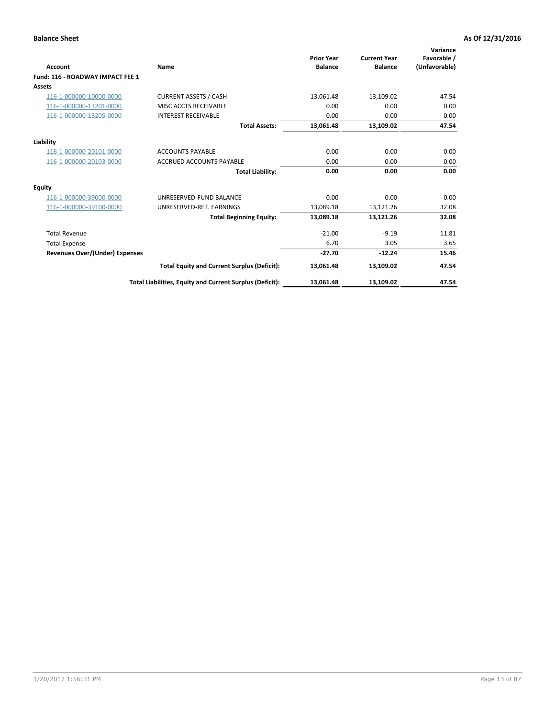| <b>Account</b>                        | Name                                                     | <b>Prior Year</b><br><b>Balance</b> | <b>Current Year</b><br><b>Balance</b> | Variance<br>Favorable /<br>(Unfavorable) |
|---------------------------------------|----------------------------------------------------------|-------------------------------------|---------------------------------------|------------------------------------------|
| Fund: 116 - ROADWAY IMPACT FEE 1      |                                                          |                                     |                                       |                                          |
| Assets                                |                                                          |                                     |                                       |                                          |
| 116-1-000000-10000-0000               | <b>CURRENT ASSETS / CASH</b>                             | 13,061.48                           | 13,109.02                             | 47.54                                    |
| 116-1-000000-13201-0000               | <b>MISC ACCTS RECEIVABLE</b>                             | 0.00                                | 0.00                                  | 0.00                                     |
| 116-1-000000-13205-0000               | <b>INTEREST RECEIVABLE</b>                               | 0.00                                | 0.00                                  | 0.00                                     |
|                                       | <b>Total Assets:</b>                                     | 13,061.48                           | 13,109.02                             | 47.54                                    |
| Liability                             |                                                          |                                     |                                       |                                          |
| 116-1-000000-20101-0000               | <b>ACCOUNTS PAYABLE</b>                                  | 0.00                                | 0.00                                  | 0.00                                     |
| 116-1-000000-20103-0000               | <b>ACCRUED ACCOUNTS PAYABLE</b>                          | 0.00                                | 0.00                                  | 0.00                                     |
|                                       | <b>Total Liability:</b>                                  | 0.00                                | 0.00                                  | 0.00                                     |
| Equity                                |                                                          |                                     |                                       |                                          |
| 116-1-000000-39000-0000               | UNRESERVED-FUND BALANCE                                  | 0.00                                | 0.00                                  | 0.00                                     |
| 116-1-000000-39100-0000               | UNRESERVED-RET. EARNINGS                                 | 13,089.18                           | 13,121.26                             | 32.08                                    |
|                                       | <b>Total Beginning Equity:</b>                           | 13,089.18                           | 13,121.26                             | 32.08                                    |
| <b>Total Revenue</b>                  |                                                          | $-21.00$                            | $-9.19$                               | 11.81                                    |
| <b>Total Expense</b>                  |                                                          | 6.70                                | 3.05                                  | 3.65                                     |
| <b>Revenues Over/(Under) Expenses</b> |                                                          | $-27.70$                            | $-12.24$                              | 15.46                                    |
|                                       | <b>Total Equity and Current Surplus (Deficit):</b>       | 13,061.48                           | 13,109.02                             | 47.54                                    |
|                                       | Total Liabilities, Equity and Current Surplus (Deficit): | 13,061.48                           | 13,109.02                             | 47.54                                    |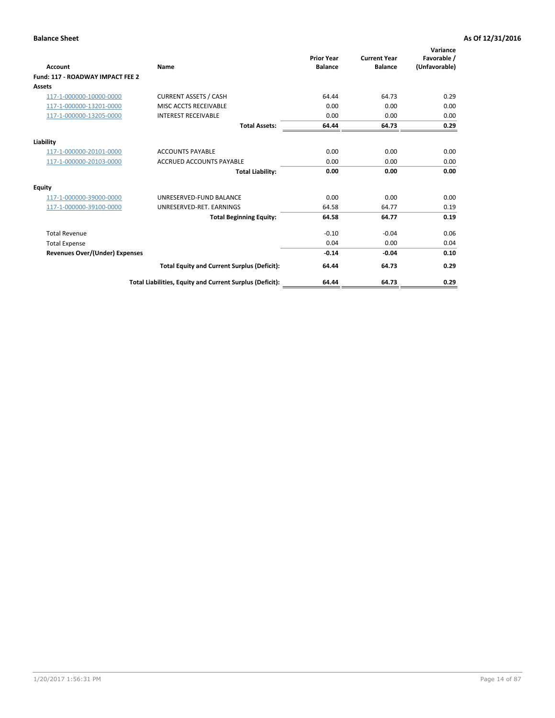| <b>Account</b>                        | Name                                                     | <b>Prior Year</b><br><b>Balance</b> | <b>Current Year</b><br><b>Balance</b> | Variance<br>Favorable /<br>(Unfavorable) |
|---------------------------------------|----------------------------------------------------------|-------------------------------------|---------------------------------------|------------------------------------------|
| Fund: 117 - ROADWAY IMPACT FEE 2      |                                                          |                                     |                                       |                                          |
| <b>Assets</b>                         |                                                          |                                     |                                       |                                          |
| 117-1-000000-10000-0000               | <b>CURRENT ASSETS / CASH</b>                             | 64.44                               | 64.73                                 | 0.29                                     |
| 117-1-000000-13201-0000               | MISC ACCTS RECEIVABLE                                    | 0.00                                | 0.00                                  | 0.00                                     |
| 117-1-000000-13205-0000               | <b>INTEREST RECEIVABLE</b>                               | 0.00                                | 0.00                                  | 0.00                                     |
|                                       | <b>Total Assets:</b>                                     | 64.44                               | 64.73                                 | 0.29                                     |
| Liability                             |                                                          |                                     |                                       |                                          |
| 117-1-000000-20101-0000               | <b>ACCOUNTS PAYABLE</b>                                  | 0.00                                | 0.00                                  | 0.00                                     |
| 117-1-000000-20103-0000               | <b>ACCRUED ACCOUNTS PAYABLE</b>                          | 0.00                                | 0.00                                  | 0.00                                     |
|                                       | <b>Total Liability:</b>                                  | 0.00                                | 0.00                                  | 0.00                                     |
| <b>Equity</b>                         |                                                          |                                     |                                       |                                          |
| 117-1-000000-39000-0000               | UNRESERVED-FUND BALANCE                                  | 0.00                                | 0.00                                  | 0.00                                     |
| 117-1-000000-39100-0000               | UNRESERVED-RET, EARNINGS                                 | 64.58                               | 64.77                                 | 0.19                                     |
|                                       | <b>Total Beginning Equity:</b>                           | 64.58                               | 64.77                                 | 0.19                                     |
| <b>Total Revenue</b>                  |                                                          | $-0.10$                             | $-0.04$                               | 0.06                                     |
| <b>Total Expense</b>                  |                                                          | 0.04                                | 0.00                                  | 0.04                                     |
| <b>Revenues Over/(Under) Expenses</b> |                                                          | $-0.14$                             | $-0.04$                               | 0.10                                     |
|                                       | <b>Total Equity and Current Surplus (Deficit):</b>       | 64.44                               | 64.73                                 | 0.29                                     |
|                                       | Total Liabilities, Equity and Current Surplus (Deficit): | 64.44                               | 64.73                                 | 0.29                                     |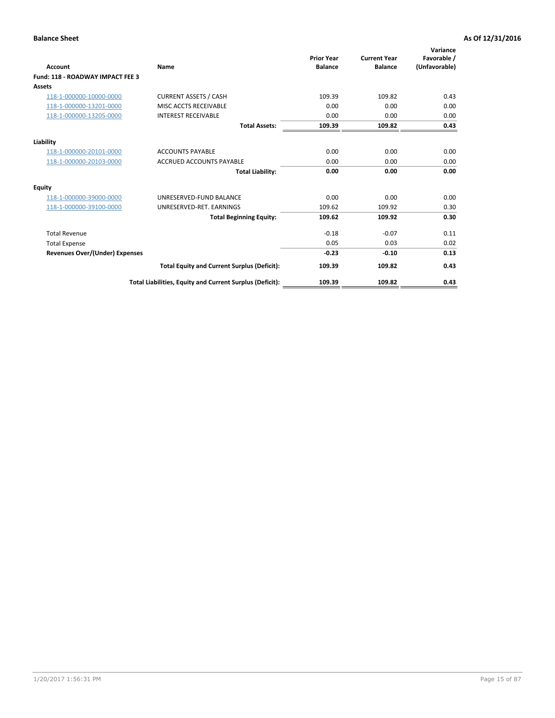| <b>Account</b>                        | Name                                                     | <b>Prior Year</b><br><b>Balance</b> | <b>Current Year</b><br><b>Balance</b> | Variance<br>Favorable /<br>(Unfavorable) |
|---------------------------------------|----------------------------------------------------------|-------------------------------------|---------------------------------------|------------------------------------------|
| Fund: 118 - ROADWAY IMPACT FEE 3      |                                                          |                                     |                                       |                                          |
| Assets                                |                                                          |                                     |                                       |                                          |
| 118-1-000000-10000-0000               | <b>CURRENT ASSETS / CASH</b>                             | 109.39                              | 109.82                                | 0.43                                     |
| 118-1-000000-13201-0000               | MISC ACCTS RECEIVABLE                                    | 0.00                                | 0.00                                  | 0.00                                     |
| 118-1-000000-13205-0000               | <b>INTEREST RECEIVABLE</b>                               | 0.00                                | 0.00                                  | 0.00                                     |
|                                       | <b>Total Assets:</b>                                     | 109.39                              | 109.82                                | 0.43                                     |
| Liability                             |                                                          |                                     |                                       |                                          |
| 118-1-000000-20101-0000               | <b>ACCOUNTS PAYABLE</b>                                  | 0.00                                | 0.00                                  | 0.00                                     |
| 118-1-000000-20103-0000               | <b>ACCRUED ACCOUNTS PAYABLE</b>                          | 0.00                                | 0.00                                  | 0.00                                     |
|                                       | <b>Total Liability:</b>                                  | 0.00                                | 0.00                                  | 0.00                                     |
| Equity                                |                                                          |                                     |                                       |                                          |
| 118-1-000000-39000-0000               | UNRESERVED-FUND BALANCE                                  | 0.00                                | 0.00                                  | 0.00                                     |
| 118-1-000000-39100-0000               | UNRESERVED-RET. EARNINGS                                 | 109.62                              | 109.92                                | 0.30                                     |
|                                       | <b>Total Beginning Equity:</b>                           | 109.62                              | 109.92                                | 0.30                                     |
| <b>Total Revenue</b>                  |                                                          | $-0.18$                             | $-0.07$                               | 0.11                                     |
| <b>Total Expense</b>                  |                                                          | 0.05                                | 0.03                                  | 0.02                                     |
| <b>Revenues Over/(Under) Expenses</b> |                                                          | $-0.23$                             | $-0.10$                               | 0.13                                     |
|                                       | <b>Total Equity and Current Surplus (Deficit):</b>       | 109.39                              | 109.82                                | 0.43                                     |
|                                       | Total Liabilities, Equity and Current Surplus (Deficit): | 109.39                              | 109.82                                | 0.43                                     |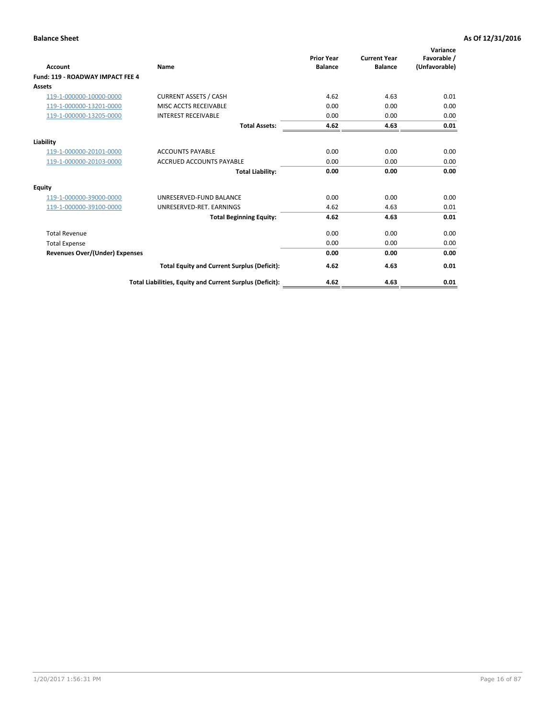| Account                               | Name                                                     | <b>Prior Year</b><br><b>Balance</b> | <b>Current Year</b><br><b>Balance</b> | Variance<br>Favorable /<br>(Unfavorable) |
|---------------------------------------|----------------------------------------------------------|-------------------------------------|---------------------------------------|------------------------------------------|
| Fund: 119 - ROADWAY IMPACT FEE 4      |                                                          |                                     |                                       |                                          |
| Assets                                |                                                          |                                     |                                       |                                          |
| 119-1-000000-10000-0000               | <b>CURRENT ASSETS / CASH</b>                             | 4.62                                | 4.63                                  | 0.01                                     |
| 119-1-000000-13201-0000               | MISC ACCTS RECEIVABLE                                    | 0.00                                | 0.00                                  | 0.00                                     |
| 119-1-000000-13205-0000               | <b>INTEREST RECEIVABLE</b>                               | 0.00                                | 0.00                                  | 0.00                                     |
|                                       | <b>Total Assets:</b>                                     | 4.62                                | 4.63                                  | 0.01                                     |
| Liability                             |                                                          |                                     |                                       |                                          |
| 119-1-000000-20101-0000               | <b>ACCOUNTS PAYABLE</b>                                  | 0.00                                | 0.00                                  | 0.00                                     |
| 119-1-000000-20103-0000               | <b>ACCRUED ACCOUNTS PAYABLE</b>                          | 0.00                                | 0.00                                  | 0.00                                     |
|                                       | <b>Total Liability:</b>                                  | 0.00                                | 0.00                                  | 0.00                                     |
| Equity                                |                                                          |                                     |                                       |                                          |
| 119-1-000000-39000-0000               | UNRESERVED-FUND BALANCE                                  | 0.00                                | 0.00                                  | 0.00                                     |
| 119-1-000000-39100-0000               | UNRESERVED-RET. EARNINGS                                 | 4.62                                | 4.63                                  | 0.01                                     |
|                                       | <b>Total Beginning Equity:</b>                           | 4.62                                | 4.63                                  | 0.01                                     |
| <b>Total Revenue</b>                  |                                                          | 0.00                                | 0.00                                  | 0.00                                     |
| <b>Total Expense</b>                  |                                                          | 0.00                                | 0.00                                  | 0.00                                     |
| <b>Revenues Over/(Under) Expenses</b> |                                                          | 0.00                                | 0.00                                  | 0.00                                     |
|                                       | <b>Total Equity and Current Surplus (Deficit):</b>       | 4.62                                | 4.63                                  | 0.01                                     |
|                                       | Total Liabilities, Equity and Current Surplus (Deficit): | 4.62                                | 4.63                                  | 0.01                                     |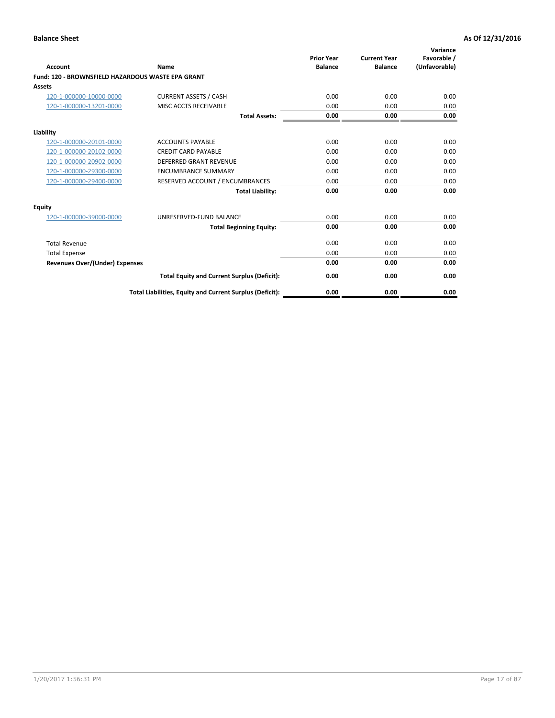|                                                   |                                                          | <b>Prior Year</b> | <b>Current Year</b> | Variance<br>Favorable / |
|---------------------------------------------------|----------------------------------------------------------|-------------------|---------------------|-------------------------|
| <b>Account</b>                                    | <b>Name</b>                                              | <b>Balance</b>    | <b>Balance</b>      | (Unfavorable)           |
| Fund: 120 - BROWNSFIELD HAZARDOUS WASTE EPA GRANT |                                                          |                   |                     |                         |
| <b>Assets</b>                                     |                                                          |                   |                     |                         |
| 120-1-000000-10000-0000                           | <b>CURRENT ASSETS / CASH</b>                             | 0.00              | 0.00                | 0.00                    |
| 120-1-000000-13201-0000                           | MISC ACCTS RECEIVABLE                                    | 0.00              | 0.00                | 0.00                    |
|                                                   | <b>Total Assets:</b>                                     | 0.00              | 0.00                | 0.00                    |
| Liability                                         |                                                          |                   |                     |                         |
| 120-1-000000-20101-0000                           | <b>ACCOUNTS PAYABLE</b>                                  | 0.00              | 0.00                | 0.00                    |
| 120-1-000000-20102-0000                           | <b>CREDIT CARD PAYABLE</b>                               | 0.00              | 0.00                | 0.00                    |
| 120-1-000000-20902-0000                           | <b>DEFERRED GRANT REVENUE</b>                            | 0.00              | 0.00                | 0.00                    |
| 120-1-000000-29300-0000                           | <b>ENCUMBRANCE SUMMARY</b>                               | 0.00              | 0.00                | 0.00                    |
| 120-1-000000-29400-0000                           | RESERVED ACCOUNT / ENCUMBRANCES                          | 0.00              | 0.00                | 0.00                    |
|                                                   | <b>Total Liability:</b>                                  | 0.00              | 0.00                | 0.00                    |
| Equity                                            |                                                          |                   |                     |                         |
| 120-1-000000-39000-0000                           | UNRESERVED-FUND BALANCE                                  | 0.00              | 0.00                | 0.00                    |
|                                                   | <b>Total Beginning Equity:</b>                           | 0.00              | 0.00                | 0.00                    |
| <b>Total Revenue</b>                              |                                                          | 0.00              | 0.00                | 0.00                    |
| <b>Total Expense</b>                              |                                                          | 0.00              | 0.00                | 0.00                    |
| <b>Revenues Over/(Under) Expenses</b>             |                                                          | 0.00              | 0.00                | 0.00                    |
|                                                   | <b>Total Equity and Current Surplus (Deficit):</b>       | 0.00              | 0.00                | 0.00                    |
|                                                   | Total Liabilities, Equity and Current Surplus (Deficit): | 0.00              | 0.00                | 0.00                    |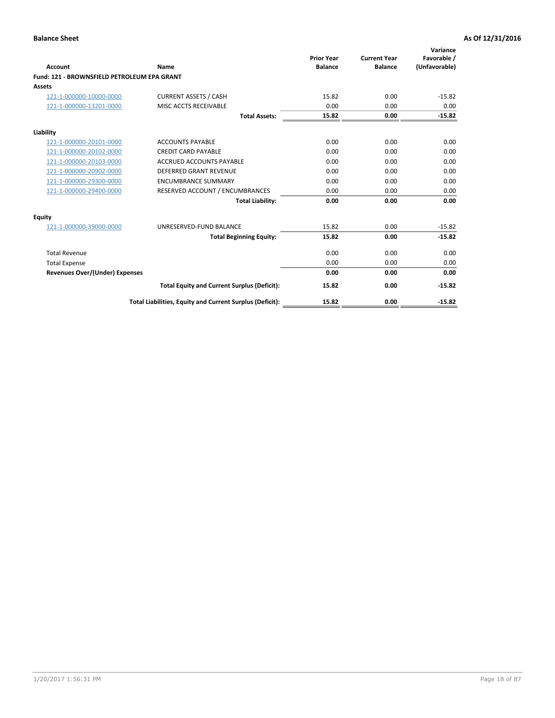| Account                                     | Name                                                     | <b>Prior Year</b><br><b>Balance</b> | <b>Current Year</b><br><b>Balance</b> | Variance<br>Favorable /<br>(Unfavorable) |
|---------------------------------------------|----------------------------------------------------------|-------------------------------------|---------------------------------------|------------------------------------------|
| Fund: 121 - BROWNSFIELD PETROLEUM EPA GRANT |                                                          |                                     |                                       |                                          |
| <b>Assets</b>                               |                                                          |                                     |                                       |                                          |
| 121-1-000000-10000-0000                     | <b>CURRENT ASSETS / CASH</b>                             | 15.82                               | 0.00                                  | $-15.82$                                 |
| 121-1-000000-13201-0000                     | MISC ACCTS RECEIVABLE                                    | 0.00                                | 0.00                                  | 0.00                                     |
|                                             | <b>Total Assets:</b>                                     | 15.82                               | 0.00                                  | $-15.82$                                 |
| Liability                                   |                                                          |                                     |                                       |                                          |
| 121-1-000000-20101-0000                     | <b>ACCOUNTS PAYABLE</b>                                  | 0.00                                | 0.00                                  | 0.00                                     |
| 121-1-000000-20102-0000                     | <b>CREDIT CARD PAYABLE</b>                               | 0.00                                | 0.00                                  | 0.00                                     |
| 121-1-000000-20103-0000                     | <b>ACCRUED ACCOUNTS PAYABLE</b>                          | 0.00                                | 0.00                                  | 0.00                                     |
| 121-1-000000-20902-0000                     | DEFERRED GRANT REVENUE                                   | 0.00                                | 0.00                                  | 0.00                                     |
| 121-1-000000-29300-0000                     | <b>ENCUMBRANCE SUMMARY</b>                               | 0.00                                | 0.00                                  | 0.00                                     |
| 121-1-000000-29400-0000                     | RESERVED ACCOUNT / ENCUMBRANCES                          | 0.00                                | 0.00                                  | 0.00                                     |
|                                             | <b>Total Liability:</b>                                  | 0.00                                | 0.00                                  | 0.00                                     |
| <b>Equity</b>                               |                                                          |                                     |                                       |                                          |
| 121-1-000000-39000-0000                     | UNRESERVED-FUND BALANCE                                  | 15.82                               | 0.00                                  | $-15.82$                                 |
|                                             | <b>Total Beginning Equity:</b>                           | 15.82                               | 0.00                                  | $-15.82$                                 |
| <b>Total Revenue</b>                        |                                                          | 0.00                                | 0.00                                  | 0.00                                     |
| <b>Total Expense</b>                        |                                                          | 0.00                                | 0.00                                  | 0.00                                     |
| <b>Revenues Over/(Under) Expenses</b>       |                                                          | 0.00                                | 0.00                                  | 0.00                                     |
|                                             | <b>Total Equity and Current Surplus (Deficit):</b>       | 15.82                               | 0.00                                  | $-15.82$                                 |
|                                             | Total Liabilities, Equity and Current Surplus (Deficit): | 15.82                               | 0.00                                  | $-15.82$                                 |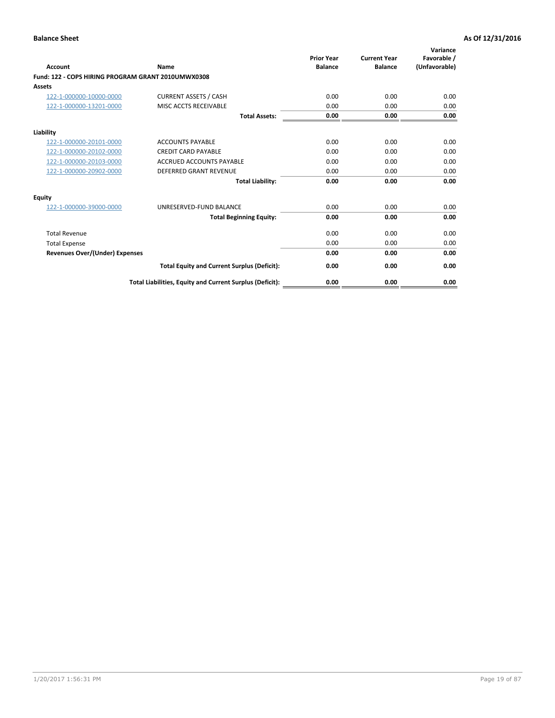| <b>Account</b>                                     | Name                                                     | <b>Prior Year</b><br><b>Balance</b> | <b>Current Year</b><br><b>Balance</b> | Variance<br>Favorable /<br>(Unfavorable) |
|----------------------------------------------------|----------------------------------------------------------|-------------------------------------|---------------------------------------|------------------------------------------|
| Fund: 122 - COPS HIRING PROGRAM GRANT 2010UMWX0308 |                                                          |                                     |                                       |                                          |
| Assets                                             |                                                          |                                     |                                       |                                          |
| 122-1-000000-10000-0000                            | <b>CURRENT ASSETS / CASH</b>                             | 0.00                                | 0.00                                  | 0.00                                     |
| 122-1-000000-13201-0000                            | MISC ACCTS RECEIVABLE                                    | 0.00                                | 0.00                                  | 0.00                                     |
|                                                    | <b>Total Assets:</b>                                     | 0.00                                | 0.00                                  | 0.00                                     |
| Liability                                          |                                                          |                                     |                                       |                                          |
| 122-1-000000-20101-0000                            | <b>ACCOUNTS PAYABLE</b>                                  | 0.00                                | 0.00                                  | 0.00                                     |
| 122-1-000000-20102-0000                            | <b>CREDIT CARD PAYABLE</b>                               | 0.00                                | 0.00                                  | 0.00                                     |
| 122-1-000000-20103-0000                            | <b>ACCRUED ACCOUNTS PAYABLE</b>                          | 0.00                                | 0.00                                  | 0.00                                     |
| 122-1-000000-20902-0000                            | <b>DEFERRED GRANT REVENUE</b>                            | 0.00                                | 0.00                                  | 0.00                                     |
|                                                    | <b>Total Liability:</b>                                  | 0.00                                | 0.00                                  | 0.00                                     |
| Equity                                             |                                                          |                                     |                                       |                                          |
| 122-1-000000-39000-0000                            | UNRESERVED-FUND BALANCE                                  | 0.00                                | 0.00                                  | 0.00                                     |
|                                                    | <b>Total Beginning Equity:</b>                           | 0.00                                | 0.00                                  | 0.00                                     |
| <b>Total Revenue</b>                               |                                                          | 0.00                                | 0.00                                  | 0.00                                     |
| <b>Total Expense</b>                               |                                                          | 0.00                                | 0.00                                  | 0.00                                     |
| <b>Revenues Over/(Under) Expenses</b>              |                                                          | 0.00                                | 0.00                                  | 0.00                                     |
|                                                    | <b>Total Equity and Current Surplus (Deficit):</b>       | 0.00                                | 0.00                                  | 0.00                                     |
|                                                    | Total Liabilities, Equity and Current Surplus (Deficit): | 0.00                                | 0.00                                  | 0.00                                     |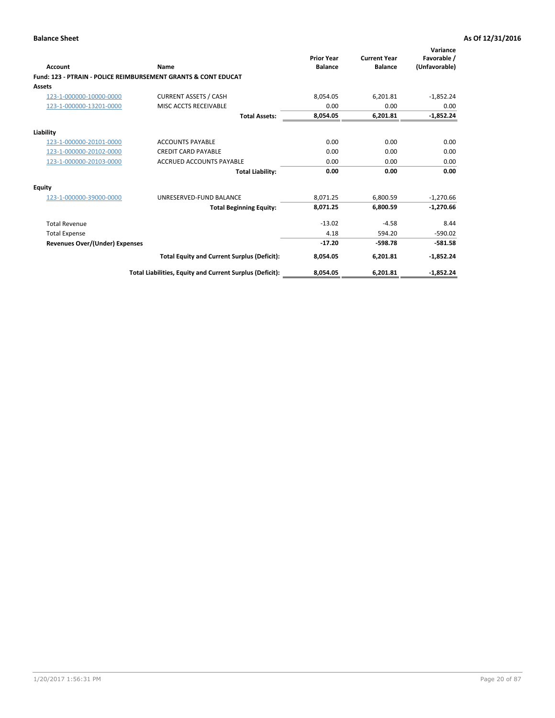| Account                        | Name                                                           | <b>Prior Year</b><br><b>Balance</b> | <b>Current Year</b><br><b>Balance</b> | Variance<br>Favorable /<br>(Unfavorable) |
|--------------------------------|----------------------------------------------------------------|-------------------------------------|---------------------------------------|------------------------------------------|
|                                | Fund: 123 - PTRAIN - POLICE REIMBURSEMENT GRANTS & CONT EDUCAT |                                     |                                       |                                          |
| Assets                         |                                                                |                                     |                                       |                                          |
| 123-1-000000-10000-0000        | <b>CURRENT ASSETS / CASH</b>                                   | 8,054.05                            | 6,201.81                              | $-1,852.24$                              |
| 123-1-000000-13201-0000        | MISC ACCTS RECEIVABLE                                          | 0.00                                | 0.00                                  | 0.00                                     |
|                                | <b>Total Assets:</b>                                           | 8,054.05                            | 6,201.81                              | $-1,852.24$                              |
| Liability                      |                                                                |                                     |                                       |                                          |
| 123-1-000000-20101-0000        | <b>ACCOUNTS PAYABLE</b>                                        | 0.00                                | 0.00                                  | 0.00                                     |
| 123-1-000000-20102-0000        | <b>CREDIT CARD PAYABLE</b>                                     | 0.00                                | 0.00                                  | 0.00                                     |
| 123-1-000000-20103-0000        | <b>ACCRUED ACCOUNTS PAYABLE</b>                                | 0.00                                | 0.00                                  | 0.00                                     |
|                                | <b>Total Liability:</b>                                        | 0.00                                | 0.00                                  | 0.00                                     |
| Equity                         |                                                                |                                     |                                       |                                          |
| 123-1-000000-39000-0000        | UNRESERVED-FUND BALANCE                                        | 8,071.25                            | 6,800.59                              | $-1,270.66$                              |
|                                | <b>Total Beginning Equity:</b>                                 | 8,071.25                            | 6,800.59                              | $-1,270.66$                              |
| <b>Total Revenue</b>           |                                                                | $-13.02$                            | $-4.58$                               | 8.44                                     |
| <b>Total Expense</b>           |                                                                | 4.18                                | 594.20                                | $-590.02$                                |
| Revenues Over/(Under) Expenses |                                                                | $-17.20$                            | $-598.78$                             | $-581.58$                                |
|                                | <b>Total Equity and Current Surplus (Deficit):</b>             | 8,054.05                            | 6,201.81                              | $-1,852.24$                              |
|                                | Total Liabilities, Equity and Current Surplus (Deficit):       | 8,054.05                            | 6,201.81                              | $-1,852.24$                              |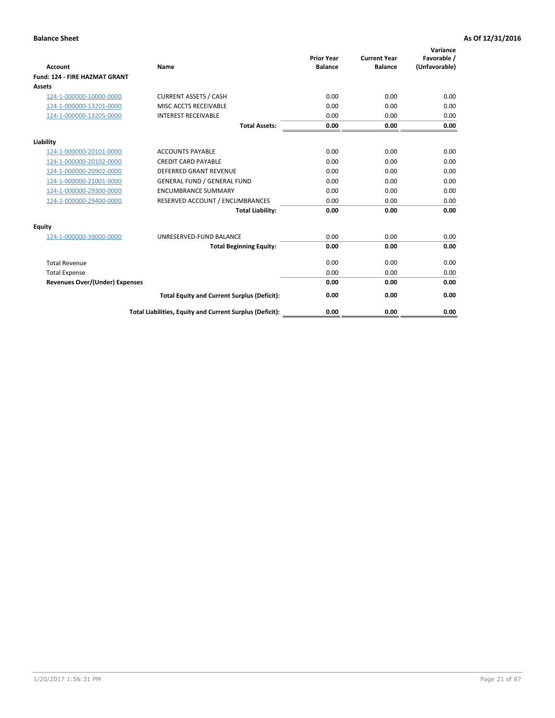|                                      |                                                          | <b>Prior Year</b> | <b>Current Year</b> | Variance<br>Favorable / |
|--------------------------------------|----------------------------------------------------------|-------------------|---------------------|-------------------------|
| <b>Account</b>                       | Name                                                     | <b>Balance</b>    | <b>Balance</b>      | (Unfavorable)           |
| <b>Fund: 124 - FIRE HAZMAT GRANT</b> |                                                          |                   |                     |                         |
| <b>Assets</b>                        |                                                          |                   |                     |                         |
| 124-1-000000-10000-0000              | <b>CURRENT ASSETS / CASH</b>                             | 0.00              | 0.00                | 0.00                    |
| 124-1-000000-13201-0000              | MISC ACCTS RECEIVABLE                                    | 0.00              | 0.00                | 0.00                    |
| 124-1-000000-13205-0000              | <b>INTEREST RECEIVABLE</b>                               | 0.00              | 0.00                | 0.00                    |
|                                      | <b>Total Assets:</b>                                     | 0.00              | 0.00                | 0.00                    |
| Liability                            |                                                          |                   |                     |                         |
| 124-1-000000-20101-0000              | <b>ACCOUNTS PAYABLE</b>                                  | 0.00              | 0.00                | 0.00                    |
| 124-1-000000-20102-0000              | <b>CREDIT CARD PAYABLE</b>                               | 0.00              | 0.00                | 0.00                    |
| 124-1-000000-20902-0000              | <b>DEFERRED GRANT REVENUE</b>                            | 0.00              | 0.00                | 0.00                    |
| 124-1-000000-21001-0000              | <b>GENERAL FUND / GENERAL FUND</b>                       | 0.00              | 0.00                | 0.00                    |
| 124-1-000000-29300-0000              | <b>ENCUMBRANCE SUMMARY</b>                               | 0.00              | 0.00                | 0.00                    |
| 124-1-000000-29400-0000              | RESERVED ACCOUNT / ENCUMBRANCES                          | 0.00              | 0.00                | 0.00                    |
|                                      | <b>Total Liability:</b>                                  | 0.00              | 0.00                | 0.00                    |
| <b>Equity</b>                        |                                                          |                   |                     |                         |
| 124-1-000000-39000-0000              | UNRESERVED-FUND BALANCE                                  | 0.00              | 0.00                | 0.00                    |
|                                      | <b>Total Beginning Equity:</b>                           | 0.00              | 0.00                | 0.00                    |
| <b>Total Revenue</b>                 |                                                          | 0.00              | 0.00                | 0.00                    |
| <b>Total Expense</b>                 |                                                          | 0.00              | 0.00                | 0.00                    |
| Revenues Over/(Under) Expenses       |                                                          | 0.00              | 0.00                | 0.00                    |
|                                      | <b>Total Equity and Current Surplus (Deficit):</b>       | 0.00              | 0.00                | 0.00                    |
|                                      | Total Liabilities, Equity and Current Surplus (Deficit): | 0.00              | 0.00                | 0.00                    |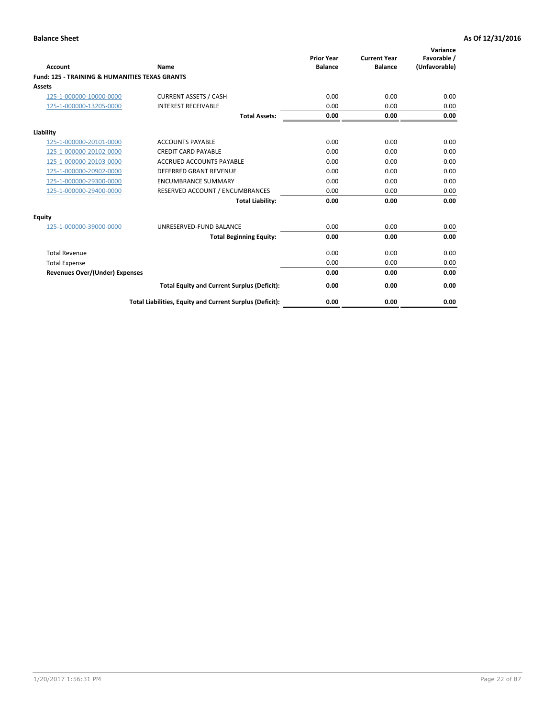| Account                                                   | Name                                                     | <b>Prior Year</b><br><b>Balance</b> | <b>Current Year</b><br><b>Balance</b> | Variance<br>Favorable /<br>(Unfavorable) |
|-----------------------------------------------------------|----------------------------------------------------------|-------------------------------------|---------------------------------------|------------------------------------------|
| <b>Fund: 125 - TRAINING &amp; HUMANITIES TEXAS GRANTS</b> |                                                          |                                     |                                       |                                          |
| <b>Assets</b>                                             |                                                          |                                     |                                       |                                          |
| 125-1-000000-10000-0000                                   | <b>CURRENT ASSETS / CASH</b>                             | 0.00                                | 0.00                                  | 0.00                                     |
| 125-1-000000-13205-0000                                   | <b>INTEREST RECEIVABLE</b>                               | 0.00                                | 0.00                                  | 0.00                                     |
|                                                           | <b>Total Assets:</b>                                     | 0.00                                | 0.00                                  | 0.00                                     |
| Liability                                                 |                                                          |                                     |                                       |                                          |
| 125-1-000000-20101-0000                                   | <b>ACCOUNTS PAYABLE</b>                                  | 0.00                                | 0.00                                  | 0.00                                     |
| 125-1-000000-20102-0000                                   | <b>CREDIT CARD PAYABLE</b>                               | 0.00                                | 0.00                                  | 0.00                                     |
| 125-1-000000-20103-0000                                   | <b>ACCRUED ACCOUNTS PAYABLE</b>                          | 0.00                                | 0.00                                  | 0.00                                     |
| 125-1-000000-20902-0000                                   | <b>DEFERRED GRANT REVENUE</b>                            | 0.00                                | 0.00                                  | 0.00                                     |
| 125-1-000000-29300-0000                                   | <b>ENCUMBRANCE SUMMARY</b>                               | 0.00                                | 0.00                                  | 0.00                                     |
| 125-1-000000-29400-0000                                   | RESERVED ACCOUNT / ENCUMBRANCES                          | 0.00                                | 0.00                                  | 0.00                                     |
|                                                           | <b>Total Liability:</b>                                  | 0.00                                | 0.00                                  | 0.00                                     |
| <b>Equity</b>                                             |                                                          |                                     |                                       |                                          |
| 125-1-000000-39000-0000                                   | UNRESERVED-FUND BALANCE                                  | 0.00                                | 0.00                                  | 0.00                                     |
|                                                           | <b>Total Beginning Equity:</b>                           | 0.00                                | 0.00                                  | 0.00                                     |
| <b>Total Revenue</b>                                      |                                                          | 0.00                                | 0.00                                  | 0.00                                     |
| <b>Total Expense</b>                                      |                                                          | 0.00                                | 0.00                                  | 0.00                                     |
| <b>Revenues Over/(Under) Expenses</b>                     |                                                          | 0.00                                | 0.00                                  | 0.00                                     |
|                                                           | <b>Total Equity and Current Surplus (Deficit):</b>       | 0.00                                | 0.00                                  | 0.00                                     |
|                                                           | Total Liabilities, Equity and Current Surplus (Deficit): | 0.00                                | 0.00                                  | 0.00                                     |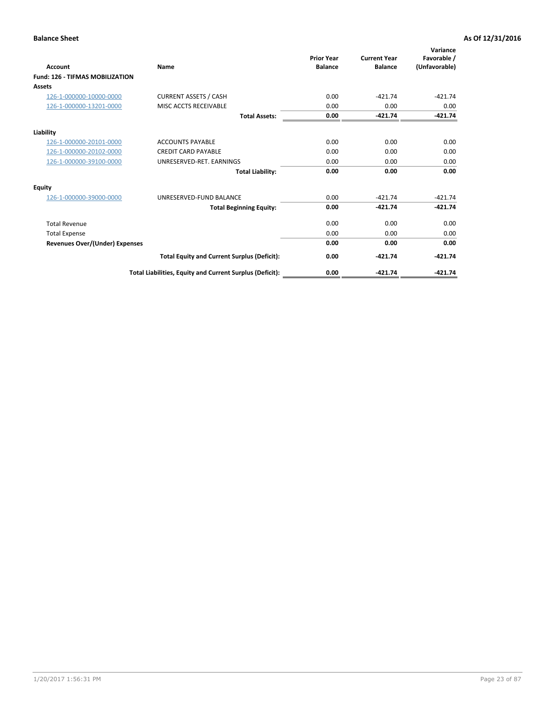| Account                                | Name                                                     | <b>Prior Year</b><br><b>Balance</b> | <b>Current Year</b><br><b>Balance</b> | Variance<br>Favorable /<br>(Unfavorable) |
|----------------------------------------|----------------------------------------------------------|-------------------------------------|---------------------------------------|------------------------------------------|
| <b>Fund: 126 - TIFMAS MOBILIZATION</b> |                                                          |                                     |                                       |                                          |
| Assets                                 |                                                          |                                     |                                       |                                          |
| 126-1-000000-10000-0000                | <b>CURRENT ASSETS / CASH</b>                             | 0.00                                | $-421.74$                             | $-421.74$                                |
| 126-1-000000-13201-0000                | MISC ACCTS RECEIVABLE                                    | 0.00                                | 0.00                                  | 0.00                                     |
|                                        | <b>Total Assets:</b>                                     | 0.00                                | $-421.74$                             | $-421.74$                                |
| Liability                              |                                                          |                                     |                                       |                                          |
| 126-1-000000-20101-0000                | <b>ACCOUNTS PAYABLE</b>                                  | 0.00                                | 0.00                                  | 0.00                                     |
| 126-1-000000-20102-0000                | <b>CREDIT CARD PAYABLE</b>                               | 0.00                                | 0.00                                  | 0.00                                     |
| 126-1-000000-39100-0000                | UNRESERVED-RET. EARNINGS                                 | 0.00                                | 0.00                                  | 0.00                                     |
|                                        | <b>Total Liability:</b>                                  | 0.00                                | 0.00                                  | 0.00                                     |
| Equity                                 |                                                          |                                     |                                       |                                          |
| 126-1-000000-39000-0000                | UNRESERVED-FUND BALANCE                                  | 0.00                                | $-421.74$                             | $-421.74$                                |
|                                        | <b>Total Beginning Equity:</b>                           | 0.00                                | $-421.74$                             | $-421.74$                                |
| <b>Total Revenue</b>                   |                                                          | 0.00                                | 0.00                                  | 0.00                                     |
| <b>Total Expense</b>                   |                                                          | 0.00                                | 0.00                                  | 0.00                                     |
| <b>Revenues Over/(Under) Expenses</b>  |                                                          | 0.00                                | 0.00                                  | 0.00                                     |
|                                        | <b>Total Equity and Current Surplus (Deficit):</b>       | 0.00                                | $-421.74$                             | $-421.74$                                |
|                                        | Total Liabilities, Equity and Current Surplus (Deficit): | 0.00                                | $-421.74$                             | $-421.74$                                |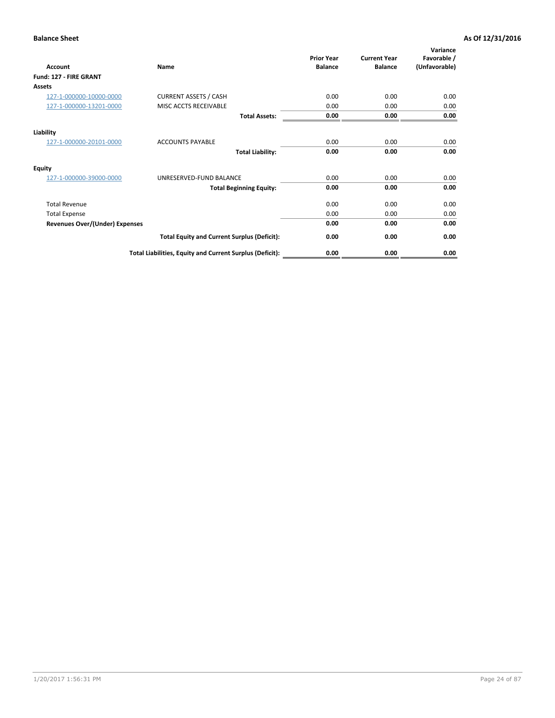| <b>Account</b>                        | Name                                                     | <b>Prior Year</b><br><b>Balance</b> | <b>Current Year</b><br><b>Balance</b> | Variance<br>Favorable /<br>(Unfavorable) |
|---------------------------------------|----------------------------------------------------------|-------------------------------------|---------------------------------------|------------------------------------------|
| Fund: 127 - FIRE GRANT                |                                                          |                                     |                                       |                                          |
| <b>Assets</b>                         |                                                          |                                     |                                       |                                          |
| 127-1-000000-10000-0000               | <b>CURRENT ASSETS / CASH</b>                             | 0.00                                | 0.00                                  | 0.00                                     |
| 127-1-000000-13201-0000               | MISC ACCTS RECEIVABLE                                    | 0.00                                | 0.00                                  | 0.00                                     |
|                                       | <b>Total Assets:</b>                                     | 0.00                                | 0.00                                  | 0.00                                     |
| Liability                             |                                                          |                                     |                                       |                                          |
| 127-1-000000-20101-0000               | <b>ACCOUNTS PAYABLE</b>                                  | 0.00                                | 0.00                                  | 0.00                                     |
|                                       | <b>Total Liability:</b>                                  | 0.00                                | 0.00                                  | 0.00                                     |
| Equity                                |                                                          |                                     |                                       |                                          |
| 127-1-000000-39000-0000               | UNRESERVED-FUND BALANCE                                  | 0.00                                | 0.00                                  | 0.00                                     |
|                                       | <b>Total Beginning Equity:</b>                           | 0.00                                | 0.00                                  | 0.00                                     |
| <b>Total Revenue</b>                  |                                                          | 0.00                                | 0.00                                  | 0.00                                     |
| <b>Total Expense</b>                  |                                                          | 0.00                                | 0.00                                  | 0.00                                     |
| <b>Revenues Over/(Under) Expenses</b> |                                                          | 0.00                                | 0.00                                  | 0.00                                     |
|                                       | <b>Total Equity and Current Surplus (Deficit):</b>       | 0.00                                | 0.00                                  | 0.00                                     |
|                                       | Total Liabilities, Equity and Current Surplus (Deficit): | 0.00                                | 0.00                                  | 0.00                                     |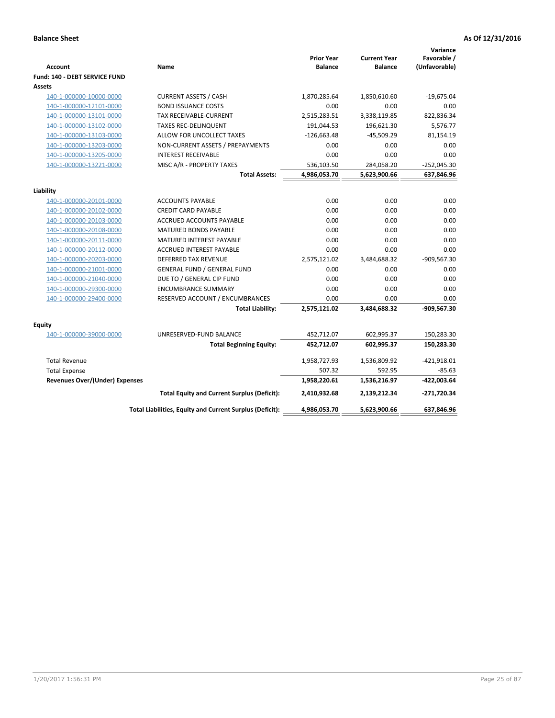| <b>Account</b>                 | Name                                                     | <b>Prior Year</b><br><b>Balance</b> | <b>Current Year</b><br><b>Balance</b> | Variance<br>Favorable /<br>(Unfavorable) |
|--------------------------------|----------------------------------------------------------|-------------------------------------|---------------------------------------|------------------------------------------|
| Fund: 140 - DEBT SERVICE FUND  |                                                          |                                     |                                       |                                          |
| Assets                         |                                                          |                                     |                                       |                                          |
| 140-1-000000-10000-0000        | <b>CURRENT ASSETS / CASH</b>                             | 1,870,285.64                        | 1,850,610.60                          | $-19,675.04$                             |
| 140-1-000000-12101-0000        | <b>BOND ISSUANCE COSTS</b>                               | 0.00                                | 0.00                                  | 0.00                                     |
| 140-1-000000-13101-0000        | TAX RECEIVABLE-CURRENT                                   | 2,515,283.51                        | 3,338,119.85                          | 822,836.34                               |
| 140-1-000000-13102-0000        | <b>TAXES REC-DELINQUENT</b>                              | 191,044.53                          | 196,621.30                            | 5,576.77                                 |
| 140-1-000000-13103-0000        | ALLOW FOR UNCOLLECT TAXES                                | $-126,663.48$                       | $-45,509.29$                          | 81,154.19                                |
| 140-1-000000-13203-0000        | NON-CURRENT ASSETS / PREPAYMENTS                         | 0.00                                | 0.00                                  | 0.00                                     |
| 140-1-000000-13205-0000        | <b>INTEREST RECEIVABLE</b>                               | 0.00                                | 0.00                                  | 0.00                                     |
| 140-1-000000-13221-0000        | MISC A/R - PROPERTY TAXES                                | 536,103.50                          | 284,058.20                            | $-252,045.30$                            |
|                                | <b>Total Assets:</b>                                     | 4,986,053.70                        | 5,623,900.66                          | 637,846.96                               |
| Liability                      |                                                          |                                     |                                       |                                          |
| 140-1-000000-20101-0000        | <b>ACCOUNTS PAYABLE</b>                                  | 0.00                                | 0.00                                  | 0.00                                     |
| 140-1-000000-20102-0000        | <b>CREDIT CARD PAYABLE</b>                               | 0.00                                | 0.00                                  | 0.00                                     |
| 140-1-000000-20103-0000        | ACCRUED ACCOUNTS PAYABLE                                 | 0.00                                | 0.00                                  | 0.00                                     |
| 140-1-000000-20108-0000        | <b>MATURED BONDS PAYABLE</b>                             | 0.00                                | 0.00                                  | 0.00                                     |
| 140-1-000000-20111-0000        | MATURED INTEREST PAYABLE                                 | 0.00                                | 0.00                                  | 0.00                                     |
| 140-1-000000-20112-0000        | <b>ACCRUED INTEREST PAYABLE</b>                          | 0.00                                | 0.00                                  | 0.00                                     |
| 140-1-000000-20203-0000        | <b>DEFERRED TAX REVENUE</b>                              | 2,575,121.02                        | 3,484,688.32                          | -909,567.30                              |
| 140-1-000000-21001-0000        | <b>GENERAL FUND / GENERAL FUND</b>                       | 0.00                                | 0.00                                  | 0.00                                     |
| 140-1-000000-21040-0000        | DUE TO / GENERAL CIP FUND                                | 0.00                                | 0.00                                  | 0.00                                     |
| 140-1-000000-29300-0000        | <b>ENCUMBRANCE SUMMARY</b>                               | 0.00                                | 0.00                                  | 0.00                                     |
| 140-1-000000-29400-0000        | RESERVED ACCOUNT / ENCUMBRANCES                          | 0.00                                | 0.00                                  | 0.00                                     |
|                                | <b>Total Liability:</b>                                  | 2,575,121.02                        | 3,484,688.32                          | -909,567.30                              |
| Equity                         |                                                          |                                     |                                       |                                          |
| 140-1-000000-39000-0000        | UNRESERVED-FUND BALANCE                                  | 452,712.07                          | 602,995.37                            | 150,283.30                               |
|                                | <b>Total Beginning Equity:</b>                           | 452,712.07                          | 602,995.37                            | 150,283.30                               |
| <b>Total Revenue</b>           |                                                          | 1,958,727.93                        | 1,536,809.92                          | $-421,918.01$                            |
| <b>Total Expense</b>           |                                                          | 507.32                              | 592.95                                | $-85.63$                                 |
| Revenues Over/(Under) Expenses |                                                          | 1,958,220.61                        | 1,536,216.97                          | $-422,003.64$                            |
|                                | <b>Total Equity and Current Surplus (Deficit):</b>       | 2,410,932.68                        | 2,139,212.34                          | -271,720.34                              |
|                                | Total Liabilities, Equity and Current Surplus (Deficit): | 4,986,053.70                        | 5,623,900.66                          | 637,846.96                               |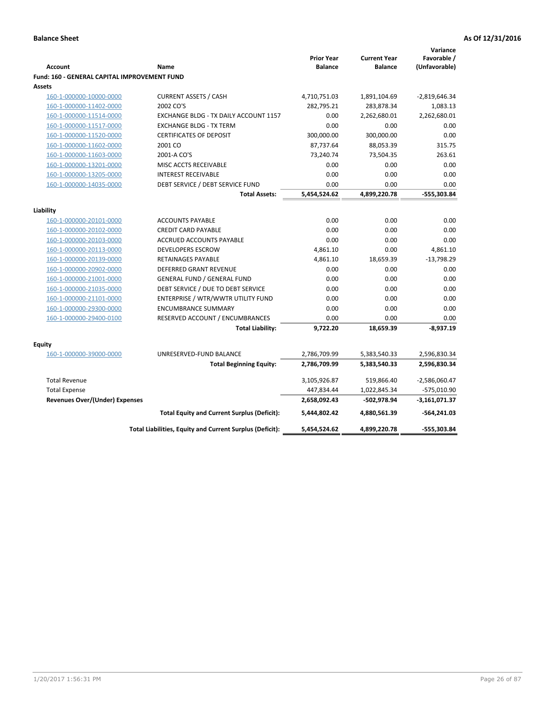| Favorable /<br><b>Prior Year</b><br><b>Current Year</b><br>(Unfavorable)<br><b>Account</b><br><b>Balance</b><br><b>Balance</b><br>Name<br><b>Fund: 160 - GENERAL CAPITAL IMPROVEMENT FUND</b><br>Assets<br><b>CURRENT ASSETS / CASH</b><br>4,710,751.03<br>160-1-000000-10000-0000<br>1,891,104.69<br>$-2,819,646.34$<br>2002 CO'S<br>1,083.13<br>160-1-000000-11402-0000<br>282,795.21<br>283,878.34<br>2,262,680.01<br>160-1-000000-11514-0000<br>EXCHANGE BLDG - TX DAILY ACCOUNT 1157<br>0.00<br>2,262,680.01<br>160-1-000000-11517-0000<br><b>EXCHANGE BLDG - TX TERM</b><br>0.00<br>0.00<br>0.00<br>160-1-000000-11520-0000<br><b>CERTIFICATES OF DEPOSIT</b><br>300,000.00<br>300,000.00<br>0.00<br>2001 CO<br>87,737.64<br>88,053.39<br>315.75<br>160-1-000000-11602-0000<br>160-1-000000-11603-0000<br>73,240.74<br>73,504.35<br>263.61<br>2001-A CO'S<br>0.00<br>160-1-000000-13201-0000<br>MISC ACCTS RECEIVABLE<br>0.00<br>0.00<br>160-1-000000-13205-0000<br><b>INTEREST RECEIVABLE</b><br>0.00<br>0.00<br>0.00<br>0.00<br>160-1-000000-14035-0000<br>DEBT SERVICE / DEBT SERVICE FUND<br>0.00<br>0.00<br>5,454,524.62<br>4,899,220.78<br><b>Total Assets:</b><br>-555,303.84<br>Liability<br><b>ACCOUNTS PAYABLE</b><br>0.00<br>0.00<br>0.00<br>160-1-000000-20101-0000<br>0.00<br>0.00<br>160-1-000000-20102-0000<br><b>CREDIT CARD PAYABLE</b><br>0.00<br>0.00<br>0.00<br>160-1-000000-20103-0000<br><b>ACCRUED ACCOUNTS PAYABLE</b><br>0.00<br>0.00<br><b>DEVELOPERS ESCROW</b><br>4,861.10<br>4,861.10<br>160-1-000000-20113-0000<br>160-1-000000-20139-0000<br>RETAINAGES PAYABLE<br>4,861.10<br>18,659.39<br>$-13,798.29$<br><b>DEFERRED GRANT REVENUE</b><br>0.00<br>0.00<br>0.00<br>160-1-000000-20902-0000<br>160-1-000000-21001-0000<br><b>GENERAL FUND / GENERAL FUND</b><br>0.00<br>0.00<br>0.00<br>DEBT SERVICE / DUE TO DEBT SERVICE<br>0.00<br>0.00<br>160-1-000000-21035-0000<br>0.00<br>160-1-000000-21101-0000<br>ENTERPRISE / WTR/WWTR UTILITY FUND<br>0.00<br>0.00<br>0.00<br>0.00<br>160-1-000000-29300-0000<br><b>ENCUMBRANCE SUMMARY</b><br>0.00<br>0.00<br>160-1-000000-29400-0100<br>RESERVED ACCOUNT / ENCUMBRANCES<br>0.00<br>0.00<br>0.00<br>9,722.20<br>18,659.39<br>$-8,937.19$<br><b>Total Liability:</b><br>Equity<br>160-1-000000-39000-0000<br>UNRESERVED-FUND BALANCE<br>5,383,540.33<br>2,596,830.34<br>2,786,709.99<br>2,786,709.99<br>5,383,540.33<br>2,596,830.34<br><b>Total Beginning Equity:</b><br>$-2,586,060.47$<br><b>Total Revenue</b><br>3,105,926.87<br>519,866.40<br>447,834.44<br><b>Total Expense</b><br>1,022,845.34<br>-575,010.90<br>Revenues Over/(Under) Expenses<br>2,658,092.43<br>-502,978.94<br>$-3,161,071.37$<br>4,880,561.39<br>$-564,241.03$<br><b>Total Equity and Current Surplus (Deficit):</b><br>5,444,802.42<br>5,454,524.62<br>4,899,220.78<br>-555,303.84<br>Total Liabilities, Equity and Current Surplus (Deficit): |  |  | Variance |
|--------------------------------------------------------------------------------------------------------------------------------------------------------------------------------------------------------------------------------------------------------------------------------------------------------------------------------------------------------------------------------------------------------------------------------------------------------------------------------------------------------------------------------------------------------------------------------------------------------------------------------------------------------------------------------------------------------------------------------------------------------------------------------------------------------------------------------------------------------------------------------------------------------------------------------------------------------------------------------------------------------------------------------------------------------------------------------------------------------------------------------------------------------------------------------------------------------------------------------------------------------------------------------------------------------------------------------------------------------------------------------------------------------------------------------------------------------------------------------------------------------------------------------------------------------------------------------------------------------------------------------------------------------------------------------------------------------------------------------------------------------------------------------------------------------------------------------------------------------------------------------------------------------------------------------------------------------------------------------------------------------------------------------------------------------------------------------------------------------------------------------------------------------------------------------------------------------------------------------------------------------------------------------------------------------------------------------------------------------------------------------------------------------------------------------------------------------------------------------------------------------------------------------------------------------------------------------------------------------------------------------------------------------------------------------------------------------------------------------------------------------------------------------------------------------------------------------------------------------------------------------------------------------------|--|--|----------|
|                                                                                                                                                                                                                                                                                                                                                                                                                                                                                                                                                                                                                                                                                                                                                                                                                                                                                                                                                                                                                                                                                                                                                                                                                                                                                                                                                                                                                                                                                                                                                                                                                                                                                                                                                                                                                                                                                                                                                                                                                                                                                                                                                                                                                                                                                                                                                                                                                                                                                                                                                                                                                                                                                                                                                                                                                                                                                                              |  |  |          |
|                                                                                                                                                                                                                                                                                                                                                                                                                                                                                                                                                                                                                                                                                                                                                                                                                                                                                                                                                                                                                                                                                                                                                                                                                                                                                                                                                                                                                                                                                                                                                                                                                                                                                                                                                                                                                                                                                                                                                                                                                                                                                                                                                                                                                                                                                                                                                                                                                                                                                                                                                                                                                                                                                                                                                                                                                                                                                                              |  |  |          |
|                                                                                                                                                                                                                                                                                                                                                                                                                                                                                                                                                                                                                                                                                                                                                                                                                                                                                                                                                                                                                                                                                                                                                                                                                                                                                                                                                                                                                                                                                                                                                                                                                                                                                                                                                                                                                                                                                                                                                                                                                                                                                                                                                                                                                                                                                                                                                                                                                                                                                                                                                                                                                                                                                                                                                                                                                                                                                                              |  |  |          |
|                                                                                                                                                                                                                                                                                                                                                                                                                                                                                                                                                                                                                                                                                                                                                                                                                                                                                                                                                                                                                                                                                                                                                                                                                                                                                                                                                                                                                                                                                                                                                                                                                                                                                                                                                                                                                                                                                                                                                                                                                                                                                                                                                                                                                                                                                                                                                                                                                                                                                                                                                                                                                                                                                                                                                                                                                                                                                                              |  |  |          |
|                                                                                                                                                                                                                                                                                                                                                                                                                                                                                                                                                                                                                                                                                                                                                                                                                                                                                                                                                                                                                                                                                                                                                                                                                                                                                                                                                                                                                                                                                                                                                                                                                                                                                                                                                                                                                                                                                                                                                                                                                                                                                                                                                                                                                                                                                                                                                                                                                                                                                                                                                                                                                                                                                                                                                                                                                                                                                                              |  |  |          |
|                                                                                                                                                                                                                                                                                                                                                                                                                                                                                                                                                                                                                                                                                                                                                                                                                                                                                                                                                                                                                                                                                                                                                                                                                                                                                                                                                                                                                                                                                                                                                                                                                                                                                                                                                                                                                                                                                                                                                                                                                                                                                                                                                                                                                                                                                                                                                                                                                                                                                                                                                                                                                                                                                                                                                                                                                                                                                                              |  |  |          |
|                                                                                                                                                                                                                                                                                                                                                                                                                                                                                                                                                                                                                                                                                                                                                                                                                                                                                                                                                                                                                                                                                                                                                                                                                                                                                                                                                                                                                                                                                                                                                                                                                                                                                                                                                                                                                                                                                                                                                                                                                                                                                                                                                                                                                                                                                                                                                                                                                                                                                                                                                                                                                                                                                                                                                                                                                                                                                                              |  |  |          |
|                                                                                                                                                                                                                                                                                                                                                                                                                                                                                                                                                                                                                                                                                                                                                                                                                                                                                                                                                                                                                                                                                                                                                                                                                                                                                                                                                                                                                                                                                                                                                                                                                                                                                                                                                                                                                                                                                                                                                                                                                                                                                                                                                                                                                                                                                                                                                                                                                                                                                                                                                                                                                                                                                                                                                                                                                                                                                                              |  |  |          |
|                                                                                                                                                                                                                                                                                                                                                                                                                                                                                                                                                                                                                                                                                                                                                                                                                                                                                                                                                                                                                                                                                                                                                                                                                                                                                                                                                                                                                                                                                                                                                                                                                                                                                                                                                                                                                                                                                                                                                                                                                                                                                                                                                                                                                                                                                                                                                                                                                                                                                                                                                                                                                                                                                                                                                                                                                                                                                                              |  |  |          |
|                                                                                                                                                                                                                                                                                                                                                                                                                                                                                                                                                                                                                                                                                                                                                                                                                                                                                                                                                                                                                                                                                                                                                                                                                                                                                                                                                                                                                                                                                                                                                                                                                                                                                                                                                                                                                                                                                                                                                                                                                                                                                                                                                                                                                                                                                                                                                                                                                                                                                                                                                                                                                                                                                                                                                                                                                                                                                                              |  |  |          |
|                                                                                                                                                                                                                                                                                                                                                                                                                                                                                                                                                                                                                                                                                                                                                                                                                                                                                                                                                                                                                                                                                                                                                                                                                                                                                                                                                                                                                                                                                                                                                                                                                                                                                                                                                                                                                                                                                                                                                                                                                                                                                                                                                                                                                                                                                                                                                                                                                                                                                                                                                                                                                                                                                                                                                                                                                                                                                                              |  |  |          |
|                                                                                                                                                                                                                                                                                                                                                                                                                                                                                                                                                                                                                                                                                                                                                                                                                                                                                                                                                                                                                                                                                                                                                                                                                                                                                                                                                                                                                                                                                                                                                                                                                                                                                                                                                                                                                                                                                                                                                                                                                                                                                                                                                                                                                                                                                                                                                                                                                                                                                                                                                                                                                                                                                                                                                                                                                                                                                                              |  |  |          |
|                                                                                                                                                                                                                                                                                                                                                                                                                                                                                                                                                                                                                                                                                                                                                                                                                                                                                                                                                                                                                                                                                                                                                                                                                                                                                                                                                                                                                                                                                                                                                                                                                                                                                                                                                                                                                                                                                                                                                                                                                                                                                                                                                                                                                                                                                                                                                                                                                                                                                                                                                                                                                                                                                                                                                                                                                                                                                                              |  |  |          |
|                                                                                                                                                                                                                                                                                                                                                                                                                                                                                                                                                                                                                                                                                                                                                                                                                                                                                                                                                                                                                                                                                                                                                                                                                                                                                                                                                                                                                                                                                                                                                                                                                                                                                                                                                                                                                                                                                                                                                                                                                                                                                                                                                                                                                                                                                                                                                                                                                                                                                                                                                                                                                                                                                                                                                                                                                                                                                                              |  |  |          |
|                                                                                                                                                                                                                                                                                                                                                                                                                                                                                                                                                                                                                                                                                                                                                                                                                                                                                                                                                                                                                                                                                                                                                                                                                                                                                                                                                                                                                                                                                                                                                                                                                                                                                                                                                                                                                                                                                                                                                                                                                                                                                                                                                                                                                                                                                                                                                                                                                                                                                                                                                                                                                                                                                                                                                                                                                                                                                                              |  |  |          |
|                                                                                                                                                                                                                                                                                                                                                                                                                                                                                                                                                                                                                                                                                                                                                                                                                                                                                                                                                                                                                                                                                                                                                                                                                                                                                                                                                                                                                                                                                                                                                                                                                                                                                                                                                                                                                                                                                                                                                                                                                                                                                                                                                                                                                                                                                                                                                                                                                                                                                                                                                                                                                                                                                                                                                                                                                                                                                                              |  |  |          |
|                                                                                                                                                                                                                                                                                                                                                                                                                                                                                                                                                                                                                                                                                                                                                                                                                                                                                                                                                                                                                                                                                                                                                                                                                                                                                                                                                                                                                                                                                                                                                                                                                                                                                                                                                                                                                                                                                                                                                                                                                                                                                                                                                                                                                                                                                                                                                                                                                                                                                                                                                                                                                                                                                                                                                                                                                                                                                                              |  |  |          |
|                                                                                                                                                                                                                                                                                                                                                                                                                                                                                                                                                                                                                                                                                                                                                                                                                                                                                                                                                                                                                                                                                                                                                                                                                                                                                                                                                                                                                                                                                                                                                                                                                                                                                                                                                                                                                                                                                                                                                                                                                                                                                                                                                                                                                                                                                                                                                                                                                                                                                                                                                                                                                                                                                                                                                                                                                                                                                                              |  |  |          |
|                                                                                                                                                                                                                                                                                                                                                                                                                                                                                                                                                                                                                                                                                                                                                                                                                                                                                                                                                                                                                                                                                                                                                                                                                                                                                                                                                                                                                                                                                                                                                                                                                                                                                                                                                                                                                                                                                                                                                                                                                                                                                                                                                                                                                                                                                                                                                                                                                                                                                                                                                                                                                                                                                                                                                                                                                                                                                                              |  |  |          |
|                                                                                                                                                                                                                                                                                                                                                                                                                                                                                                                                                                                                                                                                                                                                                                                                                                                                                                                                                                                                                                                                                                                                                                                                                                                                                                                                                                                                                                                                                                                                                                                                                                                                                                                                                                                                                                                                                                                                                                                                                                                                                                                                                                                                                                                                                                                                                                                                                                                                                                                                                                                                                                                                                                                                                                                                                                                                                                              |  |  |          |
|                                                                                                                                                                                                                                                                                                                                                                                                                                                                                                                                                                                                                                                                                                                                                                                                                                                                                                                                                                                                                                                                                                                                                                                                                                                                                                                                                                                                                                                                                                                                                                                                                                                                                                                                                                                                                                                                                                                                                                                                                                                                                                                                                                                                                                                                                                                                                                                                                                                                                                                                                                                                                                                                                                                                                                                                                                                                                                              |  |  |          |
|                                                                                                                                                                                                                                                                                                                                                                                                                                                                                                                                                                                                                                                                                                                                                                                                                                                                                                                                                                                                                                                                                                                                                                                                                                                                                                                                                                                                                                                                                                                                                                                                                                                                                                                                                                                                                                                                                                                                                                                                                                                                                                                                                                                                                                                                                                                                                                                                                                                                                                                                                                                                                                                                                                                                                                                                                                                                                                              |  |  |          |
|                                                                                                                                                                                                                                                                                                                                                                                                                                                                                                                                                                                                                                                                                                                                                                                                                                                                                                                                                                                                                                                                                                                                                                                                                                                                                                                                                                                                                                                                                                                                                                                                                                                                                                                                                                                                                                                                                                                                                                                                                                                                                                                                                                                                                                                                                                                                                                                                                                                                                                                                                                                                                                                                                                                                                                                                                                                                                                              |  |  |          |
|                                                                                                                                                                                                                                                                                                                                                                                                                                                                                                                                                                                                                                                                                                                                                                                                                                                                                                                                                                                                                                                                                                                                                                                                                                                                                                                                                                                                                                                                                                                                                                                                                                                                                                                                                                                                                                                                                                                                                                                                                                                                                                                                                                                                                                                                                                                                                                                                                                                                                                                                                                                                                                                                                                                                                                                                                                                                                                              |  |  |          |
|                                                                                                                                                                                                                                                                                                                                                                                                                                                                                                                                                                                                                                                                                                                                                                                                                                                                                                                                                                                                                                                                                                                                                                                                                                                                                                                                                                                                                                                                                                                                                                                                                                                                                                                                                                                                                                                                                                                                                                                                                                                                                                                                                                                                                                                                                                                                                                                                                                                                                                                                                                                                                                                                                                                                                                                                                                                                                                              |  |  |          |
|                                                                                                                                                                                                                                                                                                                                                                                                                                                                                                                                                                                                                                                                                                                                                                                                                                                                                                                                                                                                                                                                                                                                                                                                                                                                                                                                                                                                                                                                                                                                                                                                                                                                                                                                                                                                                                                                                                                                                                                                                                                                                                                                                                                                                                                                                                                                                                                                                                                                                                                                                                                                                                                                                                                                                                                                                                                                                                              |  |  |          |
|                                                                                                                                                                                                                                                                                                                                                                                                                                                                                                                                                                                                                                                                                                                                                                                                                                                                                                                                                                                                                                                                                                                                                                                                                                                                                                                                                                                                                                                                                                                                                                                                                                                                                                                                                                                                                                                                                                                                                                                                                                                                                                                                                                                                                                                                                                                                                                                                                                                                                                                                                                                                                                                                                                                                                                                                                                                                                                              |  |  |          |
|                                                                                                                                                                                                                                                                                                                                                                                                                                                                                                                                                                                                                                                                                                                                                                                                                                                                                                                                                                                                                                                                                                                                                                                                                                                                                                                                                                                                                                                                                                                                                                                                                                                                                                                                                                                                                                                                                                                                                                                                                                                                                                                                                                                                                                                                                                                                                                                                                                                                                                                                                                                                                                                                                                                                                                                                                                                                                                              |  |  |          |
|                                                                                                                                                                                                                                                                                                                                                                                                                                                                                                                                                                                                                                                                                                                                                                                                                                                                                                                                                                                                                                                                                                                                                                                                                                                                                                                                                                                                                                                                                                                                                                                                                                                                                                                                                                                                                                                                                                                                                                                                                                                                                                                                                                                                                                                                                                                                                                                                                                                                                                                                                                                                                                                                                                                                                                                                                                                                                                              |  |  |          |
|                                                                                                                                                                                                                                                                                                                                                                                                                                                                                                                                                                                                                                                                                                                                                                                                                                                                                                                                                                                                                                                                                                                                                                                                                                                                                                                                                                                                                                                                                                                                                                                                                                                                                                                                                                                                                                                                                                                                                                                                                                                                                                                                                                                                                                                                                                                                                                                                                                                                                                                                                                                                                                                                                                                                                                                                                                                                                                              |  |  |          |
|                                                                                                                                                                                                                                                                                                                                                                                                                                                                                                                                                                                                                                                                                                                                                                                                                                                                                                                                                                                                                                                                                                                                                                                                                                                                                                                                                                                                                                                                                                                                                                                                                                                                                                                                                                                                                                                                                                                                                                                                                                                                                                                                                                                                                                                                                                                                                                                                                                                                                                                                                                                                                                                                                                                                                                                                                                                                                                              |  |  |          |
|                                                                                                                                                                                                                                                                                                                                                                                                                                                                                                                                                                                                                                                                                                                                                                                                                                                                                                                                                                                                                                                                                                                                                                                                                                                                                                                                                                                                                                                                                                                                                                                                                                                                                                                                                                                                                                                                                                                                                                                                                                                                                                                                                                                                                                                                                                                                                                                                                                                                                                                                                                                                                                                                                                                                                                                                                                                                                                              |  |  |          |
|                                                                                                                                                                                                                                                                                                                                                                                                                                                                                                                                                                                                                                                                                                                                                                                                                                                                                                                                                                                                                                                                                                                                                                                                                                                                                                                                                                                                                                                                                                                                                                                                                                                                                                                                                                                                                                                                                                                                                                                                                                                                                                                                                                                                                                                                                                                                                                                                                                                                                                                                                                                                                                                                                                                                                                                                                                                                                                              |  |  |          |
|                                                                                                                                                                                                                                                                                                                                                                                                                                                                                                                                                                                                                                                                                                                                                                                                                                                                                                                                                                                                                                                                                                                                                                                                                                                                                                                                                                                                                                                                                                                                                                                                                                                                                                                                                                                                                                                                                                                                                                                                                                                                                                                                                                                                                                                                                                                                                                                                                                                                                                                                                                                                                                                                                                                                                                                                                                                                                                              |  |  |          |
|                                                                                                                                                                                                                                                                                                                                                                                                                                                                                                                                                                                                                                                                                                                                                                                                                                                                                                                                                                                                                                                                                                                                                                                                                                                                                                                                                                                                                                                                                                                                                                                                                                                                                                                                                                                                                                                                                                                                                                                                                                                                                                                                                                                                                                                                                                                                                                                                                                                                                                                                                                                                                                                                                                                                                                                                                                                                                                              |  |  |          |
|                                                                                                                                                                                                                                                                                                                                                                                                                                                                                                                                                                                                                                                                                                                                                                                                                                                                                                                                                                                                                                                                                                                                                                                                                                                                                                                                                                                                                                                                                                                                                                                                                                                                                                                                                                                                                                                                                                                                                                                                                                                                                                                                                                                                                                                                                                                                                                                                                                                                                                                                                                                                                                                                                                                                                                                                                                                                                                              |  |  |          |
|                                                                                                                                                                                                                                                                                                                                                                                                                                                                                                                                                                                                                                                                                                                                                                                                                                                                                                                                                                                                                                                                                                                                                                                                                                                                                                                                                                                                                                                                                                                                                                                                                                                                                                                                                                                                                                                                                                                                                                                                                                                                                                                                                                                                                                                                                                                                                                                                                                                                                                                                                                                                                                                                                                                                                                                                                                                                                                              |  |  |          |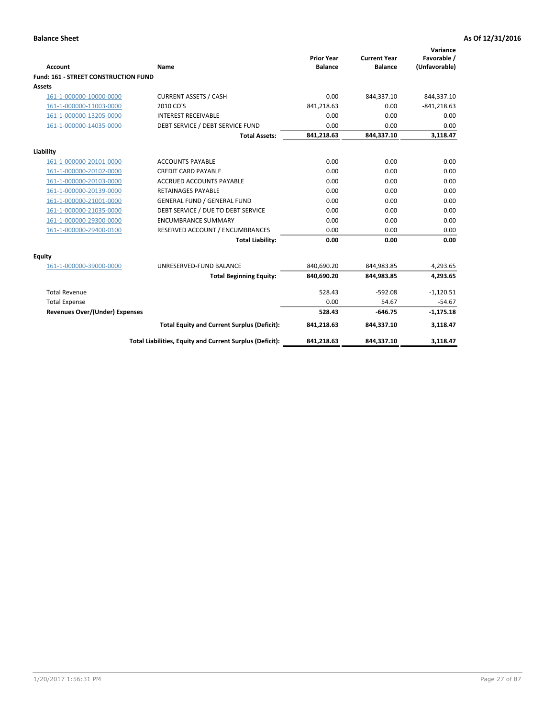| <b>Account</b>                       | <b>Name</b>                                              | <b>Prior Year</b><br><b>Balance</b> | <b>Current Year</b><br><b>Balance</b> | Variance<br>Favorable /<br>(Unfavorable) |
|--------------------------------------|----------------------------------------------------------|-------------------------------------|---------------------------------------|------------------------------------------|
| Fund: 161 - STREET CONSTRUCTION FUND |                                                          |                                     |                                       |                                          |
| <b>Assets</b>                        |                                                          |                                     |                                       |                                          |
| 161-1-000000-10000-0000              | <b>CURRENT ASSETS / CASH</b>                             | 0.00                                | 844,337.10                            | 844,337.10                               |
| 161-1-000000-11003-0000              | 2010 CO'S                                                | 841,218.63                          | 0.00                                  | $-841,218.63$                            |
| 161-1-000000-13205-0000              | <b>INTEREST RECEIVABLE</b>                               | 0.00                                | 0.00                                  | 0.00                                     |
| 161-1-000000-14035-0000              | DEBT SERVICE / DEBT SERVICE FUND                         | 0.00                                | 0.00                                  | 0.00                                     |
|                                      | <b>Total Assets:</b>                                     | 841,218.63                          | 844,337.10                            | 3,118.47                                 |
| Liability                            |                                                          |                                     |                                       |                                          |
| 161-1-000000-20101-0000              | <b>ACCOUNTS PAYABLE</b>                                  | 0.00                                | 0.00                                  | 0.00                                     |
| 161-1-000000-20102-0000              | <b>CREDIT CARD PAYABLE</b>                               | 0.00                                | 0.00                                  | 0.00                                     |
| 161-1-000000-20103-0000              | <b>ACCRUED ACCOUNTS PAYABLE</b>                          | 0.00                                | 0.00                                  | 0.00                                     |
| 161-1-000000-20139-0000              | <b>RETAINAGES PAYABLE</b>                                | 0.00                                | 0.00                                  | 0.00                                     |
| 161-1-000000-21001-0000              | <b>GENERAL FUND / GENERAL FUND</b>                       | 0.00                                | 0.00                                  | 0.00                                     |
| 161-1-000000-21035-0000              | DEBT SERVICE / DUE TO DEBT SERVICE                       | 0.00                                | 0.00                                  | 0.00                                     |
| 161-1-000000-29300-0000              | <b>ENCUMBRANCE SUMMARY</b>                               | 0.00                                | 0.00                                  | 0.00                                     |
| 161-1-000000-29400-0100              | RESERVED ACCOUNT / ENCUMBRANCES                          | 0.00                                | 0.00                                  | 0.00                                     |
|                                      | <b>Total Liability:</b>                                  | 0.00                                | 0.00                                  | 0.00                                     |
| <b>Equity</b>                        |                                                          |                                     |                                       |                                          |
| 161-1-000000-39000-0000              | UNRESERVED-FUND BALANCE                                  | 840,690.20                          | 844,983.85                            | 4,293.65                                 |
|                                      | <b>Total Beginning Equity:</b>                           | 840,690.20                          | 844,983.85                            | 4,293.65                                 |
| <b>Total Revenue</b>                 |                                                          | 528.43                              | $-592.08$                             | $-1,120.51$                              |
| <b>Total Expense</b>                 |                                                          | 0.00                                | 54.67                                 | $-54.67$                                 |
| Revenues Over/(Under) Expenses       |                                                          | 528.43                              | $-646.75$                             | $-1,175.18$                              |
|                                      | <b>Total Equity and Current Surplus (Deficit):</b>       | 841,218.63                          | 844,337.10                            | 3,118.47                                 |
|                                      | Total Liabilities, Equity and Current Surplus (Deficit): | 841,218.63                          | 844,337.10                            | 3,118.47                                 |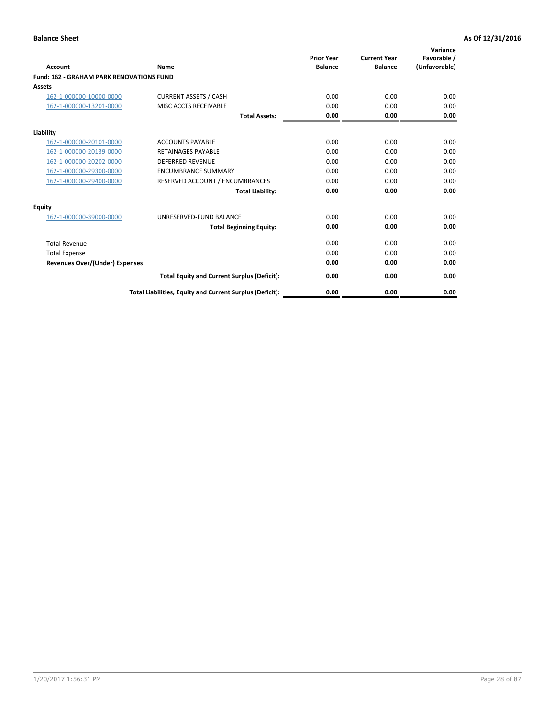|                                                 |                                                          | <b>Prior Year</b><br><b>Balance</b> | <b>Current Year</b> | Variance<br>Favorable / |
|-------------------------------------------------|----------------------------------------------------------|-------------------------------------|---------------------|-------------------------|
| <b>Account</b>                                  | Name                                                     |                                     | <b>Balance</b>      | (Unfavorable)           |
| <b>Fund: 162 - GRAHAM PARK RENOVATIONS FUND</b> |                                                          |                                     |                     |                         |
| <b>Assets</b>                                   |                                                          |                                     |                     |                         |
| 162-1-000000-10000-0000                         | <b>CURRENT ASSETS / CASH</b>                             | 0.00                                | 0.00                | 0.00                    |
| 162-1-000000-13201-0000                         | MISC ACCTS RECEIVABLE                                    | 0.00                                | 0.00                | 0.00                    |
|                                                 | <b>Total Assets:</b>                                     | 0.00                                | 0.00                | 0.00                    |
| Liability                                       |                                                          |                                     |                     |                         |
| 162-1-000000-20101-0000                         | <b>ACCOUNTS PAYABLE</b>                                  | 0.00                                | 0.00                | 0.00                    |
| 162-1-000000-20139-0000                         | <b>RETAINAGES PAYABLE</b>                                | 0.00                                | 0.00                | 0.00                    |
| 162-1-000000-20202-0000                         | <b>DEFERRED REVENUE</b>                                  | 0.00                                | 0.00                | 0.00                    |
| 162-1-000000-29300-0000                         | <b>ENCUMBRANCE SUMMARY</b>                               | 0.00                                | 0.00                | 0.00                    |
| 162-1-000000-29400-0000                         | RESERVED ACCOUNT / ENCUMBRANCES                          | 0.00                                | 0.00                | 0.00                    |
|                                                 | <b>Total Liability:</b>                                  | 0.00                                | 0.00                | 0.00                    |
| Equity                                          |                                                          |                                     |                     |                         |
| 162-1-000000-39000-0000                         | UNRESERVED-FUND BALANCE                                  | 0.00                                | 0.00                | 0.00                    |
|                                                 | <b>Total Beginning Equity:</b>                           | 0.00                                | 0.00                | 0.00                    |
| <b>Total Revenue</b>                            |                                                          | 0.00                                | 0.00                | 0.00                    |
| <b>Total Expense</b>                            |                                                          | 0.00                                | 0.00                | 0.00                    |
| Revenues Over/(Under) Expenses                  |                                                          | 0.00                                | 0.00                | 0.00                    |
|                                                 | <b>Total Equity and Current Surplus (Deficit):</b>       | 0.00                                | 0.00                | 0.00                    |
|                                                 | Total Liabilities, Equity and Current Surplus (Deficit): | 0.00                                | 0.00                | 0.00                    |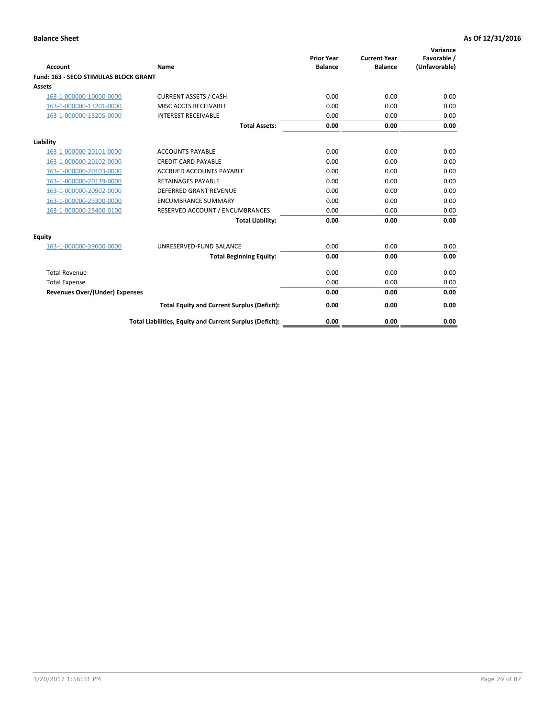|                                              |                                                          | <b>Prior Year</b> | <b>Current Year</b> | Variance<br>Favorable / |
|----------------------------------------------|----------------------------------------------------------|-------------------|---------------------|-------------------------|
| <b>Account</b>                               | Name                                                     | <b>Balance</b>    | <b>Balance</b>      | (Unfavorable)           |
| <b>Fund: 163 - SECO STIMULAS BLOCK GRANT</b> |                                                          |                   |                     |                         |
| Assets                                       |                                                          |                   |                     |                         |
| 163-1-000000-10000-0000                      | <b>CURRENT ASSETS / CASH</b>                             | 0.00              | 0.00                | 0.00                    |
| 163-1-000000-13201-0000                      | MISC ACCTS RECEIVABLE                                    | 0.00              | 0.00                | 0.00                    |
| 163-1-000000-13205-0000                      | <b>INTEREST RECEIVABLE</b>                               | 0.00              | 0.00                | 0.00                    |
|                                              | <b>Total Assets:</b>                                     | 0.00              | 0.00                | 0.00                    |
| Liability                                    |                                                          |                   |                     |                         |
| 163-1-000000-20101-0000                      | <b>ACCOUNTS PAYABLE</b>                                  | 0.00              | 0.00                | 0.00                    |
| 163-1-000000-20102-0000                      | <b>CREDIT CARD PAYABLE</b>                               | 0.00              | 0.00                | 0.00                    |
| 163-1-000000-20103-0000                      | <b>ACCRUED ACCOUNTS PAYABLE</b>                          | 0.00              | 0.00                | 0.00                    |
| 163-1-000000-20139-0000                      | <b>RETAINAGES PAYABLE</b>                                | 0.00              | 0.00                | 0.00                    |
| 163-1-000000-20902-0000                      | <b>DEFERRED GRANT REVENUE</b>                            | 0.00              | 0.00                | 0.00                    |
| 163-1-000000-29300-0000                      | <b>ENCUMBRANCE SUMMARY</b>                               | 0.00              | 0.00                | 0.00                    |
| 163-1-000000-29400-0100                      | RESERVED ACCOUNT / ENCUMBRANCES                          | 0.00              | 0.00                | 0.00                    |
|                                              | <b>Total Liability:</b>                                  | 0.00              | 0.00                | 0.00                    |
| <b>Equity</b>                                |                                                          |                   |                     |                         |
| 163-1-000000-39000-0000                      | UNRESERVED-FUND BALANCE                                  | 0.00              | 0.00                | 0.00                    |
|                                              | <b>Total Beginning Equity:</b>                           | 0.00              | 0.00                | 0.00                    |
| <b>Total Revenue</b>                         |                                                          | 0.00              | 0.00                | 0.00                    |
| <b>Total Expense</b>                         |                                                          | 0.00              | 0.00                | 0.00                    |
| Revenues Over/(Under) Expenses               |                                                          | 0.00              | 0.00                | 0.00                    |
|                                              | <b>Total Equity and Current Surplus (Deficit):</b>       | 0.00              | 0.00                | 0.00                    |
|                                              | Total Liabilities, Equity and Current Surplus (Deficit): | 0.00              | 0.00                | 0.00                    |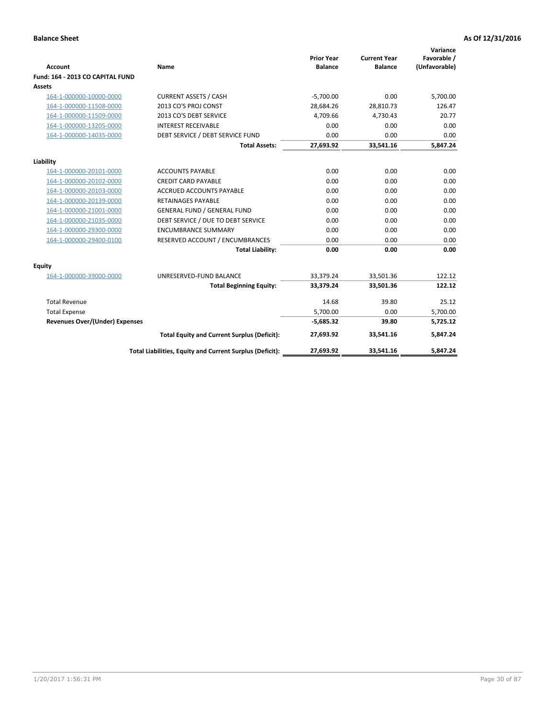| <b>Account</b>                        | Name                                                     | <b>Prior Year</b><br><b>Balance</b> | <b>Current Year</b><br><b>Balance</b> | Variance<br>Favorable /<br>(Unfavorable) |
|---------------------------------------|----------------------------------------------------------|-------------------------------------|---------------------------------------|------------------------------------------|
| Fund: 164 - 2013 CO CAPITAL FUND      |                                                          |                                     |                                       |                                          |
| Assets                                |                                                          |                                     |                                       |                                          |
| 164-1-000000-10000-0000               | <b>CURRENT ASSETS / CASH</b>                             | $-5,700.00$                         | 0.00                                  | 5,700.00                                 |
| 164-1-000000-11508-0000               | 2013 CO'S PROJ CONST                                     | 28,684.26                           | 28,810.73                             | 126.47                                   |
| 164-1-000000-11509-0000               | 2013 CO'S DEBT SERVICE                                   | 4,709.66                            | 4,730.43                              | 20.77                                    |
| 164-1-000000-13205-0000               | <b>INTEREST RECEIVABLE</b>                               | 0.00                                | 0.00                                  | 0.00                                     |
| 164-1-000000-14035-0000               | DEBT SERVICE / DEBT SERVICE FUND                         | 0.00                                | 0.00                                  | 0.00                                     |
|                                       | <b>Total Assets:</b>                                     | 27,693.92                           | 33,541.16                             | 5,847.24                                 |
| Liability                             |                                                          |                                     |                                       |                                          |
| 164-1-000000-20101-0000               | <b>ACCOUNTS PAYABLE</b>                                  | 0.00                                | 0.00                                  | 0.00                                     |
| 164-1-000000-20102-0000               | <b>CREDIT CARD PAYABLE</b>                               | 0.00                                | 0.00                                  | 0.00                                     |
| 164-1-000000-20103-0000               | <b>ACCRUED ACCOUNTS PAYABLE</b>                          | 0.00                                | 0.00                                  | 0.00                                     |
| 164-1-000000-20139-0000               | <b>RETAINAGES PAYABLE</b>                                | 0.00                                | 0.00                                  | 0.00                                     |
| 164-1-000000-21001-0000               | <b>GENERAL FUND / GENERAL FUND</b>                       | 0.00                                | 0.00                                  | 0.00                                     |
| 164-1-000000-21035-0000               | DEBT SERVICE / DUE TO DEBT SERVICE                       | 0.00                                | 0.00                                  | 0.00                                     |
| 164-1-000000-29300-0000               | <b>ENCUMBRANCE SUMMARY</b>                               | 0.00                                | 0.00                                  | 0.00                                     |
| 164-1-000000-29400-0100               | RESERVED ACCOUNT / ENCUMBRANCES                          | 0.00                                | 0.00                                  | 0.00                                     |
|                                       | <b>Total Liability:</b>                                  | 0.00                                | 0.00                                  | 0.00                                     |
| Equity                                |                                                          |                                     |                                       |                                          |
| 164-1-000000-39000-0000               | UNRESERVED-FUND BALANCE                                  | 33,379.24                           | 33,501.36                             | 122.12                                   |
|                                       | <b>Total Beginning Equity:</b>                           | 33,379.24                           | 33,501.36                             | 122.12                                   |
| <b>Total Revenue</b>                  |                                                          | 14.68                               | 39.80                                 | 25.12                                    |
| <b>Total Expense</b>                  |                                                          | 5,700.00                            | 0.00                                  | 5,700.00                                 |
| <b>Revenues Over/(Under) Expenses</b> |                                                          | $-5,685.32$                         | 39.80                                 | 5,725.12                                 |
|                                       | <b>Total Equity and Current Surplus (Deficit):</b>       | 27,693.92                           | 33.541.16                             | 5.847.24                                 |
|                                       | Total Liabilities, Equity and Current Surplus (Deficit): | 27,693.92                           | 33,541.16                             | 5.847.24                                 |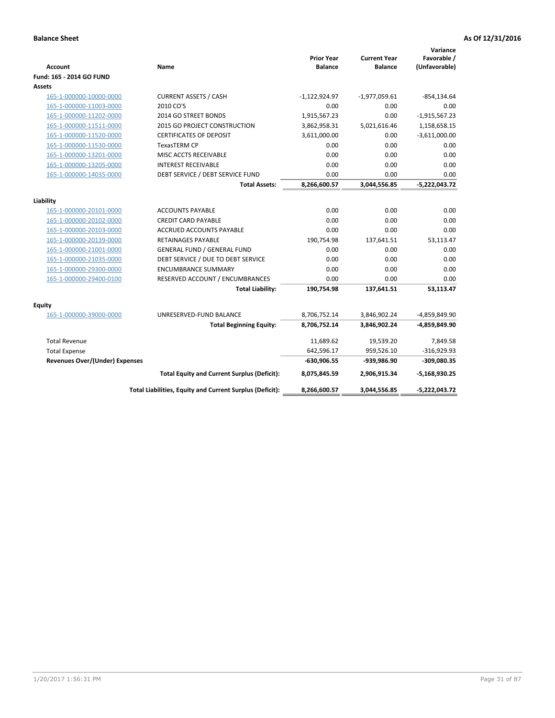| Account                               | Name                                                     | <b>Prior Year</b><br><b>Balance</b> | <b>Current Year</b><br><b>Balance</b> | Variance<br>Favorable /<br>(Unfavorable) |
|---------------------------------------|----------------------------------------------------------|-------------------------------------|---------------------------------------|------------------------------------------|
| Fund: 165 - 2014 GO FUND              |                                                          |                                     |                                       |                                          |
| Assets                                |                                                          |                                     |                                       |                                          |
| 165-1-000000-10000-0000               | <b>CURRENT ASSETS / CASH</b>                             | $-1,122,924.97$                     | $-1,977,059.61$                       | $-854, 134.64$                           |
| 165-1-000000-11003-0000               | 2010 CO'S                                                | 0.00                                | 0.00                                  | 0.00                                     |
| 165-1-000000-11202-0000               | 2014 GO STREET BONDS                                     | 1,915,567.23                        | 0.00                                  | $-1,915,567.23$                          |
| 165-1-000000-11511-0000               | 2015 GO PROJECT CONSTRUCTION                             | 3,862,958.31                        | 5,021,616.46                          | 1,158,658.15                             |
| 165-1-000000-11520-0000               | <b>CERTIFICATES OF DEPOSIT</b>                           | 3,611,000.00                        | 0.00                                  | $-3,611,000.00$                          |
| 165-1-000000-11530-0000               | TexasTERM CP                                             | 0.00                                | 0.00                                  | 0.00                                     |
| 165-1-000000-13201-0000               | MISC ACCTS RECEIVABLE                                    | 0.00                                | 0.00                                  | 0.00                                     |
| 165-1-000000-13205-0000               | <b>INTEREST RECEIVABLE</b>                               | 0.00                                | 0.00                                  | 0.00                                     |
| 165-1-000000-14035-0000               | DEBT SERVICE / DEBT SERVICE FUND                         | 0.00                                | 0.00                                  | 0.00                                     |
|                                       | <b>Total Assets:</b>                                     | 8,266,600.57                        | 3,044,556.85                          | $-5,222,043.72$                          |
| Liability                             |                                                          |                                     |                                       |                                          |
| 165-1-000000-20101-0000               | <b>ACCOUNTS PAYABLE</b>                                  | 0.00                                | 0.00                                  | 0.00                                     |
| 165-1-000000-20102-0000               | <b>CREDIT CARD PAYABLE</b>                               | 0.00                                | 0.00                                  | 0.00                                     |
| 165-1-000000-20103-0000               | <b>ACCRUED ACCOUNTS PAYABLE</b>                          | 0.00                                | 0.00                                  | 0.00                                     |
| 165-1-000000-20139-0000               | <b>RETAINAGES PAYABLE</b>                                | 190,754.98                          | 137,641.51                            | 53,113.47                                |
| 165-1-000000-21001-0000               | <b>GENERAL FUND / GENERAL FUND</b>                       | 0.00                                | 0.00                                  | 0.00                                     |
| 165-1-000000-21035-0000               | DEBT SERVICE / DUE TO DEBT SERVICE                       | 0.00                                | 0.00                                  | 0.00                                     |
| 165-1-000000-29300-0000               | <b>ENCUMBRANCE SUMMARY</b>                               | 0.00                                | 0.00                                  | 0.00                                     |
| 165-1-000000-29400-0100               | RESERVED ACCOUNT / ENCUMBRANCES                          | 0.00                                | 0.00                                  | 0.00                                     |
|                                       | <b>Total Liability:</b>                                  | 190,754.98                          | 137,641.51                            | 53,113.47                                |
| <b>Equity</b>                         |                                                          |                                     |                                       |                                          |
| 165-1-000000-39000-0000               | UNRESERVED-FUND BALANCE                                  | 8,706,752.14                        | 3,846,902.24                          | -4,859,849.90                            |
|                                       | <b>Total Beginning Equity:</b>                           | 8,706,752.14                        | 3,846,902.24                          | -4,859,849.90                            |
| <b>Total Revenue</b>                  |                                                          | 11,689.62                           | 19,539.20                             | 7,849.58                                 |
| <b>Total Expense</b>                  |                                                          | 642,596.17                          | 959,526.10                            | $-316,929.93$                            |
| <b>Revenues Over/(Under) Expenses</b> |                                                          | $-630,906.55$                       | -939,986.90                           | $-309,080.35$                            |
|                                       | <b>Total Equity and Current Surplus (Deficit):</b>       | 8,075,845.59                        | 2,906,915.34                          | $-5,168,930.25$                          |
|                                       | Total Liabilities, Equity and Current Surplus (Deficit): | 8,266,600.57                        | 3,044,556.85                          | $-5,222,043.72$                          |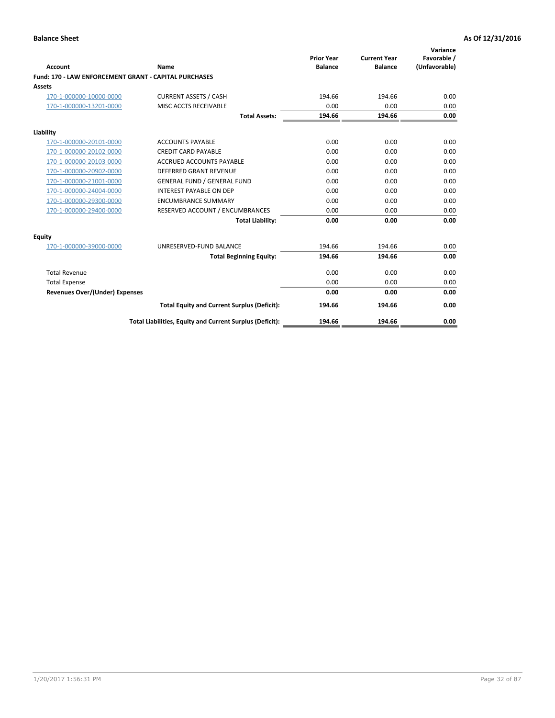| Account                                               | Name                                                     | <b>Prior Year</b><br><b>Balance</b> | <b>Current Year</b><br><b>Balance</b> | Variance<br>Favorable /<br>(Unfavorable) |
|-------------------------------------------------------|----------------------------------------------------------|-------------------------------------|---------------------------------------|------------------------------------------|
| Fund: 170 - LAW ENFORCEMENT GRANT - CAPITAL PURCHASES |                                                          |                                     |                                       |                                          |
| <b>Assets</b>                                         |                                                          |                                     |                                       |                                          |
| 170-1-000000-10000-0000                               | <b>CURRENT ASSETS / CASH</b>                             | 194.66                              | 194.66                                | 0.00                                     |
| 170-1-000000-13201-0000                               | MISC ACCTS RECEIVABLE                                    | 0.00                                | 0.00                                  | 0.00                                     |
|                                                       | <b>Total Assets:</b>                                     | 194.66                              | 194.66                                | 0.00                                     |
| Liability                                             |                                                          |                                     |                                       |                                          |
| 170-1-000000-20101-0000                               | <b>ACCOUNTS PAYABLE</b>                                  | 0.00                                | 0.00                                  | 0.00                                     |
| 170-1-000000-20102-0000                               | <b>CREDIT CARD PAYABLE</b>                               | 0.00                                | 0.00                                  | 0.00                                     |
| 170-1-000000-20103-0000                               | <b>ACCRUED ACCOUNTS PAYABLE</b>                          | 0.00                                | 0.00                                  | 0.00                                     |
| 170-1-000000-20902-0000                               | <b>DEFERRED GRANT REVENUE</b>                            | 0.00                                | 0.00                                  | 0.00                                     |
| 170-1-000000-21001-0000                               | <b>GENERAL FUND / GENERAL FUND</b>                       | 0.00                                | 0.00                                  | 0.00                                     |
| 170-1-000000-24004-0000                               | <b>INTEREST PAYABLE ON DEP</b>                           | 0.00                                | 0.00                                  | 0.00                                     |
| 170-1-000000-29300-0000                               | <b>ENCUMBRANCE SUMMARY</b>                               | 0.00                                | 0.00                                  | 0.00                                     |
| 170-1-000000-29400-0000                               | RESERVED ACCOUNT / ENCUMBRANCES                          | 0.00                                | 0.00                                  | 0.00                                     |
|                                                       | <b>Total Liability:</b>                                  | 0.00                                | 0.00                                  | 0.00                                     |
| <b>Equity</b>                                         |                                                          |                                     |                                       |                                          |
| 170-1-000000-39000-0000                               | UNRESERVED-FUND BALANCE                                  | 194.66                              | 194.66                                | 0.00                                     |
|                                                       | <b>Total Beginning Equity:</b>                           | 194.66                              | 194.66                                | 0.00                                     |
| <b>Total Revenue</b>                                  |                                                          | 0.00                                | 0.00                                  | 0.00                                     |
| <b>Total Expense</b>                                  |                                                          | 0.00                                | 0.00                                  | 0.00                                     |
| <b>Revenues Over/(Under) Expenses</b>                 |                                                          | 0.00                                | 0.00                                  | 0.00                                     |
|                                                       | <b>Total Equity and Current Surplus (Deficit):</b>       | 194.66                              | 194.66                                | 0.00                                     |
|                                                       | Total Liabilities, Equity and Current Surplus (Deficit): | 194.66                              | 194.66                                | 0.00                                     |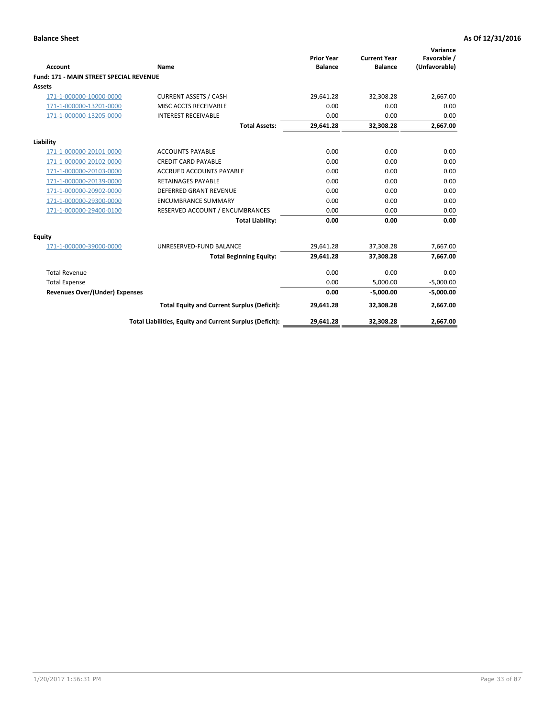|                                         |                                                          | <b>Prior Year</b> | <b>Current Year</b> | Variance<br>Favorable / |
|-----------------------------------------|----------------------------------------------------------|-------------------|---------------------|-------------------------|
| Account                                 | Name                                                     | <b>Balance</b>    | <b>Balance</b>      | (Unfavorable)           |
| Fund: 171 - MAIN STREET SPECIAL REVENUE |                                                          |                   |                     |                         |
| <b>Assets</b>                           |                                                          |                   |                     |                         |
| 171-1-000000-10000-0000                 | <b>CURRENT ASSETS / CASH</b>                             | 29,641.28         | 32,308.28           | 2,667.00                |
| 171-1-000000-13201-0000                 | MISC ACCTS RECEIVABLE                                    | 0.00              | 0.00                | 0.00                    |
| 171-1-000000-13205-0000                 | <b>INTEREST RECEIVABLE</b>                               | 0.00              | 0.00                | 0.00                    |
|                                         | <b>Total Assets:</b>                                     | 29,641.28         | 32,308.28           | 2,667.00                |
| Liability                               |                                                          |                   |                     |                         |
| 171-1-000000-20101-0000                 | <b>ACCOUNTS PAYABLE</b>                                  | 0.00              | 0.00                | 0.00                    |
| 171-1-000000-20102-0000                 | <b>CREDIT CARD PAYABLE</b>                               | 0.00              | 0.00                | 0.00                    |
| 171-1-000000-20103-0000                 | <b>ACCRUED ACCOUNTS PAYABLE</b>                          | 0.00              | 0.00                | 0.00                    |
| 171-1-000000-20139-0000                 | <b>RETAINAGES PAYABLE</b>                                | 0.00              | 0.00                | 0.00                    |
| 171-1-000000-20902-0000                 | <b>DEFERRED GRANT REVENUE</b>                            | 0.00              | 0.00                | 0.00                    |
| 171-1-000000-29300-0000                 | <b>ENCUMBRANCE SUMMARY</b>                               | 0.00              | 0.00                | 0.00                    |
| 171-1-000000-29400-0100                 | RESERVED ACCOUNT / ENCUMBRANCES                          | 0.00              | 0.00                | 0.00                    |
|                                         | <b>Total Liability:</b>                                  | 0.00              | 0.00                | 0.00                    |
| <b>Equity</b>                           |                                                          |                   |                     |                         |
| 171-1-000000-39000-0000                 | UNRESERVED-FUND BALANCE                                  | 29,641.28         | 37,308.28           | 7,667.00                |
|                                         | <b>Total Beginning Equity:</b>                           | 29.641.28         | 37,308.28           | 7,667.00                |
| <b>Total Revenue</b>                    |                                                          | 0.00              | 0.00                | 0.00                    |
| <b>Total Expense</b>                    |                                                          | 0.00              | 5,000.00            | $-5,000.00$             |
| <b>Revenues Over/(Under) Expenses</b>   |                                                          | 0.00              | $-5.000.00$         | $-5,000.00$             |
|                                         | <b>Total Equity and Current Surplus (Deficit):</b>       | 29,641.28         | 32,308.28           | 2,667.00                |
|                                         | Total Liabilities, Equity and Current Surplus (Deficit): | 29,641.28         | 32,308.28           | 2,667.00                |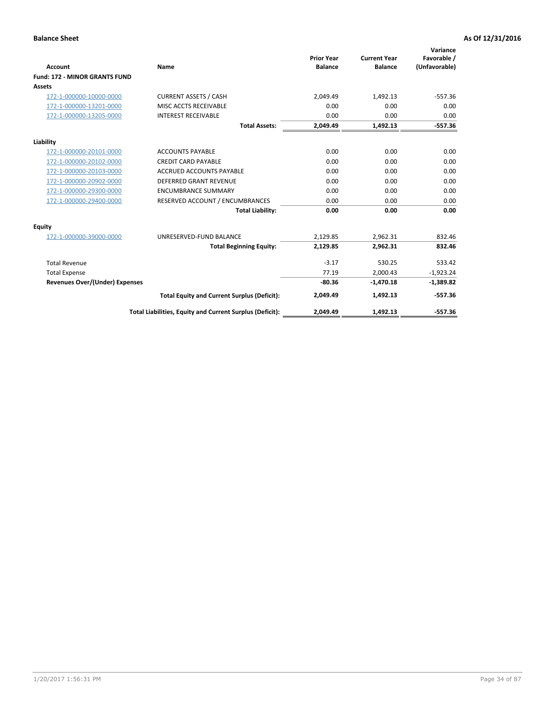|                                      |                                                          |                                     |                                       | Variance                     |
|--------------------------------------|----------------------------------------------------------|-------------------------------------|---------------------------------------|------------------------------|
| <b>Account</b>                       | <b>Name</b>                                              | <b>Prior Year</b><br><b>Balance</b> | <b>Current Year</b><br><b>Balance</b> | Favorable /<br>(Unfavorable) |
| <b>Fund: 172 - MINOR GRANTS FUND</b> |                                                          |                                     |                                       |                              |
| <b>Assets</b>                        |                                                          |                                     |                                       |                              |
| 172-1-000000-10000-0000              | <b>CURRENT ASSETS / CASH</b>                             | 2,049.49                            | 1,492.13                              | $-557.36$                    |
| 172-1-000000-13201-0000              | MISC ACCTS RECEIVABLE                                    | 0.00                                | 0.00                                  | 0.00                         |
| 172-1-000000-13205-0000              | <b>INTEREST RECEIVABLE</b>                               | 0.00                                | 0.00                                  | 0.00                         |
|                                      | <b>Total Assets:</b>                                     | 2,049.49                            | 1,492.13                              | $-557.36$                    |
| Liability                            |                                                          |                                     |                                       |                              |
| 172-1-000000-20101-0000              | <b>ACCOUNTS PAYABLE</b>                                  | 0.00                                | 0.00                                  | 0.00                         |
| 172-1-000000-20102-0000              | <b>CREDIT CARD PAYABLE</b>                               | 0.00                                | 0.00                                  | 0.00                         |
| 172-1-000000-20103-0000              | <b>ACCRUED ACCOUNTS PAYABLE</b>                          | 0.00                                | 0.00                                  | 0.00                         |
| 172-1-000000-20902-0000              | DEFERRED GRANT REVENUE                                   | 0.00                                | 0.00                                  | 0.00                         |
| 172-1-000000-29300-0000              | <b>ENCUMBRANCE SUMMARY</b>                               | 0.00                                | 0.00                                  | 0.00                         |
| 172-1-000000-29400-0000              | RESERVED ACCOUNT / ENCUMBRANCES                          | 0.00                                | 0.00                                  | 0.00                         |
|                                      | <b>Total Liability:</b>                                  | 0.00                                | 0.00                                  | 0.00                         |
| Equity                               |                                                          |                                     |                                       |                              |
| 172-1-000000-39000-0000              | UNRESERVED-FUND BALANCE                                  | 2,129.85                            | 2,962.31                              | 832.46                       |
|                                      | <b>Total Beginning Equity:</b>                           | 2,129.85                            | 2,962.31                              | 832.46                       |
| <b>Total Revenue</b>                 |                                                          | $-3.17$                             | 530.25                                | 533.42                       |
| <b>Total Expense</b>                 |                                                          | 77.19                               | 2,000.43                              | $-1,923.24$                  |
| Revenues Over/(Under) Expenses       |                                                          | $-80.36$                            | $-1,470.18$                           | $-1,389.82$                  |
|                                      | <b>Total Equity and Current Surplus (Deficit):</b>       | 2,049.49                            | 1,492.13                              | $-557.36$                    |
|                                      | Total Liabilities, Equity and Current Surplus (Deficit): | 2,049.49                            | 1,492.13                              | $-557.36$                    |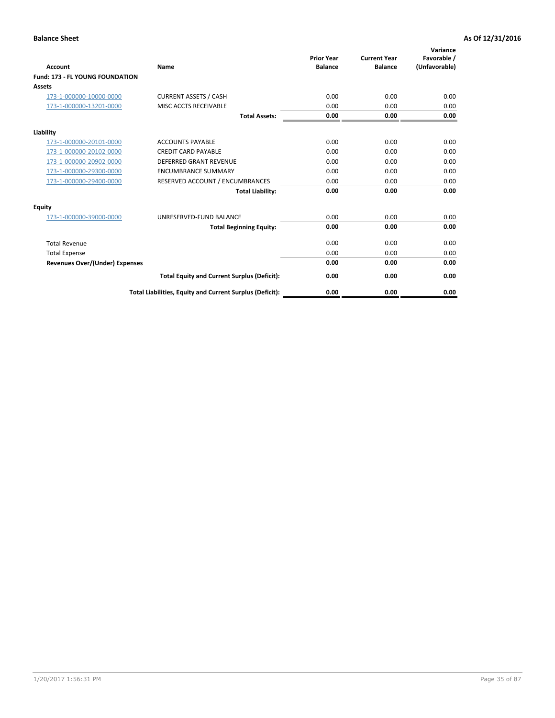| <b>Account</b>                         | <b>Name</b>                                              | <b>Prior Year</b><br><b>Balance</b> | <b>Current Year</b><br><b>Balance</b> | Variance<br>Favorable /<br>(Unfavorable) |
|----------------------------------------|----------------------------------------------------------|-------------------------------------|---------------------------------------|------------------------------------------|
| <b>Fund: 173 - FL YOUNG FOUNDATION</b> |                                                          |                                     |                                       |                                          |
| Assets                                 |                                                          |                                     |                                       |                                          |
| 173-1-000000-10000-0000                | <b>CURRENT ASSETS / CASH</b>                             | 0.00                                | 0.00                                  | 0.00                                     |
| 173-1-000000-13201-0000                | MISC ACCTS RECEIVABLE                                    | 0.00                                | 0.00                                  | 0.00                                     |
|                                        | <b>Total Assets:</b>                                     | 0.00                                | 0.00                                  | 0.00                                     |
| Liability                              |                                                          |                                     |                                       |                                          |
| 173-1-000000-20101-0000                | <b>ACCOUNTS PAYABLE</b>                                  | 0.00                                | 0.00                                  | 0.00                                     |
| 173-1-000000-20102-0000                | <b>CREDIT CARD PAYABLE</b>                               | 0.00                                | 0.00                                  | 0.00                                     |
| 173-1-000000-20902-0000                | <b>DEFERRED GRANT REVENUE</b>                            | 0.00                                | 0.00                                  | 0.00                                     |
| 173-1-000000-29300-0000                | <b>ENCUMBRANCE SUMMARY</b>                               | 0.00                                | 0.00                                  | 0.00                                     |
| 173-1-000000-29400-0000                | RESERVED ACCOUNT / ENCUMBRANCES                          | 0.00                                | 0.00                                  | 0.00                                     |
|                                        | <b>Total Liability:</b>                                  | 0.00                                | 0.00                                  | 0.00                                     |
| Equity                                 |                                                          |                                     |                                       |                                          |
| 173-1-000000-39000-0000                | UNRESERVED-FUND BALANCE                                  | 0.00                                | 0.00                                  | 0.00                                     |
|                                        | <b>Total Beginning Equity:</b>                           | 0.00                                | 0.00                                  | 0.00                                     |
| <b>Total Revenue</b>                   |                                                          | 0.00                                | 0.00                                  | 0.00                                     |
| <b>Total Expense</b>                   |                                                          | 0.00                                | 0.00                                  | 0.00                                     |
| <b>Revenues Over/(Under) Expenses</b>  |                                                          | 0.00                                | 0.00                                  | 0.00                                     |
|                                        | <b>Total Equity and Current Surplus (Deficit):</b>       | 0.00                                | 0.00                                  | 0.00                                     |
|                                        | Total Liabilities, Equity and Current Surplus (Deficit): | 0.00                                | 0.00                                  | 0.00                                     |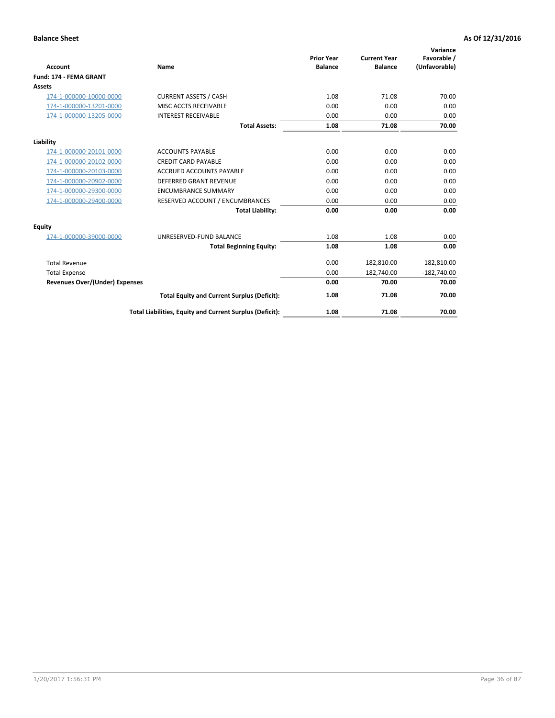|                                |                                                          |                                     |                                       | Variance                     |
|--------------------------------|----------------------------------------------------------|-------------------------------------|---------------------------------------|------------------------------|
| <b>Account</b>                 | <b>Name</b>                                              | <b>Prior Year</b><br><b>Balance</b> | <b>Current Year</b><br><b>Balance</b> | Favorable /<br>(Unfavorable) |
| <b>Fund: 174 - FEMA GRANT</b>  |                                                          |                                     |                                       |                              |
| <b>Assets</b>                  |                                                          |                                     |                                       |                              |
| 174-1-000000-10000-0000        | <b>CURRENT ASSETS / CASH</b>                             | 1.08                                | 71.08                                 | 70.00                        |
| 174-1-000000-13201-0000        | MISC ACCTS RECEIVABLE                                    | 0.00                                | 0.00                                  | 0.00                         |
| 174-1-000000-13205-0000        | <b>INTEREST RECEIVABLE</b>                               | 0.00                                | 0.00                                  | 0.00                         |
|                                | <b>Total Assets:</b>                                     | 1.08                                | 71.08                                 | 70.00                        |
| Liability                      |                                                          |                                     |                                       |                              |
| 174-1-000000-20101-0000        | <b>ACCOUNTS PAYABLE</b>                                  | 0.00                                | 0.00                                  | 0.00                         |
| 174-1-000000-20102-0000        | <b>CREDIT CARD PAYABLE</b>                               | 0.00                                | 0.00                                  | 0.00                         |
| 174-1-000000-20103-0000        | <b>ACCRUED ACCOUNTS PAYABLE</b>                          | 0.00                                | 0.00                                  | 0.00                         |
| 174-1-000000-20902-0000        | DEFERRED GRANT REVENUE                                   | 0.00                                | 0.00                                  | 0.00                         |
| 174-1-000000-29300-0000        | <b>ENCUMBRANCE SUMMARY</b>                               | 0.00                                | 0.00                                  | 0.00                         |
| 174-1-000000-29400-0000        | RESERVED ACCOUNT / ENCUMBRANCES                          | 0.00                                | 0.00                                  | 0.00                         |
|                                | <b>Total Liability:</b>                                  | 0.00                                | 0.00                                  | 0.00                         |
| Equity                         |                                                          |                                     |                                       |                              |
| 174-1-000000-39000-0000        | UNRESERVED-FUND BALANCE                                  | 1.08                                | 1.08                                  | 0.00                         |
|                                | <b>Total Beginning Equity:</b>                           | 1.08                                | 1.08                                  | 0.00                         |
| <b>Total Revenue</b>           |                                                          | 0.00                                | 182,810.00                            | 182,810.00                   |
| <b>Total Expense</b>           |                                                          | 0.00                                | 182,740.00                            | $-182,740.00$                |
| Revenues Over/(Under) Expenses |                                                          | 0.00                                | 70.00                                 | 70.00                        |
|                                | <b>Total Equity and Current Surplus (Deficit):</b>       | 1.08                                | 71.08                                 | 70.00                        |
|                                | Total Liabilities, Equity and Current Surplus (Deficit): | 1.08                                | 71.08                                 | 70.00                        |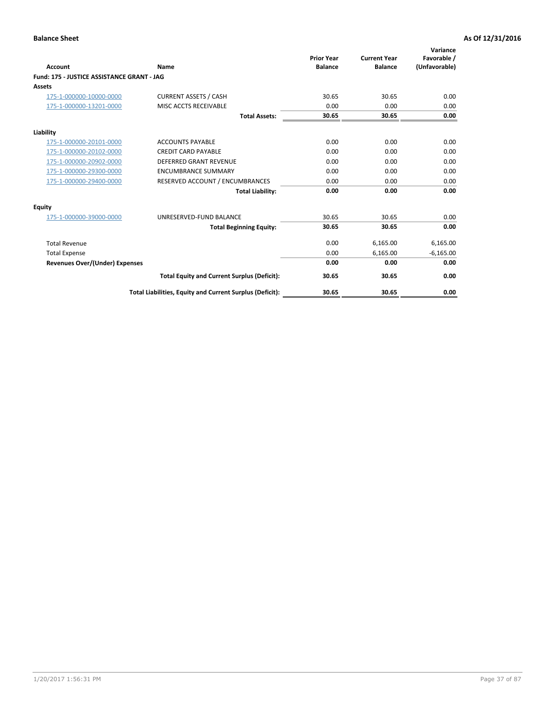|                                            |                                                          | <b>Prior Year</b> | <b>Current Year</b> | Variance<br>Favorable / |
|--------------------------------------------|----------------------------------------------------------|-------------------|---------------------|-------------------------|
| <b>Account</b>                             | Name                                                     | <b>Balance</b>    | <b>Balance</b>      | (Unfavorable)           |
| Fund: 175 - JUSTICE ASSISTANCE GRANT - JAG |                                                          |                   |                     |                         |
| <b>Assets</b>                              |                                                          |                   |                     |                         |
| 175-1-000000-10000-0000                    | <b>CURRENT ASSETS / CASH</b>                             | 30.65             | 30.65               | 0.00                    |
| 175-1-000000-13201-0000                    | MISC ACCTS RECEIVABLE                                    | 0.00              | 0.00                | 0.00                    |
|                                            | <b>Total Assets:</b>                                     | 30.65             | 30.65               | 0.00                    |
| Liability                                  |                                                          |                   |                     |                         |
| 175-1-000000-20101-0000                    | <b>ACCOUNTS PAYABLE</b>                                  | 0.00              | 0.00                | 0.00                    |
| 175-1-000000-20102-0000                    | <b>CREDIT CARD PAYABLE</b>                               | 0.00              | 0.00                | 0.00                    |
| 175-1-000000-20902-0000                    | <b>DEFERRED GRANT REVENUE</b>                            | 0.00              | 0.00                | 0.00                    |
| 175-1-000000-29300-0000                    | <b>ENCUMBRANCE SUMMARY</b>                               | 0.00              | 0.00                | 0.00                    |
| 175-1-000000-29400-0000                    | RESERVED ACCOUNT / ENCUMBRANCES                          | 0.00              | 0.00                | 0.00                    |
|                                            | <b>Total Liability:</b>                                  | 0.00              | 0.00                | 0.00                    |
| Equity                                     |                                                          |                   |                     |                         |
| 175-1-000000-39000-0000                    | UNRESERVED-FUND BALANCE                                  | 30.65             | 30.65               | 0.00                    |
|                                            | <b>Total Beginning Equity:</b>                           | 30.65             | 30.65               | 0.00                    |
| <b>Total Revenue</b>                       |                                                          | 0.00              | 6,165.00            | 6,165.00                |
| <b>Total Expense</b>                       |                                                          | 0.00              | 6,165.00            | $-6,165.00$             |
| <b>Revenues Over/(Under) Expenses</b>      |                                                          | 0.00              | 0.00                | 0.00                    |
|                                            | <b>Total Equity and Current Surplus (Deficit):</b>       | 30.65             | 30.65               | 0.00                    |
|                                            | Total Liabilities, Equity and Current Surplus (Deficit): | 30.65             | 30.65               | 0.00                    |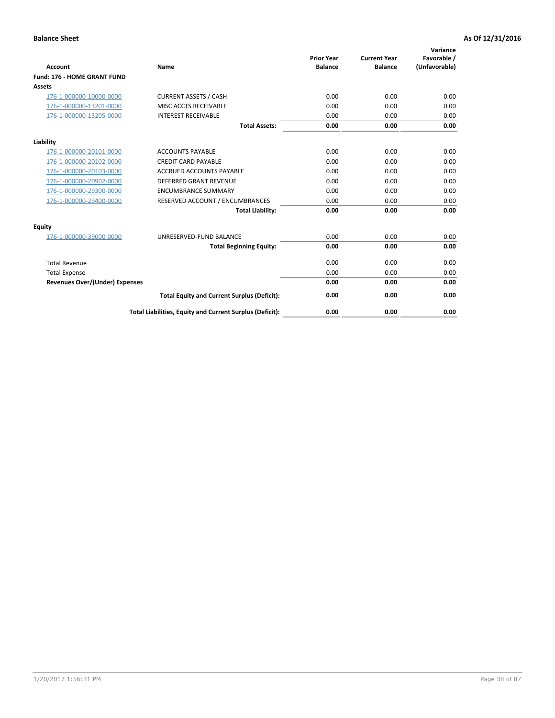|                                       |                                                          | <b>Prior Year</b> | <b>Current Year</b> | Variance<br>Favorable / |
|---------------------------------------|----------------------------------------------------------|-------------------|---------------------|-------------------------|
| <b>Account</b>                        | Name                                                     | <b>Balance</b>    | <b>Balance</b>      | (Unfavorable)           |
| Fund: 176 - HOME GRANT FUND           |                                                          |                   |                     |                         |
| <b>Assets</b>                         |                                                          |                   |                     |                         |
| 176-1-000000-10000-0000               | <b>CURRENT ASSETS / CASH</b>                             | 0.00              | 0.00                | 0.00                    |
| 176-1-000000-13201-0000               | MISC ACCTS RECEIVABLE                                    | 0.00              | 0.00                | 0.00                    |
| 176-1-000000-13205-0000               | <b>INTEREST RECEIVABLE</b>                               | 0.00              | 0.00                | 0.00                    |
|                                       | <b>Total Assets:</b>                                     | 0.00              | 0.00                | 0.00                    |
| Liability                             |                                                          |                   |                     |                         |
| 176-1-000000-20101-0000               | <b>ACCOUNTS PAYABLE</b>                                  | 0.00              | 0.00                | 0.00                    |
| 176-1-000000-20102-0000               | <b>CREDIT CARD PAYABLE</b>                               | 0.00              | 0.00                | 0.00                    |
| 176-1-000000-20103-0000               | <b>ACCRUED ACCOUNTS PAYABLE</b>                          | 0.00              | 0.00                | 0.00                    |
| 176-1-000000-20902-0000               | <b>DEFERRED GRANT REVENUE</b>                            | 0.00              | 0.00                | 0.00                    |
| 176-1-000000-29300-0000               | <b>ENCUMBRANCE SUMMARY</b>                               | 0.00              | 0.00                | 0.00                    |
| 176-1-000000-29400-0000               | RESERVED ACCOUNT / ENCUMBRANCES                          | 0.00              | 0.00                | 0.00                    |
|                                       | <b>Total Liability:</b>                                  | 0.00              | 0.00                | 0.00                    |
| Equity                                |                                                          |                   |                     |                         |
| 176-1-000000-39000-0000               | UNRESERVED-FUND BALANCE                                  | 0.00              | 0.00                | 0.00                    |
|                                       | <b>Total Beginning Equity:</b>                           | 0.00              | 0.00                | 0.00                    |
| <b>Total Revenue</b>                  |                                                          | 0.00              | 0.00                | 0.00                    |
| <b>Total Expense</b>                  |                                                          | 0.00              | 0.00                | 0.00                    |
| <b>Revenues Over/(Under) Expenses</b> |                                                          | 0.00              | 0.00                | 0.00                    |
|                                       | <b>Total Equity and Current Surplus (Deficit):</b>       | 0.00              | 0.00                | 0.00                    |
|                                       | Total Liabilities, Equity and Current Surplus (Deficit): | 0.00              | 0.00                | 0.00                    |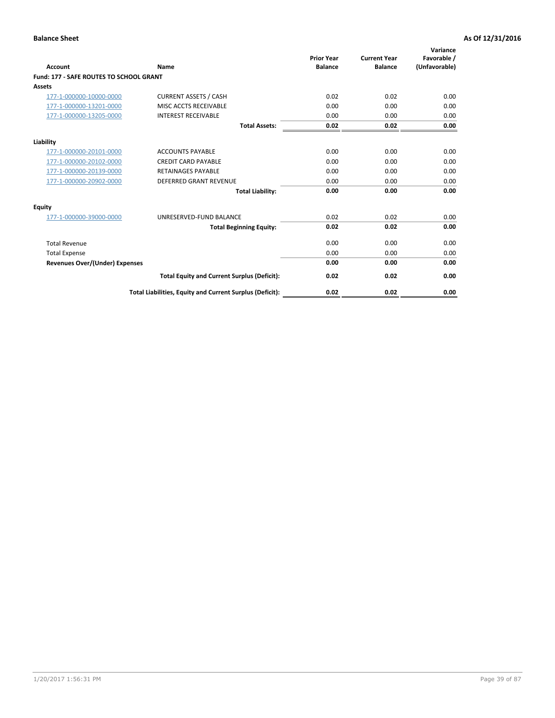| Account                                        | Name                                                     | <b>Prior Year</b><br><b>Balance</b> | <b>Current Year</b><br><b>Balance</b> | Variance<br>Favorable /<br>(Unfavorable) |
|------------------------------------------------|----------------------------------------------------------|-------------------------------------|---------------------------------------|------------------------------------------|
| <b>Fund: 177 - SAFE ROUTES TO SCHOOL GRANT</b> |                                                          |                                     |                                       |                                          |
| <b>Assets</b>                                  |                                                          |                                     |                                       |                                          |
| 177-1-000000-10000-0000                        | <b>CURRENT ASSETS / CASH</b>                             | 0.02                                | 0.02                                  | 0.00                                     |
| 177-1-000000-13201-0000                        | MISC ACCTS RECEIVABLE                                    | 0.00                                | 0.00                                  | 0.00                                     |
| 177-1-000000-13205-0000                        | <b>INTEREST RECEIVABLE</b>                               | 0.00                                | 0.00                                  | 0.00                                     |
|                                                | <b>Total Assets:</b>                                     | 0.02                                | 0.02                                  | 0.00                                     |
| Liability                                      |                                                          |                                     |                                       |                                          |
| 177-1-000000-20101-0000                        | <b>ACCOUNTS PAYABLE</b>                                  | 0.00                                | 0.00                                  | 0.00                                     |
| 177-1-000000-20102-0000                        | <b>CREDIT CARD PAYABLE</b>                               | 0.00                                | 0.00                                  | 0.00                                     |
| 177-1-000000-20139-0000                        | <b>RETAINAGES PAYABLE</b>                                | 0.00                                | 0.00                                  | 0.00                                     |
| 177-1-000000-20902-0000                        | <b>DEFERRED GRANT REVENUE</b>                            | 0.00                                | 0.00                                  | 0.00                                     |
|                                                | <b>Total Liability:</b>                                  | 0.00                                | 0.00                                  | 0.00                                     |
| Equity                                         |                                                          |                                     |                                       |                                          |
| 177-1-000000-39000-0000                        | UNRESERVED-FUND BALANCE                                  | 0.02                                | 0.02                                  | 0.00                                     |
|                                                | <b>Total Beginning Equity:</b>                           | 0.02                                | 0.02                                  | 0.00                                     |
| <b>Total Revenue</b>                           |                                                          | 0.00                                | 0.00                                  | 0.00                                     |
| <b>Total Expense</b>                           |                                                          | 0.00                                | 0.00                                  | 0.00                                     |
| <b>Revenues Over/(Under) Expenses</b>          |                                                          | 0.00                                | 0.00                                  | 0.00                                     |
|                                                | <b>Total Equity and Current Surplus (Deficit):</b>       | 0.02                                | 0.02                                  | 0.00                                     |
|                                                | Total Liabilities, Equity and Current Surplus (Deficit): | 0.02                                | 0.02                                  | 0.00                                     |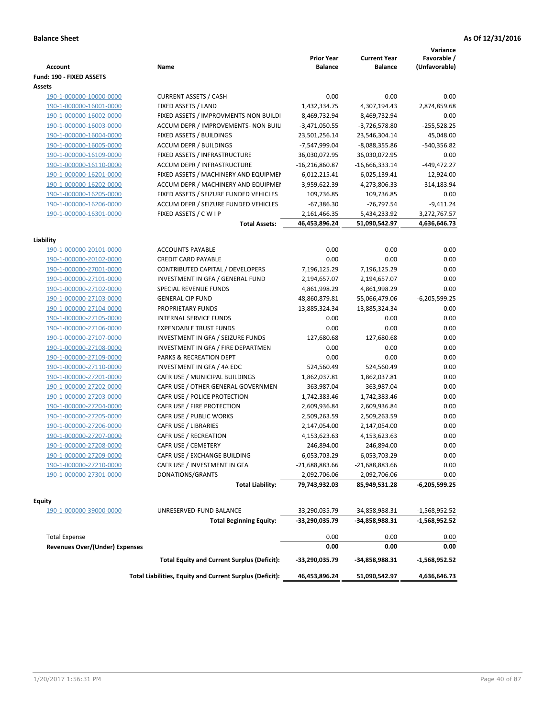|                                       |                                                          | <b>Prior Year</b>                | <b>Current Year</b> | Variance<br>Favorable /            |
|---------------------------------------|----------------------------------------------------------|----------------------------------|---------------------|------------------------------------|
| Account                               | Name                                                     | <b>Balance</b>                   | <b>Balance</b>      | (Unfavorable)                      |
| Fund: 190 - FIXED ASSETS<br>Assets    |                                                          |                                  |                     |                                    |
| 190-1-000000-10000-0000               | <b>CURRENT ASSETS / CASH</b>                             | 0.00                             | 0.00                | 0.00                               |
| 190-1-000000-16001-0000               | FIXED ASSETS / LAND                                      | 1,432,334.75                     | 4,307,194.43        | 2,874,859.68                       |
| 190-1-000000-16002-0000               | FIXED ASSETS / IMPROVMENTS-NON BUILDI                    | 8,469,732.94                     | 8,469,732.94        | 0.00                               |
| 190-1-000000-16003-0000               | ACCUM DEPR / IMPROVEMENTS- NON BUIL                      | $-3,471,050.55$                  | $-3,726,578.80$     | $-255,528.25$                      |
| 190-1-000000-16004-0000               | FIXED ASSETS / BUILDINGS                                 | 23,501,256.14                    | 23,546,304.14       | 45,048.00                          |
| 190-1-000000-16005-0000               | <b>ACCUM DEPR / BUILDINGS</b>                            | -7,547,999.04                    | $-8,088,355.86$     | -540,356.82                        |
| 190-1-000000-16109-0000               | FIXED ASSETS / INFRASTRUCTURE                            | 36,030,072.95                    | 36,030,072.95       | 0.00                               |
| 190-1-000000-16110-0000               | ACCUM DEPR / INFRASTRUCTURE                              | $-16,216,860.87$                 | $-16,666,333.14$    | $-449,472.27$                      |
| 190-1-000000-16201-0000               | FIXED ASSETS / MACHINERY AND EQUIPMEN                    | 6,012,215.41                     | 6,025,139.41        | 12,924.00                          |
| 190-1-000000-16202-0000               | ACCUM DEPR / MACHINERY AND EQUIPMEI                      | -3,959,622.39                    | -4,273,806.33       | $-314, 183.94$                     |
| 190-1-000000-16205-0000               | FIXED ASSETS / SEIZURE FUNDED VEHICLES                   | 109,736.85                       | 109,736.85          | 0.00                               |
| 190-1-000000-16206-0000               | ACCUM DEPR / SEIZURE FUNDED VEHICLES                     | $-67,386.30$                     | $-76,797.54$        | $-9,411.24$                        |
| 190-1-000000-16301-0000               | FIXED ASSETS / C W I P                                   | 2,161,466.35                     | 5,434,233.92        | 3,272,767.57                       |
|                                       | <b>Total Assets:</b>                                     | 46,453,896.24                    | 51,090,542.97       | 4,636,646.73                       |
| Liability                             |                                                          |                                  |                     |                                    |
| 190-1-000000-20101-0000               | <b>ACCOUNTS PAYABLE</b>                                  | 0.00                             | 0.00                | 0.00                               |
| 190-1-000000-20102-0000               | <b>CREDIT CARD PAYABLE</b>                               | 0.00                             | 0.00                | 0.00                               |
| 190-1-000000-27001-0000               | CONTRIBUTED CAPITAL / DEVELOPERS                         | 7,196,125.29                     | 7,196,125.29        | 0.00                               |
| 190-1-000000-27101-0000               | INVESTMENT IN GFA / GENERAL FUND                         | 2,194,657.07                     | 2,194,657.07        | 0.00                               |
| 190-1-000000-27102-0000               | SPECIAL REVENUE FUNDS                                    | 4,861,998.29                     | 4,861,998.29        | 0.00                               |
| 190-1-000000-27103-0000               | <b>GENERAL CIP FUND</b>                                  | 48,860,879.81                    | 55,066,479.06       | $-6,205,599.25$                    |
| 190-1-000000-27104-0000               | PROPRIETARY FUNDS                                        | 13,885,324.34                    | 13,885,324.34       | 0.00                               |
| 190-1-000000-27105-0000               | <b>INTERNAL SERVICE FUNDS</b>                            | 0.00                             | 0.00                | 0.00                               |
| 190-1-000000-27106-0000               | <b>EXPENDABLE TRUST FUNDS</b>                            | 0.00                             | 0.00                | 0.00                               |
| 190-1-000000-27107-0000               | INVESTMENT IN GFA / SEIZURE FUNDS                        | 127,680.68                       | 127,680.68          | 0.00                               |
| 190-1-000000-27108-0000               | INVESTMENT IN GFA / FIRE DEPARTMEN                       | 0.00                             | 0.00                | 0.00                               |
| 190-1-000000-27109-0000               | PARKS & RECREATION DEPT                                  | 0.00                             | 0.00                | 0.00                               |
| 190-1-000000-27110-0000               | INVESTMENT IN GFA / 4A EDC                               | 524,560.49                       | 524,560.49          | 0.00                               |
| 190-1-000000-27201-0000               | CAFR USE / MUNICIPAL BUILDINGS                           | 1,862,037.81                     | 1,862,037.81        | 0.00                               |
| 190-1-000000-27202-0000               | CAFR USE / OTHER GENERAL GOVERNMEN                       | 363,987.04                       | 363,987.04          | 0.00                               |
| 190-1-000000-27203-0000               | CAFR USE / POLICE PROTECTION                             | 1,742,383.46                     | 1,742,383.46        | 0.00                               |
| 190-1-000000-27204-0000               | CAFR USE / FIRE PROTECTION                               | 2,609,936.84                     | 2,609,936.84        | 0.00                               |
| 190-1-000000-27205-0000               | CAFR USE / PUBLIC WORKS                                  | 2,509,263.59                     | 2,509,263.59        | 0.00                               |
| 190-1-000000-27206-0000               | CAFR USE / LIBRARIES                                     | 2,147,054.00                     | 2,147,054.00        | 0.00                               |
| 190-1-000000-27207-0000               | CAFR USE / RECREATION                                    | 4,153,623.63                     | 4,153,623.63        | 0.00                               |
| 190-1-000000-27208-0000               | CAFR USE / CEMETERY                                      | 246,894.00                       | 246,894.00          | 0.00                               |
| 190-1-000000-27209-0000               | CAFR USE / EXCHANGE BUILDING                             | 6,053,703.29                     | 6,053,703.29        | 0.00                               |
| 190-1-000000-27210-0000               | CAFR USE / INVESTMENT IN GFA                             | -21,688,883.66                   | -21,688,883.66      | 0.00                               |
| 190-1-000000-27301-0000               | DONATIONS/GRANTS                                         | 2,092,706.06                     | 2,092,706.06        | 0.00                               |
|                                       | <b>Total Liability:</b>                                  | 79,743,932.03                    | 85,949,531.28       | -6,205,599.25                      |
|                                       |                                                          |                                  |                     |                                    |
| <b>Equity</b>                         |                                                          |                                  |                     |                                    |
| 190-1-000000-39000-0000               | UNRESERVED-FUND BALANCE                                  | -33,290,035.79<br>-33,290,035.79 | -34,858,988.31      | $-1,568,952.52$<br>$-1,568,952.52$ |
|                                       | <b>Total Beginning Equity:</b>                           |                                  | -34,858,988.31      |                                    |
| <b>Total Expense</b>                  |                                                          | 0.00                             | 0.00                | 0.00                               |
| <b>Revenues Over/(Under) Expenses</b> |                                                          | 0.00                             | 0.00                | 0.00                               |
|                                       | <b>Total Equity and Current Surplus (Deficit):</b>       | -33,290,035.79                   | -34,858,988.31      | $-1,568,952.52$                    |
|                                       | Total Liabilities, Equity and Current Surplus (Deficit): | 46,453,896.24                    | 51,090,542.97       | 4,636,646.73                       |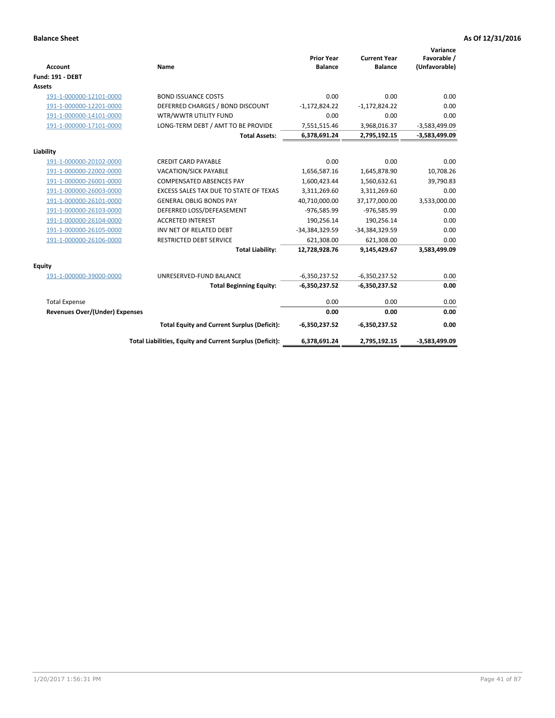| <b>Account</b>                 | Name                                                     | <b>Prior Year</b><br><b>Balance</b> | <b>Current Year</b><br><b>Balance</b> | Variance<br>Favorable /<br>(Unfavorable) |
|--------------------------------|----------------------------------------------------------|-------------------------------------|---------------------------------------|------------------------------------------|
| <b>Fund: 191 - DEBT</b>        |                                                          |                                     |                                       |                                          |
| <b>Assets</b>                  |                                                          |                                     |                                       |                                          |
| 191-1-000000-12101-0000        | <b>BOND ISSUANCE COSTS</b>                               | 0.00                                | 0.00                                  | 0.00                                     |
| 191-1-000000-12201-0000        | DEFERRED CHARGES / BOND DISCOUNT                         | $-1,172,824.22$                     | $-1,172,824.22$                       | 0.00                                     |
| 191-1-000000-14101-0000        | WTR/WWTR UTILITY FUND                                    | 0.00                                | 0.00                                  | 0.00                                     |
| 191-1-000000-17101-0000        | LONG-TERM DEBT / AMT TO BE PROVIDE                       | 7,551,515.46                        | 3,968,016.37                          | $-3,583,499.09$                          |
|                                | <b>Total Assets:</b>                                     | 6,378,691.24                        | 2,795,192.15                          | $-3,583,499.09$                          |
| Liability                      |                                                          |                                     |                                       |                                          |
| 191-1-000000-20102-0000        | <b>CREDIT CARD PAYABLE</b>                               | 0.00                                | 0.00                                  | 0.00                                     |
| 191-1-000000-22002-0000        | <b>VACATION/SICK PAYABLE</b>                             | 1,656,587.16                        | 1,645,878.90                          | 10,708.26                                |
| 191-1-000000-26001-0000        | <b>COMPENSATED ABSENCES PAY</b>                          | 1,600,423.44                        | 1,560,632.61                          | 39,790.83                                |
| 191-1-000000-26003-0000        | EXCESS SALES TAX DUE TO STATE OF TEXAS                   | 3,311,269.60                        | 3,311,269.60                          | 0.00                                     |
| 191-1-000000-26101-0000        | <b>GENERAL OBLIG BONDS PAY</b>                           | 40,710,000.00                       | 37,177,000.00                         | 3,533,000.00                             |
| 191-1-000000-26103-0000        | DEFERRED LOSS/DEFEASEMENT                                | -976,585.99                         | -976,585.99                           | 0.00                                     |
| 191-1-000000-26104-0000        | <b>ACCRETED INTEREST</b>                                 | 190,256.14                          | 190,256.14                            | 0.00                                     |
| 191-1-000000-26105-0000        | INV NET OF RELATED DEBT                                  | -34,384,329.59                      | -34,384,329.59                        | 0.00                                     |
| 191-1-000000-26106-0000        | <b>RESTRICTED DEBT SERVICE</b>                           | 621,308.00                          | 621,308.00                            | 0.00                                     |
|                                | <b>Total Liability:</b>                                  | 12,728,928.76                       | 9,145,429.67                          | 3,583,499.09                             |
| Equity                         |                                                          |                                     |                                       |                                          |
| 191-1-000000-39000-0000        | UNRESERVED-FUND BALANCE                                  | $-6,350,237.52$                     | $-6,350,237.52$                       | 0.00                                     |
|                                | <b>Total Beginning Equity:</b>                           | $-6,350,237.52$                     | $-6,350,237.52$                       | 0.00                                     |
| <b>Total Expense</b>           |                                                          | 0.00                                | 0.00                                  | 0.00                                     |
| Revenues Over/(Under) Expenses |                                                          | 0.00                                | 0.00                                  | 0.00                                     |
|                                | <b>Total Equity and Current Surplus (Deficit):</b>       | $-6,350,237.52$                     | $-6,350,237.52$                       | 0.00                                     |
|                                | Total Liabilities, Equity and Current Surplus (Deficit): | 6,378,691.24                        | 2,795,192.15                          | $-3,583,499.09$                          |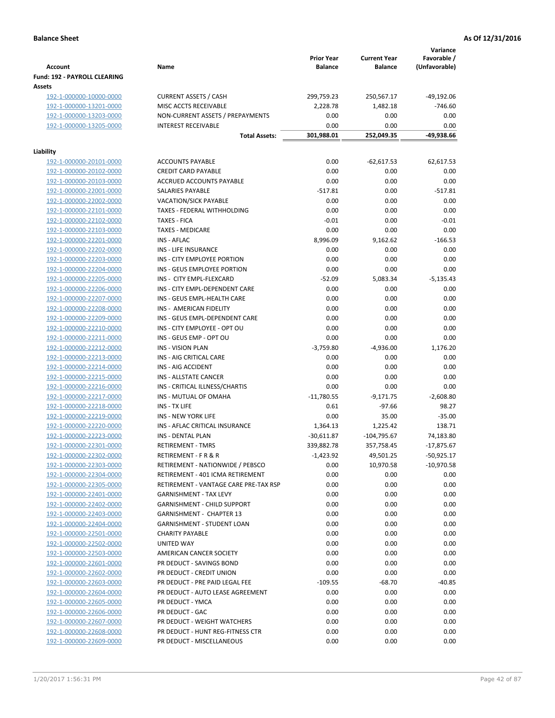|                                        |                                       | <b>Prior Year</b> | <b>Current Year</b> | Variance<br>Favorable / |
|----------------------------------------|---------------------------------------|-------------------|---------------------|-------------------------|
| <b>Account</b>                         | Name                                  | <b>Balance</b>    | <b>Balance</b>      | (Unfavorable)           |
| Fund: 192 - PAYROLL CLEARING<br>Assets |                                       |                   |                     |                         |
| 192-1-000000-10000-0000                | <b>CURRENT ASSETS / CASH</b>          | 299,759.23        | 250,567.17          | $-49,192.06$            |
| 192-1-000000-13201-0000                | MISC ACCTS RECEIVABLE                 | 2,228.78          | 1,482.18            | $-746.60$               |
| 192-1-000000-13203-0000                | NON-CURRENT ASSETS / PREPAYMENTS      | 0.00              | 0.00                | 0.00                    |
| 192-1-000000-13205-0000                | <b>INTEREST RECEIVABLE</b>            | 0.00              | 0.00                | 0.00                    |
|                                        | <b>Total Assets:</b>                  | 301,988.01        | 252,049.35          | -49,938.66              |
| Liability                              |                                       |                   |                     |                         |
| 192-1-000000-20101-0000                | <b>ACCOUNTS PAYABLE</b>               | 0.00              | $-62,617.53$        | 62,617.53               |
| 192-1-000000-20102-0000                | <b>CREDIT CARD PAYABLE</b>            | 0.00              | 0.00                | 0.00                    |
| 192-1-000000-20103-0000                | ACCRUED ACCOUNTS PAYABLE              | 0.00              | 0.00                | 0.00                    |
| 192-1-000000-22001-0000                | SALARIES PAYABLE                      | $-517.81$         | 0.00                | $-517.81$               |
| 192-1-000000-22002-0000                | <b>VACATION/SICK PAYABLE</b>          | 0.00              | 0.00                | 0.00                    |
| 192-1-000000-22101-0000                | TAXES - FEDERAL WITHHOLDING           | 0.00              | 0.00                | 0.00                    |
| 192-1-000000-22102-0000                | <b>TAXES - FICA</b>                   | $-0.01$           | 0.00                | $-0.01$                 |
| 192-1-000000-22103-0000                | <b>TAXES - MEDICARE</b>               | 0.00              | 0.00                | 0.00                    |
| 192-1-000000-22201-0000                | <b>INS - AFLAC</b>                    | 8,996.09          | 9,162.62            | $-166.53$               |
| 192-1-000000-22202-0000                | INS - LIFE INSURANCE                  | 0.00              | 0.00                | 0.00                    |
| 192-1-000000-22203-0000                | INS - CITY EMPLOYEE PORTION           | 0.00              | 0.00                | 0.00                    |
| 192-1-000000-22204-0000                | INS - GEUS EMPLOYEE PORTION           | 0.00              | 0.00                | 0.00                    |
| 192-1-000000-22205-0000                | INS - CITY EMPL-FLEXCARD              | $-52.09$          | 5,083.34            | $-5,135.43$             |
| 192-1-000000-22206-0000                | INS - CITY EMPL-DEPENDENT CARE        | 0.00              | 0.00                | 0.00                    |
| 192-1-000000-22207-0000                | INS - GEUS EMPL-HEALTH CARE           | 0.00              | 0.00                | 0.00                    |
| 192-1-000000-22208-0000                | INS - AMERICAN FIDELITY               | 0.00              | 0.00                | 0.00                    |
| 192-1-000000-22209-0000                | INS - GEUS EMPL-DEPENDENT CARE        | 0.00              | 0.00                | 0.00                    |
| 192-1-000000-22210-0000                | INS - CITY EMPLOYEE - OPT OU          | 0.00              | 0.00                | 0.00                    |
| 192-1-000000-22211-0000                | INS - GEUS EMP - OPT OU               | 0.00              | 0.00                | 0.00                    |
| 192-1-000000-22212-0000                | <b>INS - VISION PLAN</b>              | $-3,759.80$       | $-4,936.00$         | 1,176.20                |
| 192-1-000000-22213-0000                | INS - AIG CRITICAL CARE               | 0.00              | 0.00                | 0.00                    |
| 192-1-000000-22214-0000                | INS - AIG ACCIDENT                    | 0.00              | 0.00                | 0.00                    |
| 192-1-000000-22215-0000                | INS - ALLSTATE CANCER                 | 0.00              | 0.00                | 0.00                    |
| 192-1-000000-22216-0000                | INS - CRITICAL ILLNESS/CHARTIS        | 0.00              | 0.00                | 0.00                    |
| 192-1-000000-22217-0000                | INS - MUTUAL OF OMAHA                 | $-11,780.55$      | $-9,171.75$         | $-2,608.80$             |
| 192-1-000000-22218-0000                | INS - TX LIFE                         | 0.61              | $-97.66$            | 98.27                   |
| 192-1-000000-22219-0000                | <b>INS - NEW YORK LIFE</b>            | 0.00              | 35.00               | $-35.00$                |
| 192-1-000000-22220-0000                | INS - AFLAC CRITICAL INSURANCE        | 1,364.13          | 1,225.42            | 138.71                  |
| 192-1-000000-22223-0000                | INS - DENTAL PLAN                     | $-30,611.87$      | $-104,795.67$       | 74,183.80               |
| <u>192-1-000000-22301-0000</u>         | <b>RETIREMENT - TMRS</b>              | 339,882.78        | 357,758.45          | -17,875.67              |
| 192-1-000000-22302-0000                | RETIREMENT - F R & R                  | $-1,423.92$       | 49,501.25           | $-50,925.17$            |
| 192-1-000000-22303-0000                | RETIREMENT - NATIONWIDE / PEBSCO      | 0.00              | 10,970.58           | $-10,970.58$            |
| 192-1-000000-22304-0000                | RETIREMENT - 401 ICMA RETIREMENT      | 0.00              | 0.00                | 0.00                    |
| 192-1-000000-22305-0000                | RETIREMENT - VANTAGE CARE PRE-TAX RSP | 0.00              | 0.00                | 0.00                    |
| 192-1-000000-22401-0000                | <b>GARNISHMENT - TAX LEVY</b>         | 0.00              | 0.00                | 0.00                    |
| 192-1-000000-22402-0000                | <b>GARNISHMENT - CHILD SUPPORT</b>    | 0.00              | 0.00                | 0.00                    |
| 192-1-000000-22403-0000                | <b>GARNISHMENT - CHAPTER 13</b>       | 0.00              | 0.00                | 0.00                    |
| 192-1-000000-22404-0000                | <b>GARNISHMENT - STUDENT LOAN</b>     | 0.00              | 0.00                | 0.00                    |
| 192-1-000000-22501-0000                | <b>CHARITY PAYABLE</b>                | 0.00              | 0.00                | 0.00                    |
| 192-1-000000-22502-0000                | UNITED WAY                            | 0.00              | 0.00                | 0.00                    |
| 192-1-000000-22503-0000                | AMERICAN CANCER SOCIETY               | 0.00              | 0.00                | 0.00                    |
| 192-1-000000-22601-0000                | PR DEDUCT - SAVINGS BOND              | 0.00              | 0.00                | 0.00                    |
| 192-1-000000-22602-0000                | PR DEDUCT - CREDIT UNION              | 0.00              | 0.00                | 0.00                    |
| 192-1-000000-22603-0000                | PR DEDUCT - PRE PAID LEGAL FEE        | $-109.55$         | $-68.70$            | $-40.85$                |
| 192-1-000000-22604-0000                | PR DEDUCT - AUTO LEASE AGREEMENT      | 0.00              | 0.00                | 0.00                    |
| 192-1-000000-22605-0000                | PR DEDUCT - YMCA                      | 0.00              | 0.00                | 0.00                    |
| 192-1-000000-22606-0000                | PR DEDUCT - GAC                       | 0.00              | 0.00                | 0.00                    |
| 192-1-000000-22607-0000                | PR DEDUCT - WEIGHT WATCHERS           | 0.00              | 0.00                | 0.00                    |
| 192-1-000000-22608-0000                | PR DEDUCT - HUNT REG-FITNESS CTR      | 0.00              | 0.00                | 0.00                    |
| 192-1-000000-22609-0000                | PR DEDUCT - MISCELLANEOUS             | 0.00              | 0.00                | 0.00                    |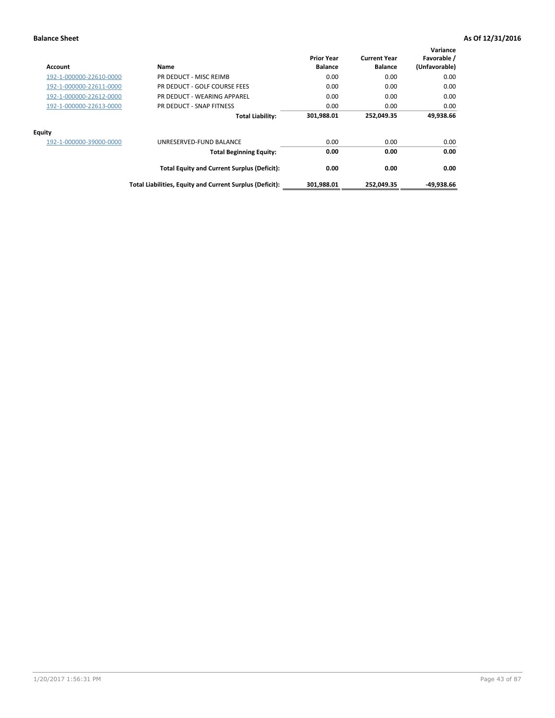| Account                 | Name                                                     | <b>Prior Year</b><br><b>Balance</b> | <b>Current Year</b><br><b>Balance</b> | Variance<br>Favorable /<br>(Unfavorable) |
|-------------------------|----------------------------------------------------------|-------------------------------------|---------------------------------------|------------------------------------------|
| 192-1-000000-22610-0000 | PR DEDUCT - MISC REIMB                                   | 0.00                                | 0.00                                  | 0.00                                     |
| 192-1-000000-22611-0000 | PR DEDUCT - GOLF COURSE FEES                             | 0.00                                | 0.00                                  | 0.00                                     |
| 192-1-000000-22612-0000 | PR DEDUCT - WEARING APPAREL                              | 0.00                                | 0.00                                  | 0.00                                     |
| 192-1-000000-22613-0000 | PR DEDUCT - SNAP FITNESS                                 | 0.00                                | 0.00                                  | 0.00                                     |
|                         | <b>Total Liability:</b>                                  | 301,988.01                          | 252,049.35                            | 49.938.66                                |
| Equity                  |                                                          |                                     |                                       |                                          |
| 192-1-000000-39000-0000 | UNRESERVED-FUND BALANCE                                  | 0.00                                | 0.00                                  | 0.00                                     |
|                         | <b>Total Beginning Equity:</b>                           | 0.00                                | 0.00                                  | 0.00                                     |
|                         | <b>Total Equity and Current Surplus (Deficit):</b>       | 0.00                                | 0.00                                  | 0.00                                     |
|                         | Total Liabilities, Equity and Current Surplus (Deficit): | 301,988.01                          | 252,049.35                            | -49,938.66                               |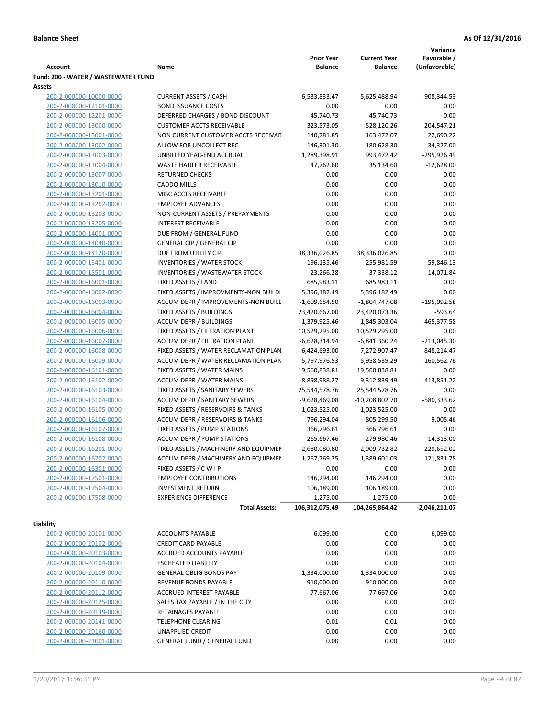|                                     |                                            |                            |                     | Variance        |
|-------------------------------------|--------------------------------------------|----------------------------|---------------------|-----------------|
|                                     |                                            | <b>Prior Year</b>          | <b>Current Year</b> | Favorable /     |
| Account                             | Name                                       | <b>Balance</b>             | <b>Balance</b>      | (Unfavorable)   |
| Fund: 200 - WATER / WASTEWATER FUND |                                            |                            |                     |                 |
| Assets                              |                                            |                            |                     |                 |
| 200-2-000000-10000-0000             | <b>CURRENT ASSETS / CASH</b>               | 6,533,833.47               | 5,625,488.94        | -908,344.53     |
| 200-2-000000-12101-0000             | <b>BOND ISSUANCE COSTS</b>                 | 0.00                       | 0.00                | 0.00            |
| 200-2-000000-12201-0000             | DEFERRED CHARGES / BOND DISCOUNT           | $-45,740.73$               | $-45,740.73$        | 0.00            |
| 200-2-000000-13000-0000             | <b>CUSTOMER ACCTS RECEIVABLE</b>           | 323,573.05                 | 528,120.26          | 204,547.21      |
| 200-2-000000-13001-0000             | NON CURRENT CUSTOMER ACCTS RECEIVAE        | 140,781.85                 | 163,472.07          | 22,690.22       |
| 200-2-000000-13002-0000             | ALLOW FOR UNCOLLECT REC                    | $-146,301.30$              | $-180,628.30$       | $-34,327.00$    |
| 200-2-000000-13003-0000             | UNBILLED YEAR-END ACCRUAL                  | 1,289,398.91               | 993,472.42          | -295,926.49     |
| 200-2-000000-13004-0000             | <b>WASTE HAULER RECEIVABLE</b>             | 47,762.60                  | 35,134.60           | $-12,628.00$    |
| 200-2-000000-13007-0000             | <b>RETURNED CHECKS</b>                     | 0.00                       | 0.00                | 0.00            |
| 200-2-000000-13010-0000             | <b>CADDO MILLS</b>                         | 0.00                       | 0.00                | 0.00            |
| 200-2-000000-13201-0000             | MISC ACCTS RECEIVABLE                      | 0.00                       | 0.00                | 0.00            |
| 200-2-000000-13202-0000             | <b>EMPLOYEE ADVANCES</b>                   | 0.00                       | 0.00                | 0.00            |
| 200-2-000000-13203-0000             | NON-CURRENT ASSETS / PREPAYMENTS           | 0.00                       | 0.00                | 0.00            |
| 200-2-000000-13205-0000             | <b>INTEREST RECEIVABLE</b>                 | 0.00                       | 0.00                | 0.00            |
| 200-2-000000-14001-0000             | DUE FROM / GENERAL FUND                    | 0.00                       | 0.00                | 0.00            |
| 200-2-000000-14040-0000             | <b>GENERAL CIP / GENERAL CIP</b>           | 0.00                       | 0.00                | 0.00            |
| 200-2-000000-14120-0000             | DUE FROM UTILITY CIP                       | 38,336,026.85              | 38,336,026.85       | 0.00            |
| 200-2-000000-15401-0000             | <b>INVENTORIES / WATER STOCK</b>           | 196,135.46                 | 255,981.59          | 59,846.13       |
| 200-2-000000-15501-0000             | <b>INVENTORIES / WASTEWATER STOCK</b>      | 23,266.28                  | 37,338.12           | 14,071.84       |
| 200-2-000000-16001-0000             | FIXED ASSETS / LAND                        | 685,983.11                 | 685,983.11          | 0.00            |
| 200-2-000000-16002-0000             | FIXED ASSETS / IMPROVMENTS-NON BUILDI      | 5,396,182.49               | 5,396,182.49        | 0.00            |
| 200-2-000000-16003-0000             | ACCUM DEPR / IMPROVEMENTS-NON BUILI        | $-1,609,654.50$            | $-1,804,747.08$     | -195,092.58     |
| 200-2-000000-16004-0000             | FIXED ASSETS / BUILDINGS                   | 23,420,667.00              | 23,420,073.36       | $-593.64$       |
| 200-2-000000-16005-0000             | <b>ACCUM DEPR / BUILDINGS</b>              | $-1,379,925.46$            | $-1,845,303.04$     | $-465,377.58$   |
| 200-2-000000-16006-0000             | FIXED ASSETS / FILTRATION PLANT            | 10,529,295.00              | 10,529,295.00       | 0.00            |
| 200-2-000000-16007-0000             | ACCUM DEPR / FILTRATION PLANT              | -6,628,314.94              | $-6,841,360.24$     | $-213,045.30$   |
| 200-2-000000-16008-0000             | FIXED ASSETS / WATER RECLAMATION PLAN      | 6,424,693.00               | 7,272,907.47        | 848,214.47      |
| 200-2-000000-16009-0000             | ACCUM DEPR / WATER RECLAMATION PLAN        | -5,797,976.53              | -5,958,539.29       | $-160,562.76$   |
| 200-2-000000-16101-0000             | FIXED ASSETS / WATER MAINS                 | 19,560,838.81              | 19,560,838.81       | 0.00            |
| 200-2-000000-16102-0000             | <b>ACCUM DEPR / WATER MAINS</b>            | -8,898,988.27              | -9,312,839.49       | $-413,851.22$   |
| 200-2-000000-16103-0000             | FIXED ASSETS / SANITARY SEWERS             | 25,544,578.76              | 25,544,578.76       | 0.00            |
| 200-2-000000-16104-0000             | <b>ACCUM DEPR / SANITARY SEWERS</b>        | -9,628,469.08              | $-10,208,802.70$    | -580,333.62     |
| 200-2-000000-16105-0000             | FIXED ASSETS / RESERVOIRS & TANKS          | 1,023,525.00               | 1,023,525.00        | 0.00            |
| 200-2-000000-16106-0000             | <b>ACCUM DEPR / RESERVOIRS &amp; TANKS</b> | -796,294.04                | $-805,299.50$       | $-9,005.46$     |
| 200-2-000000-16107-0000             | FIXED ASSETS / PUMP STATIONS               | 366,796.61                 | 366,796.61          | 0.00            |
| 200-2-000000-16108-0000             | <b>ACCUM DEPR / PUMP STATIONS</b>          | $-265,667.46$              | -279,980.46         | $-14,313.00$    |
| 200-2-000000-16201-0000             | FIXED ASSETS / MACHINERY AND EQUIPMEN      | 2,680,080.80               | 2,909,732.82        | 229,652.02      |
| 200-2-000000-16202-0000             | ACCUM DEPR / MACHINERY AND EQUIPMEI        | $-1,267,769.25$            | $-1,389,601.03$     | $-121,831.78$   |
| 200-2-000000-16301-0000             | FIXED ASSETS / C W I P                     | 0.00                       | 0.00                | 0.00            |
| 200-2-000000-17501-0000             | <b>EMPLOYEE CONTRIBUTIONS</b>              | 146,294.00                 | 146,294.00          | 0.00            |
| 200-2-000000-17504-0000             | <b>INVESTMENT RETURN</b>                   | 106,189.00                 | 106,189.00          | 0.00            |
| 200-2-000000-17508-0000             | <b>EXPERIENCE DIFFERENCE</b>               |                            |                     | 0.00            |
|                                     |                                            | 1,275.00<br>106,312,075.49 | 1,275.00            |                 |
|                                     | <b>Total Assets:</b>                       |                            | 104,265,864.42      | $-2,046,211.07$ |
| Liability                           |                                            |                            |                     |                 |
| 200-2-000000-20101-0000             | <b>ACCOUNTS PAYABLE</b>                    | 6,099.00                   | 0.00                | 6,099.00        |
| 200-2-000000-20102-0000             | <b>CREDIT CARD PAYABLE</b>                 | 0.00                       | 0.00                | 0.00            |
| 200-2-000000-20103-0000             | ACCRUED ACCOUNTS PAYABLE                   | 0.00                       | 0.00                | 0.00            |
| 200-2-000000-20104-0000             | <b>ESCHEATED LIABILITY</b>                 | 0.00                       | 0.00                | 0.00            |
| 200-2-000000-20109-0000             | <b>GENERAL OBLIG BONDS PAY</b>             | 1,334,000.00               | 1,334,000.00        | 0.00            |
| 200-2-000000-20110-0000             | REVENUE BONDS PAYABLE                      | 910,000.00                 | 910,000.00          | 0.00            |
| 200-2-000000-20112-0000             | ACCRUED INTEREST PAYABLE                   | 77,667.06                  | 77,667.06           | 0.00            |
| 200-2-000000-20125-0000             | SALES TAX PAYABLE / IN THE CITY            | 0.00                       | 0.00                | 0.00            |
| 200-2-000000-20139-0000             | RETAINAGES PAYABLE                         | 0.00                       | 0.00                | 0.00            |
| 200-2-000000-20141-0000             | <b>TELEPHONE CLEARING</b>                  | 0.01                       | 0.01                | 0.00            |
| 200-2-000000-20160-0000             | <b>UNAPPLIED CREDIT</b>                    | 0.00                       | 0.00                | 0.00            |
| 200-2-000000-21001-0000             | <b>GENERAL FUND / GENERAL FUND</b>         | 0.00                       | 0.00                | 0.00            |
|                                     |                                            |                            |                     |                 |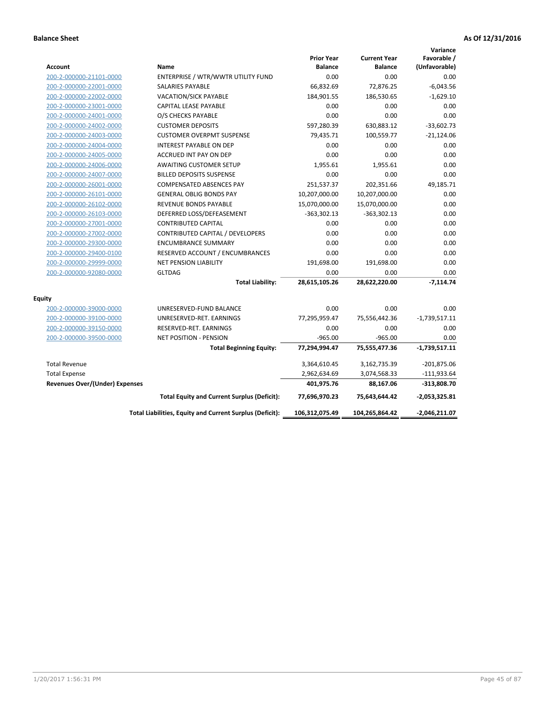| <b>Account</b>                        | Name                                                     | <b>Prior Year</b><br><b>Balance</b> | <b>Current Year</b><br><b>Balance</b> | Variance<br>Favorable /<br>(Unfavorable) |
|---------------------------------------|----------------------------------------------------------|-------------------------------------|---------------------------------------|------------------------------------------|
| 200-2-000000-21101-0000               | ENTERPRISE / WTR/WWTR UTILITY FUND                       | 0.00                                | 0.00                                  | 0.00                                     |
| 200-2-000000-22001-0000               | SALARIES PAYABLE                                         | 66,832.69                           | 72,876.25                             | $-6,043.56$                              |
| 200-2-000000-22002-0000               | <b>VACATION/SICK PAYABLE</b>                             | 184,901.55                          | 186,530.65                            | $-1,629.10$                              |
| 200-2-000000-23001-0000               | CAPITAL LEASE PAYABLE                                    | 0.00                                | 0.00                                  | 0.00                                     |
| 200-2-000000-24001-0000               | O/S CHECKS PAYABLE                                       | 0.00                                | 0.00                                  | 0.00                                     |
| 200-2-000000-24002-0000               | <b>CUSTOMER DEPOSITS</b>                                 | 597,280.39                          | 630,883.12                            | $-33,602.73$                             |
| 200-2-000000-24003-0000               | <b>CUSTOMER OVERPMT SUSPENSE</b>                         | 79,435.71                           | 100,559.77                            | $-21,124.06$                             |
| 200-2-000000-24004-0000               | <b>INTEREST PAYABLE ON DEP</b>                           | 0.00                                | 0.00                                  | 0.00                                     |
| 200-2-000000-24005-0000               | ACCRUED INT PAY ON DEP                                   | 0.00                                | 0.00                                  | 0.00                                     |
| 200-2-000000-24006-0000               | <b>AWAITING CUSTOMER SETUP</b>                           | 1,955.61                            | 1,955.61                              | 0.00                                     |
| 200-2-000000-24007-0000               | <b>BILLED DEPOSITS SUSPENSE</b>                          | 0.00                                | 0.00                                  | 0.00                                     |
| 200-2-000000-26001-0000               | <b>COMPENSATED ABSENCES PAY</b>                          | 251,537.37                          | 202,351.66                            | 49,185.71                                |
| 200-2-000000-26101-0000               | <b>GENERAL OBLIG BONDS PAY</b>                           | 10,207,000.00                       | 10,207,000.00                         | 0.00                                     |
| 200-2-000000-26102-0000               | <b>REVENUE BONDS PAYABLE</b>                             | 15,070,000.00                       | 15,070,000.00                         | 0.00                                     |
| 200-2-000000-26103-0000               | DEFERRED LOSS/DEFEASEMENT                                | $-363,302.13$                       | $-363,302.13$                         | 0.00                                     |
| 200-2-000000-27001-0000               | <b>CONTRIBUTED CAPITAL</b>                               | 0.00                                | 0.00                                  | 0.00                                     |
| 200-2-000000-27002-0000               | CONTRIBUTED CAPITAL / DEVELOPERS                         | 0.00                                | 0.00                                  | 0.00                                     |
| 200-2-000000-29300-0000               | <b>ENCUMBRANCE SUMMARY</b>                               | 0.00                                | 0.00                                  | 0.00                                     |
| 200-2-000000-29400-0100               | RESERVED ACCOUNT / ENCUMBRANCES                          | 0.00                                | 0.00                                  | 0.00                                     |
| 200-2-000000-29999-0000               | <b>NET PENSION LIABILITY</b>                             | 191,698.00                          | 191,698.00                            | 0.00                                     |
| 200-2-000000-92080-0000               | <b>GLTDAG</b>                                            | 0.00                                | 0.00                                  | 0.00                                     |
|                                       | <b>Total Liability:</b>                                  | 28,615,105.26                       | 28,622,220.00                         | $-7,114.74$                              |
| <b>Equity</b>                         |                                                          |                                     |                                       |                                          |
| 200-2-000000-39000-0000               | UNRESERVED-FUND BALANCE                                  | 0.00                                | 0.00                                  | 0.00                                     |
| 200-2-000000-39100-0000               | UNRESERVED-RET. EARNINGS                                 | 77,295,959.47                       | 75,556,442.36                         | $-1,739,517.11$                          |
| 200-2-000000-39150-0000               | RESERVED-RET. EARNINGS                                   | 0.00                                | 0.00                                  | 0.00                                     |
| 200-2-000000-39500-0000               | <b>NET POSITION - PENSION</b>                            | $-965.00$                           | $-965.00$                             | 0.00                                     |
|                                       | <b>Total Beginning Equity:</b>                           | 77,294,994.47                       | 75,555,477.36                         | $-1,739,517.11$                          |
| <b>Total Revenue</b>                  |                                                          | 3,364,610.45                        | 3,162,735.39                          | $-201,875.06$                            |
| <b>Total Expense</b>                  |                                                          | 2,962,634.69                        | 3,074,568.33                          | $-111,933.64$                            |
| <b>Revenues Over/(Under) Expenses</b> |                                                          | 401,975.76                          | 88,167.06                             | $-313,808.70$                            |
|                                       | <b>Total Equity and Current Surplus (Deficit):</b>       | 77,696,970.23                       | 75,643,644.42                         | $-2,053,325.81$                          |
|                                       | Total Liabilities, Equity and Current Surplus (Deficit): | 106,312,075.49                      | 104,265,864.42                        | $-2,046,211.07$                          |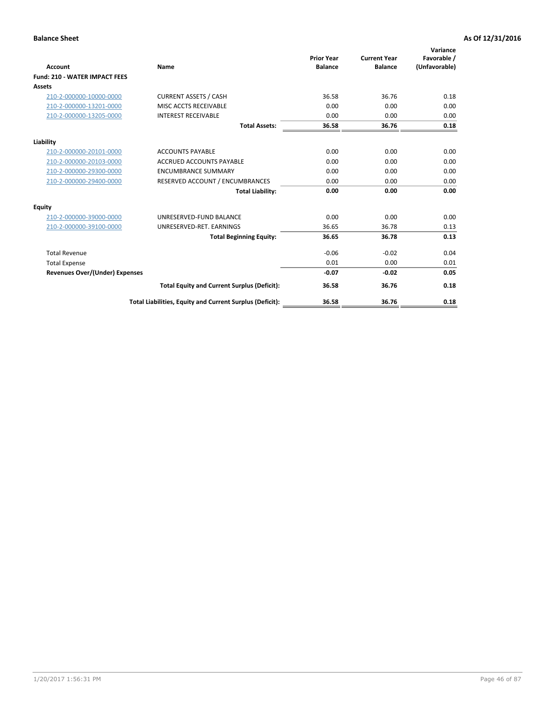| <b>Account</b>                       | Name                                                     | <b>Prior Year</b><br><b>Balance</b> | <b>Current Year</b><br><b>Balance</b> | Variance<br>Favorable /<br>(Unfavorable) |
|--------------------------------------|----------------------------------------------------------|-------------------------------------|---------------------------------------|------------------------------------------|
| <b>Fund: 210 - WATER IMPACT FEES</b> |                                                          |                                     |                                       |                                          |
| <b>Assets</b>                        |                                                          |                                     |                                       |                                          |
| 210-2-000000-10000-0000              | <b>CURRENT ASSETS / CASH</b>                             | 36.58                               | 36.76                                 | 0.18                                     |
| 210-2-000000-13201-0000              | MISC ACCTS RECEIVABLE                                    | 0.00                                | 0.00                                  | 0.00                                     |
| 210-2-000000-13205-0000              | <b>INTEREST RECEIVABLE</b>                               | 0.00                                | 0.00                                  | 0.00                                     |
|                                      | <b>Total Assets:</b>                                     | 36.58                               | 36.76                                 | 0.18                                     |
| Liability                            |                                                          |                                     |                                       |                                          |
| 210-2-000000-20101-0000              | <b>ACCOUNTS PAYABLE</b>                                  | 0.00                                | 0.00                                  | 0.00                                     |
| 210-2-000000-20103-0000              | <b>ACCRUED ACCOUNTS PAYABLE</b>                          | 0.00                                | 0.00                                  | 0.00                                     |
| 210-2-000000-29300-0000              | <b>ENCUMBRANCE SUMMARY</b>                               | 0.00                                | 0.00                                  | 0.00                                     |
| 210-2-000000-29400-0000              | RESERVED ACCOUNT / ENCUMBRANCES                          | 0.00                                | 0.00                                  | 0.00                                     |
|                                      | <b>Total Liability:</b>                                  | 0.00                                | 0.00                                  | 0.00                                     |
| Equity                               |                                                          |                                     |                                       |                                          |
| 210-2-000000-39000-0000              | UNRESERVED-FUND BALANCE                                  | 0.00                                | 0.00                                  | 0.00                                     |
| 210-2-000000-39100-0000              | UNRESERVED-RET. EARNINGS                                 | 36.65                               | 36.78                                 | 0.13                                     |
|                                      | <b>Total Beginning Equity:</b>                           | 36.65                               | 36.78                                 | 0.13                                     |
| <b>Total Revenue</b>                 |                                                          | $-0.06$                             | $-0.02$                               | 0.04                                     |
| <b>Total Expense</b>                 |                                                          | 0.01                                | 0.00                                  | 0.01                                     |
| Revenues Over/(Under) Expenses       |                                                          | $-0.07$                             | $-0.02$                               | 0.05                                     |
|                                      | <b>Total Equity and Current Surplus (Deficit):</b>       | 36.58                               | 36.76                                 | 0.18                                     |
|                                      | Total Liabilities, Equity and Current Surplus (Deficit): | 36.58                               | 36.76                                 | 0.18                                     |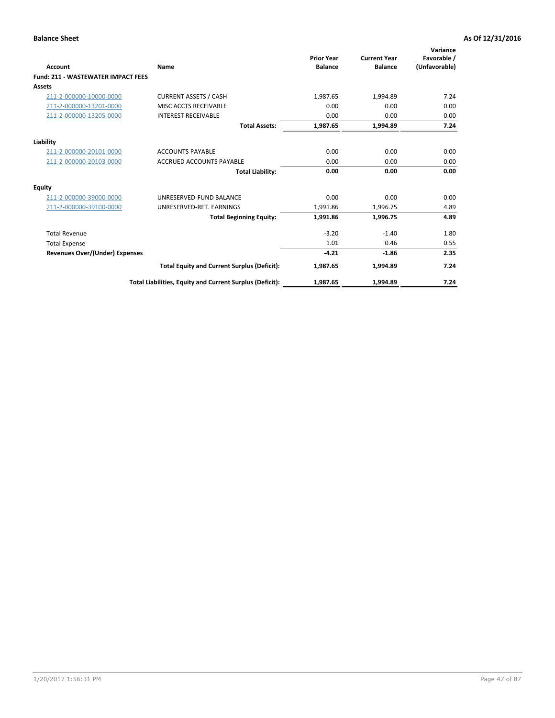| <b>Account</b>                            | Name                                                     | <b>Prior Year</b><br><b>Balance</b> | <b>Current Year</b><br><b>Balance</b> | Variance<br>Favorable /<br>(Unfavorable) |
|-------------------------------------------|----------------------------------------------------------|-------------------------------------|---------------------------------------|------------------------------------------|
| <b>Fund: 211 - WASTEWATER IMPACT FEES</b> |                                                          |                                     |                                       |                                          |
| <b>Assets</b>                             |                                                          |                                     |                                       |                                          |
| 211-2-000000-10000-0000                   | <b>CURRENT ASSETS / CASH</b>                             | 1,987.65                            | 1,994.89                              | 7.24                                     |
| 211-2-000000-13201-0000                   | MISC ACCTS RECEIVABLE                                    | 0.00                                | 0.00                                  | 0.00                                     |
| 211-2-000000-13205-0000                   | <b>INTEREST RECEIVABLE</b>                               | 0.00                                | 0.00                                  | 0.00                                     |
|                                           | <b>Total Assets:</b>                                     | 1,987.65                            | 1,994.89                              | 7.24                                     |
| Liability                                 |                                                          |                                     |                                       |                                          |
| 211-2-000000-20101-0000                   | <b>ACCOUNTS PAYABLE</b>                                  | 0.00                                | 0.00                                  | 0.00                                     |
| 211-2-000000-20103-0000                   | <b>ACCRUED ACCOUNTS PAYABLE</b>                          | 0.00                                | 0.00                                  | 0.00                                     |
|                                           | <b>Total Liability:</b>                                  | 0.00                                | 0.00                                  | 0.00                                     |
| Equity                                    |                                                          |                                     |                                       |                                          |
| 211-2-000000-39000-0000                   | UNRESERVED-FUND BALANCE                                  | 0.00                                | 0.00                                  | 0.00                                     |
| 211-2-000000-39100-0000                   | UNRESERVED-RET. EARNINGS                                 | 1,991.86                            | 1,996.75                              | 4.89                                     |
|                                           | <b>Total Beginning Equity:</b>                           | 1,991.86                            | 1,996.75                              | 4.89                                     |
| <b>Total Revenue</b>                      |                                                          | $-3.20$                             | $-1.40$                               | 1.80                                     |
| <b>Total Expense</b>                      |                                                          | 1.01                                | 0.46                                  | 0.55                                     |
| <b>Revenues Over/(Under) Expenses</b>     |                                                          | $-4.21$                             | $-1.86$                               | 2.35                                     |
|                                           | <b>Total Equity and Current Surplus (Deficit):</b>       | 1,987.65                            | 1,994.89                              | 7.24                                     |
|                                           | Total Liabilities, Equity and Current Surplus (Deficit): | 1,987.65                            | 1,994.89                              | 7.24                                     |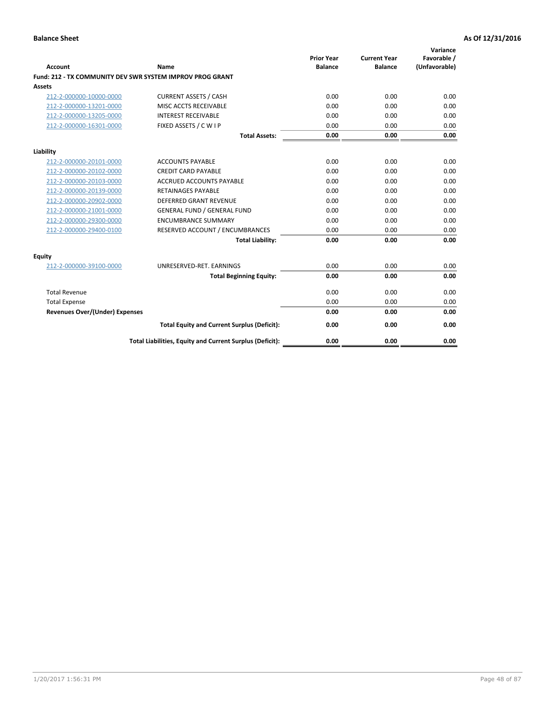| <b>Account</b>                        | Name                                                             | <b>Prior Year</b><br><b>Balance</b> | <b>Current Year</b><br><b>Balance</b> | Variance<br>Favorable /<br>(Unfavorable) |
|---------------------------------------|------------------------------------------------------------------|-------------------------------------|---------------------------------------|------------------------------------------|
|                                       | <b>Fund: 212 - TX COMMUNITY DEV SWR SYSTEM IMPROV PROG GRANT</b> |                                     |                                       |                                          |
| Assets                                |                                                                  |                                     |                                       |                                          |
| 212-2-000000-10000-0000               | <b>CURRENT ASSETS / CASH</b>                                     | 0.00                                | 0.00                                  | 0.00                                     |
| 212-2-000000-13201-0000               | MISC ACCTS RECEIVABLE                                            | 0.00                                | 0.00                                  | 0.00                                     |
| 212-2-000000-13205-0000               | <b>INTEREST RECEIVABLE</b>                                       | 0.00                                | 0.00                                  | 0.00                                     |
| 212-2-000000-16301-0000               | FIXED ASSETS / C W I P                                           | 0.00                                | 0.00                                  | 0.00                                     |
|                                       | <b>Total Assets:</b>                                             | 0.00                                | 0.00                                  | 0.00                                     |
| Liability                             |                                                                  |                                     |                                       |                                          |
| 212-2-000000-20101-0000               | <b>ACCOUNTS PAYABLE</b>                                          | 0.00                                | 0.00                                  | 0.00                                     |
| 212-2-000000-20102-0000               | <b>CREDIT CARD PAYABLE</b>                                       | 0.00                                | 0.00                                  | 0.00                                     |
| 212-2-000000-20103-0000               | <b>ACCRUED ACCOUNTS PAYABLE</b>                                  | 0.00                                | 0.00                                  | 0.00                                     |
| 212-2-000000-20139-0000               | <b>RETAINAGES PAYABLE</b>                                        | 0.00                                | 0.00                                  | 0.00                                     |
| 212-2-000000-20902-0000               | DEFERRED GRANT REVENUE                                           | 0.00                                | 0.00                                  | 0.00                                     |
| 212-2-000000-21001-0000               | <b>GENERAL FUND / GENERAL FUND</b>                               | 0.00                                | 0.00                                  | 0.00                                     |
| 212-2-000000-29300-0000               | <b>ENCUMBRANCE SUMMARY</b>                                       | 0.00                                | 0.00                                  | 0.00                                     |
| 212-2-000000-29400-0100               | RESERVED ACCOUNT / ENCUMBRANCES                                  | 0.00                                | 0.00                                  | 0.00                                     |
|                                       | <b>Total Liability:</b>                                          | 0.00                                | 0.00                                  | 0.00                                     |
| <b>Equity</b>                         |                                                                  |                                     |                                       |                                          |
| 212-2-000000-39100-0000               | UNRESERVED-RET. EARNINGS                                         | 0.00                                | 0.00                                  | 0.00                                     |
|                                       | <b>Total Beginning Equity:</b>                                   | 0.00                                | 0.00                                  | 0.00                                     |
| <b>Total Revenue</b>                  |                                                                  | 0.00                                | 0.00                                  | 0.00                                     |
| <b>Total Expense</b>                  |                                                                  | 0.00                                | 0.00                                  | 0.00                                     |
| <b>Revenues Over/(Under) Expenses</b> |                                                                  | 0.00                                | 0.00                                  | 0.00                                     |
|                                       | <b>Total Equity and Current Surplus (Deficit):</b>               | 0.00                                | 0.00                                  | 0.00                                     |
|                                       | Total Liabilities, Equity and Current Surplus (Deficit):         | 0.00                                | 0.00                                  | 0.00                                     |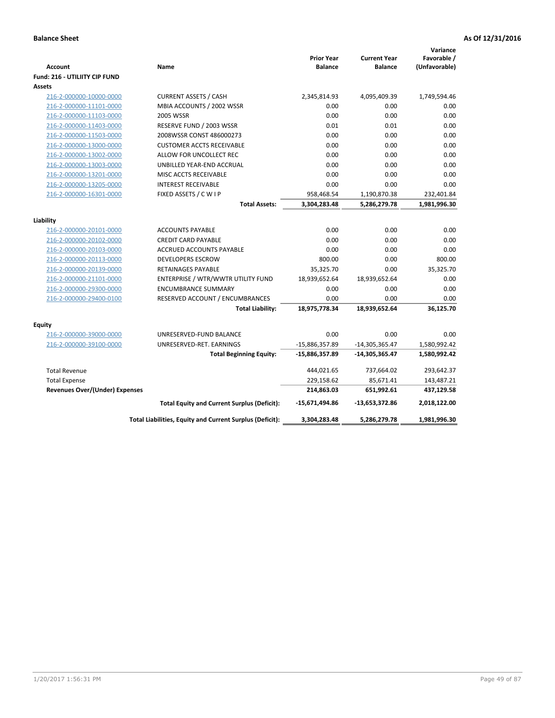|                                       |                                                          |                                     |                                       | Variance                     |
|---------------------------------------|----------------------------------------------------------|-------------------------------------|---------------------------------------|------------------------------|
| <b>Account</b>                        | Name                                                     | <b>Prior Year</b><br><b>Balance</b> | <b>Current Year</b><br><b>Balance</b> | Favorable /<br>(Unfavorable) |
| <b>Fund: 216 - UTILIITY CIP FUND</b>  |                                                          |                                     |                                       |                              |
| <b>Assets</b>                         |                                                          |                                     |                                       |                              |
| 216-2-000000-10000-0000               | <b>CURRENT ASSETS / CASH</b>                             | 2,345,814.93                        | 4,095,409.39                          | 1,749,594.46                 |
| 216-2-000000-11101-0000               | MBIA ACCOUNTS / 2002 WSSR                                | 0.00                                | 0.00                                  | 0.00                         |
| 216-2-000000-11103-0000               | 2005 WSSR                                                | 0.00                                | 0.00                                  | 0.00                         |
| 216-2-000000-11403-0000               | RESERVE FUND / 2003 WSSR                                 | 0.01                                | 0.01                                  | 0.00                         |
| 216-2-000000-11503-0000               | 2008WSSR CONST 486000273                                 | 0.00                                | 0.00                                  | 0.00                         |
| 216-2-000000-13000-0000               | <b>CUSTOMER ACCTS RECEIVABLE</b>                         | 0.00                                | 0.00                                  | 0.00                         |
| 216-2-000000-13002-0000               | ALLOW FOR UNCOLLECT REC                                  | 0.00                                | 0.00                                  | 0.00                         |
| 216-2-000000-13003-0000               | UNBILLED YEAR-END ACCRUAL                                | 0.00                                | 0.00                                  | 0.00                         |
| 216-2-000000-13201-0000               | MISC ACCTS RECEIVABLE                                    | 0.00                                | 0.00                                  | 0.00                         |
| 216-2-000000-13205-0000               | <b>INTEREST RECEIVABLE</b>                               | 0.00                                | 0.00                                  | 0.00                         |
| 216-2-000000-16301-0000               | FIXED ASSETS / C W I P                                   | 958,468.54                          | 1,190,870.38                          | 232,401.84                   |
|                                       | <b>Total Assets:</b>                                     | 3,304,283.48                        | 5,286,279.78                          | 1,981,996.30                 |
|                                       |                                                          |                                     |                                       |                              |
| Liability                             |                                                          |                                     |                                       |                              |
| 216-2-000000-20101-0000               | <b>ACCOUNTS PAYABLE</b>                                  | 0.00                                | 0.00                                  | 0.00                         |
| 216-2-000000-20102-0000               | <b>CREDIT CARD PAYABLE</b>                               | 0.00                                | 0.00                                  | 0.00                         |
| 216-2-000000-20103-0000               | ACCRUED ACCOUNTS PAYABLE                                 | 0.00                                | 0.00                                  | 0.00                         |
| 216-2-000000-20113-0000               | <b>DEVELOPERS ESCROW</b>                                 | 800.00                              | 0.00                                  | 800.00                       |
| 216-2-000000-20139-0000               | <b>RETAINAGES PAYABLE</b>                                | 35,325.70                           | 0.00                                  | 35,325.70                    |
| 216-2-000000-21101-0000               | ENTERPRISE / WTR/WWTR UTILITY FUND                       | 18,939,652.64                       | 18,939,652.64                         | 0.00                         |
| 216-2-000000-29300-0000               | <b>ENCUMBRANCE SUMMARY</b>                               | 0.00                                | 0.00                                  | 0.00                         |
| 216-2-000000-29400-0100               | RESERVED ACCOUNT / ENCUMBRANCES                          | 0.00                                | 0.00                                  | 0.00                         |
|                                       | <b>Total Liability:</b>                                  | 18,975,778.34                       | 18,939,652.64                         | 36,125.70                    |
| <b>Equity</b>                         |                                                          |                                     |                                       |                              |
| 216-2-000000-39000-0000               | UNRESERVED-FUND BALANCE                                  | 0.00                                | 0.00                                  | 0.00                         |
| 216-2-000000-39100-0000               | UNRESERVED-RET. EARNINGS                                 | -15,886,357.89                      | $-14,305,365.47$                      | 1,580,992.42                 |
|                                       | <b>Total Beginning Equity:</b>                           | -15,886,357.89                      | -14,305,365.47                        | 1,580,992.42                 |
| <b>Total Revenue</b>                  |                                                          | 444,021.65                          | 737,664.02                            | 293,642.37                   |
| <b>Total Expense</b>                  |                                                          | 229,158.62                          | 85,671.41                             | 143,487.21                   |
| <b>Revenues Over/(Under) Expenses</b> |                                                          | 214,863.03                          | 651,992.61                            | 437,129.58                   |
|                                       | <b>Total Equity and Current Surplus (Deficit):</b>       | -15,671,494.86                      | $-13,653,372.86$                      | 2,018,122.00                 |
|                                       | Total Liabilities, Equity and Current Surplus (Deficit): | 3,304,283.48                        | 5,286,279.78                          | 1,981,996.30                 |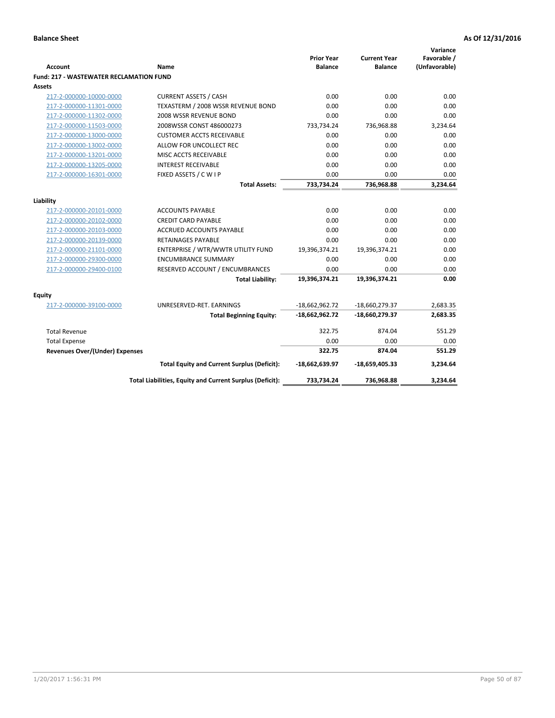| Account                                        | Name                                                     | <b>Prior Year</b><br><b>Balance</b> | <b>Current Year</b><br><b>Balance</b> | Variance<br>Favorable /<br>(Unfavorable) |
|------------------------------------------------|----------------------------------------------------------|-------------------------------------|---------------------------------------|------------------------------------------|
| <b>Fund: 217 - WASTEWATER RECLAMATION FUND</b> |                                                          |                                     |                                       |                                          |
| <b>Assets</b>                                  |                                                          |                                     |                                       |                                          |
| 217-2-000000-10000-0000                        | <b>CURRENT ASSETS / CASH</b>                             | 0.00                                | 0.00                                  | 0.00                                     |
| 217-2-000000-11301-0000                        | TEXASTERM / 2008 WSSR REVENUE BOND                       | 0.00                                | 0.00                                  | 0.00                                     |
| 217-2-000000-11302-0000                        | 2008 WSSR REVENUE BOND                                   | 0.00                                | 0.00                                  | 0.00                                     |
| 217-2-000000-11503-0000                        | 2008WSSR CONST 486000273                                 | 733,734.24                          | 736,968.88                            | 3,234.64                                 |
| 217-2-000000-13000-0000                        | <b>CUSTOMER ACCTS RECEIVABLE</b>                         | 0.00                                | 0.00                                  | 0.00                                     |
| 217-2-000000-13002-0000                        | ALLOW FOR UNCOLLECT REC                                  | 0.00                                | 0.00                                  | 0.00                                     |
| 217-2-000000-13201-0000                        | MISC ACCTS RECEIVABLE                                    | 0.00                                | 0.00                                  | 0.00                                     |
| 217-2-000000-13205-0000                        | <b>INTEREST RECEIVABLE</b>                               | 0.00                                | 0.00                                  | 0.00                                     |
| 217-2-000000-16301-0000                        | FIXED ASSETS / C W I P                                   | 0.00                                | 0.00                                  | 0.00                                     |
|                                                | <b>Total Assets:</b>                                     | 733,734.24                          | 736,968.88                            | 3,234.64                                 |
| Liability                                      |                                                          |                                     |                                       |                                          |
| 217-2-000000-20101-0000                        | <b>ACCOUNTS PAYABLE</b>                                  | 0.00                                | 0.00                                  | 0.00                                     |
| 217-2-000000-20102-0000                        | <b>CREDIT CARD PAYABLE</b>                               | 0.00                                | 0.00                                  | 0.00                                     |
| 217-2-000000-20103-0000                        | <b>ACCRUED ACCOUNTS PAYABLE</b>                          | 0.00                                | 0.00                                  | 0.00                                     |
| 217-2-000000-20139-0000                        | RETAINAGES PAYABLE                                       | 0.00                                | 0.00                                  | 0.00                                     |
| 217-2-000000-21101-0000                        | ENTERPRISE / WTR/WWTR UTILITY FUND                       | 19,396,374.21                       | 19,396,374.21                         | 0.00                                     |
| 217-2-000000-29300-0000                        | <b>ENCUMBRANCE SUMMARY</b>                               | 0.00                                | 0.00                                  | 0.00                                     |
| 217-2-000000-29400-0100                        | RESERVED ACCOUNT / ENCUMBRANCES                          | 0.00                                | 0.00                                  | 0.00                                     |
|                                                | <b>Total Liability:</b>                                  | 19,396,374.21                       | 19,396,374.21                         | 0.00                                     |
|                                                |                                                          |                                     |                                       |                                          |
| <b>Equity</b>                                  |                                                          |                                     |                                       |                                          |
| 217-2-000000-39100-0000                        | UNRESERVED-RET. EARNINGS                                 | $-18,662,962.72$                    | -18,660,279.37                        | 2,683.35                                 |
|                                                | <b>Total Beginning Equity:</b>                           | $-18,662,962.72$                    | -18,660,279.37                        | 2,683.35                                 |
| <b>Total Revenue</b>                           |                                                          | 322.75                              | 874.04                                | 551.29                                   |
| <b>Total Expense</b>                           |                                                          | 0.00                                | 0.00                                  | 0.00                                     |
| <b>Revenues Over/(Under) Expenses</b>          |                                                          | 322.75                              | 874.04                                | 551.29                                   |
|                                                | <b>Total Equity and Current Surplus (Deficit):</b>       | -18,662,639.97                      | $-18,659,405.33$                      | 3,234.64                                 |
|                                                | Total Liabilities, Equity and Current Surplus (Deficit): | 733,734.24                          | 736,968.88                            | 3,234.64                                 |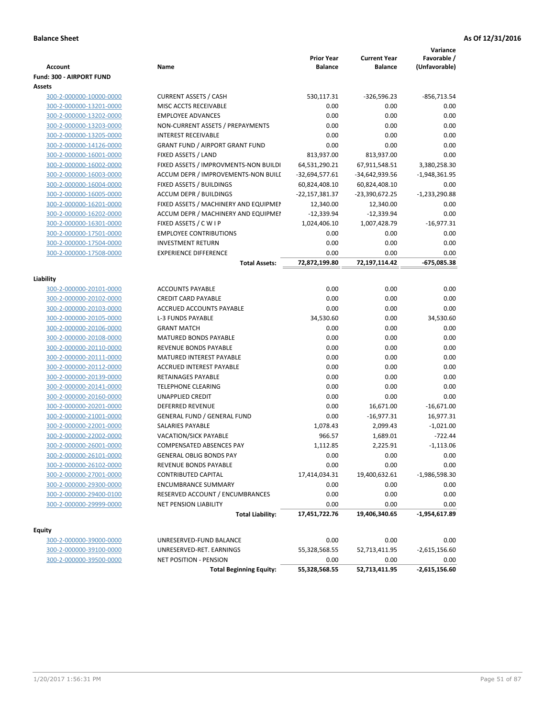| <b>Account</b>           | Name                                   | <b>Prior Year</b><br><b>Balance</b> | <b>Current Year</b><br><b>Balance</b> | Variance<br>Favorable /<br>(Unfavorable) |
|--------------------------|----------------------------------------|-------------------------------------|---------------------------------------|------------------------------------------|
| Fund: 300 - AIRPORT FUND |                                        |                                     |                                       |                                          |
| Assets                   |                                        |                                     |                                       |                                          |
| 300-2-000000-10000-0000  | <b>CURRENT ASSETS / CASH</b>           | 530,117.31                          | $-326,596.23$                         | $-856,713.54$                            |
| 300-2-000000-13201-0000  | MISC ACCTS RECEIVABLE                  | 0.00                                | 0.00                                  | 0.00                                     |
| 300-2-000000-13202-0000  | <b>EMPLOYEE ADVANCES</b>               | 0.00                                | 0.00                                  | 0.00                                     |
| 300-2-000000-13203-0000  | NON-CURRENT ASSETS / PREPAYMENTS       | 0.00                                | 0.00                                  | 0.00                                     |
| 300-2-000000-13205-0000  | <b>INTEREST RECEIVABLE</b>             | 0.00                                | 0.00                                  | 0.00                                     |
| 300-2-000000-14126-0000  | <b>GRANT FUND / AIRPORT GRANT FUND</b> | 0.00                                | 0.00                                  | 0.00                                     |
| 300-2-000000-16001-0000  | FIXED ASSETS / LAND                    | 813,937.00                          | 813,937.00                            | 0.00                                     |
| 300-2-000000-16002-0000  | FIXED ASSETS / IMPROVMENTS-NON BUILDI  | 64,531,290.21                       | 67,911,548.51                         | 3,380,258.30                             |
| 300-2-000000-16003-0000  | ACCUM DEPR / IMPROVEMENTS-NON BUILL    | $-32,694,577.61$                    | -34,642,939.56                        | $-1,948,361.95$                          |
| 300-2-000000-16004-0000  | FIXED ASSETS / BUILDINGS               | 60,824,408.10                       | 60,824,408.10                         | 0.00                                     |
| 300-2-000000-16005-0000  | <b>ACCUM DEPR / BUILDINGS</b>          | -22,157,381.37                      | -23,390,672.25                        | $-1,233,290.88$                          |
| 300-2-000000-16201-0000  | FIXED ASSETS / MACHINERY AND EQUIPMEN  | 12,340.00                           | 12,340.00                             | 0.00                                     |
| 300-2-000000-16202-0000  | ACCUM DEPR / MACHINERY AND EQUIPMEI    | $-12,339.94$                        | $-12,339.94$                          | 0.00                                     |
| 300-2-000000-16301-0000  | FIXED ASSETS / C W I P                 | 1,024,406.10                        | 1,007,428.79                          | $-16,977.31$                             |
| 300-2-000000-17501-0000  | <b>EMPLOYEE CONTRIBUTIONS</b>          | 0.00                                | 0.00                                  | 0.00                                     |
| 300-2-000000-17504-0000  | <b>INVESTMENT RETURN</b>               | 0.00                                | 0.00                                  | 0.00                                     |
| 300-2-000000-17508-0000  | <b>EXPERIENCE DIFFERENCE</b>           | 0.00                                | 0.00                                  | 0.00                                     |
|                          | <b>Total Assets:</b>                   | 72,872,199.80                       | 72,197,114.42                         | $-675,085.38$                            |
| Liability                |                                        |                                     |                                       |                                          |
| 300-2-000000-20101-0000  | <b>ACCOUNTS PAYABLE</b>                | 0.00                                | 0.00                                  | 0.00                                     |
| 300-2-000000-20102-0000  | <b>CREDIT CARD PAYABLE</b>             | 0.00                                | 0.00                                  | 0.00                                     |
| 300-2-000000-20103-0000  | ACCRUED ACCOUNTS PAYABLE               | 0.00                                | 0.00                                  | 0.00                                     |
| 300-2-000000-20105-0000  | <b>L-3 FUNDS PAYABLE</b>               | 34,530.60                           | 0.00                                  | 34,530.60                                |
| 300-2-000000-20106-0000  | <b>GRANT MATCH</b>                     | 0.00                                | 0.00                                  | 0.00                                     |
| 300-2-000000-20108-0000  | <b>MATURED BONDS PAYABLE</b>           | 0.00                                | 0.00                                  | 0.00                                     |
| 300-2-000000-20110-0000  | REVENUE BONDS PAYABLE                  | 0.00                                | 0.00                                  | 0.00                                     |
| 300-2-000000-20111-0000  | MATURED INTEREST PAYABLE               | 0.00                                | 0.00                                  | 0.00                                     |
| 300-2-000000-20112-0000  | <b>ACCRUED INTEREST PAYABLE</b>        | 0.00                                | 0.00                                  | 0.00                                     |
| 300-2-000000-20139-0000  | RETAINAGES PAYABLE                     | 0.00                                | 0.00                                  | 0.00                                     |
| 300-2-000000-20141-0000  | <b>TELEPHONE CLEARING</b>              | 0.00                                | 0.00                                  | 0.00                                     |
| 300-2-000000-20160-0000  | <b>UNAPPLIED CREDIT</b>                | 0.00                                | 0.00                                  | 0.00                                     |
| 300-2-000000-20201-0000  | <b>DEFERRED REVENUE</b>                | 0.00                                | 16,671.00                             | $-16,671.00$                             |
| 300-2-000000-21001-0000  | <b>GENERAL FUND / GENERAL FUND</b>     | 0.00                                | $-16,977.31$                          | 16,977.31                                |
| 300-2-000000-22001-0000  | SALARIES PAYABLE                       | 1,078.43                            | 2,099.43                              | $-1,021.00$                              |
| 300-2-000000-22002-0000  | VACATION/SICK PAYABLE                  | 966.57                              | 1,689.01                              | $-722.44$                                |
| 300-2-000000-26001-0000  | <b>COMPENSATED ABSENCES PAY</b>        | 1,112.85                            | 2,225.91                              | $-1,113.06$                              |
| 300-2-000000-26101-0000  | <b>GENERAL OBLIG BONDS PAY</b>         | 0.00                                | 0.00                                  | 0.00                                     |
| 300-2-000000-26102-0000  | REVENUE BONDS PAYABLE                  | 0.00                                | 0.00                                  | 0.00                                     |
| 300-2-000000-27001-0000  | <b>CONTRIBUTED CAPITAL</b>             | 17,414,034.31                       | 19,400,632.61                         | $-1,986,598.30$                          |
| 300-2-000000-29300-0000  | <b>ENCUMBRANCE SUMMARY</b>             | 0.00                                | 0.00                                  | 0.00                                     |
| 300-2-000000-29400-0100  | RESERVED ACCOUNT / ENCUMBRANCES        | 0.00                                | 0.00                                  | 0.00                                     |
| 300-2-000000-29999-0000  | <b>NET PENSION LIABILITY</b>           | 0.00                                | 0.00                                  | 0.00                                     |
|                          | <b>Total Liability:</b>                | 17,451,722.76                       | 19,406,340.65                         | -1,954,617.89                            |
|                          |                                        |                                     |                                       |                                          |
| Equity                   |                                        |                                     |                                       |                                          |
| 300-2-000000-39000-0000  | UNRESERVED-FUND BALANCE                | 0.00                                | 0.00                                  | 0.00                                     |
| 300-2-000000-39100-0000  | UNRESERVED-RET. EARNINGS               | 55,328,568.55                       | 52,713,411.95                         | $-2,615,156.60$                          |
| 300-2-000000-39500-0000  | NET POSITION - PENSION                 | 0.00                                | 0.00                                  | 0.00                                     |
|                          | <b>Total Beginning Equity:</b>         | 55,328,568.55                       | 52,713,411.95                         | $-2,615,156.60$                          |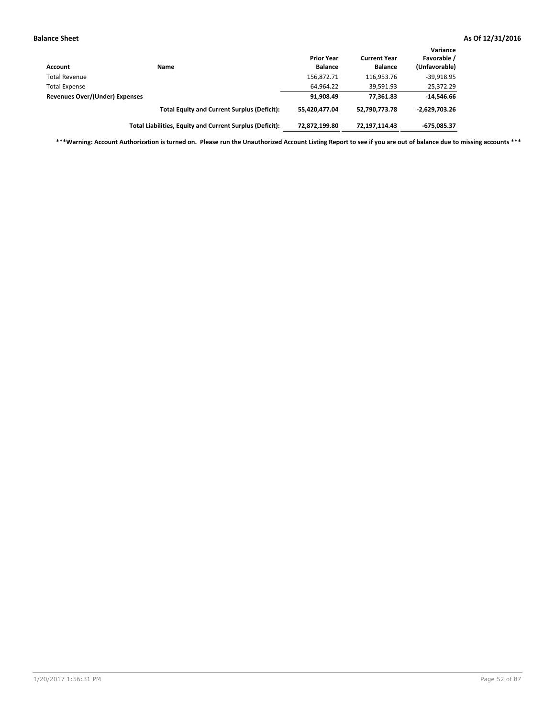| <b>Account</b>                        | Name                                                     | <b>Prior Year</b><br><b>Balance</b> | <b>Current Year</b><br><b>Balance</b> | Variance<br>Favorable /<br>(Unfavorable) |
|---------------------------------------|----------------------------------------------------------|-------------------------------------|---------------------------------------|------------------------------------------|
| <b>Total Revenue</b>                  |                                                          | 156,872.71                          | 116,953.76                            | $-39,918.95$                             |
| <b>Total Expense</b>                  |                                                          | 64,964.22                           | 39,591.93                             | 25,372.29                                |
| <b>Revenues Over/(Under) Expenses</b> |                                                          | 91,908.49                           | 77.361.83                             | $-14,546.66$                             |
|                                       | <b>Total Equity and Current Surplus (Deficit):</b>       | 55.420.477.04                       | 52.790.773.78                         | $-2,629,703.26$                          |
|                                       | Total Liabilities, Equity and Current Surplus (Deficit): | 72,872,199.80                       | 72.197.114.43                         | -675,085.37                              |

**\*\*\*Warning: Account Authorization is turned on. Please run the Unauthorized Account Listing Report to see if you are out of balance due to missing accounts \*\*\***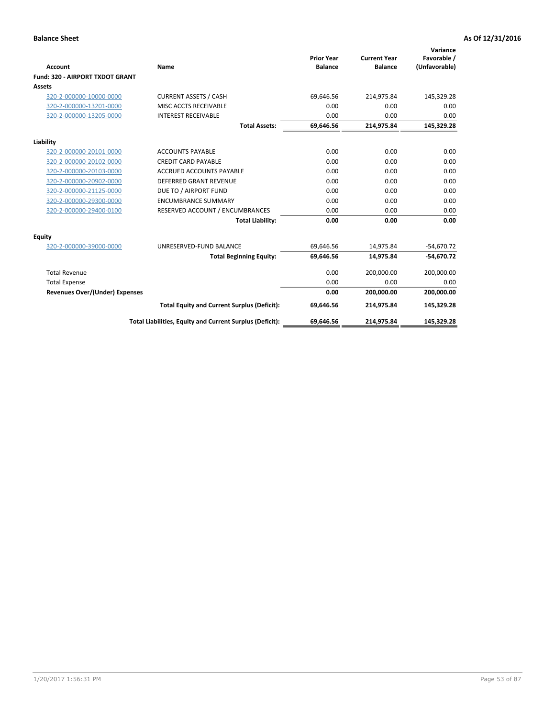|                                       |                                                          |                                     |                                       | Variance                     |
|---------------------------------------|----------------------------------------------------------|-------------------------------------|---------------------------------------|------------------------------|
| <b>Account</b>                        | Name                                                     | <b>Prior Year</b><br><b>Balance</b> | <b>Current Year</b><br><b>Balance</b> | Favorable /<br>(Unfavorable) |
| Fund: 320 - AIRPORT TXDOT GRANT       |                                                          |                                     |                                       |                              |
| Assets                                |                                                          |                                     |                                       |                              |
| 320-2-000000-10000-0000               | <b>CURRENT ASSETS / CASH</b>                             | 69,646.56                           | 214,975.84                            | 145,329.28                   |
| 320-2-000000-13201-0000               | MISC ACCTS RECEIVABLE                                    | 0.00                                | 0.00                                  | 0.00                         |
| 320-2-000000-13205-0000               | <b>INTEREST RECEIVABLE</b>                               | 0.00                                | 0.00                                  | 0.00                         |
|                                       | <b>Total Assets:</b>                                     | 69,646.56                           | 214,975.84                            | 145,329.28                   |
| Liability                             |                                                          |                                     |                                       |                              |
| 320-2-000000-20101-0000               | <b>ACCOUNTS PAYABLE</b>                                  | 0.00                                | 0.00                                  | 0.00                         |
| 320-2-000000-20102-0000               | <b>CREDIT CARD PAYABLE</b>                               | 0.00                                | 0.00                                  | 0.00                         |
| 320-2-000000-20103-0000               | <b>ACCRUED ACCOUNTS PAYABLE</b>                          | 0.00                                | 0.00                                  | 0.00                         |
| 320-2-000000-20902-0000               | <b>DEFERRED GRANT REVENUE</b>                            | 0.00                                | 0.00                                  | 0.00                         |
| 320-2-000000-21125-0000               | DUE TO / AIRPORT FUND                                    | 0.00                                | 0.00                                  | 0.00                         |
| 320-2-000000-29300-0000               | <b>ENCUMBRANCE SUMMARY</b>                               | 0.00                                | 0.00                                  | 0.00                         |
| 320-2-000000-29400-0100               | RESERVED ACCOUNT / ENCUMBRANCES                          | 0.00                                | 0.00                                  | 0.00                         |
|                                       | <b>Total Liability:</b>                                  | 0.00                                | 0.00                                  | 0.00                         |
| <b>Equity</b>                         |                                                          |                                     |                                       |                              |
| 320-2-000000-39000-0000               | UNRESERVED-FUND BALANCE                                  | 69,646.56                           | 14,975.84                             | $-54,670.72$                 |
|                                       | <b>Total Beginning Equity:</b>                           | 69,646.56                           | 14,975.84                             | $-54,670.72$                 |
| <b>Total Revenue</b>                  |                                                          | 0.00                                | 200,000.00                            | 200,000.00                   |
| <b>Total Expense</b>                  |                                                          | 0.00                                | 0.00                                  | 0.00                         |
| <b>Revenues Over/(Under) Expenses</b> |                                                          | 0.00                                | 200,000.00                            | 200,000.00                   |
|                                       | <b>Total Equity and Current Surplus (Deficit):</b>       | 69,646.56                           | 214,975.84                            | 145,329.28                   |
|                                       | Total Liabilities, Equity and Current Surplus (Deficit): | 69,646.56                           | 214,975.84                            | 145,329.28                   |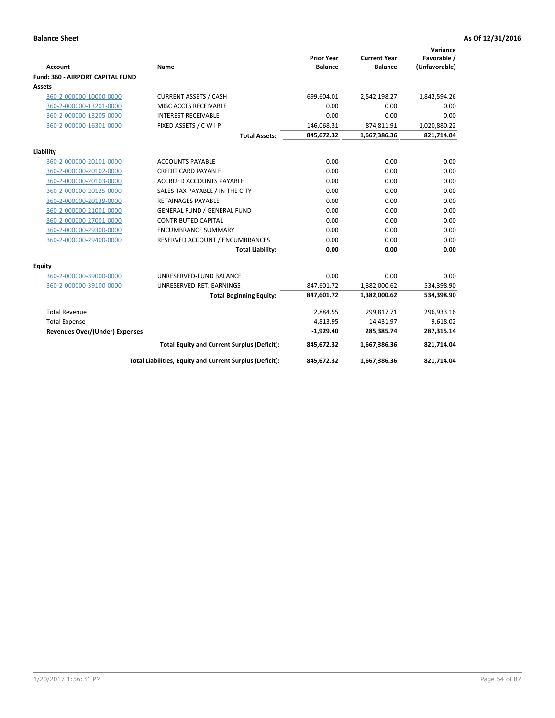| <b>Account</b><br>Fund: 360 - AIRPORT CAPITAL FUND | Name                                                     | <b>Prior Year</b><br><b>Balance</b> | <b>Current Year</b><br><b>Balance</b> | Variance<br>Favorable /<br>(Unfavorable) |
|----------------------------------------------------|----------------------------------------------------------|-------------------------------------|---------------------------------------|------------------------------------------|
| <b>Assets</b>                                      |                                                          |                                     |                                       |                                          |
| 360-2-000000-10000-0000                            | <b>CURRENT ASSETS / CASH</b>                             | 699,604.01                          | 2,542,198.27                          | 1,842,594.26                             |
| 360-2-000000-13201-0000                            | MISC ACCTS RECEIVABLE                                    | 0.00                                | 0.00                                  | 0.00                                     |
| 360-2-000000-13205-0000                            | <b>INTEREST RECEIVABLE</b>                               | 0.00                                | 0.00                                  | 0.00                                     |
| 360-2-000000-16301-0000                            | FIXED ASSETS / C W I P                                   | 146,068.31                          | $-874,811.91$                         | $-1,020,880.22$                          |
|                                                    | <b>Total Assets:</b>                                     | 845,672.32                          | 1,667,386.36                          | 821,714.04                               |
| Liability                                          |                                                          |                                     |                                       |                                          |
| 360-2-000000-20101-0000                            | <b>ACCOUNTS PAYABLE</b>                                  | 0.00                                | 0.00                                  | 0.00                                     |
| 360-2-000000-20102-0000                            | <b>CREDIT CARD PAYABLE</b>                               | 0.00                                | 0.00                                  | 0.00                                     |
| 360-2-000000-20103-0000                            | ACCRUED ACCOUNTS PAYABLE                                 | 0.00                                | 0.00                                  | 0.00                                     |
| 360-2-000000-20125-0000                            | SALES TAX PAYABLE / IN THE CITY                          | 0.00                                | 0.00                                  | 0.00                                     |
| 360-2-000000-20139-0000                            | <b>RETAINAGES PAYABLE</b>                                | 0.00                                | 0.00                                  | 0.00                                     |
| 360-2-000000-21001-0000                            | <b>GENERAL FUND / GENERAL FUND</b>                       | 0.00                                | 0.00                                  | 0.00                                     |
| 360-2-000000-27001-0000                            | <b>CONTRIBUTED CAPITAL</b>                               | 0.00                                | 0.00                                  | 0.00                                     |
| 360-2-000000-29300-0000                            | <b>ENCUMBRANCE SUMMARY</b>                               | 0.00                                | 0.00                                  | 0.00                                     |
| 360-2-000000-29400-0000                            | RESERVED ACCOUNT / ENCUMBRANCES                          | 0.00                                | 0.00                                  | 0.00                                     |
|                                                    | <b>Total Liability:</b>                                  | 0.00                                | 0.00                                  | 0.00                                     |
| Equity                                             |                                                          |                                     |                                       |                                          |
| 360-2-000000-39000-0000                            | UNRESERVED-FUND BALANCE                                  | 0.00                                | 0.00                                  | 0.00                                     |
| 360-2-000000-39100-0000                            | UNRESERVED-RET. EARNINGS                                 | 847,601.72                          | 1,382,000.62                          | 534,398.90                               |
|                                                    | <b>Total Beginning Equity:</b>                           | 847,601.72                          | 1,382,000.62                          | 534,398.90                               |
| <b>Total Revenue</b>                               |                                                          | 2,884.55                            | 299,817.71                            | 296,933.16                               |
| <b>Total Expense</b>                               |                                                          | 4,813.95                            | 14,431.97                             | $-9,618.02$                              |
| <b>Revenues Over/(Under) Expenses</b>              |                                                          | $-1,929.40$                         | 285,385.74                            | 287,315.14                               |
|                                                    | <b>Total Equity and Current Surplus (Deficit):</b>       | 845,672.32                          | 1,667,386.36                          | 821,714.04                               |
|                                                    | Total Liabilities, Equity and Current Surplus (Deficit): | 845,672.32                          | 1,667,386.36                          | 821,714.04                               |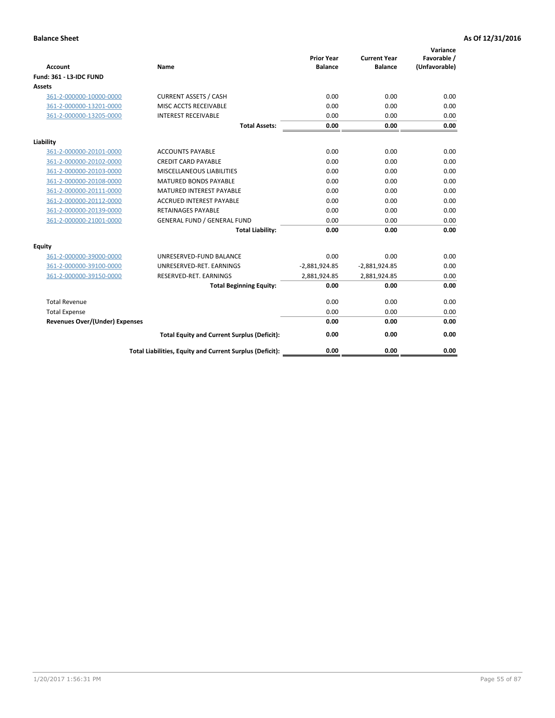| <b>Account</b>                        | Name                                                     | <b>Prior Year</b><br><b>Balance</b> | <b>Current Year</b><br><b>Balance</b> | Variance<br>Favorable /<br>(Unfavorable) |
|---------------------------------------|----------------------------------------------------------|-------------------------------------|---------------------------------------|------------------------------------------|
| <b>Fund: 361 - L3-IDC FUND</b>        |                                                          |                                     |                                       |                                          |
| Assets                                |                                                          |                                     |                                       |                                          |
| 361-2-000000-10000-0000               | <b>CURRENT ASSETS / CASH</b>                             | 0.00                                | 0.00                                  | 0.00                                     |
| 361-2-000000-13201-0000               | MISC ACCTS RECEIVABLE                                    | 0.00                                | 0.00                                  | 0.00                                     |
| 361-2-000000-13205-0000               | <b>INTEREST RECEIVABLE</b>                               | 0.00                                | 0.00                                  | 0.00                                     |
|                                       | <b>Total Assets:</b>                                     | 0.00                                | 0.00                                  | 0.00                                     |
| Liability                             |                                                          |                                     |                                       |                                          |
| 361-2-000000-20101-0000               | <b>ACCOUNTS PAYABLE</b>                                  | 0.00                                | 0.00                                  | 0.00                                     |
| 361-2-000000-20102-0000               | <b>CREDIT CARD PAYABLE</b>                               | 0.00                                | 0.00                                  | 0.00                                     |
| 361-2-000000-20103-0000               | <b>MISCELLANEOUS LIABILITIES</b>                         | 0.00                                | 0.00                                  | 0.00                                     |
| 361-2-000000-20108-0000               | <b>MATURED BONDS PAYABLE</b>                             | 0.00                                | 0.00                                  | 0.00                                     |
| 361-2-000000-20111-0000               | <b>MATURED INTEREST PAYABLE</b>                          | 0.00                                | 0.00                                  | 0.00                                     |
| 361-2-000000-20112-0000               | <b>ACCRUED INTEREST PAYABLE</b>                          | 0.00                                | 0.00                                  | 0.00                                     |
| 361-2-000000-20139-0000               | <b>RETAINAGES PAYABLE</b>                                | 0.00                                | 0.00                                  | 0.00                                     |
| 361-2-000000-21001-0000               | <b>GENERAL FUND / GENERAL FUND</b>                       | 0.00                                | 0.00                                  | 0.00                                     |
|                                       | <b>Total Liability:</b>                                  | 0.00                                | 0.00                                  | 0.00                                     |
| Equity                                |                                                          |                                     |                                       |                                          |
| 361-2-000000-39000-0000               | UNRESERVED-FUND BALANCE                                  | 0.00                                | 0.00                                  | 0.00                                     |
| 361-2-000000-39100-0000               | UNRESERVED-RET. EARNINGS                                 | $-2,881,924.85$                     | $-2,881,924.85$                       | 0.00                                     |
| 361-2-000000-39150-0000               | RESERVED-RET. EARNINGS                                   | 2,881,924.85                        | 2,881,924.85                          | 0.00                                     |
|                                       | <b>Total Beginning Equity:</b>                           | 0.00                                | 0.00                                  | 0.00                                     |
| <b>Total Revenue</b>                  |                                                          | 0.00                                | 0.00                                  | 0.00                                     |
| <b>Total Expense</b>                  |                                                          | 0.00                                | 0.00                                  | 0.00                                     |
| <b>Revenues Over/(Under) Expenses</b> |                                                          | 0.00                                | 0.00                                  | 0.00                                     |
|                                       | <b>Total Equity and Current Surplus (Deficit):</b>       | 0.00                                | 0.00                                  | 0.00                                     |
|                                       | Total Liabilities, Equity and Current Surplus (Deficit): | 0.00                                | 0.00                                  | 0.00                                     |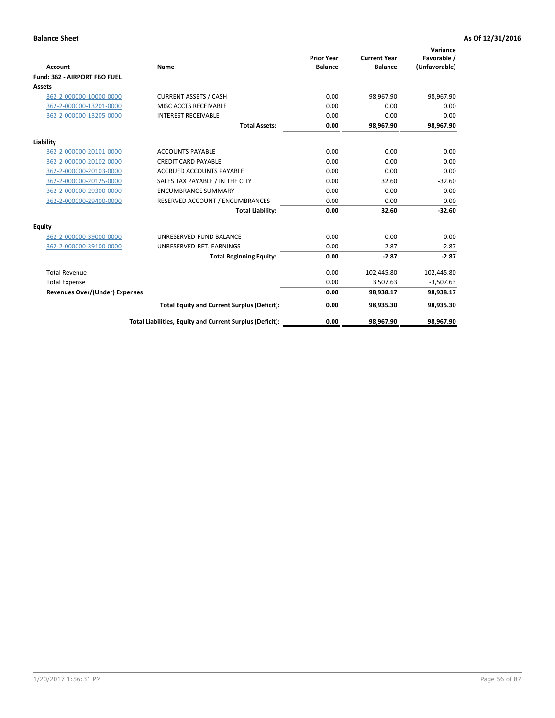|                                       |                                                          |                                     |                                       | Variance                     |
|---------------------------------------|----------------------------------------------------------|-------------------------------------|---------------------------------------|------------------------------|
| Account                               | Name                                                     | <b>Prior Year</b><br><b>Balance</b> | <b>Current Year</b><br><b>Balance</b> | Favorable /<br>(Unfavorable) |
| Fund: 362 - AIRPORT FBO FUEL          |                                                          |                                     |                                       |                              |
| Assets                                |                                                          |                                     |                                       |                              |
| 362-2-000000-10000-0000               | <b>CURRENT ASSETS / CASH</b>                             | 0.00                                | 98,967.90                             | 98,967.90                    |
| 362-2-000000-13201-0000               | MISC ACCTS RECEIVABLE                                    | 0.00                                | 0.00                                  | 0.00                         |
| 362-2-000000-13205-0000               | <b>INTEREST RECEIVABLE</b>                               | 0.00                                | 0.00                                  | 0.00                         |
|                                       | <b>Total Assets:</b>                                     | 0.00                                | 98,967.90                             | 98,967.90                    |
| Liability                             |                                                          |                                     |                                       |                              |
| 362-2-000000-20101-0000               | <b>ACCOUNTS PAYABLE</b>                                  | 0.00                                | 0.00                                  | 0.00                         |
| 362-2-000000-20102-0000               | <b>CREDIT CARD PAYABLE</b>                               | 0.00                                | 0.00                                  | 0.00                         |
| 362-2-000000-20103-0000               | <b>ACCRUED ACCOUNTS PAYABLE</b>                          | 0.00                                | 0.00                                  | 0.00                         |
| 362-2-000000-20125-0000               | SALES TAX PAYABLE / IN THE CITY                          | 0.00                                | 32.60                                 | $-32.60$                     |
| 362-2-000000-29300-0000               | <b>ENCUMBRANCE SUMMARY</b>                               | 0.00                                | 0.00                                  | 0.00                         |
| 362-2-000000-29400-0000               | RESERVED ACCOUNT / ENCUMBRANCES                          | 0.00                                | 0.00                                  | 0.00                         |
|                                       | <b>Total Liability:</b>                                  | 0.00                                | 32.60                                 | $-32.60$                     |
| <b>Equity</b>                         |                                                          |                                     |                                       |                              |
| 362-2-000000-39000-0000               | UNRESERVED-FUND BALANCE                                  | 0.00                                | 0.00                                  | 0.00                         |
| 362-2-000000-39100-0000               | UNRESERVED-RET. EARNINGS                                 | 0.00                                | $-2.87$                               | $-2.87$                      |
|                                       | <b>Total Beginning Equity:</b>                           | 0.00                                | $-2.87$                               | $-2.87$                      |
| <b>Total Revenue</b>                  |                                                          | 0.00                                | 102,445.80                            | 102,445.80                   |
| <b>Total Expense</b>                  |                                                          | 0.00                                | 3,507.63                              | $-3,507.63$                  |
| <b>Revenues Over/(Under) Expenses</b> |                                                          | 0.00                                | 98,938.17                             | 98,938.17                    |
|                                       | <b>Total Equity and Current Surplus (Deficit):</b>       | 0.00                                | 98,935.30                             | 98,935.30                    |
|                                       | Total Liabilities, Equity and Current Surplus (Deficit): | 0.00                                | 98,967.90                             | 98,967.90                    |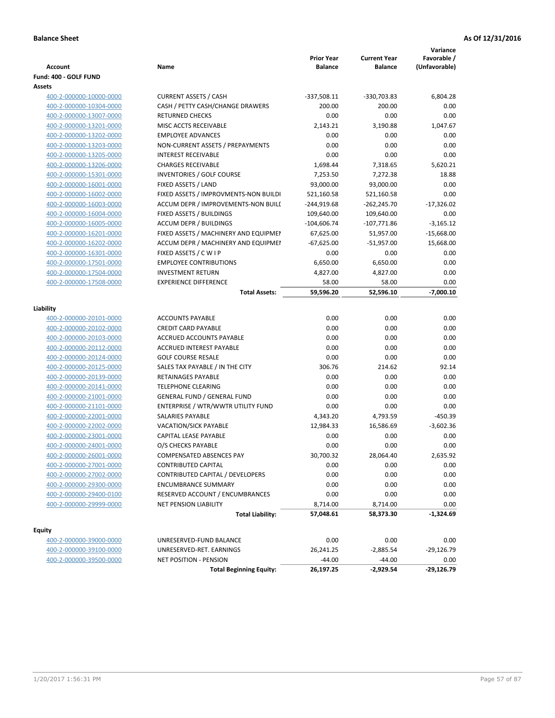|                         |                                       | <b>Prior Year</b> | <b>Current Year</b> | Variance<br>Favorable / |
|-------------------------|---------------------------------------|-------------------|---------------------|-------------------------|
| <b>Account</b>          | Name                                  | <b>Balance</b>    | <b>Balance</b>      | (Unfavorable)           |
| Fund: 400 - GOLF FUND   |                                       |                   |                     |                         |
| Assets                  |                                       |                   |                     |                         |
| 400-2-000000-10000-0000 | <b>CURRENT ASSETS / CASH</b>          | $-337,508.11$     | -330,703.83         | 6,804.28                |
| 400-2-000000-10304-0000 | CASH / PETTY CASH/CHANGE DRAWERS      | 200.00            | 200.00              | 0.00                    |
| 400-2-000000-13007-0000 | <b>RETURNED CHECKS</b>                | 0.00              | 0.00                | 0.00                    |
| 400-2-000000-13201-0000 | MISC ACCTS RECEIVABLE                 | 2,143.21          | 3,190.88            | 1,047.67                |
| 400-2-000000-13202-0000 | <b>EMPLOYEE ADVANCES</b>              | 0.00              | 0.00                | 0.00                    |
| 400-2-000000-13203-0000 | NON-CURRENT ASSETS / PREPAYMENTS      | 0.00              | 0.00                | 0.00                    |
| 400-2-000000-13205-0000 | <b>INTEREST RECEIVABLE</b>            | 0.00              | 0.00                | 0.00                    |
| 400-2-000000-13206-0000 | <b>CHARGES RECEIVABLE</b>             | 1,698.44          | 7,318.65            | 5,620.21                |
| 400-2-000000-15301-0000 | INVENTORIES / GOLF COURSE             | 7,253.50          | 7,272.38            | 18.88                   |
| 400-2-000000-16001-0000 | FIXED ASSETS / LAND                   | 93,000.00         | 93,000.00           | 0.00                    |
| 400-2-000000-16002-0000 | FIXED ASSETS / IMPROVMENTS-NON BUILDI | 521,160.58        | 521,160.58          | 0.00                    |
| 400-2-000000-16003-0000 | ACCUM DEPR / IMPROVEMENTS-NON BUILI   | -244,919.68       | $-262,245.70$       | $-17,326.02$            |
| 400-2-000000-16004-0000 | FIXED ASSETS / BUILDINGS              | 109,640.00        | 109,640.00          | 0.00                    |
| 400-2-000000-16005-0000 | <b>ACCUM DEPR / BUILDINGS</b>         | $-104,606.74$     | $-107,771.86$       | $-3,165.12$             |
| 400-2-000000-16201-0000 | FIXED ASSETS / MACHINERY AND EQUIPMEN | 67,625.00         | 51,957.00           | $-15,668.00$            |
| 400-2-000000-16202-0000 | ACCUM DEPR / MACHINERY AND EQUIPMEI   | $-67,625.00$      | $-51,957.00$        | 15,668.00               |
| 400-2-000000-16301-0000 | FIXED ASSETS / C W I P                | 0.00              | 0.00                | 0.00                    |
| 400-2-000000-17501-0000 | <b>EMPLOYEE CONTRIBUTIONS</b>         | 6,650.00          | 6,650.00            | 0.00                    |
| 400-2-000000-17504-0000 | <b>INVESTMENT RETURN</b>              | 4,827.00          | 4,827.00            | 0.00                    |
| 400-2-000000-17508-0000 | <b>EXPERIENCE DIFFERENCE</b>          | 58.00             | 58.00               | 0.00                    |
|                         | <b>Total Assets:</b>                  | 59,596.20         | 52,596.10           | $-7,000.10$             |
|                         |                                       |                   |                     |                         |
| Liability               |                                       |                   |                     |                         |
| 400-2-000000-20101-0000 | <b>ACCOUNTS PAYABLE</b>               | 0.00              | 0.00                | 0.00                    |
| 400-2-000000-20102-0000 | <b>CREDIT CARD PAYABLE</b>            | 0.00              | 0.00                | 0.00                    |
| 400-2-000000-20103-0000 | ACCRUED ACCOUNTS PAYABLE              | 0.00              | 0.00                | 0.00                    |
| 400-2-000000-20112-0000 | <b>ACCRUED INTEREST PAYABLE</b>       | 0.00              | 0.00                | 0.00                    |
| 400-2-000000-20124-0000 | <b>GOLF COURSE RESALE</b>             | 0.00              | 0.00                | 0.00                    |
| 400-2-000000-20125-0000 | SALES TAX PAYABLE / IN THE CITY       | 306.76            | 214.62              | 92.14                   |
| 400-2-000000-20139-0000 | RETAINAGES PAYABLE                    | 0.00              | 0.00                | 0.00                    |
| 400-2-000000-20141-0000 | <b>TELEPHONE CLEARING</b>             | 0.00              | 0.00                | 0.00                    |
| 400-2-000000-21001-0000 | <b>GENERAL FUND / GENERAL FUND</b>    | 0.00              | 0.00                | 0.00                    |
| 400-2-000000-21101-0000 | ENTERPRISE / WTR/WWTR UTILITY FUND    | 0.00              | 0.00                | 0.00                    |
| 400-2-000000-22001-0000 | <b>SALARIES PAYABLE</b>               | 4,343.20          | 4,793.59            | $-450.39$               |
| 400-2-000000-22002-0000 | VACATION/SICK PAYABLE                 | 12,984.33         | 16,586.69           | $-3,602.36$             |
| 400-2-000000-23001-0000 | CAPITAL LEASE PAYABLE                 | 0.00              | 0.00                | 0.00                    |
| 400-2-000000-24001-0000 | O/S CHECKS PAYABLE                    | 0.00              | 0.00                | 0.00                    |
| 400-2-000000-26001-0000 | COMPENSATED ABSENCES PAY              | 30,700.32         | 28,064.40           | 2,635.92                |
| 400-2-000000-27001-0000 | CONTRIBUTED CAPITAL                   | 0.00              | 0.00                | 0.00                    |
| 400-2-000000-27002-0000 | CONTRIBUTED CAPITAL / DEVELOPERS      | 0.00              | 0.00                | 0.00                    |
| 400-2-000000-29300-0000 | <b>ENCUMBRANCE SUMMARY</b>            | 0.00              | 0.00                | 0.00                    |
| 400-2-000000-29400-0100 | RESERVED ACCOUNT / ENCUMBRANCES       | 0.00              | 0.00                | 0.00                    |
| 400-2-000000-29999-0000 | <b>NET PENSION LIABILITY</b>          | 8,714.00          | 8,714.00            | 0.00                    |
|                         | <b>Total Liability:</b>               | 57,048.61         | 58,373.30           | $-1,324.69$             |
|                         |                                       |                   |                     |                         |
| <b>Equity</b>           |                                       |                   |                     |                         |
| 400-2-000000-39000-0000 | UNRESERVED-FUND BALANCE               | 0.00              | 0.00                | 0.00                    |
| 400-2-000000-39100-0000 | UNRESERVED-RET. EARNINGS              | 26,241.25         | $-2,885.54$         | $-29,126.79$            |
| 400-2-000000-39500-0000 | <b>NET POSITION - PENSION</b>         | $-44.00$          | $-44.00$            | 0.00                    |
|                         | <b>Total Beginning Equity:</b>        | 26,197.25         | $-2,929.54$         | $-29,126.79$            |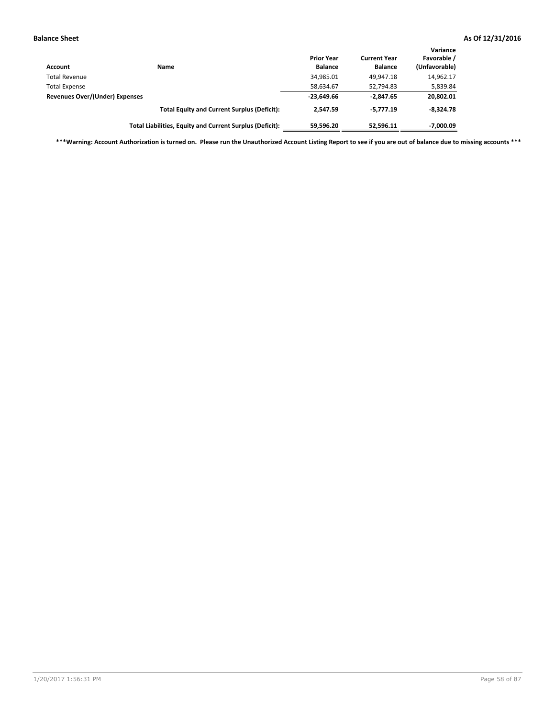| Account                               | Name                                                     | <b>Prior Year</b><br><b>Balance</b> | <b>Current Year</b><br><b>Balance</b> | Variance<br>Favorable /<br>(Unfavorable) |
|---------------------------------------|----------------------------------------------------------|-------------------------------------|---------------------------------------|------------------------------------------|
| <b>Total Revenue</b>                  |                                                          | 34,985.01                           | 49.947.18                             | 14,962.17                                |
| <b>Total Expense</b>                  |                                                          | 58,634.67                           | 52,794.83                             | 5,839.84                                 |
| <b>Revenues Over/(Under) Expenses</b> |                                                          | $-23,649.66$                        | $-2.847.65$                           | 20,802.01                                |
|                                       | <b>Total Equity and Current Surplus (Deficit):</b>       | 2.547.59                            | $-5.777.19$                           | $-8.324.78$                              |
|                                       | Total Liabilities, Equity and Current Surplus (Deficit): | 59,596.20                           | 52.596.11                             | -7,000.09                                |

**\*\*\*Warning: Account Authorization is turned on. Please run the Unauthorized Account Listing Report to see if you are out of balance due to missing accounts \*\*\***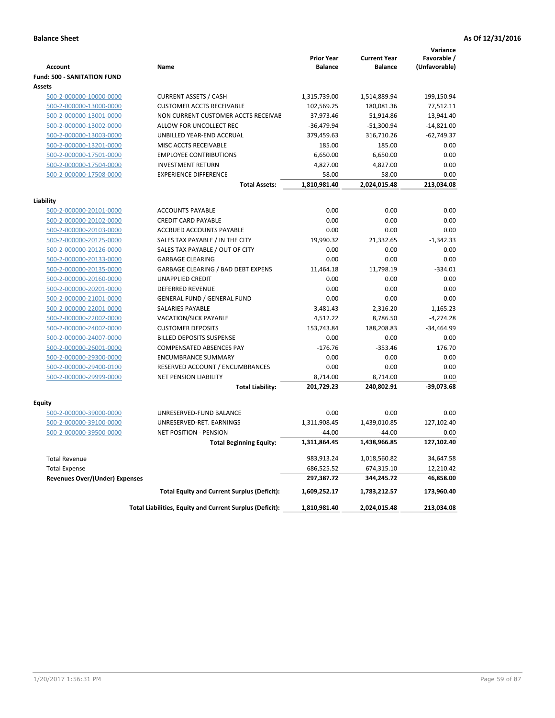|                                       |                                                          | <b>Prior Year</b> | <b>Current Year</b> | Variance<br>Favorable / |
|---------------------------------------|----------------------------------------------------------|-------------------|---------------------|-------------------------|
| <b>Account</b>                        | Name                                                     | <b>Balance</b>    | <b>Balance</b>      | (Unfavorable)           |
| <b>Fund: 500 - SANITATION FUND</b>    |                                                          |                   |                     |                         |
| <b>Assets</b>                         |                                                          |                   |                     |                         |
| 500-2-000000-10000-0000               | <b>CURRENT ASSETS / CASH</b>                             | 1,315,739.00      | 1,514,889.94        | 199,150.94              |
| 500-2-000000-13000-0000               | <b>CUSTOMER ACCTS RECEIVABLE</b>                         | 102,569.25        | 180,081.36          | 77,512.11               |
| 500-2-000000-13001-0000               | NON CURRENT CUSTOMER ACCTS RECEIVAE                      | 37,973.46         | 51,914.86           | 13,941.40               |
| 500-2-000000-13002-0000               | ALLOW FOR UNCOLLECT REC                                  | $-36,479.94$      | $-51,300.94$        | $-14,821.00$            |
| 500-2-000000-13003-0000               | UNBILLED YEAR-END ACCRUAL                                | 379,459.63        | 316,710.26          | $-62,749.37$            |
| 500-2-000000-13201-0000               | MISC ACCTS RECEIVABLE                                    | 185.00            | 185.00              | 0.00                    |
| 500-2-000000-17501-0000               | <b>EMPLOYEE CONTRIBUTIONS</b>                            | 6,650.00          | 6,650.00            | 0.00                    |
| 500-2-000000-17504-0000               | <b>INVESTMENT RETURN</b>                                 | 4,827.00          | 4,827.00            | 0.00                    |
| 500-2-000000-17508-0000               | <b>EXPERIENCE DIFFERENCE</b>                             | 58.00             | 58.00               | 0.00                    |
|                                       | <b>Total Assets:</b>                                     | 1,810,981.40      | 2,024,015.48        | 213,034.08              |
| Liability                             |                                                          |                   |                     |                         |
| 500-2-000000-20101-0000               | <b>ACCOUNTS PAYABLE</b>                                  | 0.00              | 0.00                | 0.00                    |
| 500-2-000000-20102-0000               | <b>CREDIT CARD PAYABLE</b>                               | 0.00              | 0.00                | 0.00                    |
| 500-2-000000-20103-0000               | ACCRUED ACCOUNTS PAYABLE                                 | 0.00              | 0.00                | 0.00                    |
| 500-2-000000-20125-0000               | SALES TAX PAYABLE / IN THE CITY                          | 19,990.32         | 21,332.65           | $-1,342.33$             |
| 500-2-000000-20126-0000               | SALES TAX PAYABLE / OUT OF CITY                          | 0.00              | 0.00                | 0.00                    |
| 500-2-000000-20133-0000               | <b>GARBAGE CLEARING</b>                                  | 0.00              | 0.00                | 0.00                    |
| 500-2-000000-20135-0000               | GARBAGE CLEARING / BAD DEBT EXPENS                       | 11,464.18         | 11,798.19           | $-334.01$               |
| 500-2-000000-20160-0000               | <b>UNAPPLIED CREDIT</b>                                  | 0.00              | 0.00                | 0.00                    |
| 500-2-000000-20201-0000               | <b>DEFERRED REVENUE</b>                                  | 0.00              | 0.00                | 0.00                    |
| 500-2-000000-21001-0000               | <b>GENERAL FUND / GENERAL FUND</b>                       | 0.00              | 0.00                | 0.00                    |
| 500-2-000000-22001-0000               | SALARIES PAYABLE                                         | 3,481.43          | 2,316.20            | 1,165.23                |
| 500-2-000000-22002-0000               | VACATION/SICK PAYABLE                                    | 4,512.22          | 8,786.50            | $-4,274.28$             |
| 500-2-000000-24002-0000               | <b>CUSTOMER DEPOSITS</b>                                 | 153,743.84        | 188,208.83          | $-34,464.99$            |
| 500-2-000000-24007-0000               | <b>BILLED DEPOSITS SUSPENSE</b>                          | 0.00              | 0.00                | 0.00                    |
| 500-2-000000-26001-0000               | <b>COMPENSATED ABSENCES PAY</b>                          | $-176.76$         | $-353.46$           | 176.70                  |
| 500-2-000000-29300-0000               | <b>ENCUMBRANCE SUMMARY</b>                               | 0.00              | 0.00                | 0.00                    |
| 500-2-000000-29400-0100               | RESERVED ACCOUNT / ENCUMBRANCES                          | 0.00              | 0.00                | 0.00                    |
| 500-2-000000-29999-0000               | <b>NET PENSION LIABILITY</b>                             | 8,714.00          | 8,714.00            | 0.00                    |
|                                       | <b>Total Liability:</b>                                  | 201,729.23        | 240,802.91          | $-39,073.68$            |
|                                       |                                                          |                   |                     |                         |
| Equity                                |                                                          |                   |                     |                         |
| 500-2-000000-39000-0000               | UNRESERVED-FUND BALANCE                                  | 0.00              | 0.00                | 0.00                    |
| 500-2-000000-39100-0000               | UNRESERVED-RET. EARNINGS                                 | 1,311,908.45      | 1,439,010.85        | 127,102.40              |
| 500-2-000000-39500-0000               | <b>NET POSITION - PENSION</b>                            | $-44.00$          | $-44.00$            | 0.00                    |
|                                       | <b>Total Beginning Equity:</b>                           | 1,311,864.45      | 1,438,966.85        | 127,102.40              |
| <b>Total Revenue</b>                  |                                                          | 983,913.24        | 1,018,560.82        | 34,647.58               |
| <b>Total Expense</b>                  |                                                          | 686,525.52        | 674,315.10          | 12,210.42               |
| <b>Revenues Over/(Under) Expenses</b> |                                                          | 297,387.72        | 344,245.72          | 46,858.00               |
|                                       | <b>Total Equity and Current Surplus (Deficit):</b>       | 1,609,252.17      | 1,783,212.57        | 173,960.40              |
|                                       | Total Liabilities, Equity and Current Surplus (Deficit): | 1,810,981.40      | 2,024,015.48        | 213,034.08              |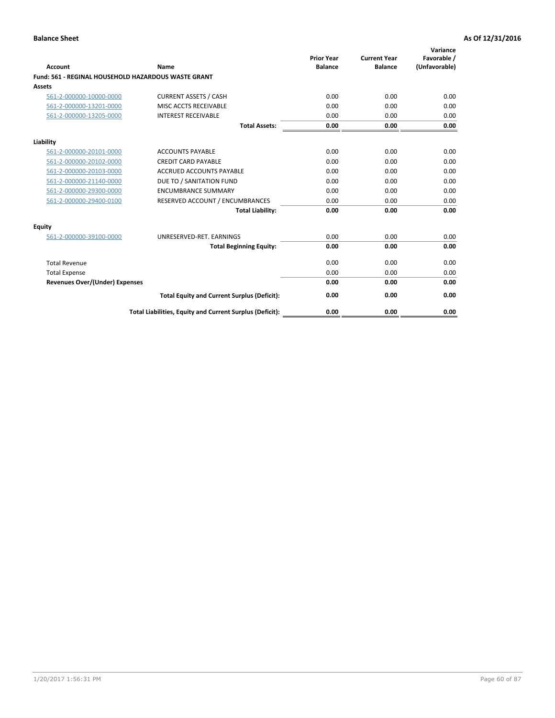| <b>Account</b>                                             | Name                                                     | <b>Prior Year</b><br><b>Balance</b> | <b>Current Year</b><br><b>Balance</b> | Variance<br>Favorable /<br>(Unfavorable) |
|------------------------------------------------------------|----------------------------------------------------------|-------------------------------------|---------------------------------------|------------------------------------------|
| <b>Fund: 561 - REGINAL HOUSEHOLD HAZARDOUS WASTE GRANT</b> |                                                          |                                     |                                       |                                          |
| <b>Assets</b>                                              |                                                          |                                     |                                       |                                          |
| 561-2-000000-10000-0000                                    | <b>CURRENT ASSETS / CASH</b>                             | 0.00                                | 0.00                                  | 0.00                                     |
| 561-2-000000-13201-0000                                    | MISC ACCTS RECEIVABLE                                    | 0.00                                | 0.00                                  | 0.00                                     |
| 561-2-000000-13205-0000                                    | <b>INTEREST RECEIVABLE</b>                               | 0.00                                | 0.00                                  | 0.00                                     |
|                                                            | <b>Total Assets:</b>                                     | 0.00                                | 0.00                                  | 0.00                                     |
| Liability                                                  |                                                          |                                     |                                       |                                          |
| 561-2-000000-20101-0000                                    | <b>ACCOUNTS PAYABLE</b>                                  | 0.00                                | 0.00                                  | 0.00                                     |
| 561-2-000000-20102-0000                                    | <b>CREDIT CARD PAYABLE</b>                               | 0.00                                | 0.00                                  | 0.00                                     |
| 561-2-000000-20103-0000                                    | <b>ACCRUED ACCOUNTS PAYABLE</b>                          | 0.00                                | 0.00                                  | 0.00                                     |
| 561-2-000000-21140-0000                                    | DUE TO / SANITATION FUND                                 | 0.00                                | 0.00                                  | 0.00                                     |
| 561-2-000000-29300-0000                                    | <b>ENCUMBRANCE SUMMARY</b>                               | 0.00                                | 0.00                                  | 0.00                                     |
| 561-2-000000-29400-0100                                    | RESERVED ACCOUNT / ENCUMBRANCES                          | 0.00                                | 0.00                                  | 0.00                                     |
|                                                            | <b>Total Liability:</b>                                  | 0.00                                | 0.00                                  | 0.00                                     |
| <b>Equity</b>                                              |                                                          |                                     |                                       |                                          |
| 561-2-000000-39100-0000                                    | UNRESERVED-RET. EARNINGS                                 | 0.00                                | 0.00                                  | 0.00                                     |
|                                                            | <b>Total Beginning Equity:</b>                           | 0.00                                | 0.00                                  | 0.00                                     |
| <b>Total Revenue</b>                                       |                                                          | 0.00                                | 0.00                                  | 0.00                                     |
| <b>Total Expense</b>                                       |                                                          | 0.00                                | 0.00                                  | 0.00                                     |
| <b>Revenues Over/(Under) Expenses</b>                      |                                                          | 0.00                                | 0.00                                  | 0.00                                     |
|                                                            | <b>Total Equity and Current Surplus (Deficit):</b>       | 0.00                                | 0.00                                  | 0.00                                     |
|                                                            | Total Liabilities, Equity and Current Surplus (Deficit): | 0.00                                | 0.00                                  | 0.00                                     |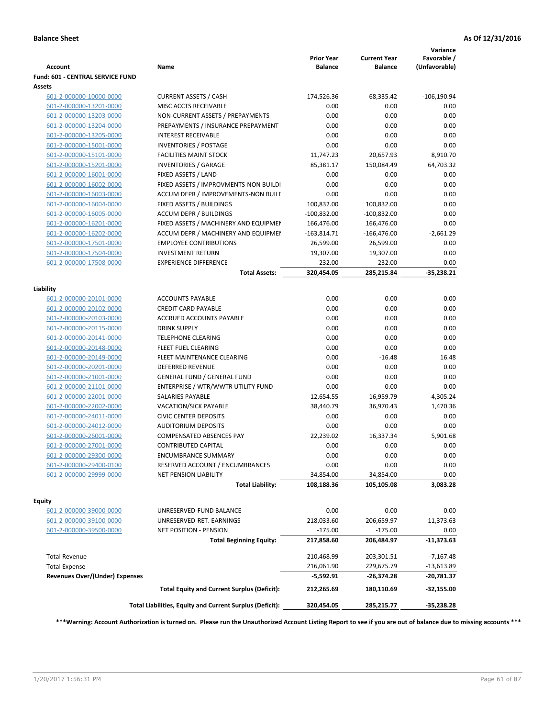| Account                                      | Name                                                     | <b>Prior Year</b><br><b>Balance</b> | <b>Current Year</b><br><b>Balance</b> | Variance<br>Favorable /<br>(Unfavorable) |
|----------------------------------------------|----------------------------------------------------------|-------------------------------------|---------------------------------------|------------------------------------------|
| Fund: 601 - CENTRAL SERVICE FUND             |                                                          |                                     |                                       |                                          |
| Assets                                       |                                                          |                                     |                                       |                                          |
| 601-2-000000-10000-0000                      | <b>CURRENT ASSETS / CASH</b>                             | 174,526.36                          | 68,335.42                             | $-106, 190.94$                           |
| 601-2-000000-13201-0000                      | MISC ACCTS RECEIVABLE                                    | 0.00                                | 0.00                                  | 0.00                                     |
| 601-2-000000-13203-0000                      | NON-CURRENT ASSETS / PREPAYMENTS                         | 0.00                                | 0.00                                  | 0.00                                     |
| 601-2-000000-13204-0000                      | PREPAYMENTS / INSURANCE PREPAYMENT                       | 0.00                                | 0.00                                  | 0.00                                     |
| 601-2-000000-13205-0000                      | <b>INTEREST RECEIVABLE</b>                               | 0.00                                | 0.00                                  | 0.00                                     |
| 601-2-000000-15001-0000                      | <b>INVENTORIES / POSTAGE</b>                             | 0.00                                | 0.00                                  | 0.00                                     |
| 601-2-000000-15101-0000                      | <b>FACILITIES MAINT STOCK</b>                            | 11,747.23                           | 20,657.93                             | 8,910.70                                 |
| 601-2-000000-15201-0000                      | <b>INVENTORIES / GARAGE</b>                              | 85,381.17                           | 150,084.49                            | 64,703.32                                |
| 601-2-000000-16001-0000                      | FIXED ASSETS / LAND                                      | 0.00                                | 0.00                                  | 0.00                                     |
| 601-2-000000-16002-0000                      | FIXED ASSETS / IMPROVMENTS-NON BUILDI                    | 0.00                                | 0.00                                  | 0.00                                     |
| 601-2-000000-16003-0000                      | ACCUM DEPR / IMPROVEMENTS-NON BUILI                      | 0.00                                | 0.00                                  | 0.00                                     |
| 601-2-000000-16004-0000                      | FIXED ASSETS / BUILDINGS                                 | 100,832.00                          | 100,832.00                            | 0.00                                     |
| 601-2-000000-16005-0000                      | <b>ACCUM DEPR / BUILDINGS</b>                            | $-100,832.00$                       | $-100,832.00$                         | 0.00                                     |
| 601-2-000000-16201-0000                      | FIXED ASSETS / MACHINERY AND EQUIPMEN                    | 166,476.00                          | 166,476.00                            | 0.00                                     |
| 601-2-000000-16202-0000                      | ACCUM DEPR / MACHINERY AND EQUIPMEI                      | $-163,814.71$                       | $-166,476.00$                         | $-2,661.29$                              |
| 601-2-000000-17501-0000                      | <b>EMPLOYEE CONTRIBUTIONS</b>                            | 26,599.00                           | 26,599.00                             | 0.00                                     |
| 601-2-000000-17504-0000                      | <b>INVESTMENT RETURN</b>                                 | 19,307.00                           | 19,307.00                             | 0.00                                     |
| 601-2-000000-17508-0000                      | <b>EXPERIENCE DIFFERENCE</b>                             | 232.00                              | 232.00                                | 0.00                                     |
|                                              | <b>Total Assets:</b>                                     | 320,454.05                          | 285,215.84                            | $-35,238.21$                             |
| Liability                                    |                                                          |                                     |                                       |                                          |
| 601-2-000000-20101-0000                      | <b>ACCOUNTS PAYABLE</b>                                  | 0.00                                | 0.00                                  | 0.00                                     |
| 601-2-000000-20102-0000                      | <b>CREDIT CARD PAYABLE</b>                               | 0.00                                | 0.00                                  | 0.00                                     |
| 601-2-000000-20103-0000                      | ACCRUED ACCOUNTS PAYABLE                                 | 0.00                                | 0.00                                  | 0.00                                     |
| 601-2-000000-20115-0000                      | <b>DRINK SUPPLY</b>                                      | 0.00                                | 0.00                                  | 0.00                                     |
| 601-2-000000-20141-0000                      | <b>TELEPHONE CLEARING</b>                                | 0.00                                | 0.00                                  | 0.00                                     |
| 601-2-000000-20148-0000                      | <b>FLEET FUEL CLEARING</b>                               | 0.00                                | 0.00                                  | 0.00                                     |
| 601-2-000000-20149-0000                      | FLEET MAINTENANCE CLEARING                               | 0.00                                | $-16.48$                              | 16.48                                    |
| 601-2-000000-20201-0000                      | <b>DEFERRED REVENUE</b>                                  | 0.00                                | 0.00                                  | 0.00                                     |
| 601-2-000000-21001-0000                      | <b>GENERAL FUND / GENERAL FUND</b>                       | 0.00                                | 0.00                                  | 0.00                                     |
| 601-2-000000-21101-0000                      | ENTERPRISE / WTR/WWTR UTILITY FUND                       | 0.00                                | 0.00                                  | 0.00                                     |
| 601-2-000000-22001-0000                      | SALARIES PAYABLE                                         | 12,654.55                           | 16,959.79                             | $-4,305.24$                              |
| 601-2-000000-22002-0000                      | <b>VACATION/SICK PAYABLE</b>                             | 38,440.79                           | 36,970.43                             | 1,470.36                                 |
| 601-2-000000-24011-0000                      | <b>CIVIC CENTER DEPOSITS</b>                             | 0.00                                | 0.00                                  | 0.00                                     |
| 601-2-000000-24012-0000                      | <b>AUDITORIUM DEPOSITS</b>                               | 0.00                                | 0.00                                  | 0.00                                     |
| 601-2-000000-26001-0000                      | <b>COMPENSATED ABSENCES PAY</b>                          | 22,239.02                           | 16,337.34                             | 5,901.68                                 |
| 601-2-000000-27001-0000                      | <b>CONTRIBUTED CAPITAL</b>                               | 0.00                                | 0.00                                  | 0.00                                     |
| 601-2-000000-29300-0000                      | <b>ENCUMBRANCE SUMMARY</b>                               | 0.00                                | 0.00                                  | 0.00                                     |
| 601-2-000000-29400-0100                      | RESERVED ACCOUNT / ENCUMBRANCES                          | 0.00                                | 0.00                                  | 0.00                                     |
| 601-2-000000-29999-0000                      | NET PENSION LIABILITY                                    | 34,854.00                           | 34,854.00                             | 0.00                                     |
|                                              | <b>Total Liability:</b>                                  | 108,188.36                          | 105,105.08                            | 3,083.28                                 |
| Equity                                       |                                                          |                                     |                                       |                                          |
| 601-2-000000-39000-0000                      | UNRESERVED-FUND BALANCE                                  | 0.00                                | 0.00                                  | 0.00                                     |
| 601-2-000000-39100-0000                      | UNRESERVED-RET. EARNINGS                                 | 218,033.60                          | 206,659.97                            | $-11,373.63$                             |
| 601-2-000000-39500-0000                      | NET POSITION - PENSION                                   | $-175.00$                           | $-175.00$                             | 0.00                                     |
|                                              | <b>Total Beginning Equity:</b>                           | 217,858.60                          | 206,484.97                            | $-11,373.63$                             |
|                                              |                                                          |                                     |                                       |                                          |
| <b>Total Revenue</b><br><b>Total Expense</b> |                                                          | 210,468.99<br>216,061.90            | 203,301.51<br>229,675.79              | $-7,167.48$<br>$-13,613.89$              |
| Revenues Over/(Under) Expenses               |                                                          | -5,592.91                           | -26,374.28                            | -20,781.37                               |
|                                              | <b>Total Equity and Current Surplus (Deficit):</b>       | 212,265.69                          | 180,110.69                            | $-32,155.00$                             |
|                                              | Total Liabilities, Equity and Current Surplus (Deficit): | 320,454.05                          | 285,215.77                            | -35,238.28                               |

**\*\*\*Warning: Account Authorization is turned on. Please run the Unauthorized Account Listing Report to see if you are out of balance due to missing accounts \*\*\***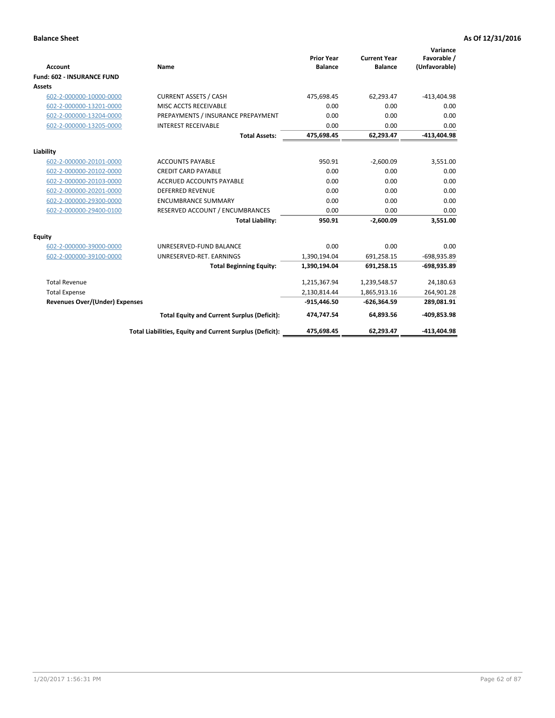| Account                               | Name                                                     | <b>Prior Year</b><br><b>Balance</b> | <b>Current Year</b><br><b>Balance</b> | Variance<br>Favorable /<br>(Unfavorable) |
|---------------------------------------|----------------------------------------------------------|-------------------------------------|---------------------------------------|------------------------------------------|
| <b>Fund: 602 - INSURANCE FUND</b>     |                                                          |                                     |                                       |                                          |
| <b>Assets</b>                         |                                                          |                                     |                                       |                                          |
| 602-2-000000-10000-0000               | <b>CURRENT ASSETS / CASH</b>                             | 475,698.45                          | 62,293.47                             | $-413,404.98$                            |
| 602-2-000000-13201-0000               | MISC ACCTS RECEIVABLE                                    | 0.00                                | 0.00                                  | 0.00                                     |
| 602-2-000000-13204-0000               | PREPAYMENTS / INSURANCE PREPAYMENT                       | 0.00                                | 0.00                                  | 0.00                                     |
| 602-2-000000-13205-0000               | <b>INTEREST RECEIVABLE</b>                               | 0.00                                | 0.00                                  | 0.00                                     |
|                                       | <b>Total Assets:</b>                                     | 475,698.45                          | 62,293.47                             | $-413,404.98$                            |
| Liability                             |                                                          |                                     |                                       |                                          |
| 602-2-000000-20101-0000               | <b>ACCOUNTS PAYABLE</b>                                  | 950.91                              | $-2,600.09$                           | 3,551.00                                 |
| 602-2-000000-20102-0000               | <b>CREDIT CARD PAYABLE</b>                               | 0.00                                | 0.00                                  | 0.00                                     |
| 602-2-000000-20103-0000               | <b>ACCRUED ACCOUNTS PAYABLE</b>                          | 0.00                                | 0.00                                  | 0.00                                     |
| 602-2-000000-20201-0000               | <b>DEFERRED REVENUE</b>                                  | 0.00                                | 0.00                                  | 0.00                                     |
| 602-2-000000-29300-0000               | <b>ENCUMBRANCE SUMMARY</b>                               | 0.00                                | 0.00                                  | 0.00                                     |
| 602-2-000000-29400-0100               | RESERVED ACCOUNT / ENCUMBRANCES                          | 0.00                                | 0.00                                  | 0.00                                     |
|                                       | <b>Total Liability:</b>                                  | 950.91                              | $-2,600.09$                           | 3,551.00                                 |
| <b>Equity</b>                         |                                                          |                                     |                                       |                                          |
| 602-2-000000-39000-0000               | UNRESERVED-FUND BALANCE                                  | 0.00                                | 0.00                                  | 0.00                                     |
| 602-2-000000-39100-0000               | UNRESERVED-RET. EARNINGS                                 | 1,390,194.04                        | 691,258.15                            | -698,935.89                              |
|                                       | <b>Total Beginning Equity:</b>                           | 1,390,194.04                        | 691,258.15                            | -698,935.89                              |
| <b>Total Revenue</b>                  |                                                          | 1,215,367.94                        | 1,239,548.57                          | 24,180.63                                |
| <b>Total Expense</b>                  |                                                          | 2,130,814.44                        | 1,865,913.16                          | 264,901.28                               |
| <b>Revenues Over/(Under) Expenses</b> |                                                          | $-915,446.50$                       | $-626,364.59$                         | 289,081.91                               |
|                                       | <b>Total Equity and Current Surplus (Deficit):</b>       | 474,747.54                          | 64,893.56                             | -409,853.98                              |
|                                       | Total Liabilities, Equity and Current Surplus (Deficit): | 475,698.45                          | 62.293.47                             | -413.404.98                              |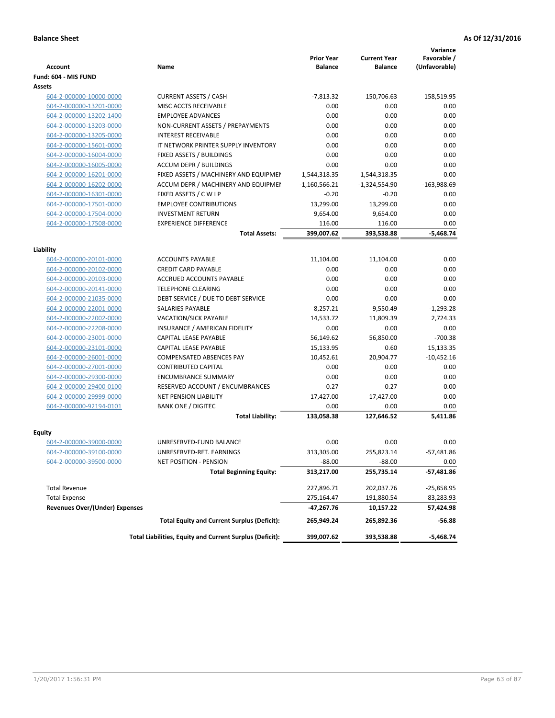|                                       |                                                          | <b>Prior Year</b> | <b>Current Year</b> | Variance<br>Favorable / |
|---------------------------------------|----------------------------------------------------------|-------------------|---------------------|-------------------------|
| <b>Account</b>                        | Name                                                     | <b>Balance</b>    | <b>Balance</b>      | (Unfavorable)           |
| Fund: 604 - MIS FUND                  |                                                          |                   |                     |                         |
| Assets                                |                                                          |                   |                     |                         |
| 604-2-000000-10000-0000               | <b>CURRENT ASSETS / CASH</b>                             | $-7,813.32$       | 150,706.63          | 158,519.95              |
| 604-2-000000-13201-0000               | MISC ACCTS RECEIVABLE                                    | 0.00              | 0.00                | 0.00                    |
| 604-2-000000-13202-1400               | <b>EMPLOYEE ADVANCES</b>                                 | 0.00              | 0.00                | 0.00                    |
| 604-2-000000-13203-0000               | NON-CURRENT ASSETS / PREPAYMENTS                         | 0.00              | 0.00                | 0.00                    |
| 604-2-000000-13205-0000               | <b>INTEREST RECEIVABLE</b>                               | 0.00              | 0.00                | 0.00                    |
| 604-2-000000-15601-0000               | IT NETWORK PRINTER SUPPLY INVENTORY                      | 0.00              | 0.00                | 0.00                    |
| 604-2-000000-16004-0000               | FIXED ASSETS / BUILDINGS                                 | 0.00              | 0.00                | 0.00                    |
| 604-2-000000-16005-0000               | <b>ACCUM DEPR / BUILDINGS</b>                            | 0.00              | 0.00                | 0.00                    |
| 604-2-000000-16201-0000               | FIXED ASSETS / MACHINERY AND EQUIPMEN                    | 1,544,318.35      | 1,544,318.35        | 0.00                    |
| 604-2-000000-16202-0000               | ACCUM DEPR / MACHINERY AND EQUIPMEI                      | $-1,160,566.21$   | $-1,324,554.90$     | $-163,988.69$           |
| 604-2-000000-16301-0000               | FIXED ASSETS / C W I P                                   | $-0.20$           | $-0.20$             | 0.00                    |
| 604-2-000000-17501-0000               | <b>EMPLOYEE CONTRIBUTIONS</b>                            | 13,299.00         | 13,299.00           | 0.00                    |
| 604-2-000000-17504-0000               | <b>INVESTMENT RETURN</b>                                 | 9,654.00          | 9,654.00            | 0.00                    |
| 604-2-000000-17508-0000               | <b>EXPERIENCE DIFFERENCE</b>                             | 116.00            | 116.00              | 0.00                    |
|                                       | <b>Total Assets:</b>                                     | 399.007.62        | 393,538.88          | $-5,468.74$             |
|                                       |                                                          |                   |                     |                         |
| Liability                             |                                                          |                   |                     |                         |
| 604-2-000000-20101-0000               | <b>ACCOUNTS PAYABLE</b>                                  | 11,104.00         | 11,104.00           | 0.00                    |
| 604-2-000000-20102-0000               | <b>CREDIT CARD PAYABLE</b>                               | 0.00              | 0.00                | 0.00                    |
| 604-2-000000-20103-0000               | ACCRUED ACCOUNTS PAYABLE                                 | 0.00              | 0.00                | 0.00                    |
| 604-2-000000-20141-0000               | <b>TELEPHONE CLEARING</b>                                | 0.00              | 0.00                | 0.00                    |
| 604-2-000000-21035-0000               | DEBT SERVICE / DUE TO DEBT SERVICE                       | 0.00              | 0.00                | 0.00                    |
| 604-2-000000-22001-0000               | SALARIES PAYABLE                                         | 8,257.21          | 9,550.49            | $-1,293.28$             |
| 604-2-000000-22002-0000               | VACATION/SICK PAYABLE                                    | 14,533.72         | 11,809.39           | 2,724.33                |
| 604-2-000000-22208-0000               | INSURANCE / AMERICAN FIDELITY                            | 0.00              | 0.00                | 0.00                    |
| 604-2-000000-23001-0000               | <b>CAPITAL LEASE PAYABLE</b>                             | 56,149.62         | 56,850.00           | $-700.38$               |
| 604-2-000000-23101-0000               | <b>CAPITAL LEASE PAYABLE</b>                             | 15,133.95         | 0.60                | 15,133.35               |
| 604-2-000000-26001-0000               | <b>COMPENSATED ABSENCES PAY</b>                          | 10,452.61         | 20,904.77           | $-10,452.16$            |
| 604-2-000000-27001-0000               | <b>CONTRIBUTED CAPITAL</b>                               | 0.00              | 0.00                | 0.00                    |
| 604-2-000000-29300-0000               | <b>ENCUMBRANCE SUMMARY</b>                               | 0.00              | 0.00                | 0.00                    |
| 604-2-000000-29400-0100               | RESERVED ACCOUNT / ENCUMBRANCES                          | 0.27              | 0.27                | 0.00                    |
| 604-2-000000-29999-0000               | <b>NET PENSION LIABILITY</b>                             | 17,427.00         | 17,427.00           | 0.00                    |
| 604-2-000000-92194-0101               | <b>BANK ONE / DIGITEC</b>                                | 0.00              | 0.00                | 0.00                    |
|                                       | <b>Total Liability:</b>                                  | 133,058.38        | 127,646.52          | 5,411.86                |
| Equity                                |                                                          |                   |                     |                         |
| 604-2-000000-39000-0000               | UNRESERVED-FUND BALANCE                                  | 0.00              | 0.00                | 0.00                    |
| 604-2-000000-39100-0000               | UNRESERVED-RET. EARNINGS                                 | 313,305.00        | 255,823.14          | -57,481.86              |
| 604-2-000000-39500-0000               | NET POSITION - PENSION                                   | $-88.00$          | $-88.00$            | 0.00                    |
|                                       | <b>Total Beginning Equity:</b>                           | 313,217.00        | 255,735.14          | -57,481.86              |
| <b>Total Revenue</b>                  |                                                          | 227,896.71        | 202,037.76          | $-25,858.95$            |
| <b>Total Expense</b>                  |                                                          | 275,164.47        | 191,880.54          | 83,283.93               |
| <b>Revenues Over/(Under) Expenses</b> |                                                          | $-47,267.76$      | 10,157.22           | 57,424.98               |
|                                       | <b>Total Equity and Current Surplus (Deficit):</b>       | 265,949.24        | 265,892.36          | $-56.88$                |
|                                       | Total Liabilities, Equity and Current Surplus (Deficit): | 399,007.62        | 393,538.88          | $-5,468.74$             |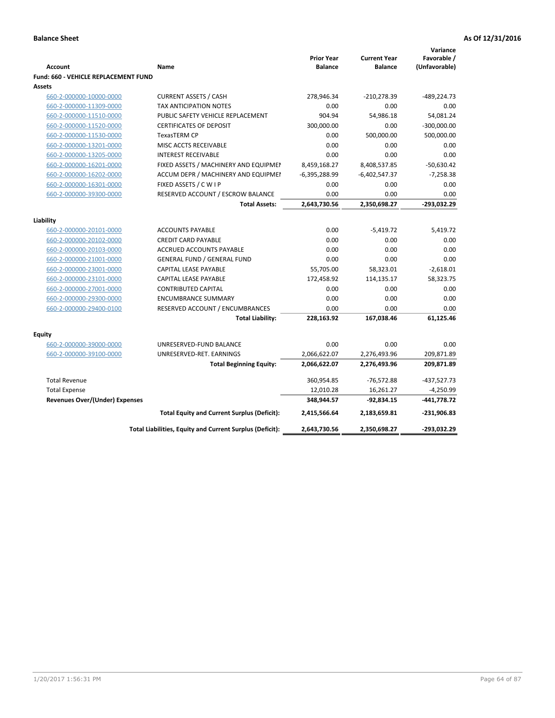| <b>Account</b>                        | Name                                                     | <b>Prior Year</b><br><b>Balance</b> | <b>Current Year</b><br><b>Balance</b> | Variance<br>Favorable /<br>(Unfavorable) |
|---------------------------------------|----------------------------------------------------------|-------------------------------------|---------------------------------------|------------------------------------------|
| Fund: 660 - VEHICLE REPLACEMENT FUND  |                                                          |                                     |                                       |                                          |
| Assets                                |                                                          |                                     |                                       |                                          |
| 660-2-000000-10000-0000               | <b>CURRENT ASSETS / CASH</b>                             | 278,946.34                          | -210,278.39                           | -489,224.73                              |
| 660-2-000000-11309-0000               | TAX ANTICIPATION NOTES                                   | 0.00                                | 0.00                                  | 0.00                                     |
| 660-2-000000-11510-0000               | PUBLIC SAFETY VEHICLE REPLACEMENT                        | 904.94                              | 54,986.18                             | 54,081.24                                |
| 660-2-000000-11520-0000               | <b>CERTIFICATES OF DEPOSIT</b>                           | 300,000.00                          | 0.00                                  | $-300,000.00$                            |
| 660-2-000000-11530-0000               | TexasTERM CP                                             | 0.00                                | 500,000.00                            | 500,000.00                               |
| 660-2-000000-13201-0000               | MISC ACCTS RECEIVABLE                                    | 0.00                                | 0.00                                  | 0.00                                     |
| 660-2-000000-13205-0000               | <b>INTEREST RECEIVABLE</b>                               | 0.00                                | 0.00                                  | 0.00                                     |
| 660-2-000000-16201-0000               | FIXED ASSETS / MACHINERY AND EQUIPMEN                    | 8,459,168.27                        | 8,408,537.85                          | $-50,630.42$                             |
| 660-2-000000-16202-0000               | ACCUM DEPR / MACHINERY AND EQUIPMEI                      | $-6,395,288.99$                     | $-6,402,547.37$                       | $-7,258.38$                              |
| 660-2-000000-16301-0000               | FIXED ASSETS / C W I P                                   | 0.00                                | 0.00                                  | 0.00                                     |
| 660-2-000000-39300-0000               | RESERVED ACCOUNT / ESCROW BALANCE                        | 0.00                                | 0.00                                  | 0.00                                     |
|                                       | <b>Total Assets:</b>                                     | 2,643,730.56                        | 2,350,698.27                          | -293,032.29                              |
| Liability                             |                                                          |                                     |                                       |                                          |
| 660-2-000000-20101-0000               | <b>ACCOUNTS PAYABLE</b>                                  | 0.00                                | $-5,419.72$                           | 5,419.72                                 |
| 660-2-000000-20102-0000               | <b>CREDIT CARD PAYABLE</b>                               | 0.00                                | 0.00                                  | 0.00                                     |
| 660-2-000000-20103-0000               | ACCRUED ACCOUNTS PAYABLE                                 | 0.00                                | 0.00                                  | 0.00                                     |
| 660-2-000000-21001-0000               | <b>GENERAL FUND / GENERAL FUND</b>                       | 0.00                                | 0.00                                  | 0.00                                     |
| 660-2-000000-23001-0000               | <b>CAPITAL LEASE PAYABLE</b>                             | 55,705.00                           | 58,323.01                             | $-2,618.01$                              |
| 660-2-000000-23101-0000               | CAPITAL LEASE PAYABLE                                    | 172,458.92                          | 114,135.17                            | 58,323.75                                |
| 660-2-000000-27001-0000               | <b>CONTRIBUTED CAPITAL</b>                               | 0.00                                | 0.00                                  | 0.00                                     |
| 660-2-000000-29300-0000               | <b>ENCUMBRANCE SUMMARY</b>                               | 0.00                                | 0.00                                  | 0.00                                     |
| 660-2-000000-29400-0100               | RESERVED ACCOUNT / ENCUMBRANCES                          | 0.00                                | 0.00                                  | 0.00                                     |
|                                       | <b>Total Liability:</b>                                  | 228,163.92                          | 167,038.46                            | 61,125.46                                |
|                                       |                                                          |                                     |                                       |                                          |
| <b>Equity</b>                         |                                                          |                                     |                                       |                                          |
| 660-2-000000-39000-0000               | UNRESERVED-FUND BALANCE                                  | 0.00                                | 0.00                                  | 0.00                                     |
| 660-2-000000-39100-0000               | UNRESERVED-RET. EARNINGS                                 | 2,066,622.07                        | 2,276,493.96                          | 209,871.89                               |
|                                       | <b>Total Beginning Equity:</b>                           | 2,066,622.07                        | 2,276,493.96                          | 209,871.89                               |
| <b>Total Revenue</b>                  |                                                          | 360,954.85                          | $-76,572.88$                          | -437,527.73                              |
| <b>Total Expense</b>                  |                                                          | 12,010.28                           | 16,261.27                             | $-4,250.99$                              |
| <b>Revenues Over/(Under) Expenses</b> |                                                          | 348,944.57                          | -92,834.15                            | $-441,778.72$                            |
|                                       | <b>Total Equity and Current Surplus (Deficit):</b>       | 2,415,566.64                        | 2,183,659.81                          | $-231,906.83$                            |
|                                       | Total Liabilities, Equity and Current Surplus (Deficit): | 2,643,730.56                        | 2,350,698.27                          | -293,032.29                              |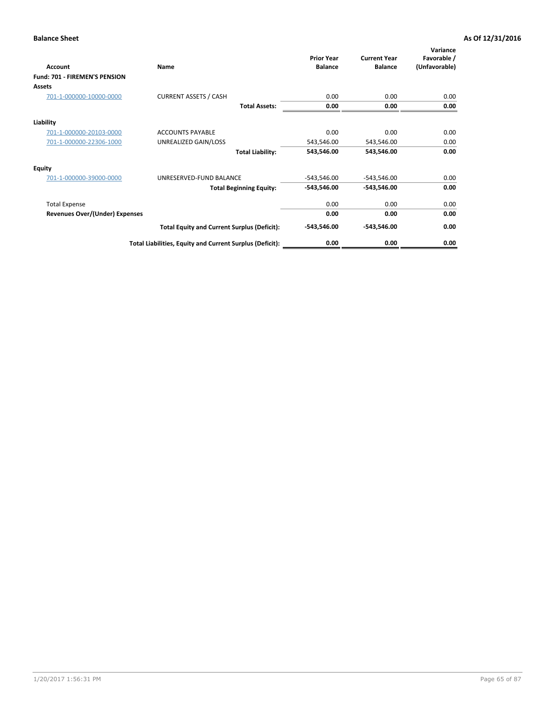| Account                               | Name                                                     | <b>Prior Year</b><br><b>Balance</b> | <b>Current Year</b><br><b>Balance</b> | Variance<br>Favorable /<br>(Unfavorable) |
|---------------------------------------|----------------------------------------------------------|-------------------------------------|---------------------------------------|------------------------------------------|
| Fund: 701 - FIREMEN'S PENSION         |                                                          |                                     |                                       |                                          |
| <b>Assets</b>                         |                                                          |                                     |                                       |                                          |
| 701-1-000000-10000-0000               | <b>CURRENT ASSETS / CASH</b>                             | 0.00                                | 0.00                                  | 0.00                                     |
|                                       | <b>Total Assets:</b>                                     | 0.00                                | 0.00                                  | 0.00                                     |
| Liability                             |                                                          |                                     |                                       |                                          |
| 701-1-000000-20103-0000               | <b>ACCOUNTS PAYABLE</b>                                  | 0.00                                | 0.00                                  | 0.00                                     |
| 701-1-000000-22306-1000               | UNREALIZED GAIN/LOSS                                     | 543,546.00                          | 543,546.00                            | 0.00                                     |
|                                       | <b>Total Liability:</b>                                  | 543,546.00                          | 543,546.00                            | 0.00                                     |
| <b>Equity</b>                         |                                                          |                                     |                                       |                                          |
| 701-1-000000-39000-0000               | UNRESERVED-FUND BALANCE                                  | $-543,546.00$                       | $-543,546.00$                         | 0.00                                     |
|                                       | <b>Total Beginning Equity:</b>                           | $-543,546.00$                       | -543,546.00                           | 0.00                                     |
| <b>Total Expense</b>                  |                                                          | 0.00                                | 0.00                                  | 0.00                                     |
| <b>Revenues Over/(Under) Expenses</b> |                                                          | 0.00                                | 0.00                                  | 0.00                                     |
|                                       | <b>Total Equity and Current Surplus (Deficit):</b>       | $-543,546.00$                       | -543,546.00                           | 0.00                                     |
|                                       | Total Liabilities, Equity and Current Surplus (Deficit): | 0.00                                | 0.00                                  | 0.00                                     |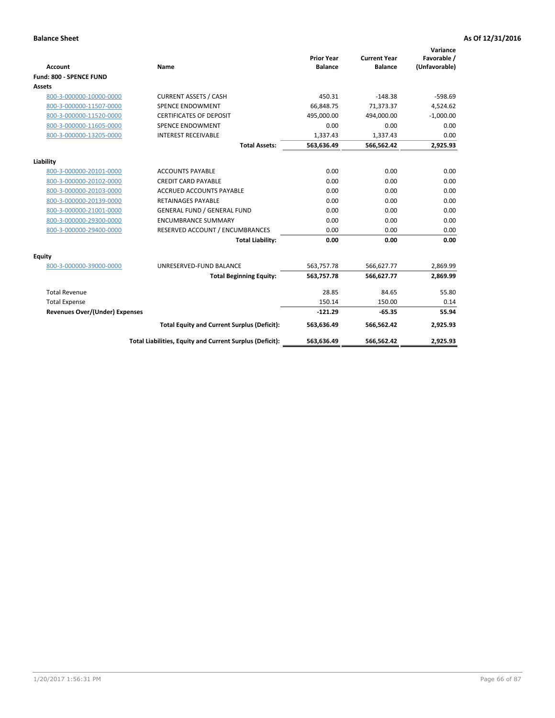|                                       |                                                          |                                     |                                       | Variance                     |
|---------------------------------------|----------------------------------------------------------|-------------------------------------|---------------------------------------|------------------------------|
| <b>Account</b>                        | <b>Name</b>                                              | <b>Prior Year</b><br><b>Balance</b> | <b>Current Year</b><br><b>Balance</b> | Favorable /<br>(Unfavorable) |
| Fund: 800 - SPENCE FUND               |                                                          |                                     |                                       |                              |
| Assets                                |                                                          |                                     |                                       |                              |
| 800-3-000000-10000-0000               | <b>CURRENT ASSETS / CASH</b>                             | 450.31                              | $-148.38$                             | $-598.69$                    |
| 800-3-000000-11507-0000               | <b>SPENCE ENDOWMENT</b>                                  | 66.848.75                           | 71,373.37                             | 4,524.62                     |
| 800-3-000000-11520-0000               | <b>CERTIFICATES OF DEPOSIT</b>                           | 495,000.00                          | 494,000.00                            | $-1,000.00$                  |
| 800-3-000000-11605-0000               | <b>SPENCE ENDOWMENT</b>                                  | 0.00                                | 0.00                                  | 0.00                         |
| 800-3-000000-13205-0000               | <b>INTEREST RECEIVABLE</b>                               | 1,337.43                            | 1,337.43                              | 0.00                         |
|                                       | <b>Total Assets:</b>                                     | 563,636.49                          | 566,562.42                            | 2,925.93                     |
|                                       |                                                          |                                     |                                       |                              |
| Liability                             |                                                          |                                     |                                       |                              |
| 800-3-000000-20101-0000               | <b>ACCOUNTS PAYABLE</b>                                  | 0.00                                | 0.00                                  | 0.00                         |
| 800-3-000000-20102-0000               | <b>CREDIT CARD PAYABLE</b>                               | 0.00                                | 0.00                                  | 0.00                         |
| 800-3-000000-20103-0000               | <b>ACCRUED ACCOUNTS PAYABLE</b>                          | 0.00                                | 0.00                                  | 0.00                         |
| 800-3-000000-20139-0000               | <b>RETAINAGES PAYABLE</b>                                | 0.00                                | 0.00                                  | 0.00                         |
| 800-3-000000-21001-0000               | <b>GENERAL FUND / GENERAL FUND</b>                       | 0.00                                | 0.00                                  | 0.00                         |
| 800-3-000000-29300-0000               | <b>ENCUMBRANCE SUMMARY</b>                               | 0.00                                | 0.00                                  | 0.00                         |
| 800-3-000000-29400-0000               | RESERVED ACCOUNT / ENCUMBRANCES                          | 0.00                                | 0.00                                  | 0.00                         |
|                                       | <b>Total Liability:</b>                                  | 0.00                                | 0.00                                  | 0.00                         |
| Equity                                |                                                          |                                     |                                       |                              |
| 800-3-000000-39000-0000               | UNRESERVED-FUND BALANCE                                  | 563,757.78                          | 566,627.77                            | 2,869.99                     |
|                                       | <b>Total Beginning Equity:</b>                           | 563,757.78                          | 566,627.77                            | 2,869.99                     |
| <b>Total Revenue</b>                  |                                                          | 28.85                               | 84.65                                 | 55.80                        |
| <b>Total Expense</b>                  |                                                          | 150.14                              | 150.00                                | 0.14                         |
| <b>Revenues Over/(Under) Expenses</b> |                                                          | $-121.29$                           | $-65.35$                              | 55.94                        |
|                                       | <b>Total Equity and Current Surplus (Deficit):</b>       | 563,636.49                          | 566,562.42                            | 2,925.93                     |
|                                       | Total Liabilities, Equity and Current Surplus (Deficit): | 563,636.49                          | 566,562.42                            | 2,925.93                     |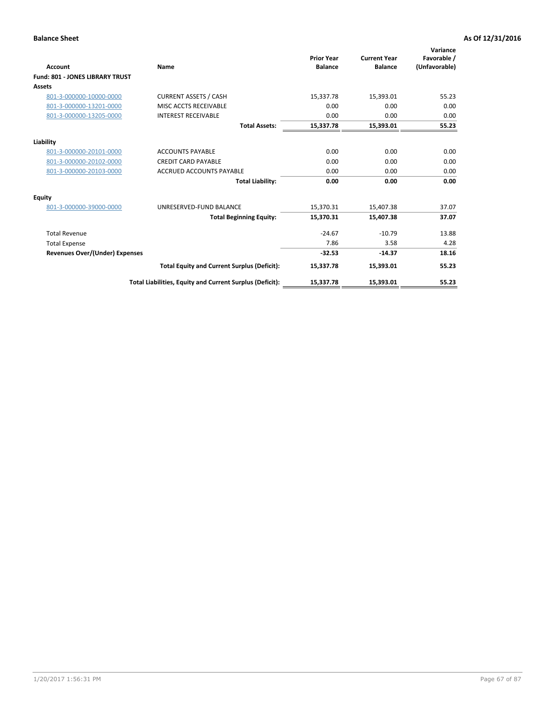| Account                                | Name                                                     | <b>Prior Year</b><br><b>Balance</b> | <b>Current Year</b><br><b>Balance</b> | Variance<br>Favorable /<br>(Unfavorable) |
|----------------------------------------|----------------------------------------------------------|-------------------------------------|---------------------------------------|------------------------------------------|
| <b>Fund: 801 - JONES LIBRARY TRUST</b> |                                                          |                                     |                                       |                                          |
| Assets                                 |                                                          |                                     |                                       |                                          |
| 801-3-000000-10000-0000                | <b>CURRENT ASSETS / CASH</b>                             | 15,337.78                           | 15,393.01                             | 55.23                                    |
| 801-3-000000-13201-0000                | MISC ACCTS RECEIVABLE                                    | 0.00                                | 0.00                                  | 0.00                                     |
| 801-3-000000-13205-0000                | <b>INTEREST RECEIVABLE</b>                               | 0.00                                | 0.00                                  | 0.00                                     |
|                                        | <b>Total Assets:</b>                                     | 15,337.78                           | 15,393.01                             | 55.23                                    |
| Liability                              |                                                          |                                     |                                       |                                          |
| 801-3-000000-20101-0000                | <b>ACCOUNTS PAYABLE</b>                                  | 0.00                                | 0.00                                  | 0.00                                     |
| 801-3-000000-20102-0000                | <b>CREDIT CARD PAYABLE</b>                               | 0.00                                | 0.00                                  | 0.00                                     |
| 801-3-000000-20103-0000                | <b>ACCRUED ACCOUNTS PAYABLE</b>                          | 0.00                                | 0.00                                  | 0.00                                     |
|                                        | <b>Total Liability:</b>                                  | 0.00                                | 0.00                                  | 0.00                                     |
| Equity                                 |                                                          |                                     |                                       |                                          |
| 801-3-000000-39000-0000                | UNRESERVED-FUND BALANCE                                  | 15,370.31                           | 15,407.38                             | 37.07                                    |
|                                        | <b>Total Beginning Equity:</b>                           | 15,370.31                           | 15,407.38                             | 37.07                                    |
| <b>Total Revenue</b>                   |                                                          | $-24.67$                            | $-10.79$                              | 13.88                                    |
| <b>Total Expense</b>                   |                                                          | 7.86                                | 3.58                                  | 4.28                                     |
| <b>Revenues Over/(Under) Expenses</b>  |                                                          | $-32.53$                            | $-14.37$                              | 18.16                                    |
|                                        | <b>Total Equity and Current Surplus (Deficit):</b>       | 15,337.78                           | 15,393.01                             | 55.23                                    |
|                                        | Total Liabilities, Equity and Current Surplus (Deficit): | 15,337.78                           | 15,393.01                             | 55.23                                    |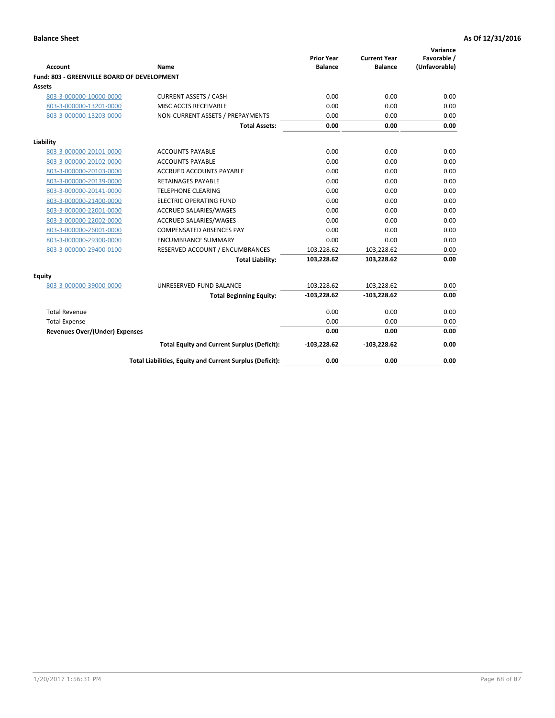| <b>Account</b>                              | Name                                                     | <b>Prior Year</b><br><b>Balance</b> | <b>Current Year</b><br><b>Balance</b> | Variance<br>Favorable /<br>(Unfavorable) |
|---------------------------------------------|----------------------------------------------------------|-------------------------------------|---------------------------------------|------------------------------------------|
| Fund: 803 - GREENVILLE BOARD OF DEVELOPMENT |                                                          |                                     |                                       |                                          |
| <b>Assets</b>                               |                                                          |                                     |                                       |                                          |
| 803-3-000000-10000-0000                     | <b>CURRENT ASSETS / CASH</b>                             | 0.00                                | 0.00                                  | 0.00                                     |
| 803-3-000000-13201-0000                     | MISC ACCTS RECEIVABLE                                    | 0.00                                | 0.00                                  | 0.00                                     |
| 803-3-000000-13203-0000                     | NON-CURRENT ASSETS / PREPAYMENTS                         | 0.00                                | 0.00                                  | 0.00                                     |
|                                             | <b>Total Assets:</b>                                     | 0.00                                | 0.00                                  | 0.00                                     |
| Liability                                   |                                                          |                                     |                                       |                                          |
| 803-3-000000-20101-0000                     | <b>ACCOUNTS PAYABLE</b>                                  | 0.00                                | 0.00                                  | 0.00                                     |
| 803-3-000000-20102-0000                     | <b>ACCOUNTS PAYABLE</b>                                  | 0.00                                | 0.00                                  | 0.00                                     |
| 803-3-000000-20103-0000                     | ACCRUED ACCOUNTS PAYABLE                                 | 0.00                                | 0.00                                  | 0.00                                     |
| 803-3-000000-20139-0000                     | RETAINAGES PAYABLE                                       | 0.00                                | 0.00                                  | 0.00                                     |
| 803-3-000000-20141-0000                     | <b>TELEPHONE CLEARING</b>                                | 0.00                                | 0.00                                  | 0.00                                     |
| 803-3-000000-21400-0000                     | <b>ELECTRIC OPERATING FUND</b>                           | 0.00                                | 0.00                                  | 0.00                                     |
| 803-3-000000-22001-0000                     | <b>ACCRUED SALARIES/WAGES</b>                            | 0.00                                | 0.00                                  | 0.00                                     |
| 803-3-000000-22002-0000                     | <b>ACCRUED SALARIES/WAGES</b>                            | 0.00                                | 0.00                                  | 0.00                                     |
| 803-3-000000-26001-0000                     | <b>COMPENSATED ABSENCES PAY</b>                          | 0.00                                | 0.00                                  | 0.00                                     |
| 803-3-000000-29300-0000                     | <b>ENCUMBRANCE SUMMARY</b>                               | 0.00                                | 0.00                                  | 0.00                                     |
| 803-3-000000-29400-0100                     | RESERVED ACCOUNT / ENCUMBRANCES                          | 103,228.62                          | 103,228.62                            | 0.00                                     |
|                                             | <b>Total Liability:</b>                                  | 103,228.62                          | 103,228.62                            | 0.00                                     |
| <b>Equity</b>                               |                                                          |                                     |                                       |                                          |
| 803-3-000000-39000-0000                     | UNRESERVED-FUND BALANCE                                  | $-103,228.62$                       | $-103,228.62$                         | 0.00                                     |
|                                             | <b>Total Beginning Equity:</b>                           | $-103,228.62$                       | $-103,228.62$                         | 0.00                                     |
| <b>Total Revenue</b>                        |                                                          | 0.00                                | 0.00                                  | 0.00                                     |
| <b>Total Expense</b>                        |                                                          | 0.00                                | 0.00                                  | 0.00                                     |
| <b>Revenues Over/(Under) Expenses</b>       |                                                          | 0.00                                | 0.00                                  | 0.00                                     |
|                                             | <b>Total Equity and Current Surplus (Deficit):</b>       | $-103,228.62$                       | $-103,228.62$                         | 0.00                                     |
|                                             | Total Liabilities, Equity and Current Surplus (Deficit): | 0.00                                | 0.00                                  | 0.00                                     |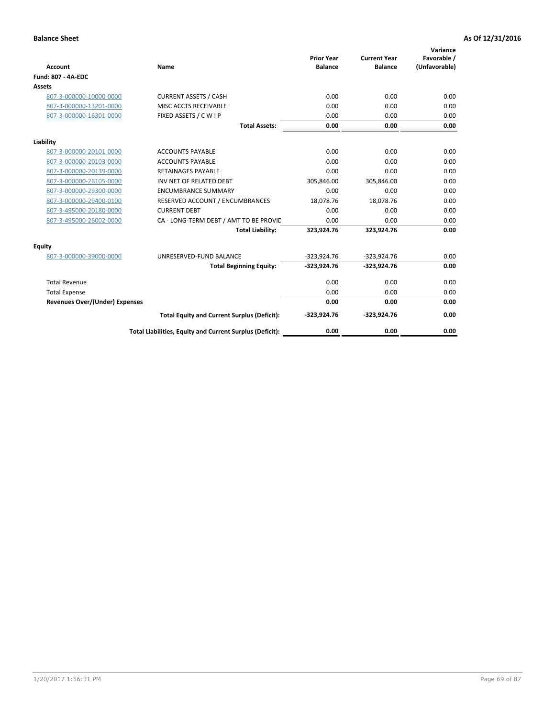| <b>Account</b>                        | Name                                                     | <b>Prior Year</b><br><b>Balance</b> | <b>Current Year</b><br><b>Balance</b> | Variance<br>Favorable /<br>(Unfavorable) |
|---------------------------------------|----------------------------------------------------------|-------------------------------------|---------------------------------------|------------------------------------------|
| <b>Fund: 807 - 4A-EDC</b>             |                                                          |                                     |                                       |                                          |
| <b>Assets</b>                         |                                                          |                                     |                                       |                                          |
| 807-3-000000-10000-0000               | <b>CURRENT ASSETS / CASH</b>                             | 0.00                                | 0.00                                  | 0.00                                     |
| 807-3-000000-13201-0000               | MISC ACCTS RECEIVABLE                                    | 0.00                                | 0.00                                  | 0.00                                     |
| 807-3-000000-16301-0000               | FIXED ASSETS / C W I P                                   | 0.00                                | 0.00                                  | 0.00                                     |
|                                       | <b>Total Assets:</b>                                     | 0.00                                | 0.00                                  | 0.00                                     |
| Liability                             |                                                          |                                     |                                       |                                          |
| 807-3-000000-20101-0000               | <b>ACCOUNTS PAYABLE</b>                                  | 0.00                                | 0.00                                  | 0.00                                     |
| 807-3-000000-20103-0000               | <b>ACCOUNTS PAYABLE</b>                                  | 0.00                                | 0.00                                  | 0.00                                     |
| 807-3-000000-20139-0000               | <b>RETAINAGES PAYABLE</b>                                | 0.00                                | 0.00                                  | 0.00                                     |
| 807-3-000000-26105-0000               | INV NET OF RELATED DEBT                                  | 305,846.00                          | 305,846.00                            | 0.00                                     |
| 807-3-000000-29300-0000               | <b>ENCUMBRANCE SUMMARY</b>                               | 0.00                                | 0.00                                  | 0.00                                     |
| 807-3-000000-29400-0100               | RESERVED ACCOUNT / ENCUMBRANCES                          | 18,078.76                           | 18,078.76                             | 0.00                                     |
| 807-3-495000-20180-0000               | <b>CURRENT DEBT</b>                                      | 0.00                                | 0.00                                  | 0.00                                     |
| 807-3-495000-26002-0000               | CA - LONG-TERM DEBT / AMT TO BE PROVIL                   | 0.00                                | 0.00                                  | 0.00                                     |
|                                       | <b>Total Liability:</b>                                  | 323,924.76                          | 323,924.76                            | 0.00                                     |
| Equity                                |                                                          |                                     |                                       |                                          |
| 807-3-000000-39000-0000               | UNRESERVED-FUND BALANCE                                  | $-323,924.76$                       | $-323,924.76$                         | 0.00                                     |
|                                       | <b>Total Beginning Equity:</b>                           | $-323,924.76$                       | $-323,924.76$                         | 0.00                                     |
| <b>Total Revenue</b>                  |                                                          | 0.00                                | 0.00                                  | 0.00                                     |
| <b>Total Expense</b>                  |                                                          | 0.00                                | 0.00                                  | 0.00                                     |
| <b>Revenues Over/(Under) Expenses</b> |                                                          | 0.00                                | 0.00                                  | 0.00                                     |
|                                       | <b>Total Equity and Current Surplus (Deficit):</b>       | $-323,924.76$                       | $-323,924.76$                         | 0.00                                     |
|                                       | Total Liabilities, Equity and Current Surplus (Deficit): | 0.00                                | 0.00                                  | 0.00                                     |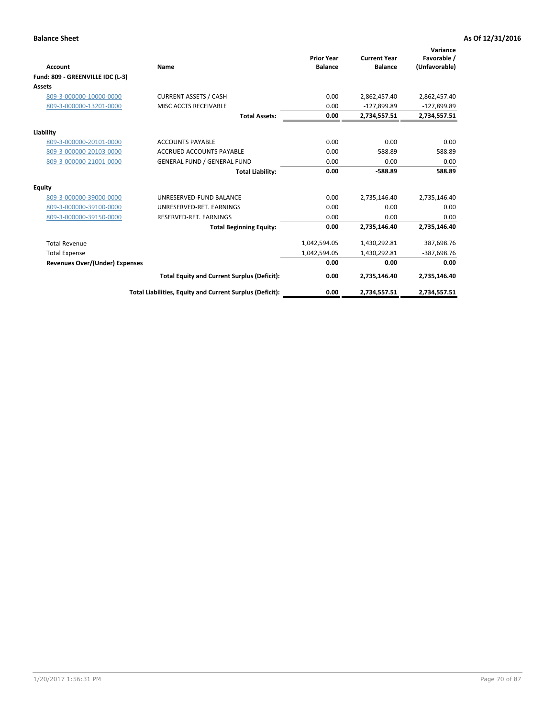|                                       |                                                          |                                     |                                       | Variance                     |
|---------------------------------------|----------------------------------------------------------|-------------------------------------|---------------------------------------|------------------------------|
| Account                               | Name                                                     | <b>Prior Year</b><br><b>Balance</b> | <b>Current Year</b><br><b>Balance</b> | Favorable /<br>(Unfavorable) |
| Fund: 809 - GREENVILLE IDC (L-3)      |                                                          |                                     |                                       |                              |
| Assets                                |                                                          |                                     |                                       |                              |
| 809-3-000000-10000-0000               | <b>CURRENT ASSETS / CASH</b>                             | 0.00                                | 2,862,457.40                          | 2,862,457.40                 |
| 809-3-000000-13201-0000               | MISC ACCTS RECEIVABLE                                    | 0.00                                | $-127,899.89$                         | $-127,899.89$                |
|                                       | <b>Total Assets:</b>                                     | 0.00                                | 2,734,557.51                          | 2,734,557.51                 |
| Liability                             |                                                          |                                     |                                       |                              |
| 809-3-000000-20101-0000               | <b>ACCOUNTS PAYABLE</b>                                  | 0.00                                | 0.00                                  | 0.00                         |
| 809-3-000000-20103-0000               | <b>ACCRUED ACCOUNTS PAYABLE</b>                          | 0.00                                | $-588.89$                             | 588.89                       |
| 809-3-000000-21001-0000               | <b>GENERAL FUND / GENERAL FUND</b>                       | 0.00                                | 0.00                                  | 0.00                         |
|                                       | <b>Total Liability:</b>                                  | 0.00                                | $-588.89$                             | 588.89                       |
| Equity                                |                                                          |                                     |                                       |                              |
| 809-3-000000-39000-0000               | UNRESERVED-FUND BALANCE                                  | 0.00                                | 2,735,146.40                          | 2,735,146.40                 |
| 809-3-000000-39100-0000               | UNRESERVED-RET, EARNINGS                                 | 0.00                                | 0.00                                  | 0.00                         |
| 809-3-000000-39150-0000               | RESERVED-RET. EARNINGS                                   | 0.00                                | 0.00                                  | 0.00                         |
|                                       | <b>Total Beginning Equity:</b>                           | 0.00                                | 2,735,146.40                          | 2,735,146.40                 |
| <b>Total Revenue</b>                  |                                                          | 1,042,594.05                        | 1,430,292.81                          | 387,698.76                   |
| <b>Total Expense</b>                  |                                                          | 1,042,594.05                        | 1,430,292.81                          | -387,698.76                  |
| <b>Revenues Over/(Under) Expenses</b> |                                                          | 0.00                                | 0.00                                  | 0.00                         |
|                                       | <b>Total Equity and Current Surplus (Deficit):</b>       | 0.00                                | 2,735,146.40                          | 2,735,146.40                 |
|                                       | Total Liabilities, Equity and Current Surplus (Deficit): | 0.00                                | 2,734,557.51                          | 2,734,557.51                 |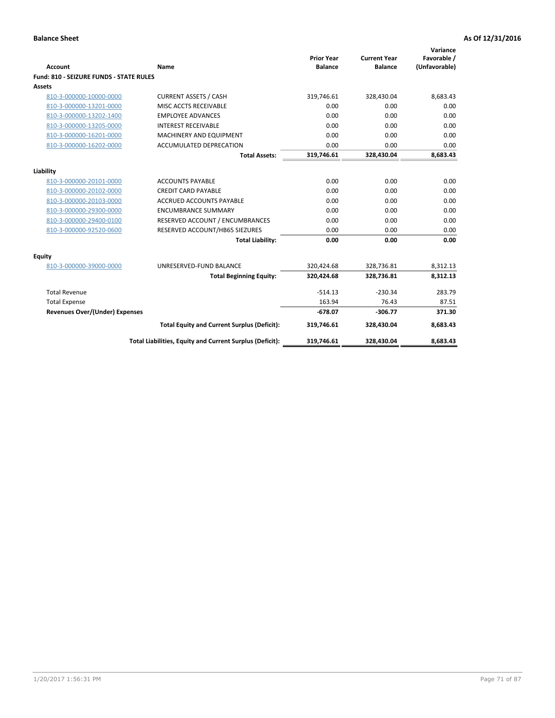| <b>Account</b>                                 | Name                                                     | <b>Prior Year</b><br><b>Balance</b> | <b>Current Year</b><br><b>Balance</b> | Variance<br>Favorable /<br>(Unfavorable) |
|------------------------------------------------|----------------------------------------------------------|-------------------------------------|---------------------------------------|------------------------------------------|
| <b>Fund: 810 - SEIZURE FUNDS - STATE RULES</b> |                                                          |                                     |                                       |                                          |
| <b>Assets</b>                                  |                                                          |                                     |                                       |                                          |
| 810-3-000000-10000-0000                        | <b>CURRENT ASSETS / CASH</b>                             | 319,746.61                          | 328,430.04                            | 8,683.43                                 |
| 810-3-000000-13201-0000                        | MISC ACCTS RECEIVABLE                                    | 0.00                                | 0.00                                  | 0.00                                     |
| 810-3-000000-13202-1400                        | <b>EMPLOYEE ADVANCES</b>                                 | 0.00                                | 0.00                                  | 0.00                                     |
| 810-3-000000-13205-0000                        | <b>INTEREST RECEIVABLE</b>                               | 0.00                                | 0.00                                  | 0.00                                     |
| 810-3-000000-16201-0000                        | <b>MACHINERY AND EQUIPMENT</b>                           | 0.00                                | 0.00                                  | 0.00                                     |
| 810-3-000000-16202-0000                        | ACCUMULATED DEPRECATION                                  | 0.00                                | 0.00                                  | 0.00                                     |
|                                                | <b>Total Assets:</b>                                     | 319,746.61                          | 328,430.04                            | 8,683.43                                 |
|                                                |                                                          |                                     |                                       |                                          |
| Liability                                      |                                                          |                                     |                                       |                                          |
| 810-3-000000-20101-0000                        | <b>ACCOUNTS PAYABLE</b>                                  | 0.00                                | 0.00                                  | 0.00                                     |
| 810-3-000000-20102-0000                        | <b>CREDIT CARD PAYABLE</b>                               | 0.00                                | 0.00                                  | 0.00                                     |
| 810-3-000000-20103-0000                        | <b>ACCRUED ACCOUNTS PAYABLE</b>                          | 0.00                                | 0.00                                  | 0.00                                     |
| 810-3-000000-29300-0000                        | <b>ENCUMBRANCE SUMMARY</b>                               | 0.00                                | 0.00                                  | 0.00                                     |
| 810-3-000000-29400-0100                        | RESERVED ACCOUNT / ENCUMBRANCES                          | 0.00                                | 0.00                                  | 0.00                                     |
| 810-3-000000-92520-0600                        | RESERVED ACCOUNT/HB65 SIEZURES                           | 0.00                                | 0.00                                  | 0.00                                     |
|                                                | <b>Total Liability:</b>                                  | 0.00                                | 0.00                                  | 0.00                                     |
| Equity                                         |                                                          |                                     |                                       |                                          |
| 810-3-000000-39000-0000                        | UNRESERVED-FUND BALANCE                                  | 320,424.68                          | 328,736.81                            | 8,312.13                                 |
|                                                | <b>Total Beginning Equity:</b>                           | 320,424.68                          | 328,736.81                            | 8,312.13                                 |
| <b>Total Revenue</b>                           |                                                          | $-514.13$                           | $-230.34$                             | 283.79                                   |
| <b>Total Expense</b>                           |                                                          | 163.94                              | 76.43                                 | 87.51                                    |
| Revenues Over/(Under) Expenses                 |                                                          | $-678.07$                           | $-306.77$                             | 371.30                                   |
|                                                | <b>Total Equity and Current Surplus (Deficit):</b>       | 319,746.61                          | 328,430.04                            | 8,683.43                                 |
|                                                | Total Liabilities, Equity and Current Surplus (Deficit): | 319,746.61                          | 328,430.04                            | 8,683.43                                 |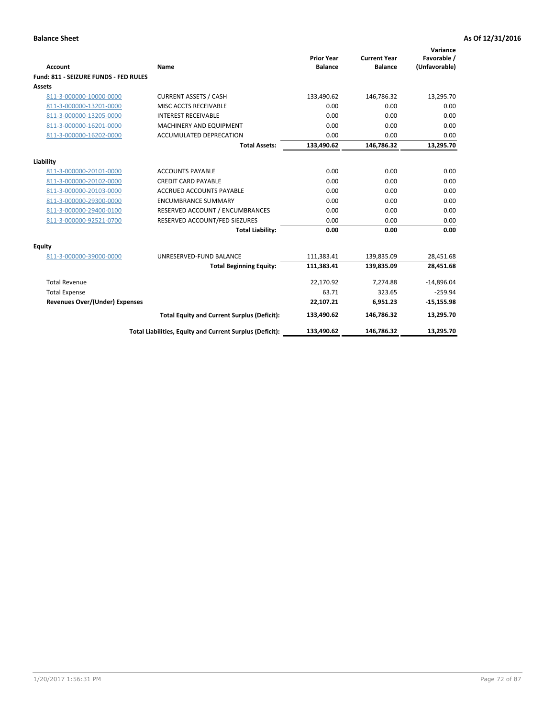| Account                               | Name                                                     | <b>Prior Year</b><br><b>Balance</b> | <b>Current Year</b><br><b>Balance</b> | Variance<br>Favorable /<br>(Unfavorable) |
|---------------------------------------|----------------------------------------------------------|-------------------------------------|---------------------------------------|------------------------------------------|
| Fund: 811 - SEIZURE FUNDS - FED RULES |                                                          |                                     |                                       |                                          |
| <b>Assets</b>                         |                                                          |                                     |                                       |                                          |
| 811-3-000000-10000-0000               | <b>CURRENT ASSETS / CASH</b>                             | 133,490.62                          | 146,786.32                            | 13,295.70                                |
| 811-3-000000-13201-0000               | MISC ACCTS RECEIVABLE                                    | 0.00                                | 0.00                                  | 0.00                                     |
| 811-3-000000-13205-0000               | <b>INTEREST RECEIVABLE</b>                               | 0.00                                | 0.00                                  | 0.00                                     |
| 811-3-000000-16201-0000               | <b>MACHINERY AND EQUIPMENT</b>                           | 0.00                                | 0.00                                  | 0.00                                     |
| 811-3-000000-16202-0000               | ACCUMULATED DEPRECATION                                  | 0.00                                | 0.00                                  | 0.00                                     |
|                                       | <b>Total Assets:</b>                                     | 133,490.62                          | 146,786.32                            | 13,295.70                                |
| Liability                             |                                                          |                                     |                                       |                                          |
| 811-3-000000-20101-0000               | <b>ACCOUNTS PAYABLE</b>                                  | 0.00                                | 0.00                                  | 0.00                                     |
| 811-3-000000-20102-0000               | <b>CREDIT CARD PAYABLE</b>                               | 0.00                                | 0.00                                  | 0.00                                     |
| 811-3-000000-20103-0000               | <b>ACCRUED ACCOUNTS PAYABLE</b>                          | 0.00                                | 0.00                                  | 0.00                                     |
| 811-3-000000-29300-0000               | <b>ENCUMBRANCE SUMMARY</b>                               | 0.00                                | 0.00                                  | 0.00                                     |
| 811-3-000000-29400-0100               | RESERVED ACCOUNT / ENCUMBRANCES                          | 0.00                                | 0.00                                  | 0.00                                     |
| 811-3-000000-92521-0700               | RESERVED ACCOUNT/FED SIEZURES                            | 0.00                                | 0.00                                  | 0.00                                     |
|                                       | <b>Total Liability:</b>                                  | 0.00                                | 0.00                                  | 0.00                                     |
| Equity                                |                                                          |                                     |                                       |                                          |
| 811-3-000000-39000-0000               | UNRESERVED-FUND BALANCE                                  | 111,383.41                          | 139,835.09                            | 28,451.68                                |
|                                       | <b>Total Beginning Equity:</b>                           | 111,383.41                          | 139,835.09                            | 28,451.68                                |
| <b>Total Revenue</b>                  |                                                          | 22,170.92                           | 7.274.88                              | $-14,896.04$                             |
| <b>Total Expense</b>                  |                                                          | 63.71                               | 323.65                                | $-259.94$                                |
| Revenues Over/(Under) Expenses        |                                                          | 22,107.21                           | 6,951.23                              | $-15,155.98$                             |
|                                       | <b>Total Equity and Current Surplus (Deficit):</b>       | 133,490.62                          | 146,786.32                            | 13,295.70                                |
|                                       | Total Liabilities, Equity and Current Surplus (Deficit): | 133,490.62                          | 146,786.32                            | 13,295.70                                |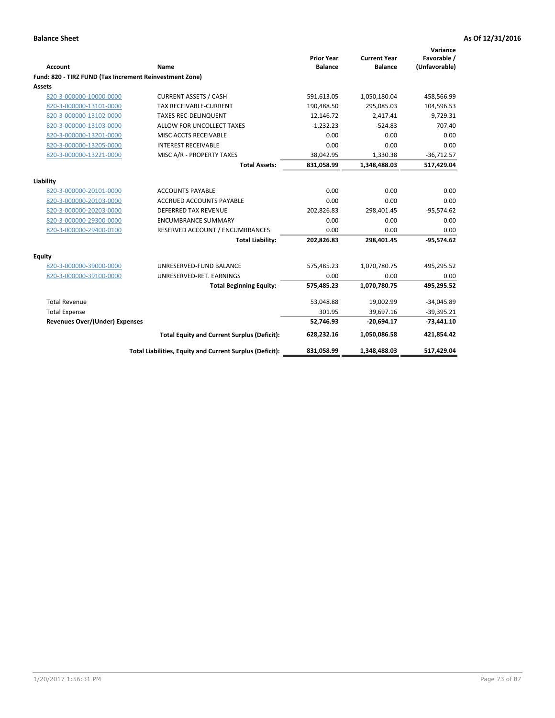| <b>Account</b>                                          | Name                                                     | <b>Prior Year</b><br><b>Balance</b> | <b>Current Year</b><br><b>Balance</b> | Variance<br>Favorable /<br>(Unfavorable) |
|---------------------------------------------------------|----------------------------------------------------------|-------------------------------------|---------------------------------------|------------------------------------------|
| Fund: 820 - TIRZ FUND (Tax Increment Reinvestment Zone) |                                                          |                                     |                                       |                                          |
| Assets                                                  |                                                          |                                     |                                       |                                          |
| 820-3-000000-10000-0000                                 | <b>CURRENT ASSETS / CASH</b>                             | 591,613.05                          | 1,050,180.04                          | 458,566.99                               |
| 820-3-000000-13101-0000                                 | <b>TAX RECEIVABLE-CURRENT</b>                            | 190,488.50                          | 295,085.03                            | 104,596.53                               |
| 820-3-000000-13102-0000                                 | <b>TAXES REC-DELINQUENT</b>                              | 12,146.72                           | 2,417.41                              | $-9,729.31$                              |
| 820-3-000000-13103-0000                                 | ALLOW FOR UNCOLLECT TAXES                                | $-1,232.23$                         | $-524.83$                             | 707.40                                   |
| 820-3-000000-13201-0000                                 | MISC ACCTS RECEIVABLE                                    | 0.00                                | 0.00                                  | 0.00                                     |
| 820-3-000000-13205-0000                                 | <b>INTEREST RECEIVABLE</b>                               | 0.00                                | 0.00                                  | 0.00                                     |
| 820-3-000000-13221-0000                                 | MISC A/R - PROPERTY TAXES                                | 38,042.95                           | 1,330.38                              | $-36,712.57$                             |
|                                                         | <b>Total Assets:</b>                                     | 831,058.99                          | 1,348,488.03                          | 517,429.04                               |
| Liability                                               |                                                          |                                     |                                       |                                          |
| 820-3-000000-20101-0000                                 | <b>ACCOUNTS PAYABLE</b>                                  | 0.00                                | 0.00                                  | 0.00                                     |
| 820-3-000000-20103-0000                                 | <b>ACCRUED ACCOUNTS PAYABLE</b>                          | 0.00                                | 0.00                                  | 0.00                                     |
| 820-3-000000-20203-0000                                 | <b>DEFERRED TAX REVENUE</b>                              | 202,826.83                          | 298,401.45                            | $-95,574.62$                             |
| 820-3-000000-29300-0000                                 | <b>ENCUMBRANCE SUMMARY</b>                               | 0.00                                | 0.00                                  | 0.00                                     |
| 820-3-000000-29400-0100                                 | RESERVED ACCOUNT / ENCUMBRANCES                          | 0.00                                | 0.00                                  | 0.00                                     |
|                                                         | <b>Total Liability:</b>                                  | 202,826.83                          | 298,401.45                            | $-95,574.62$                             |
| Equity                                                  |                                                          |                                     |                                       |                                          |
| 820-3-000000-39000-0000                                 | UNRESERVED-FUND BALANCE                                  | 575,485.23                          | 1,070,780.75                          | 495,295.52                               |
| 820-3-000000-39100-0000                                 | UNRESERVED-RET. EARNINGS                                 | 0.00                                | 0.00                                  | 0.00                                     |
|                                                         | <b>Total Beginning Equity:</b>                           | 575,485.23                          | 1,070,780.75                          | 495,295.52                               |
| <b>Total Revenue</b>                                    |                                                          | 53,048.88                           | 19,002.99                             | $-34,045.89$                             |
| <b>Total Expense</b>                                    |                                                          | 301.95                              | 39,697.16                             | $-39,395.21$                             |
| <b>Revenues Over/(Under) Expenses</b>                   |                                                          | 52,746.93                           | $-20,694.17$                          | $-73,441.10$                             |
|                                                         | <b>Total Equity and Current Surplus (Deficit):</b>       | 628,232.16                          | 1,050,086.58                          | 421,854.42                               |
|                                                         | Total Liabilities, Equity and Current Surplus (Deficit): | 831,058.99                          | 1,348,488.03                          | 517,429.04                               |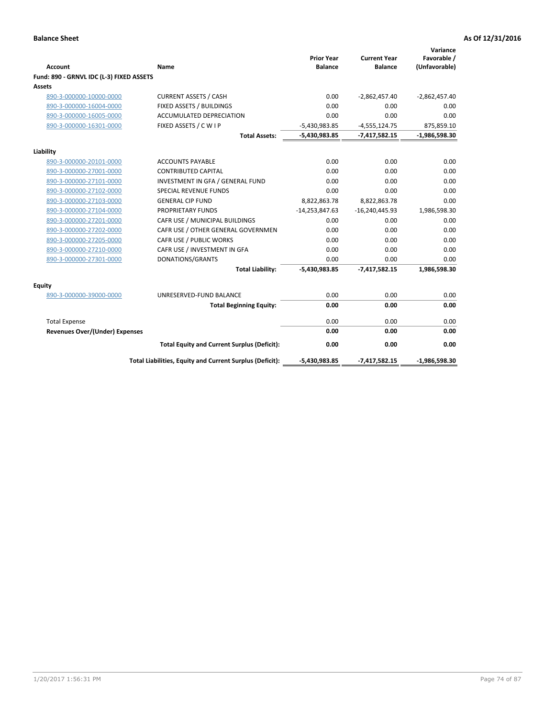|                                          |                                                          | <b>Prior Year</b> | <b>Current Year</b> | Variance<br>Favorable / |
|------------------------------------------|----------------------------------------------------------|-------------------|---------------------|-------------------------|
| <b>Account</b>                           | Name                                                     | <b>Balance</b>    | <b>Balance</b>      | (Unfavorable)           |
| Fund: 890 - GRNVL IDC (L-3) FIXED ASSETS |                                                          |                   |                     |                         |
| <b>Assets</b>                            |                                                          |                   |                     |                         |
| 890-3-000000-10000-0000                  | <b>CURRENT ASSETS / CASH</b>                             | 0.00              | $-2,862,457.40$     | $-2,862,457.40$         |
| 890-3-000000-16004-0000                  | FIXED ASSETS / BUILDINGS                                 | 0.00              | 0.00                | 0.00                    |
| 890-3-000000-16005-0000                  | <b>ACCUMULATED DEPRECIATION</b>                          | 0.00              | 0.00                | 0.00                    |
| 890-3-000000-16301-0000                  | FIXED ASSETS / C W I P                                   | $-5,430,983.85$   | $-4,555,124.75$     | 875,859.10              |
|                                          | <b>Total Assets:</b>                                     | $-5,430,983.85$   | $-7,417,582.15$     | $-1,986,598.30$         |
| Liability                                |                                                          |                   |                     |                         |
| 890-3-000000-20101-0000                  | <b>ACCOUNTS PAYABLE</b>                                  | 0.00              | 0.00                | 0.00                    |
| 890-3-000000-27001-0000                  | <b>CONTRIBUTED CAPITAL</b>                               | 0.00              | 0.00                | 0.00                    |
| 890-3-000000-27101-0000                  | INVESTMENT IN GFA / GENERAL FUND                         | 0.00              | 0.00                | 0.00                    |
| 890-3-000000-27102-0000                  | <b>SPECIAL REVENUE FUNDS</b>                             | 0.00              | 0.00                | 0.00                    |
| 890-3-000000-27103-0000                  | <b>GENERAL CIP FUND</b>                                  | 8,822,863.78      | 8,822,863.78        | 0.00                    |
| 890-3-000000-27104-0000                  | <b>PROPRIETARY FUNDS</b>                                 | $-14,253,847.63$  | $-16,240,445.93$    | 1,986,598.30            |
| 890-3-000000-27201-0000                  | CAFR USE / MUNICIPAL BUILDINGS                           | 0.00              | 0.00                | 0.00                    |
| 890-3-000000-27202-0000                  | CAFR USE / OTHER GENERAL GOVERNMEN                       | 0.00              | 0.00                | 0.00                    |
| 890-3-000000-27205-0000                  | CAFR USE / PUBLIC WORKS                                  | 0.00              | 0.00                | 0.00                    |
| 890-3-000000-27210-0000                  | CAFR USE / INVESTMENT IN GFA                             | 0.00              | 0.00                | 0.00                    |
| 890-3-000000-27301-0000                  | DONATIONS/GRANTS                                         | 0.00              | 0.00                | 0.00                    |
|                                          | <b>Total Liability:</b>                                  | -5,430,983.85     | $-7,417,582.15$     | 1,986,598.30            |
| Equity                                   |                                                          |                   |                     |                         |
| 890-3-000000-39000-0000                  | UNRESERVED-FUND BALANCE                                  | 0.00              | 0.00                | 0.00                    |
|                                          | <b>Total Beginning Equity:</b>                           | 0.00              | 0.00                | 0.00                    |
| <b>Total Expense</b>                     |                                                          | 0.00              | 0.00                | 0.00                    |
| <b>Revenues Over/(Under) Expenses</b>    |                                                          | 0.00              | 0.00                | 0.00                    |
|                                          | <b>Total Equity and Current Surplus (Deficit):</b>       | 0.00              | 0.00                | 0.00                    |
|                                          | Total Liabilities, Equity and Current Surplus (Deficit): | $-5,430,983.85$   | $-7,417,582.15$     | $-1,986,598.30$         |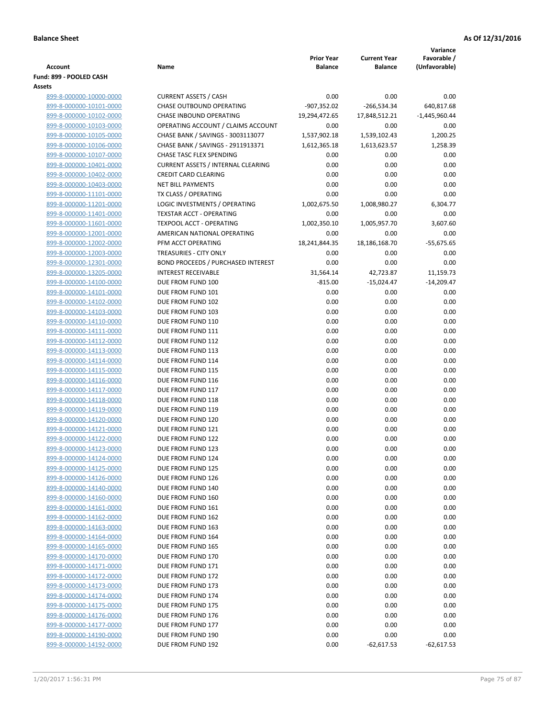|                                                    |                                                  |                                     |                                       | Variance                     |
|----------------------------------------------------|--------------------------------------------------|-------------------------------------|---------------------------------------|------------------------------|
| <b>Account</b>                                     | Name                                             | <b>Prior Year</b><br><b>Balance</b> | <b>Current Year</b><br><b>Balance</b> | Favorable /<br>(Unfavorable) |
| Fund: 899 - POOLED CASH                            |                                                  |                                     |                                       |                              |
| Assets                                             |                                                  |                                     |                                       |                              |
| 899-8-000000-10000-0000                            | <b>CURRENT ASSETS / CASH</b>                     | 0.00                                | 0.00                                  | 0.00                         |
| 899-8-000000-10101-0000                            | <b>CHASE OUTBOUND OPERATING</b>                  | $-907,352.02$                       | $-266,534.34$                         | 640,817.68                   |
| 899-8-000000-10102-0000                            | CHASE INBOUND OPERATING                          | 19,294,472.65                       | 17,848,512.21                         | $-1,445,960.44$              |
| 899-8-000000-10103-0000                            | OPERATING ACCOUNT / CLAIMS ACCOUNT               | 0.00                                | 0.00                                  | 0.00                         |
| 899-8-000000-10105-0000                            | CHASE BANK / SAVINGS - 3003113077                | 1,537,902.18                        | 1,539,102.43                          | 1,200.25                     |
| 899-8-000000-10106-0000                            | CHASE BANK / SAVINGS - 2911913371                | 1,612,365.18                        | 1,613,623.57                          | 1,258.39                     |
| 899-8-000000-10107-0000                            | CHASE TASC FLEX SPENDING                         | 0.00                                | 0.00                                  | 0.00                         |
| 899-8-000000-10401-0000                            | <b>CURRENT ASSETS / INTERNAL CLEARING</b>        | 0.00                                | 0.00                                  | 0.00                         |
| 899-8-000000-10402-0000                            | <b>CREDIT CARD CLEARING</b>                      | 0.00                                | 0.00                                  | 0.00                         |
| 899-8-000000-10403-0000<br>899-8-000000-11101-0000 | <b>NET BILL PAYMENTS</b><br>TX CLASS / OPERATING | 0.00<br>0.00                        | 0.00<br>0.00                          | 0.00<br>0.00                 |
| 899-8-000000-11201-0000                            | LOGIC INVESTMENTS / OPERATING                    | 1,002,675.50                        | 1,008,980.27                          | 6,304.77                     |
| 899-8-000000-11401-0000                            | <b>TEXSTAR ACCT - OPERATING</b>                  | 0.00                                | 0.00                                  | 0.00                         |
| 899-8-000000-11601-0000                            | <b>TEXPOOL ACCT - OPERATING</b>                  | 1,002,350.10                        | 1,005,957.70                          | 3,607.60                     |
| 899-8-000000-12001-0000                            | AMERICAN NATIONAL OPERATING                      | 0.00                                | 0.00                                  | 0.00                         |
| 899-8-000000-12002-0000                            | PFM ACCT OPERATING                               | 18,241,844.35                       | 18,186,168.70                         | $-55,675.65$                 |
| 899-8-000000-12003-0000                            | TREASURIES - CITY ONLY                           | 0.00                                | 0.00                                  | 0.00                         |
| 899-8-000000-12301-0000                            | BOND PROCEEDS / PURCHASED INTEREST               | 0.00                                | 0.00                                  | 0.00                         |
| 899-8-000000-13205-0000                            | <b>INTEREST RECEIVABLE</b>                       | 31,564.14                           | 42,723.87                             | 11,159.73                    |
| 899-8-000000-14100-0000                            | DUE FROM FUND 100                                | $-815.00$                           | $-15,024.47$                          | $-14,209.47$                 |
| 899-8-000000-14101-0000                            | DUE FROM FUND 101                                | 0.00                                | 0.00                                  | 0.00                         |
| 899-8-000000-14102-0000                            | DUE FROM FUND 102                                | 0.00                                | 0.00                                  | 0.00                         |
| 899-8-000000-14103-0000                            | DUE FROM FUND 103                                | 0.00                                | 0.00                                  | 0.00                         |
| 899-8-000000-14110-0000                            | DUE FROM FUND 110                                | 0.00                                | 0.00                                  | 0.00                         |
| 899-8-000000-14111-0000                            | DUE FROM FUND 111                                | 0.00                                | 0.00                                  | 0.00                         |
| 899-8-000000-14112-0000                            | DUE FROM FUND 112                                | 0.00                                | 0.00                                  | 0.00                         |
| 899-8-000000-14113-0000                            | DUE FROM FUND 113                                | 0.00                                | 0.00                                  | 0.00                         |
| 899-8-000000-14114-0000                            | DUE FROM FUND 114                                | 0.00                                | 0.00                                  | 0.00                         |
| 899-8-000000-14115-0000                            | DUE FROM FUND 115                                | 0.00                                | 0.00                                  | 0.00                         |
| 899-8-000000-14116-0000<br>899-8-000000-14117-0000 | DUE FROM FUND 116<br>DUE FROM FUND 117           | 0.00<br>0.00                        | 0.00<br>0.00                          | 0.00<br>0.00                 |
| 899-8-000000-14118-0000                            | DUE FROM FUND 118                                | 0.00                                | 0.00                                  | 0.00                         |
| 899-8-000000-14119-0000                            | DUE FROM FUND 119                                | 0.00                                | 0.00                                  | 0.00                         |
| 899-8-000000-14120-0000                            | DUE FROM FUND 120                                | 0.00                                | 0.00                                  | 0.00                         |
| 899-8-000000-14121-0000                            | DUE FROM FUND 121                                | 0.00                                | 0.00                                  | 0.00                         |
| 899-8-000000-14122-0000                            | DUE FROM FUND 122                                | 0.00                                | 0.00                                  | 0.00                         |
| 899-8-000000-14123-0000                            | DUE FROM FUND 123                                | 0.00                                | 0.00                                  | 0.00                         |
| 899-8-000000-14124-0000                            | DUE FROM FUND 124                                | 0.00                                | 0.00                                  | 0.00                         |
| 899-8-000000-14125-0000                            | DUE FROM FUND 125                                | 0.00                                | 0.00                                  | 0.00                         |
| 899-8-000000-14126-0000                            | DUE FROM FUND 126                                | 0.00                                | 0.00                                  | 0.00                         |
| 899-8-000000-14140-0000                            | DUE FROM FUND 140                                | 0.00                                | 0.00                                  | 0.00                         |
| 899-8-000000-14160-0000                            | DUE FROM FUND 160                                | 0.00                                | 0.00                                  | 0.00                         |
| 899-8-000000-14161-0000                            | DUE FROM FUND 161                                | 0.00                                | 0.00                                  | 0.00                         |
| 899-8-000000-14162-0000                            | DUE FROM FUND 162                                | 0.00                                | 0.00                                  | 0.00                         |
| 899-8-000000-14163-0000                            | DUE FROM FUND 163                                | 0.00                                | 0.00                                  | 0.00                         |
| 899-8-000000-14164-0000                            | DUE FROM FUND 164                                | 0.00                                | 0.00                                  | 0.00                         |
| 899-8-000000-14165-0000                            | DUE FROM FUND 165                                | 0.00                                | 0.00                                  | 0.00                         |
| 899-8-000000-14170-0000                            | DUE FROM FUND 170                                | 0.00                                | 0.00                                  | 0.00                         |
| 899-8-000000-14171-0000                            | DUE FROM FUND 171                                | 0.00                                | 0.00<br>0.00                          | 0.00<br>0.00                 |
| 899-8-000000-14172-0000<br>899-8-000000-14173-0000 | DUE FROM FUND 172<br>DUE FROM FUND 173           | 0.00<br>0.00                        | 0.00                                  | 0.00                         |
| 899-8-000000-14174-0000                            | DUE FROM FUND 174                                | 0.00                                | 0.00                                  | 0.00                         |
| 899-8-000000-14175-0000                            | DUE FROM FUND 175                                | 0.00                                | 0.00                                  | 0.00                         |
| 899-8-000000-14176-0000                            | DUE FROM FUND 176                                | 0.00                                | 0.00                                  | 0.00                         |
| 899-8-000000-14177-0000                            | DUE FROM FUND 177                                | 0.00                                | 0.00                                  | 0.00                         |
| 899-8-000000-14190-0000                            | DUE FROM FUND 190                                | 0.00                                | 0.00                                  | 0.00                         |
| 899-8-000000-14192-0000                            | DUE FROM FUND 192                                | 0.00                                | $-62,617.53$                          | $-62,617.53$                 |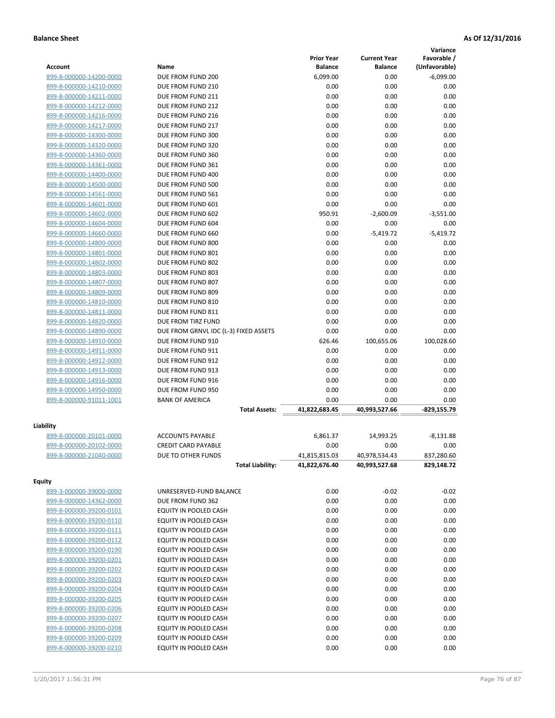|                         |                                       |                   |                     | Variance       |
|-------------------------|---------------------------------------|-------------------|---------------------|----------------|
|                         |                                       | <b>Prior Year</b> | <b>Current Year</b> | Favorable /    |
| Account                 | Name                                  | <b>Balance</b>    | <b>Balance</b>      | (Unfavorable)  |
| 899-8-000000-14200-0000 | DUE FROM FUND 200                     | 6,099.00          | 0.00                | $-6,099.00$    |
| 899-8-000000-14210-0000 | DUE FROM FUND 210                     | 0.00              | 0.00                | 0.00           |
| 899-8-000000-14211-0000 | DUE FROM FUND 211                     | 0.00              | 0.00                | 0.00           |
| 899-8-000000-14212-0000 | DUE FROM FUND 212                     | 0.00              | 0.00                | 0.00           |
| 899-8-000000-14216-0000 | DUE FROM FUND 216                     | 0.00              | 0.00                | 0.00           |
| 899-8-000000-14217-0000 | DUE FROM FUND 217                     | 0.00              | 0.00                | 0.00           |
| 899-8-000000-14300-0000 | DUE FROM FUND 300                     | 0.00              | 0.00                | 0.00           |
| 899-8-000000-14320-0000 | DUE FROM FUND 320                     | 0.00              | 0.00                | 0.00           |
| 899-8-000000-14360-0000 | DUE FROM FUND 360                     | 0.00              | 0.00                | 0.00           |
| 899-8-000000-14361-0000 | DUE FROM FUND 361                     | 0.00              | 0.00                | 0.00           |
| 899-8-000000-14400-0000 | DUE FROM FUND 400                     | 0.00              | 0.00                | 0.00           |
| 899-8-000000-14500-0000 | DUE FROM FUND 500                     | 0.00              | 0.00                | 0.00           |
| 899-8-000000-14561-0000 | DUE FROM FUND 561                     | 0.00              | 0.00                | 0.00           |
| 899-8-000000-14601-0000 | DUE FROM FUND 601                     | 0.00              | 0.00                | 0.00           |
| 899-8-000000-14602-0000 | DUE FROM FUND 602                     | 950.91            | $-2,600.09$         | $-3,551.00$    |
| 899-8-000000-14604-0000 | DUE FROM FUND 604                     | 0.00              | 0.00                | 0.00           |
| 899-8-000000-14660-0000 | DUE FROM FUND 660                     | 0.00              | $-5,419.72$         | $-5,419.72$    |
| 899-8-000000-14800-0000 | DUE FROM FUND 800                     | 0.00              | 0.00                | 0.00           |
| 899-8-000000-14801-0000 | DUE FROM FUND 801                     | 0.00              | 0.00                | 0.00           |
| 899-8-000000-14802-0000 | DUE FROM FUND 802                     | 0.00              | 0.00                | 0.00           |
| 899-8-000000-14803-0000 | DUE FROM FUND 803                     | 0.00              | 0.00                | 0.00           |
| 899-8-000000-14807-0000 | DUE FROM FUND 807                     | 0.00              | 0.00                | 0.00           |
| 899-8-000000-14809-0000 | DUE FROM FUND 809                     | 0.00              | 0.00                | 0.00           |
| 899-8-000000-14810-0000 | DUE FROM FUND 810                     | 0.00              | 0.00                | 0.00           |
| 899-8-000000-14811-0000 | DUE FROM FUND 811                     | 0.00              | 0.00                | 0.00           |
| 899-8-000000-14820-0000 | DUE FROM TIRZ FUND                    | 0.00              | 0.00                | 0.00           |
| 899-8-000000-14890-0000 | DUE FROM GRNVL IDC (L-3) FIXED ASSETS | 0.00              | 0.00                | 0.00           |
| 899-8-000000-14910-0000 | DUE FROM FUND 910                     | 626.46            | 100,655.06          | 100,028.60     |
| 899-8-000000-14911-0000 | DUE FROM FUND 911                     | 0.00              | 0.00                | 0.00           |
| 899-8-000000-14912-0000 | DUE FROM FUND 912                     | 0.00              | 0.00                | 0.00           |
| 899-8-000000-14913-0000 | DUE FROM FUND 913                     | 0.00              | 0.00                | 0.00           |
| 899-8-000000-14916-0000 | DUE FROM FUND 916                     | 0.00              | 0.00                | 0.00           |
| 899-8-000000-14950-0000 | DUE FROM FUND 950                     | 0.00              | 0.00                | 0.00           |
| 899-8-000000-91011-1001 | <b>BANK OF AMERICA</b>                | 0.00              | 0.00                | 0.00           |
|                         | <b>Total Assets:</b>                  | 41,822,683.45     | 40,993,527.66       | $-829, 155.79$ |
|                         |                                       |                   |                     |                |
| Liability               |                                       |                   |                     |                |
| 899-8-000000-20101-0000 | <b>ACCOUNTS PAYABLE</b>               | 6.861.37          | 14,993.25           | $-8,131.88$    |
| 899-8-000000-20102-0000 | <b>CREDIT CARD PAYABLE</b>            | 0.00              | 0.00                | 0.00           |
| 899-8-000000-21040-0000 | DUE TO OTHER FUNDS                    | 41,815,815.03     | 40,978,534.43       | 837,280.60     |
|                         | <b>Total Liability:</b>               | 41,822,676.40     | 40,993,527.68       | 829,148.72     |
|                         |                                       |                   |                     |                |
| <b>Equity</b>           |                                       |                   |                     |                |
| 899-3-000000-39000-0000 | UNRESERVED-FUND BALANCE               | 0.00              | $-0.02$             | $-0.02$        |
| 899-8-000000-14362-0000 | DUE FROM FUND 362                     | 0.00              | 0.00                | 0.00           |
| 899-8-000000-39200-0101 | EQUITY IN POOLED CASH                 | 0.00              | 0.00                | 0.00           |
| 899-8-000000-39200-0110 | EQUITY IN POOLED CASH                 | 0.00              | 0.00                | 0.00           |
| 899-8-000000-39200-0111 | EQUITY IN POOLED CASH                 | 0.00              | 0.00                | 0.00           |
| 899-8-000000-39200-0112 | EQUITY IN POOLED CASH                 | 0.00              | 0.00                | 0.00           |
| 899-8-000000-39200-0190 | EQUITY IN POOLED CASH                 | 0.00              | 0.00                | 0.00           |
| 899-8-000000-39200-0201 | EQUITY IN POOLED CASH                 | 0.00              | 0.00                | 0.00           |
| 899-8-000000-39200-0202 | EQUITY IN POOLED CASH                 | 0.00              | 0.00                | 0.00           |
| 899-8-000000-39200-0203 | EQUITY IN POOLED CASH                 | 0.00              | 0.00                | 0.00           |
| 899-8-000000-39200-0204 | EQUITY IN POOLED CASH                 | 0.00              | 0.00                | 0.00           |
| 899-8-000000-39200-0205 | EQUITY IN POOLED CASH                 | 0.00              | 0.00                | 0.00           |
| 899-8-000000-39200-0206 | EQUITY IN POOLED CASH                 | 0.00              | 0.00                | 0.00           |
| 899-8-000000-39200-0207 | EQUITY IN POOLED CASH                 | 0.00              | 0.00                | 0.00           |
| 899-8-000000-39200-0208 | EQUITY IN POOLED CASH                 | 0.00              | 0.00                | 0.00           |
| 899-8-000000-39200-0209 | EQUITY IN POOLED CASH                 | 0.00              | 0.00                | 0.00           |
| 899-8-000000-39200-0210 | EQUITY IN POOLED CASH                 | 0.00              | 0.00                | 0.00           |
|                         |                                       |                   |                     |                |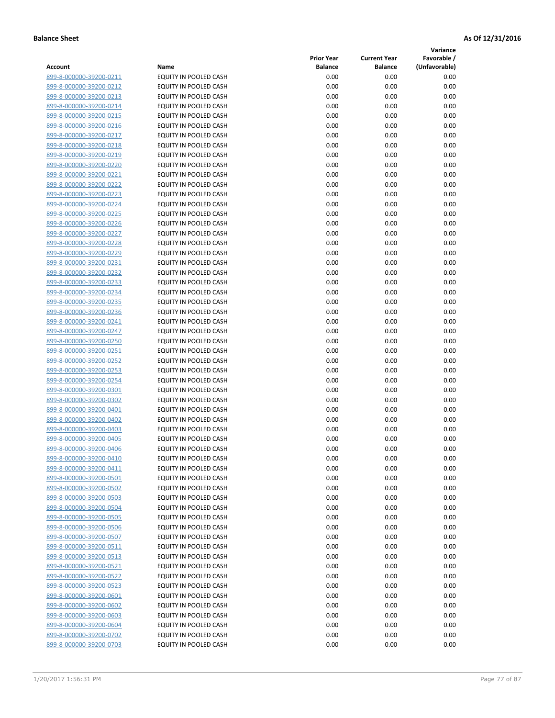**Variance**

| EQUITY IN POOLED CASH<br>899-8-000000-39200-0211<br>899-8-000000-39200-0212<br>EQUITY IN POOLED CASH | 0.00<br>0.00 | 0.00 | 0.00 |
|------------------------------------------------------------------------------------------------------|--------------|------|------|
|                                                                                                      |              |      |      |
|                                                                                                      |              | 0.00 | 0.00 |
| 899-8-000000-39200-0213<br>EQUITY IN POOLED CASH                                                     | 0.00         | 0.00 | 0.00 |
| EQUITY IN POOLED CASH<br>899-8-000000-39200-0214                                                     | 0.00         | 0.00 | 0.00 |
| 899-8-000000-39200-0215<br>EQUITY IN POOLED CASH                                                     | 0.00         | 0.00 | 0.00 |
| EQUITY IN POOLED CASH<br>899-8-000000-39200-0216                                                     | 0.00         | 0.00 | 0.00 |
| 899-8-000000-39200-0217<br>EQUITY IN POOLED CASH                                                     | 0.00         | 0.00 | 0.00 |
| EQUITY IN POOLED CASH<br>899-8-000000-39200-0218                                                     | 0.00         | 0.00 | 0.00 |
| EQUITY IN POOLED CASH<br>899-8-000000-39200-0219                                                     | 0.00         | 0.00 | 0.00 |
| EQUITY IN POOLED CASH<br>899-8-000000-39200-0220                                                     | 0.00         | 0.00 | 0.00 |
| EQUITY IN POOLED CASH<br>899-8-000000-39200-0221                                                     | 0.00         | 0.00 | 0.00 |
| 899-8-000000-39200-0222<br>EQUITY IN POOLED CASH                                                     | 0.00         | 0.00 | 0.00 |
| 899-8-000000-39200-0223<br>EQUITY IN POOLED CASH                                                     | 0.00         | 0.00 | 0.00 |
| EQUITY IN POOLED CASH<br>899-8-000000-39200-0224                                                     | 0.00         | 0.00 | 0.00 |
| EQUITY IN POOLED CASH<br>899-8-000000-39200-0225                                                     | 0.00         | 0.00 | 0.00 |
| EQUITY IN POOLED CASH<br>899-8-000000-39200-0226                                                     | 0.00         | 0.00 | 0.00 |
| 899-8-000000-39200-0227<br>EQUITY IN POOLED CASH                                                     | 0.00         | 0.00 | 0.00 |
| <b>EQUITY IN POOLED CASH</b><br>899-8-000000-39200-0228                                              | 0.00         | 0.00 | 0.00 |
| EQUITY IN POOLED CASH<br>899-8-000000-39200-0229                                                     | 0.00         | 0.00 | 0.00 |
| <b>EQUITY IN POOLED CASH</b><br>899-8-000000-39200-0231                                              | 0.00         | 0.00 | 0.00 |
| EQUITY IN POOLED CASH<br>899-8-000000-39200-0232                                                     | 0.00         | 0.00 | 0.00 |
| 899-8-000000-39200-0233<br>EQUITY IN POOLED CASH                                                     | 0.00         | 0.00 | 0.00 |
| <b>EQUITY IN POOLED CASH</b><br>899-8-000000-39200-0234                                              | 0.00         | 0.00 | 0.00 |
| EQUITY IN POOLED CASH<br>899-8-000000-39200-0235                                                     | 0.00         | 0.00 | 0.00 |
| EQUITY IN POOLED CASH<br>899-8-000000-39200-0236                                                     | 0.00         | 0.00 | 0.00 |
| EQUITY IN POOLED CASH<br>899-8-000000-39200-0241                                                     | 0.00         | 0.00 | 0.00 |
| 899-8-000000-39200-0247<br>EQUITY IN POOLED CASH                                                     | 0.00         | 0.00 | 0.00 |
| EQUITY IN POOLED CASH<br>899-8-000000-39200-0250                                                     | 0.00         | 0.00 | 0.00 |
| EQUITY IN POOLED CASH<br>899-8-000000-39200-0251                                                     | 0.00         | 0.00 | 0.00 |
| EQUITY IN POOLED CASH<br>899-8-000000-39200-0252                                                     | 0.00         | 0.00 | 0.00 |
| EQUITY IN POOLED CASH<br>899-8-000000-39200-0253                                                     | 0.00         | 0.00 | 0.00 |
| 899-8-000000-39200-0254<br>EQUITY IN POOLED CASH                                                     | 0.00         | 0.00 | 0.00 |
| EQUITY IN POOLED CASH<br>899-8-000000-39200-0301                                                     | 0.00         | 0.00 | 0.00 |
| EQUITY IN POOLED CASH<br>899-8-000000-39200-0302                                                     | 0.00         | 0.00 | 0.00 |
| EQUITY IN POOLED CASH<br>899-8-000000-39200-0401                                                     | 0.00         | 0.00 | 0.00 |
| EQUITY IN POOLED CASH<br>899-8-000000-39200-0402                                                     | 0.00         | 0.00 | 0.00 |
| 899-8-000000-39200-0403<br>EQUITY IN POOLED CASH                                                     | 0.00         | 0.00 | 0.00 |
| EQUITY IN POOLED CASH<br>899-8-000000-39200-0405                                                     | 0.00         | 0.00 | 0.00 |
| EQUITY IN POOLED CASH<br>899-8-000000-39200-0406                                                     | 0.00         | 0.00 | 0.00 |
| 899-8-000000-39200-0410<br>EQUITY IN POOLED CASH                                                     | 0.00         | 0.00 | 0.00 |
| 899-8-000000-39200-0411<br>EQUITY IN POOLED CASH                                                     | 0.00         | 0.00 | 0.00 |
| 899-8-000000-39200-0501<br>EQUITY IN POOLED CASH                                                     | 0.00         | 0.00 | 0.00 |
| 899-8-000000-39200-0502<br>EQUITY IN POOLED CASH                                                     | 0.00         | 0.00 | 0.00 |
| 899-8-000000-39200-0503<br>EQUITY IN POOLED CASH                                                     | 0.00         | 0.00 | 0.00 |
| 899-8-000000-39200-0504<br>EQUITY IN POOLED CASH                                                     | 0.00         | 0.00 | 0.00 |
| 899-8-000000-39200-0505<br><b>EQUITY IN POOLED CASH</b>                                              | 0.00         | 0.00 | 0.00 |
| 899-8-000000-39200-0506<br>EQUITY IN POOLED CASH                                                     | 0.00         | 0.00 | 0.00 |
| 899-8-000000-39200-0507<br>EQUITY IN POOLED CASH                                                     | 0.00         | 0.00 | 0.00 |
| 899-8-000000-39200-0511<br>EQUITY IN POOLED CASH                                                     | 0.00         | 0.00 | 0.00 |
| 899-8-000000-39200-0513<br><b>EQUITY IN POOLED CASH</b>                                              | 0.00         | 0.00 | 0.00 |
| 899-8-000000-39200-0521<br><b>EQUITY IN POOLED CASH</b>                                              | 0.00         | 0.00 | 0.00 |
| 899-8-000000-39200-0522<br>EQUITY IN POOLED CASH                                                     | 0.00         | 0.00 | 0.00 |
| 899-8-000000-39200-0523<br>EQUITY IN POOLED CASH                                                     | 0.00         | 0.00 | 0.00 |
| 899-8-000000-39200-0601<br>EQUITY IN POOLED CASH                                                     | 0.00         | 0.00 | 0.00 |
| 899-8-000000-39200-0602<br>EQUITY IN POOLED CASH                                                     | 0.00         | 0.00 | 0.00 |
| 899-8-000000-39200-0603<br>EQUITY IN POOLED CASH                                                     | 0.00         | 0.00 | 0.00 |
| 899-8-000000-39200-0604<br>EQUITY IN POOLED CASH                                                     | 0.00         | 0.00 | 0.00 |
| 899-8-000000-39200-0702<br>EQUITY IN POOLED CASH                                                     | 0.00         | 0.00 | 0.00 |
| 899-8-000000-39200-0703<br>EQUITY IN POOLED CASH                                                     | 0.00         | 0.00 | 0.00 |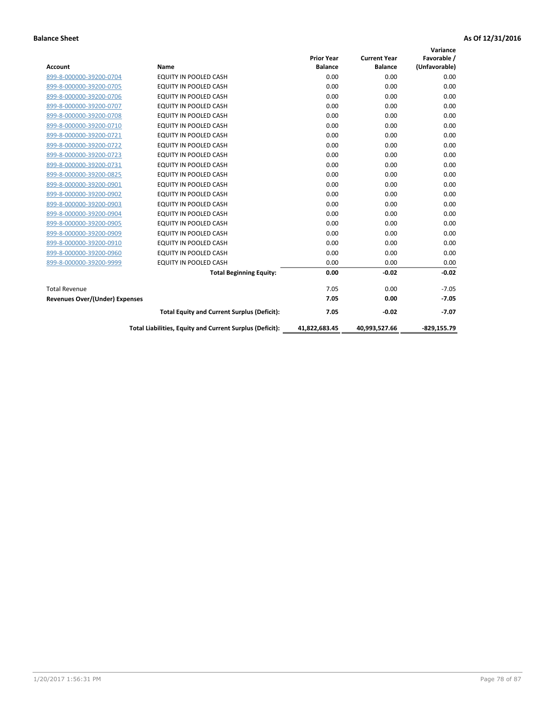| Account                               | Name                                                     | <b>Prior Year</b><br><b>Balance</b> | <b>Current Year</b><br><b>Balance</b> | Variance<br>Favorable /<br>(Unfavorable) |
|---------------------------------------|----------------------------------------------------------|-------------------------------------|---------------------------------------|------------------------------------------|
| 899-8-000000-39200-0704               | EQUITY IN POOLED CASH                                    | 0.00                                | 0.00                                  | 0.00                                     |
| 899-8-000000-39200-0705               | <b>EQUITY IN POOLED CASH</b>                             | 0.00                                | 0.00                                  | 0.00                                     |
| 899-8-000000-39200-0706               | <b>EQUITY IN POOLED CASH</b>                             | 0.00                                | 0.00                                  | 0.00                                     |
| 899-8-000000-39200-0707               | <b>EQUITY IN POOLED CASH</b>                             | 0.00                                | 0.00                                  | 0.00                                     |
| 899-8-000000-39200-0708               | <b>EQUITY IN POOLED CASH</b>                             | 0.00                                | 0.00                                  | 0.00                                     |
| 899-8-000000-39200-0710               | EQUITY IN POOLED CASH                                    | 0.00                                | 0.00                                  | 0.00                                     |
| 899-8-000000-39200-0721               | EQUITY IN POOLED CASH                                    | 0.00                                | 0.00                                  | 0.00                                     |
| 899-8-000000-39200-0722               | <b>EQUITY IN POOLED CASH</b>                             | 0.00                                | 0.00                                  | 0.00                                     |
| 899-8-000000-39200-0723               | <b>EQUITY IN POOLED CASH</b>                             | 0.00                                | 0.00                                  | 0.00                                     |
| 899-8-000000-39200-0731               | <b>EQUITY IN POOLED CASH</b>                             | 0.00                                | 0.00                                  | 0.00                                     |
| 899-8-000000-39200-0825               | <b>EQUITY IN POOLED CASH</b>                             | 0.00                                | 0.00                                  | 0.00                                     |
| 899-8-000000-39200-0901               | <b>EQUITY IN POOLED CASH</b>                             | 0.00                                | 0.00                                  | 0.00                                     |
| 899-8-000000-39200-0902               | EQUITY IN POOLED CASH                                    | 0.00                                | 0.00                                  | 0.00                                     |
| 899-8-000000-39200-0903               | <b>EQUITY IN POOLED CASH</b>                             | 0.00                                | 0.00                                  | 0.00                                     |
| 899-8-000000-39200-0904               | EQUITY IN POOLED CASH                                    | 0.00                                | 0.00                                  | 0.00                                     |
| 899-8-000000-39200-0905               | <b>EQUITY IN POOLED CASH</b>                             | 0.00                                | 0.00                                  | 0.00                                     |
| 899-8-000000-39200-0909               | <b>EQUITY IN POOLED CASH</b>                             | 0.00                                | 0.00                                  | 0.00                                     |
| 899-8-000000-39200-0910               | EQUITY IN POOLED CASH                                    | 0.00                                | 0.00                                  | 0.00                                     |
| 899-8-000000-39200-0960               | <b>EQUITY IN POOLED CASH</b>                             | 0.00                                | 0.00                                  | 0.00                                     |
| 899-8-000000-39200-9999               | <b>EQUITY IN POOLED CASH</b>                             | 0.00                                | 0.00                                  | 0.00                                     |
|                                       | <b>Total Beginning Equity:</b>                           | 0.00                                | $-0.02$                               | $-0.02$                                  |
| <b>Total Revenue</b>                  |                                                          | 7.05                                | 0.00                                  | $-7.05$                                  |
| <b>Revenues Over/(Under) Expenses</b> |                                                          | 7.05                                | 0.00                                  | $-7.05$                                  |
|                                       | <b>Total Equity and Current Surplus (Deficit):</b>       | 7.05                                | $-0.02$                               | $-7.07$                                  |
|                                       | Total Liabilities, Equity and Current Surplus (Deficit): | 41.822.683.45                       | 40,993,527.66                         | $-829, 155.79$                           |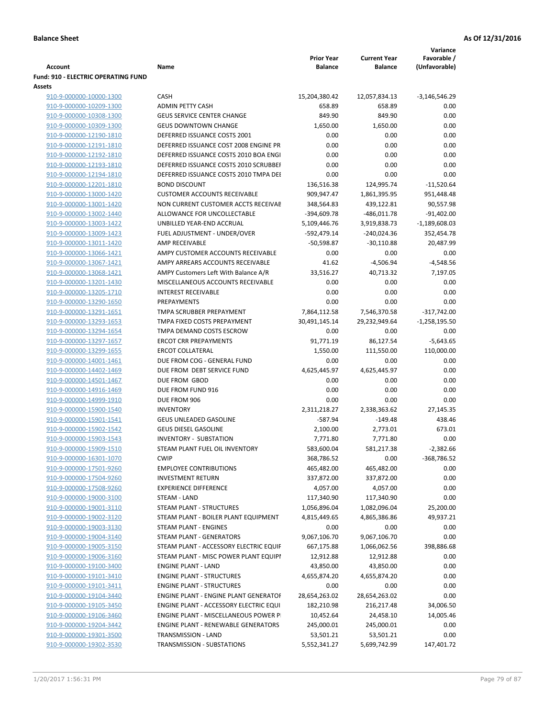|                                                       |                                                   |                         |                           | Variance           |
|-------------------------------------------------------|---------------------------------------------------|-------------------------|---------------------------|--------------------|
|                                                       |                                                   | <b>Prior Year</b>       | <b>Current Year</b>       | Favorable /        |
| Account<br><b>Fund: 910 - ELECTRIC OPERATING FUND</b> | Name                                              | <b>Balance</b>          | <b>Balance</b>            | (Unfavorable)      |
| Assets                                                |                                                   |                         |                           |                    |
| 910-9-000000-10000-1300                               | <b>CASH</b>                                       | 15,204,380.42           | 12,057,834.13             | $-3,146,546.29$    |
| 910-9-000000-10209-1300                               | <b>ADMIN PETTY CASH</b>                           | 658.89                  | 658.89                    | 0.00               |
| 910-9-000000-10308-1300                               | <b>GEUS SERVICE CENTER CHANGE</b>                 | 849.90                  | 849.90                    | 0.00               |
| 910-9-000000-10309-1300                               | <b>GEUS DOWNTOWN CHANGE</b>                       | 1,650.00                | 1,650.00                  | 0.00               |
| 910-9-000000-12190-1810                               | DEFERRED ISSUANCE COSTS 2001                      | 0.00                    | 0.00                      | 0.00               |
| 910-9-000000-12191-1810                               | DEFERRED ISSUANCE COST 2008 ENGINE PR             | 0.00                    | 0.00                      | 0.00               |
| 910-9-000000-12192-1810                               | DEFERRED ISSUANCE COSTS 2010 BOA ENGI             | 0.00                    | 0.00                      | 0.00               |
| 910-9-000000-12193-1810                               | DEFERRED ISSUANCE COSTS 2010 SCRUBBEI             | 0.00                    | 0.00                      | 0.00               |
| 910-9-000000-12194-1810                               | DEFERRED ISSUANCE COSTS 2010 TMPA DEI             | 0.00                    | 0.00                      | 0.00               |
| 910-9-000000-12201-1810                               | <b>BOND DISCOUNT</b>                              | 136,516.38              | 124,995.74                | $-11,520.64$       |
| 910-9-000000-13000-1420                               | <b>CUSTOMER ACCOUNTS RECEIVABLE</b>               | 909,947.47              | 1,861,395.95              | 951,448.48         |
| 910-9-000000-13001-1420                               | NON CURRENT CUSTOMER ACCTS RECEIVAE               | 348,564.83              | 439,122.81                | 90,557.98          |
| 910-9-000000-13002-1440                               | ALLOWANCE FOR UNCOLLECTABLE                       | -394,609.78             | -486,011.78               | $-91,402.00$       |
| 910-9-000000-13003-1422                               | UNBILLED YEAR-END ACCRUAL                         | 5,109,446.76            | 3,919,838.73              | $-1,189,608.03$    |
| 910-9-000000-13009-1423                               | FUEL ADJUSTMENT - UNDER/OVER                      | -592,479.14             | -240,024.36               | 352,454.78         |
| 910-9-000000-13011-1420                               | AMP RECEIVABLE                                    | $-50,598.87$            | $-30,110.88$              | 20,487.99          |
| 910-9-000000-13066-1421                               | AMPY CUSTOMER ACCOUNTS RECEIVABLE                 | 0.00                    | 0.00                      | 0.00               |
| 910-9-000000-13067-1421                               | AMPY ARREARS ACCOUNTS RECEIVABLE                  | 41.62                   | $-4,506.94$               | $-4,548.56$        |
| 910-9-000000-13068-1421                               | AMPY Customers Left With Balance A/R              | 33,516.27               | 40,713.32                 | 7,197.05           |
| 910-9-000000-13201-1430                               | MISCELLANEOUS ACCOUNTS RECEIVABLE                 | 0.00                    | 0.00                      | 0.00               |
| 910-9-000000-13205-1710                               | <b>INTEREST RECEIVABLE</b>                        | 0.00                    | 0.00                      | 0.00               |
| 910-9-000000-13290-1650                               | PREPAYMENTS                                       | 0.00                    | 0.00                      | 0.00               |
| 910-9-000000-13291-1651                               | TMPA SCRUBBER PREPAYMENT                          | 7,864,112.58            | 7,546,370.58              | $-317,742.00$      |
| 910-9-000000-13293-1653                               | TMPA FIXED COSTS PREPAYMENT                       | 30,491,145.14           | 29,232,949.64             | $-1,258,195.50$    |
| 910-9-000000-13294-1654                               | TMPA DEMAND COSTS ESCROW                          | 0.00                    | 0.00                      | 0.00               |
| 910-9-000000-13297-1657                               | <b>ERCOT CRR PREPAYMENTS</b>                      | 91,771.19               | 86,127.54                 | $-5,643.65$        |
| 910-9-000000-13299-1655                               | <b>ERCOT COLLATERAL</b>                           | 1,550.00                | 111,550.00                | 110,000.00         |
| 910-9-000000-14001-1461                               | DUE FROM COG - GENERAL FUND                       | 0.00                    | 0.00                      | 0.00               |
| 910-9-000000-14402-1469                               | DUE FROM DEBT SERVICE FUND                        | 4,625,445.97            | 4,625,445.97              | 0.00               |
| 910-9-000000-14501-1467                               | DUE FROM GBOD                                     | 0.00                    | 0.00                      | 0.00               |
| 910-9-000000-14916-1469                               | DUE FROM FUND 916                                 | 0.00                    | 0.00                      | 0.00               |
| 910-9-000000-14999-1910                               | DUE FROM 906                                      | 0.00                    | 0.00                      | 0.00               |
| 910-9-000000-15900-1540                               | <b>INVENTORY</b>                                  | 2,311,218.27            | 2,338,363.62              | 27,145.35          |
| 910-9-000000-15901-1541                               | <b>GEUS UNLEADED GASOLINE</b>                     | $-587.94$               | $-149.48$                 | 438.46             |
| 910-9-000000-15902-1542                               | <b>GEUS DIESEL GASOLINE</b>                       | 2,100.00                | 2,773.01                  | 673.01             |
| 910-9-000000-15903-1543                               | <b>INVENTORY - SUBSTATION</b>                     | 7,771.80                | 7,771.80                  | 0.00               |
| 910-9-000000-15909-1510                               | STEAM PLANT FUEL OIL INVENTORY                    | 583,600.04              | 581,217.38                | $-2,382.66$        |
| 910-9-000000-16301-1070                               | <b>CWIP</b>                                       | 368,786.52              | 0.00                      | -368,786.52        |
| 910-9-000000-17501-9260                               | <b>EMPLOYEE CONTRIBUTIONS</b>                     | 465,482.00              | 465,482.00                | 0.00               |
| 910-9-000000-17504-9260                               | <b>INVESTMENT RETURN</b>                          | 337,872.00              | 337,872.00                | 0.00               |
| 910-9-000000-17508-9260                               | <b>EXPERIENCE DIFFERENCE</b>                      | 4,057.00                | 4,057.00                  | 0.00               |
| 910-9-000000-19000-3100                               | <b>STEAM - LAND</b>                               | 117,340.90              | 117,340.90                | 0.00               |
| 910-9-000000-19001-3110                               | STEAM PLANT - STRUCTURES                          | 1,056,896.04            | 1,082,096.04              | 25,200.00          |
| 910-9-000000-19002-3120                               | STEAM PLANT - BOILER PLANT EQUIPMENT              | 4,815,449.65            | 4,865,386.86              | 49,937.21          |
| 910-9-000000-19003-3130<br>910-9-000000-19004-3140    | STEAM PLANT - ENGINES<br>STEAM PLANT - GENERATORS | 0.00                    | 0.00                      | 0.00<br>0.00       |
| 910-9-000000-19005-3150                               | STEAM PLANT - ACCESSORY ELECTRIC EQUIF            | 9,067,106.70            | 9,067,106.70              |                    |
| 910-9-000000-19006-3160                               | STEAM PLANT - MISC POWER PLANT EQUIPI             | 667,175.88<br>12,912.88 | 1,066,062.56<br>12,912.88 | 398,886.68<br>0.00 |
|                                                       | <b>ENGINE PLANT - LAND</b>                        | 43,850.00               |                           |                    |
| 910-9-000000-19100-3400<br>910-9-000000-19101-3410    | <b>ENGINE PLANT - STRUCTURES</b>                  | 4,655,874.20            | 43,850.00<br>4,655,874.20 | 0.00<br>0.00       |
| 910-9-000000-19101-3411                               | <b>ENGINE PLANT - STRUCTURES</b>                  | 0.00                    | 0.00                      | 0.00               |
| 910-9-000000-19104-3440                               | ENGINE PLANT - ENGINE PLANT GENERATOF             | 28,654,263.02           | 28,654,263.02             | 0.00               |
| 910-9-000000-19105-3450                               | ENGINE PLANT - ACCESSORY ELECTRIC EQUI            | 182,210.98              | 216,217.48                | 34,006.50          |
| 910-9-000000-19106-3460                               | ENGINE PLANT - MISCELLANEOUS POWER P              | 10,452.64               | 24,458.10                 | 14,005.46          |
| 910-9-000000-19204-3442                               | <b>ENGINE PLANT - RENEWABLE GENERATORS</b>        | 245,000.01              | 245,000.01                | 0.00               |
| 910-9-000000-19301-3500                               | TRANSMISSION - LAND                               | 53,501.21               | 53,501.21                 | 0.00               |
| 910-9-000000-19302-3530                               | TRANSMISSION - SUBSTATIONS                        | 5,552,341.27            | 5,699,742.99              | 147,401.72         |
|                                                       |                                                   |                         |                           |                    |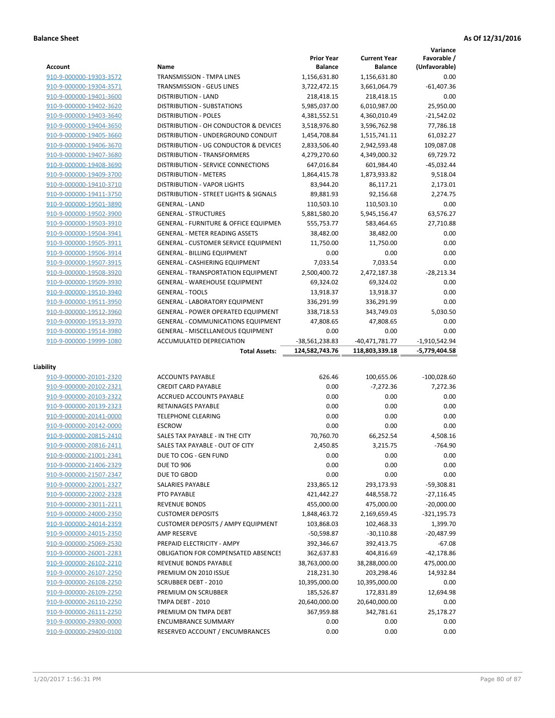|                                                    |                                                               |                                     |                                       | Variance                     |
|----------------------------------------------------|---------------------------------------------------------------|-------------------------------------|---------------------------------------|------------------------------|
| Account                                            | Name                                                          | <b>Prior Year</b><br><b>Balance</b> | <b>Current Year</b><br><b>Balance</b> | Favorable /<br>(Unfavorable) |
| 910-9-000000-19303-3572                            | TRANSMISSION - TMPA LINES                                     | 1,156,631.80                        | 1,156,631.80                          | 0.00                         |
| 910-9-000000-19304-3571                            | <b>TRANSMISSION - GEUS LINES</b>                              | 3,722,472.15                        | 3,661,064.79                          | $-61,407.36$                 |
| 910-9-000000-19401-3600                            | <b>DISTRIBUTION - LAND</b>                                    | 218,418.15                          | 218,418.15                            | 0.00                         |
| 910-9-000000-19402-3620                            | DISTRIBUTION - SUBSTATIONS                                    | 5,985,037.00                        | 6,010,987.00                          | 25,950.00                    |
| 910-9-000000-19403-3640                            | <b>DISTRIBUTION - POLES</b>                                   | 4,381,552.51                        | 4,360,010.49                          | $-21,542.02$                 |
| 910-9-000000-19404-3650                            | DISTRIBUTION - OH CONDUCTOR & DEVICES                         | 3,518,976.80                        | 3,596,762.98                          | 77,786.18                    |
| 910-9-000000-19405-3660                            | DISTRIBUTION - UNDERGROUND CONDUIT                            | 1,454,708.84                        | 1,515,741.11                          | 61,032.27                    |
| 910-9-000000-19406-3670                            | DISTRIBUTION - UG CONDUCTOR & DEVICES                         | 2,833,506.40                        | 2,942,593.48                          | 109,087.08                   |
| 910-9-000000-19407-3680                            | <b>DISTRIBUTION - TRANSFORMERS</b>                            | 4,279,270.60                        | 4,349,000.32                          | 69,729.72                    |
| 910-9-000000-19408-3690                            | <b>DISTRIBUTION - SERVICE CONNECTIONS</b>                     | 647,016.84                          | 601,984.40                            | $-45,032.44$                 |
| 910-9-000000-19409-3700                            | <b>DISTRIBUTION - METERS</b>                                  | 1,864,415.78                        | 1,873,933.82                          | 9,518.04                     |
| 910-9-000000-19410-3710                            | <b>DISTRIBUTION - VAPOR LIGHTS</b>                            | 83,944.20                           | 86,117.21                             | 2,173.01                     |
| 910-9-000000-19411-3750                            | DISTRIBUTION - STREET LIGHTS & SIGNALS                        | 89,881.93                           | 92,156.68                             | 2,274.75                     |
| 910-9-000000-19501-3890                            | <b>GENERAL - LAND</b>                                         | 110,503.10                          | 110,503.10                            | 0.00                         |
| 910-9-000000-19502-3900                            | <b>GENERAL - STRUCTURES</b>                                   | 5,881,580.20                        | 5,945,156.47                          | 63,576.27                    |
| 910-9-000000-19503-3910                            | <b>GENERAL - FURNITURE &amp; OFFICE EQUIPMEN</b>              | 555,753.77                          | 583,464.65                            | 27,710.88                    |
| 910-9-000000-19504-3941                            | <b>GENERAL - METER READING ASSETS</b>                         | 38,482.00                           | 38,482.00                             | 0.00                         |
| 910-9-000000-19505-3911                            | GENERAL - CUSTOMER SERVICE EQUIPMENT                          | 11,750.00                           | 11,750.00                             | 0.00                         |
| 910-9-000000-19506-3914                            | <b>GENERAL - BILLING EQUIPMENT</b>                            | 0.00                                | 0.00                                  | 0.00                         |
| 910-9-000000-19507-3915                            | GENERAL - CASHIERING EQUIPMENT                                | 7,033.54                            | 7,033.54                              | 0.00                         |
| 910-9-000000-19508-3920                            | <b>GENERAL - TRANSPORTATION EQUIPMENT</b>                     | 2,500,400.72                        | 2,472,187.38                          | $-28,213.34$                 |
| 910-9-000000-19509-3930                            | <b>GENERAL - WAREHOUSE EQUIPMENT</b>                          | 69,324.02                           | 69,324.02                             | 0.00                         |
| 910-9-000000-19510-3940                            | <b>GENERAL - TOOLS</b>                                        | 13,918.37                           | 13,918.37                             | 0.00                         |
| 910-9-000000-19511-3950                            | <b>GENERAL - LABORATORY EQUIPMENT</b>                         | 336,291.99                          | 336,291.99                            | 0.00                         |
| 910-9-000000-19512-3960                            | <b>GENERAL - POWER OPERATED EQUIPMENT</b>                     | 338,718.53                          | 343,749.03                            | 5,030.50                     |
| 910-9-000000-19513-3970                            | <b>GENERAL - COMMUNICATIONS EQUIPMENT</b>                     | 47,808.65                           | 47,808.65                             | 0.00                         |
| 910-9-000000-19514-3980                            | <b>GENERAL - MISCELLANEOUS EQUIPMENT</b>                      | 0.00                                | 0.00                                  | 0.00                         |
| 910-9-000000-19999-1080                            | ACCUMULATED DEPRECIATION                                      | -38,561,238.83                      | -40,471,781.77                        | $-1,910,542.94$              |
|                                                    | <b>Total Assets:</b>                                          | 124,582,743.76                      | 118,803,339.18                        | -5,779,404.58                |
|                                                    |                                                               |                                     |                                       |                              |
| Liability                                          |                                                               |                                     |                                       |                              |
| 910-9-000000-20101-2320                            | <b>ACCOUNTS PAYABLE</b>                                       |                                     |                                       |                              |
|                                                    |                                                               | 626.46                              | 100,655.06                            | $-100,028.60$                |
| 910-9-000000-20102-2321                            | <b>CREDIT CARD PAYABLE</b>                                    | 0.00                                | $-7,272.36$                           | 7,272.36                     |
| 910-9-000000-20103-2322                            | <b>ACCRUED ACCOUNTS PAYABLE</b>                               | 0.00                                | 0.00                                  | 0.00                         |
| 910-9-000000-20139-2323                            | RETAINAGES PAYABLE                                            | 0.00                                | 0.00                                  | 0.00                         |
| 910-9-000000-20141-0000                            | <b>TELEPHONE CLEARING</b>                                     | 0.00                                | 0.00                                  | 0.00                         |
| 910-9-000000-20142-0000                            | <b>ESCROW</b>                                                 | 0.00                                | 0.00                                  | 0.00                         |
| 910-9-000000-20815-2410                            | SALES TAX PAYABLE - IN THE CITY                               | 70,760.70                           | 66,252.54                             | 4,508.16                     |
| 910-9-000000-20816-2411                            | SALES TAX PAYABLE - OUT OF CITY                               | 2,450.85                            | 3,215.75                              | $-764.90$                    |
| 910-9-000000-21001-2341                            | DUE TO COG - GEN FUND                                         | 0.00                                | 0.00                                  | 0.00                         |
| 910-9-000000-21406-2329                            | <b>DUE TO 906</b>                                             | 0.00                                | 0.00                                  | 0.00                         |
| 910-9-000000-21507-2347                            | DUE TO GBOD                                                   | 0.00                                | 0.00                                  | 0.00                         |
| 910-9-000000-22001-2327                            | SALARIES PAYABLE                                              | 233,865.12                          | 293,173.93                            | $-59,308.81$                 |
| 910-9-000000-22002-2328                            | PTO PAYABLE                                                   | 421,442.27                          | 448,558.72                            | $-27,116.45$                 |
| 910-9-000000-23011-2211                            | <b>REVENUE BONDS</b>                                          | 455,000.00                          | 475,000.00                            | $-20,000.00$                 |
| 910-9-000000-24000-2350                            | <b>CUSTOMER DEPOSITS</b>                                      | 1,848,463.72                        | 2,169,659.45                          | $-321,195.73$                |
| 910-9-000000-24014-2359                            | <b>CUSTOMER DEPOSITS / AMPY EQUIPMENT</b>                     | 103,868.03                          | 102,468.33                            | 1,399.70                     |
| 910-9-000000-24015-2350                            | <b>AMP RESERVE</b>                                            | $-50,598.87$                        | $-30,110.88$                          | $-20,487.99$                 |
| 910-9-000000-25069-2530                            | PREPAID ELECTRICITY - AMPY                                    | 392,346.67                          | 392,413.75                            | $-67.08$                     |
| 910-9-000000-26001-2283                            | <b>OBLIGATION FOR COMPENSATED ABSENCES</b>                    | 362,637.83                          | 404,816.69                            | $-42,178.86$                 |
| 910-9-000000-26102-2210                            | REVENUE BONDS PAYABLE                                         | 38,763,000.00                       | 38,288,000.00                         | 475,000.00                   |
| 910-9-000000-26107-2250                            | PREMIUM ON 2010 ISSUE                                         | 218,231.30                          | 203,298.46                            | 14,932.84                    |
| 910-9-000000-26108-2250                            | <b>SCRUBBER DEBT - 2010</b>                                   | 10,395,000.00                       | 10,395,000.00                         | 0.00                         |
| 910-9-000000-26109-2250                            | PREMIUM ON SCRUBBER                                           | 185,526.87                          | 172,831.89                            | 12,694.98                    |
| 910-9-000000-26110-2250                            | TMPA DEBT - 2010                                              | 20,640,000.00                       | 20,640,000.00                         | 0.00                         |
| 910-9-000000-26111-2250                            | PREMIUM ON TMPA DEBT                                          | 367,959.88                          | 342,781.61                            | 25,178.27                    |
| 910-9-000000-29300-0000<br>910-9-000000-29400-0100 | <b>ENCUMBRANCE SUMMARY</b><br>RESERVED ACCOUNT / ENCUMBRANCES | 0.00<br>0.00                        | 0.00<br>0.00                          | 0.00<br>0.00                 |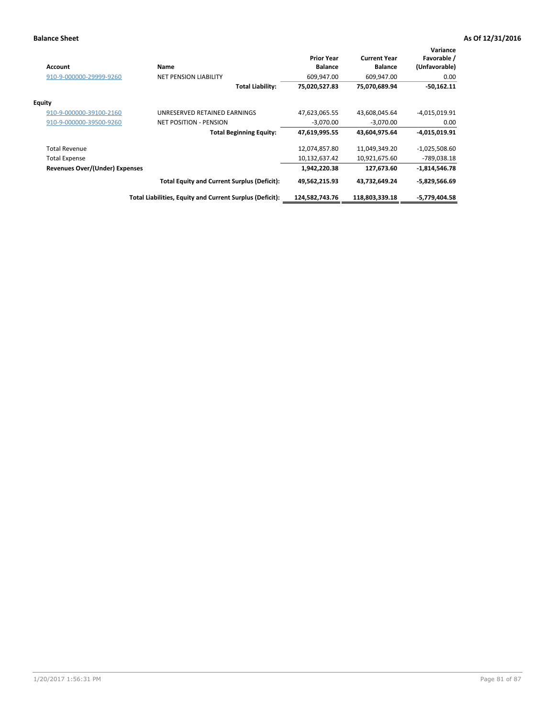| <b>Account</b>                 | Name                                                     | <b>Prior Year</b><br><b>Balance</b> | <b>Current Year</b><br><b>Balance</b> | Variance<br>Favorable /<br>(Unfavorable) |
|--------------------------------|----------------------------------------------------------|-------------------------------------|---------------------------------------|------------------------------------------|
| 910-9-000000-29999-9260        | <b>NET PENSION LIABILITY</b>                             | 609,947.00                          | 609,947.00                            | 0.00                                     |
|                                | <b>Total Liability:</b>                                  | 75,020,527.83                       | 75,070,689.94                         | $-50,162.11$                             |
| <b>Equity</b>                  |                                                          |                                     |                                       |                                          |
| 910-9-000000-39100-2160        | UNRESERVED RETAINED EARNINGS                             | 47,623,065.55                       | 43,608,045.64                         | $-4,015,019.91$                          |
| 910-9-000000-39500-9260        | <b>NET POSITION - PENSION</b>                            | $-3,070.00$                         | $-3,070.00$                           | 0.00                                     |
|                                | <b>Total Beginning Equity:</b>                           | 47,619,995.55                       | 43,604,975.64                         | $-4,015,019.91$                          |
| <b>Total Revenue</b>           |                                                          | 12,074,857.80                       | 11,049,349.20                         | $-1,025,508.60$                          |
| Total Expense                  |                                                          | 10,132,637.42                       | 10,921,675.60                         | -789,038.18                              |
| Revenues Over/(Under) Expenses |                                                          | 1,942,220.38                        | 127,673.60                            | $-1,814,546.78$                          |
|                                | <b>Total Equity and Current Surplus (Deficit):</b>       | 49,562,215.93                       | 43,732,649.24                         | $-5,829,566.69$                          |
|                                | Total Liabilities, Equity and Current Surplus (Deficit): | 124,582,743.76                      | 118,803,339.18                        | -5,779,404.58                            |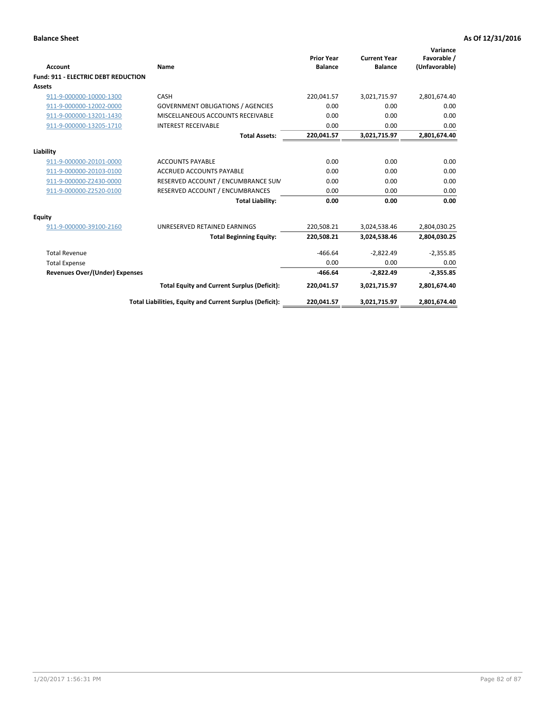| Account                               | Name                                                     | <b>Prior Year</b><br><b>Balance</b> | <b>Current Year</b><br><b>Balance</b> | Variance<br>Favorable /<br>(Unfavorable) |
|---------------------------------------|----------------------------------------------------------|-------------------------------------|---------------------------------------|------------------------------------------|
| Fund: 911 - ELECTRIC DEBT REDUCTION   |                                                          |                                     |                                       |                                          |
| Assets                                |                                                          |                                     |                                       |                                          |
| 911-9-000000-10000-1300               | CASH                                                     | 220,041.57                          | 3,021,715.97                          | 2,801,674.40                             |
| 911-9-000000-12002-0000               | <b>GOVERNMENT OBLIGATIONS / AGENCIES</b>                 | 0.00                                | 0.00                                  | 0.00                                     |
| 911-9-000000-13201-1430               | MISCELLANEOUS ACCOUNTS RECEIVABLE                        | 0.00                                | 0.00                                  | 0.00                                     |
| 911-9-000000-13205-1710               | <b>INTEREST RECEIVABLE</b>                               | 0.00                                | 0.00                                  | 0.00                                     |
|                                       | <b>Total Assets:</b>                                     | 220,041.57                          | 3,021,715.97                          | 2,801,674.40                             |
| Liability                             |                                                          |                                     |                                       |                                          |
| 911-9-000000-20101-0000               | <b>ACCOUNTS PAYABLE</b>                                  | 0.00                                | 0.00                                  | 0.00                                     |
| 911-9-000000-20103-0100               | <b>ACCRUED ACCOUNTS PAYABLE</b>                          | 0.00                                | 0.00                                  | 0.00                                     |
| 911-9-000000-Z2430-0000               | RESERVED ACCOUNT / ENCUMBRANCE SUM                       | 0.00                                | 0.00                                  | 0.00                                     |
| 911-9-000000-Z2520-0100               | RESERVED ACCOUNT / ENCUMBRANCES                          | 0.00                                | 0.00                                  | 0.00                                     |
|                                       | <b>Total Liability:</b>                                  | 0.00                                | 0.00                                  | 0.00                                     |
| Equity                                |                                                          |                                     |                                       |                                          |
| 911-9-000000-39100-2160               | UNRESERVED RETAINED EARNINGS                             | 220,508.21                          | 3,024,538.46                          | 2,804,030.25                             |
|                                       | <b>Total Beginning Equity:</b>                           | 220,508.21                          | 3,024,538.46                          | 2,804,030.25                             |
| <b>Total Revenue</b>                  |                                                          | $-466.64$                           | $-2,822.49$                           | $-2,355.85$                              |
| <b>Total Expense</b>                  |                                                          | 0.00                                | 0.00                                  | 0.00                                     |
| <b>Revenues Over/(Under) Expenses</b> |                                                          | $-466.64$                           | $-2,822.49$                           | $-2,355.85$                              |
|                                       | <b>Total Equity and Current Surplus (Deficit):</b>       | 220,041.57                          | 3,021,715.97                          | 2,801,674.40                             |
|                                       | Total Liabilities, Equity and Current Surplus (Deficit): | 220,041.57                          | 3,021,715.97                          | 2,801,674.40                             |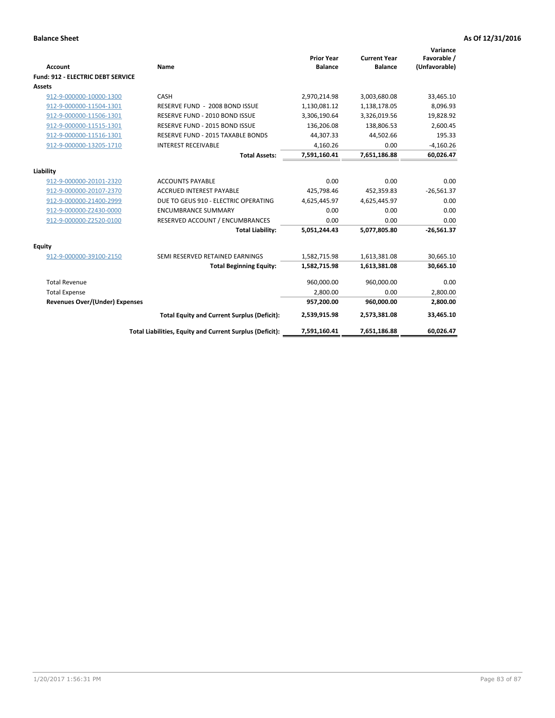| <b>Account</b>                           | <b>Name</b>                                              | <b>Prior Year</b><br><b>Balance</b> | <b>Current Year</b><br><b>Balance</b> | Variance<br>Favorable /<br>(Unfavorable) |
|------------------------------------------|----------------------------------------------------------|-------------------------------------|---------------------------------------|------------------------------------------|
| <b>Fund: 912 - ELECTRIC DEBT SERVICE</b> |                                                          |                                     |                                       |                                          |
| <b>Assets</b>                            |                                                          |                                     |                                       |                                          |
| 912-9-000000-10000-1300                  | CASH                                                     | 2,970,214.98                        | 3,003,680.08                          | 33,465.10                                |
| 912-9-000000-11504-1301                  | RESERVE FUND - 2008 BOND ISSUE                           | 1,130,081.12                        | 1,138,178.05                          | 8,096.93                                 |
| 912-9-000000-11506-1301                  | RESERVE FUND - 2010 BOND ISSUE                           | 3,306,190.64                        | 3,326,019.56                          | 19,828.92                                |
| 912-9-000000-11515-1301                  | RESERVE FUND - 2015 BOND ISSUE                           | 136,206.08                          | 138,806.53                            | 2,600.45                                 |
| 912-9-000000-11516-1301                  | <b>RESERVE FUND - 2015 TAXABLE BONDS</b>                 | 44,307.33                           | 44,502.66                             | 195.33                                   |
| 912-9-000000-13205-1710                  | <b>INTEREST RECEIVABLE</b>                               | 4,160.26                            | 0.00                                  | $-4,160.26$                              |
|                                          | <b>Total Assets:</b>                                     | 7,591,160.41                        | 7,651,186.88                          | 60,026.47                                |
| Liability                                |                                                          |                                     |                                       |                                          |
| 912-9-000000-20101-2320                  | <b>ACCOUNTS PAYABLE</b>                                  | 0.00                                | 0.00                                  | 0.00                                     |
| 912-9-000000-20107-2370                  | <b>ACCRUED INTEREST PAYABLE</b>                          | 425.798.46                          | 452,359.83                            | $-26,561.37$                             |
| 912-9-000000-21400-2999                  | DUE TO GEUS 910 - ELECTRIC OPERATING                     | 4,625,445.97                        | 4,625,445.97                          | 0.00                                     |
| 912-9-000000-Z2430-0000                  | <b>ENCUMBRANCE SUMMARY</b>                               | 0.00                                | 0.00                                  | 0.00                                     |
| 912-9-000000-Z2520-0100                  | RESERVED ACCOUNT / ENCUMBRANCES                          | 0.00                                | 0.00                                  | 0.00                                     |
|                                          | <b>Total Liability:</b>                                  | 5,051,244.43                        | 5,077,805.80                          | $-26,561.37$                             |
| Equity                                   |                                                          |                                     |                                       |                                          |
| 912-9-000000-39100-2150                  | SEMI RESERVED RETAINED EARNINGS                          | 1,582,715.98                        | 1,613,381.08                          | 30,665.10                                |
|                                          | <b>Total Beginning Equity:</b>                           | 1,582,715.98                        | 1,613,381.08                          | 30,665.10                                |
| <b>Total Revenue</b>                     |                                                          | 960,000.00                          | 960,000.00                            | 0.00                                     |
| <b>Total Expense</b>                     |                                                          | 2,800.00                            | 0.00                                  | 2,800.00                                 |
| Revenues Over/(Under) Expenses           |                                                          | 957,200.00                          | 960,000.00                            | 2,800.00                                 |
|                                          | <b>Total Equity and Current Surplus (Deficit):</b>       | 2,539,915.98                        | 2,573,381.08                          | 33,465.10                                |
|                                          | Total Liabilities, Equity and Current Surplus (Deficit): | 7,591,160.41                        | 7,651,186.88                          | 60.026.47                                |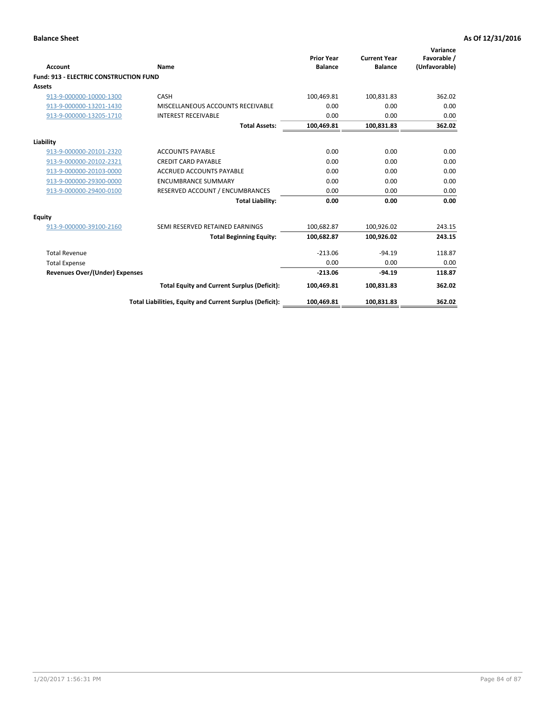| Account                                       | Name                                                     | <b>Prior Year</b><br><b>Balance</b> | <b>Current Year</b><br><b>Balance</b> | Variance<br>Favorable /<br>(Unfavorable) |
|-----------------------------------------------|----------------------------------------------------------|-------------------------------------|---------------------------------------|------------------------------------------|
| <b>Fund: 913 - ELECTRIC CONSTRUCTION FUND</b> |                                                          |                                     |                                       |                                          |
| <b>Assets</b>                                 |                                                          |                                     |                                       |                                          |
| 913-9-000000-10000-1300                       | CASH                                                     | 100,469.81                          | 100,831.83                            | 362.02                                   |
| 913-9-000000-13201-1430                       | MISCELLANEOUS ACCOUNTS RECEIVABLE                        | 0.00                                | 0.00                                  | 0.00                                     |
| 913-9-000000-13205-1710                       | <b>INTEREST RECEIVABLE</b>                               | 0.00                                | 0.00                                  | 0.00                                     |
|                                               | <b>Total Assets:</b>                                     | 100,469.81                          | 100,831.83                            | 362.02                                   |
| Liability                                     |                                                          |                                     |                                       |                                          |
| 913-9-000000-20101-2320                       | <b>ACCOUNTS PAYABLE</b>                                  | 0.00                                | 0.00                                  | 0.00                                     |
| 913-9-000000-20102-2321                       | <b>CREDIT CARD PAYABLE</b>                               | 0.00                                | 0.00                                  | 0.00                                     |
| 913-9-000000-20103-0000                       | <b>ACCRUED ACCOUNTS PAYABLE</b>                          | 0.00                                | 0.00                                  | 0.00                                     |
| 913-9-000000-29300-0000                       | <b>ENCUMBRANCE SUMMARY</b>                               | 0.00                                | 0.00                                  | 0.00                                     |
| 913-9-000000-29400-0100                       | RESERVED ACCOUNT / ENCUMBRANCES                          | 0.00                                | 0.00                                  | 0.00                                     |
|                                               | <b>Total Liability:</b>                                  | 0.00                                | 0.00                                  | 0.00                                     |
| Equity                                        |                                                          |                                     |                                       |                                          |
| 913-9-000000-39100-2160                       | SEMI RESERVED RETAINED EARNINGS                          | 100,682.87                          | 100,926.02                            | 243.15                                   |
|                                               | <b>Total Beginning Equity:</b>                           | 100,682.87                          | 100,926.02                            | 243.15                                   |
| <b>Total Revenue</b>                          |                                                          | $-213.06$                           | $-94.19$                              | 118.87                                   |
| <b>Total Expense</b>                          |                                                          | 0.00                                | 0.00                                  | 0.00                                     |
| Revenues Over/(Under) Expenses                |                                                          | $-213.06$                           | $-94.19$                              | 118.87                                   |
|                                               | <b>Total Equity and Current Surplus (Deficit):</b>       | 100,469.81                          | 100,831.83                            | 362.02                                   |
|                                               | Total Liabilities, Equity and Current Surplus (Deficit): | 100,469.81                          | 100,831.83                            | 362.02                                   |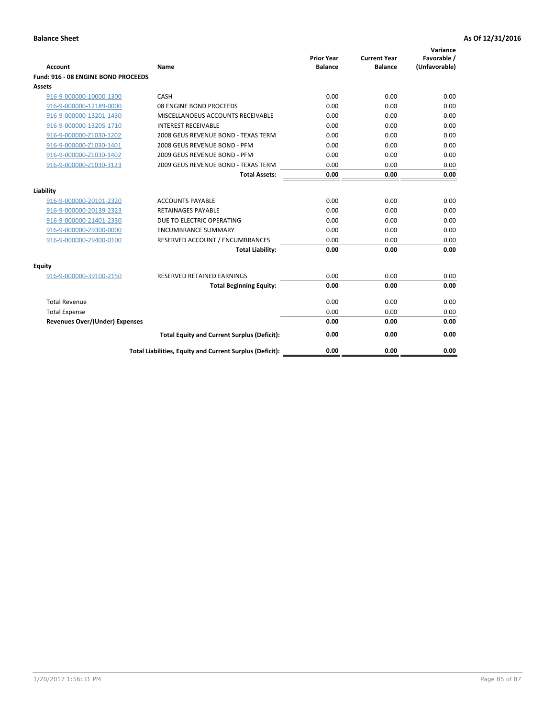| <b>Account</b>                        | Name                                                     | <b>Prior Year</b><br><b>Balance</b> | <b>Current Year</b><br><b>Balance</b> | Variance<br>Favorable /<br>(Unfavorable) |
|---------------------------------------|----------------------------------------------------------|-------------------------------------|---------------------------------------|------------------------------------------|
| Fund: 916 - 08 ENGINE BOND PROCEEDS   |                                                          |                                     |                                       |                                          |
| Assets                                |                                                          |                                     |                                       |                                          |
| 916-9-000000-10000-1300               | CASH                                                     | 0.00                                | 0.00                                  | 0.00                                     |
| 916-9-000000-12189-0000               | 08 ENGINE BOND PROCEEDS                                  | 0.00                                | 0.00                                  | 0.00                                     |
| 916-9-000000-13201-1430               | MISCELLANOEUS ACCOUNTS RECEIVABLE                        | 0.00                                | 0.00                                  | 0.00                                     |
| 916-9-000000-13205-1710               | <b>INTEREST RECEIVABLE</b>                               | 0.00                                | 0.00                                  | 0.00                                     |
| 916-9-000000-Z1030-1202               | 2008 GEUS REVENUE BOND - TEXAS TERM                      | 0.00                                | 0.00                                  | 0.00                                     |
| 916-9-000000-Z1030-1401               | 2008 GEUS REVENUE BOND - PFM                             | 0.00                                | 0.00                                  | 0.00                                     |
| 916-9-000000-Z1030-1402               | 2009 GEUS REVENUE BOND - PFM                             | 0.00                                | 0.00                                  | 0.00                                     |
| 916-9-000000-Z1030-3123               | 2009 GEUS REVENUE BOND - TEXAS TERM                      | 0.00                                | 0.00                                  | 0.00                                     |
|                                       | <b>Total Assets:</b>                                     | 0.00                                | 0.00                                  | 0.00                                     |
| Liability                             |                                                          |                                     |                                       |                                          |
| 916-9-000000-20101-2320               | <b>ACCOUNTS PAYABLE</b>                                  | 0.00                                | 0.00                                  | 0.00                                     |
| 916-9-000000-20139-2323               | <b>RETAINAGES PAYABLE</b>                                | 0.00                                | 0.00                                  | 0.00                                     |
| 916-9-000000-21401-2330               | DUE TO ELECTRIC OPERATING                                | 0.00                                | 0.00                                  | 0.00                                     |
| 916-9-000000-29300-0000               | <b>ENCUMBRANCE SUMMARY</b>                               | 0.00                                | 0.00                                  | 0.00                                     |
| 916-9-000000-29400-0100               | RESERVED ACCOUNT / ENCUMBRANCES                          | 0.00                                | 0.00                                  | 0.00                                     |
|                                       | <b>Total Liability:</b>                                  | 0.00                                | 0.00                                  | 0.00                                     |
| Equity                                |                                                          |                                     |                                       |                                          |
| 916-9-000000-39100-2150               | <b>RESERVED RETAINED EARNINGS</b>                        | 0.00                                | 0.00                                  | 0.00                                     |
|                                       | <b>Total Beginning Equity:</b>                           | 0.00                                | 0.00                                  | 0.00                                     |
| <b>Total Revenue</b>                  |                                                          | 0.00                                | 0.00                                  | 0.00                                     |
| <b>Total Expense</b>                  |                                                          | 0.00                                | 0.00                                  | 0.00                                     |
| <b>Revenues Over/(Under) Expenses</b> |                                                          | 0.00                                | 0.00                                  | 0.00                                     |
|                                       | <b>Total Equity and Current Surplus (Deficit):</b>       | 0.00                                | 0.00                                  | 0.00                                     |
|                                       | Total Liabilities, Equity and Current Surplus (Deficit): | 0.00                                | 0.00                                  | 0.00                                     |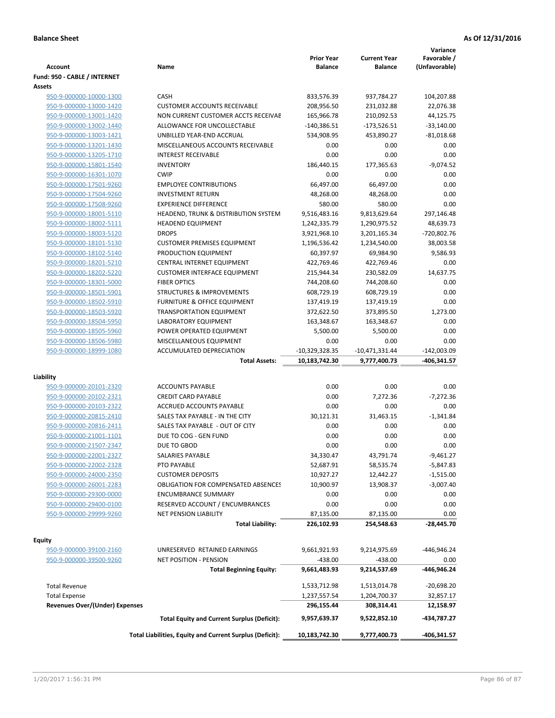| <b>Account</b>                                     | Name                                                     | <b>Prior Year</b><br><b>Balance</b> | <b>Current Year</b><br><b>Balance</b> | Variance<br>Favorable /<br>(Unfavorable) |
|----------------------------------------------------|----------------------------------------------------------|-------------------------------------|---------------------------------------|------------------------------------------|
| Fund: 950 - CABLE / INTERNET                       |                                                          |                                     |                                       |                                          |
| Assets                                             |                                                          |                                     |                                       |                                          |
| 950-9-000000-10000-1300                            | CASH                                                     | 833,576.39                          | 937,784.27                            | 104,207.88                               |
| 950-9-000000-13000-1420                            | <b>CUSTOMER ACCOUNTS RECEIVABLE</b>                      | 208,956.50                          | 231,032.88                            | 22,076.38                                |
| 950-9-000000-13001-1420                            | NON CURRENT CUSTOMER ACCTS RECEIVAE                      | 165,966.78                          | 210,092.53                            | 44,125.75                                |
| 950-9-000000-13002-1440                            | ALLOWANCE FOR UNCOLLECTABLE                              | $-140,386.51$                       | $-173,526.51$                         | $-33,140.00$                             |
| 950-9-000000-13003-1421                            | UNBILLED YEAR-END ACCRUAL                                | 534,908.95                          | 453,890.27                            | $-81,018.68$                             |
| 950-9-000000-13201-1430                            | MISCELLANEOUS ACCOUNTS RECEIVABLE                        | 0.00                                | 0.00                                  | 0.00                                     |
| 950-9-000000-13205-1710                            | <b>INTEREST RECEIVABLE</b>                               | 0.00                                | 0.00                                  | 0.00                                     |
| 950-9-000000-15801-1540                            | <b>INVENTORY</b>                                         | 186,440.15                          | 177,365.63                            | $-9,074.52$                              |
| 950-9-000000-16301-1070                            | <b>CWIP</b>                                              | 0.00                                | 0.00                                  | 0.00                                     |
| 950-9-000000-17501-9260                            | <b>EMPLOYEE CONTRIBUTIONS</b>                            | 66,497.00                           | 66,497.00                             | 0.00                                     |
| 950-9-000000-17504-9260                            | <b>INVESTMENT RETURN</b>                                 | 48,268.00                           | 48,268.00                             | 0.00                                     |
| 950-9-000000-17508-9260                            | <b>EXPERIENCE DIFFERENCE</b>                             | 580.00                              | 580.00                                | 0.00                                     |
| 950-9-000000-18001-5110                            | HEADEND, TRUNK & DISTRIBUTION SYSTEM                     | 9,516,483.16                        | 9,813,629.64                          | 297,146.48                               |
| 950-9-000000-18002-5111                            | <b>HEADEND EQUIPMENT</b>                                 | 1,242,335.79                        | 1,290,975.52                          | 48,639.73                                |
| 950-9-000000-18003-5120                            | <b>DROPS</b>                                             | 3,921,968.10                        | 3,201,165.34                          | -720,802.76                              |
| 950-9-000000-18101-5130                            | <b>CUSTOMER PREMISES EQUIPMENT</b>                       | 1,196,536.42                        | 1,234,540.00                          | 38,003.58                                |
| 950-9-000000-18102-5140                            | PRODUCTION EQUIPMENT                                     | 60,397.97                           | 69,984.90                             | 9,586.93                                 |
| 950-9-000000-18201-5210                            | CENTRAL INTERNET EQUIPMENT                               | 422,769.46                          | 422,769.46                            | 0.00                                     |
| 950-9-000000-18202-5220                            | <b>CUSTOMER INTERFACE EQUIPMENT</b>                      | 215,944.34                          | 230,582.09                            | 14,637.75                                |
| 950-9-000000-18301-5000                            | <b>FIBER OPTICS</b>                                      | 744,208.60                          | 744,208.60                            | 0.00                                     |
| 950-9-000000-18501-5901                            | <b>STRUCTURES &amp; IMPROVEMENTS</b>                     | 608,729.19                          | 608,729.19                            | 0.00                                     |
| 950-9-000000-18502-5910                            | <b>FURNITURE &amp; OFFICE EQUIPMENT</b>                  | 137,419.19                          | 137,419.19                            | 0.00                                     |
| 950-9-000000-18503-5920                            | <b>TRANSPORTATION EQUIPMENT</b>                          | 372,622.50                          | 373,895.50                            | 1,273.00                                 |
| 950-9-000000-18504-5950                            | LABORATORY EQUIPMENT                                     | 163,348.67                          | 163,348.67                            | 0.00                                     |
| 950-9-000000-18505-5960                            | POWER OPERATED EQUIPMENT                                 | 5,500.00                            | 5,500.00                              | 0.00                                     |
| 950-9-000000-18506-5980                            | MISCELLANEOUS EQUIPMENT                                  | 0.00                                | 0.00                                  | 0.00                                     |
| 950-9-000000-18999-1080                            | ACCUMULATED DEPRECIATION                                 | -10,329,328.35                      | $-10,471,331.44$                      | $-142,003.09$                            |
|                                                    | <b>Total Assets:</b>                                     | 10,183,742.30                       | 9,777,400.73                          | -406,341.57                              |
|                                                    |                                                          |                                     |                                       |                                          |
| Liability                                          |                                                          |                                     |                                       |                                          |
| 950-9-000000-20101-2320                            | <b>ACCOUNTS PAYABLE</b>                                  | 0.00                                | 0.00                                  | 0.00                                     |
| 950-9-000000-20102-2321                            | <b>CREDIT CARD PAYABLE</b>                               | 0.00                                | 7,272.36                              | $-7,272.36$                              |
| 950-9-000000-20103-2322                            | ACCRUED ACCOUNTS PAYABLE                                 | 0.00                                | 0.00                                  | 0.00                                     |
| 950-9-000000-20815-2410                            | SALES TAX PAYABLE - IN THE CITY                          | 30,121.31                           | 31,463.15                             | $-1,341.84$                              |
| 950-9-000000-20816-2411                            | SALES TAX PAYABLE - OUT OF CITY                          | 0.00                                | 0.00                                  | 0.00                                     |
| 950-9-000000-21001-1101                            | DUE TO COG - GEN FUND                                    | 0.00                                | 0.00                                  | 0.00                                     |
| 950-9-000000-21507-2347                            | DUE TO GBOD                                              | 0.00                                | 0.00                                  | 0.00                                     |
| 950-9-000000-22001-2327                            | SALARIES PAYABLE                                         | 34,330.47<br>52,687.91              | 43,791.74                             | $-9,461.27$<br>$-5,847.83$               |
| 950-9-000000-22002-2328<br>950-9-000000-24000-2350 | PTO PAYABLE<br><b>CUSTOMER DEPOSITS</b>                  |                                     | 58,535.74                             |                                          |
|                                                    |                                                          | 10,927.27                           | 12,442.27                             | $-1,515.00$                              |
| 950-9-000000-26001-2283                            | <b>OBLIGATION FOR COMPENSATED ABSENCES</b>               | 10,900.97                           | 13,908.37                             | $-3,007.40$                              |
| 950-9-000000-29300-0000                            | <b>ENCUMBRANCE SUMMARY</b>                               | 0.00                                | 0.00                                  | 0.00                                     |
| 950-9-000000-29400-0100                            | RESERVED ACCOUNT / ENCUMBRANCES                          | 0.00                                | 0.00                                  | 0.00                                     |
| 950-9-000000-29999-9260                            | <b>NET PENSION LIABILITY</b>                             | 87,135.00                           | 87,135.00                             | 0.00                                     |
|                                                    | <b>Total Liability:</b>                                  | 226,102.93                          | 254,548.63                            | -28,445.70                               |
| Equity                                             |                                                          |                                     |                                       |                                          |
| 950-9-000000-39100-2160                            | UNRESERVED RETAINED EARNINGS                             | 9,661,921.93                        | 9,214,975.69                          | -446,946.24                              |
| 950-9-000000-39500-9260                            | NET POSITION - PENSION                                   | $-438.00$                           | $-438.00$                             | 0.00                                     |
|                                                    | <b>Total Beginning Equity:</b>                           | 9,661,483.93                        | 9,214,537.69                          | -446,946.24                              |
|                                                    |                                                          |                                     |                                       |                                          |
| <b>Total Revenue</b>                               |                                                          | 1,533,712.98                        | 1,513,014.78                          | -20,698.20                               |
| <b>Total Expense</b>                               |                                                          | 1,237,557.54                        | 1,204,700.37                          | 32,857.17                                |
| <b>Revenues Over/(Under) Expenses</b>              | <b>Total Equity and Current Surplus (Deficit):</b>       | 296,155.44<br>9,957,639.37          | 308,314.41<br>9,522,852.10            | 12,158.97<br>-434,787.27                 |
|                                                    | Total Liabilities, Equity and Current Surplus (Deficit): | 10,183,742.30                       |                                       | -406,341.57                              |
|                                                    |                                                          |                                     | 9,777,400.73                          |                                          |